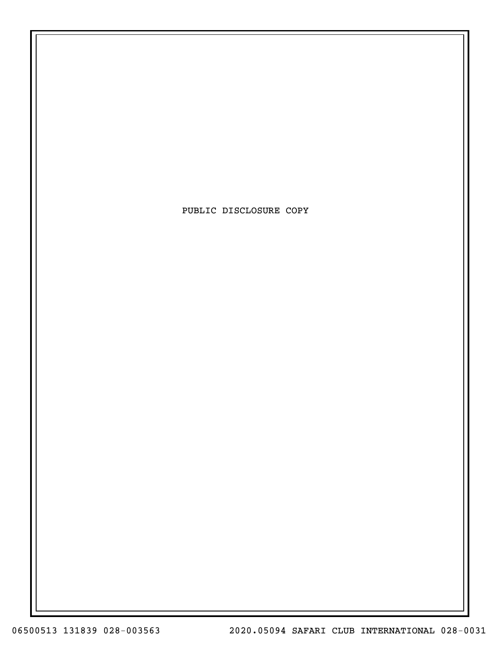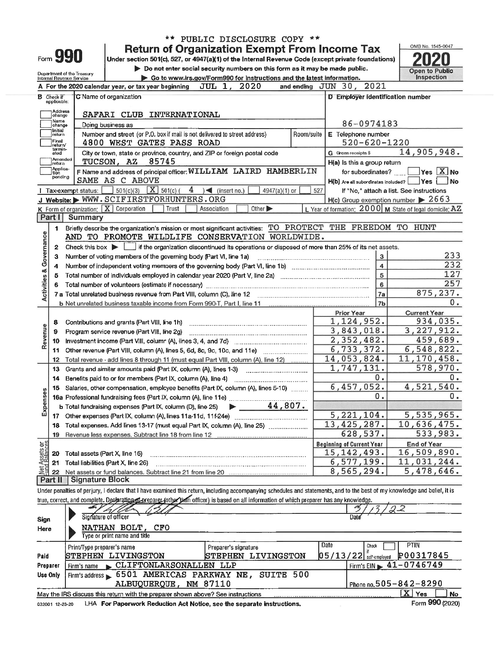|                                |                   |                                                        |                                                                                                                                                                            | PUBLIC DISCLOSURE COPY **                                                   |            |                                                   |                                                                  |  |  |  |
|--------------------------------|-------------------|--------------------------------------------------------|----------------------------------------------------------------------------------------------------------------------------------------------------------------------------|-----------------------------------------------------------------------------|------------|---------------------------------------------------|------------------------------------------------------------------|--|--|--|
|                                |                   |                                                        |                                                                                                                                                                            | <b>Return of Organization Exempt From Income Tax</b>                        |            |                                                   | OMB No. 1545-0047                                                |  |  |  |
|                                |                   | Form 990                                               | Under section 501(c), 527, or 4947(a)(1) of the Internal Revenue Code (except private foundations)                                                                         |                                                                             |            |                                                   |                                                                  |  |  |  |
|                                |                   |                                                        |                                                                                                                                                                            | Do not enter social security numbers on this form as it may be made public. |            |                                                   | <b>Open to Public</b>                                            |  |  |  |
|                                |                   | Department of the Treasury<br>Internal Revenue Service |                                                                                                                                                                            | Go to www.irs.gov/Form990 for instructions and the latest information.      |            |                                                   | <b>Inspection</b>                                                |  |  |  |
|                                |                   |                                                        | A For the 2020 calendar year, or tax year beginning                                                                                                                        | JUL 1, 2020                                                                 |            | 2021<br>and ending $JUN$ 30,                      |                                                                  |  |  |  |
|                                | <b>B</b> Check if |                                                        | C Name of organization                                                                                                                                                     |                                                                             |            | D Employer identification number                  |                                                                  |  |  |  |
|                                | applicable:       |                                                        |                                                                                                                                                                            |                                                                             |            |                                                   |                                                                  |  |  |  |
|                                | Address<br>change |                                                        |                                                                                                                                                                            |                                                                             |            |                                                   |                                                                  |  |  |  |
|                                | Name<br>change    |                                                        | Doing business as                                                                                                                                                          |                                                                             |            | 86-0974183                                        |                                                                  |  |  |  |
|                                | Initial<br>return |                                                        | Number and street (or P.O. box if mail is not delivered to street address)                                                                                                 |                                                                             | Room/suite | E Telephone number                                |                                                                  |  |  |  |
|                                | Final<br>return/  |                                                        | 4800 WEST GATES PASS ROAD                                                                                                                                                  |                                                                             |            | 520-620-1220                                      |                                                                  |  |  |  |
|                                | termin-<br>ated   |                                                        | City or town, state or province, country, and ZIP or foreign postal code                                                                                                   |                                                                             |            | G Gross receipts \$                               | 14,905,948.                                                      |  |  |  |
|                                | Amended<br>return |                                                        | 85745<br>TUCSON, AZ                                                                                                                                                        |                                                                             |            | H(a) Is this a group return                       |                                                                  |  |  |  |
|                                | Applica-<br>tion  |                                                        | F Name and address of principal officer: WILLIAM LAIRD HAMBERLIN                                                                                                           |                                                                             |            | for subordinates?                                 | $ {\mathsf Y}{\mathsf e}{\mathsf s} \ \overline{{\mathsf X}}$ No |  |  |  |
|                                | pending           |                                                        | SAME AS C ABOVE                                                                                                                                                            |                                                                             |            | $H(b)$ Are all subordinates included?             | Yes<br>l No                                                      |  |  |  |
|                                |                   | Tax-exempt status:                                     | 501(c)(3) $X$ 501(c)(<br>4                                                                                                                                                 | $\leq$ (insert no.)<br>$4947(a)(1)$ or                                      | 527        |                                                   | If "No," attach a list. See instructions                         |  |  |  |
|                                |                   |                                                        | J Website: WWW.SCIFIRSTFORHUNTERS.ORG                                                                                                                                      |                                                                             |            |                                                   | $H(c)$ Group exemption number $\triangleright$ 2663              |  |  |  |
|                                |                   |                                                        | K Form of organization: $X$ Corporation<br>Trust                                                                                                                           | Other $\blacktriangleright$<br>Association                                  |            |                                                   | L Year of formation: 2000 M State of legal domicile: AZ          |  |  |  |
|                                | Part I            | <b>Summary</b>                                         |                                                                                                                                                                            |                                                                             |            |                                                   |                                                                  |  |  |  |
|                                | 1                 |                                                        | Briefly describe the organization's mission or most significant activities: TO PROTECT THE FREEDOM TO HUNT                                                                 |                                                                             |            |                                                   |                                                                  |  |  |  |
| Governance                     |                   |                                                        | AND TO PROMOTE WILDLIFE CONSERVATION WORLDWIDE.                                                                                                                            |                                                                             |            |                                                   |                                                                  |  |  |  |
|                                | 2                 |                                                        | Check this box $\blacktriangleright$ $\blacksquare$ if the organization discontinued its operations or disposed of more than 25% of its net assets.                        |                                                                             |            |                                                   |                                                                  |  |  |  |
|                                | з                 |                                                        | Number of voting members of the governing body (Part VI, line 1a)                                                                                                          |                                                                             |            | 3                                                 | 233                                                              |  |  |  |
|                                | 4                 |                                                        |                                                                                                                                                                            |                                                                             |            | $\overline{\mathbf{4}}$                           | 232                                                              |  |  |  |
|                                | 5                 |                                                        |                                                                                                                                                                            |                                                                             |            | 5                                                 | 127                                                              |  |  |  |
|                                | 6                 |                                                        |                                                                                                                                                                            |                                                                             |            | 6                                                 | 257                                                              |  |  |  |
| <b>Activities &amp;</b>        |                   |                                                        |                                                                                                                                                                            |                                                                             |            | 7a                                                | 875,237.                                                         |  |  |  |
|                                |                   |                                                        |                                                                                                                                                                            |                                                                             |            | 7 <sub>b</sub>                                    | 0.                                                               |  |  |  |
|                                |                   |                                                        |                                                                                                                                                                            |                                                                             |            | <b>Prior Year</b>                                 | <b>Current Year</b>                                              |  |  |  |
|                                | 8                 |                                                        | Contributions and grants (Part VIII, line 1h)                                                                                                                              |                                                                             |            | 1,124,952.                                        | 934,035.                                                         |  |  |  |
|                                | 9                 |                                                        | Program service revenue (Part VIII, line 2g)                                                                                                                               |                                                                             |            | 3,843,018.                                        | 3, 227, 912.                                                     |  |  |  |
| Revenue                        | 10                |                                                        |                                                                                                                                                                            |                                                                             |            | 2,352,482.                                        | 459,689.                                                         |  |  |  |
|                                | 11                |                                                        |                                                                                                                                                                            |                                                                             |            | 6,733,372.                                        | 6,548,822.                                                       |  |  |  |
|                                | 12                |                                                        | Total revenue - add lines 8 through 11 (must equal Part VIII, column (A), line 12)                                                                                         |                                                                             |            | 14,053,824.                                       | 11, 170, 458.                                                    |  |  |  |
|                                | 13                |                                                        |                                                                                                                                                                            |                                                                             |            | 1,747,131.                                        | 578,970.                                                         |  |  |  |
|                                | 14                |                                                        | Benefits paid to or for members (Part IX, column (A), line 4)                                                                                                              |                                                                             |            | 0.                                                | 0.                                                               |  |  |  |
| ses                            | 15                |                                                        | Salaries, other compensation, employee benefits (Part IX, column (A), lines 5-10)                                                                                          |                                                                             |            | 6,457,052.                                        | 4,521,540.                                                       |  |  |  |
|                                |                   |                                                        | 16a Professional fundraising fees (Part IX, column (A), line 11e)                                                                                                          |                                                                             |            | 0.                                                | 0                                                                |  |  |  |
| Expens                         |                   |                                                        | b Total fundraising expenses (Part IX, column (D), line 25)                                                                                                                | $\blacktriangleright$ 44,807.                                               |            |                                                   |                                                                  |  |  |  |
|                                | 17                |                                                        |                                                                                                                                                                            |                                                                             |            | 5,221,104.                                        | 5,535,965.                                                       |  |  |  |
|                                | 18                |                                                        | Total expenses. Add lines 13-17 (must equal Part IX, column (A), line 25)                                                                                                  |                                                                             |            | 13, 425, 287.                                     | 10,636,475.                                                      |  |  |  |
|                                | 19                |                                                        |                                                                                                                                                                            |                                                                             |            | 628,537.                                          | 533,983.                                                         |  |  |  |
| Net Assets or<br>Fund Balances |                   |                                                        |                                                                                                                                                                            |                                                                             |            | <b>Beginning of Current Year</b><br>15, 142, 493. | <b>End of Year</b><br>16,509,890.                                |  |  |  |
|                                | 20                | Total assets (Part X, line 16)                         |                                                                                                                                                                            |                                                                             |            | 6,577,199.                                        | 11,031,244.                                                      |  |  |  |
|                                | 21                |                                                        | Total liabilities (Part X, line 26)                                                                                                                                        |                                                                             |            | 8,565,294.                                        | 5,478,646.                                                       |  |  |  |
|                                | 22<br>Part II     | Signature Block                                        |                                                                                                                                                                            |                                                                             |            |                                                   |                                                                  |  |  |  |
|                                |                   |                                                        | Under penalties of perjury, I declare that I have examined this return, including accompanying schedules and statements, and to the best of my knowledge and belief, it is |                                                                             |            |                                                   |                                                                  |  |  |  |
|                                |                   |                                                        | true, correct, and complete. Declaration of the preparer (other than officer) is based on all information of which preparer has any knowledge.                             |                                                                             |            |                                                   |                                                                  |  |  |  |
|                                |                   |                                                        |                                                                                                                                                                            |                                                                             |            |                                                   | 92                                                               |  |  |  |
|                                |                   |                                                        | Signature of officer                                                                                                                                                       |                                                                             |            | Date                                              |                                                                  |  |  |  |
| Sign                           |                   |                                                        | NATHAN BOLT, CFO                                                                                                                                                           |                                                                             |            |                                                   |                                                                  |  |  |  |
| Here                           |                   |                                                        | Type or print name and title                                                                                                                                               |                                                                             |            |                                                   |                                                                  |  |  |  |
|                                |                   | Print/Type preparer's name                             |                                                                                                                                                                            |                                                                             |            | Date<br>Check                                     | PTIN                                                             |  |  |  |
| Paid                           |                   |                                                        | STEPHEN LIVINGSTON                                                                                                                                                         | Preparer's signature<br>STEPHEN LIVINGSTON                                  |            | $05/13/22$ $\frac{ }{set-emploved}$               | P00317845                                                        |  |  |  |
| Preparer                       |                   | Firm's name                                            | CLIFTONLARSONALLEN LLP                                                                                                                                                     |                                                                             |            |                                                   | Firm's EIN $\geq 41 - 0746749$                                   |  |  |  |
|                                | Use Only          |                                                        | Firm's address 6501 AMERICAS PARKWAY NE, SUITE 500                                                                                                                         |                                                                             |            |                                                   |                                                                  |  |  |  |
|                                |                   |                                                        | ALBUQUERQUE, NM 87110                                                                                                                                                      |                                                                             |            |                                                   | Phone no. 505-842-8290                                           |  |  |  |
|                                |                   |                                                        | May the IRS discuss this return with the preparer shown above? See instructions                                                                                            |                                                                             |            |                                                   | $ \overline{X} $ Yes<br>No.                                      |  |  |  |

LHA For Paperwork Reduction Act Notice, see the separate instructions. 032001 12-23-20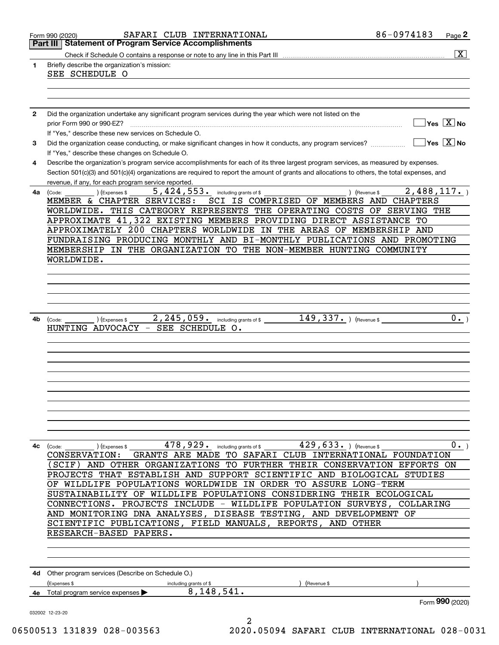|              | SAFARI CLUB INTERNATIONAL<br>Form 990 (2020)                                                                                                                                                                                                                                         | 86-0974183<br>Page 2                                 |
|--------------|--------------------------------------------------------------------------------------------------------------------------------------------------------------------------------------------------------------------------------------------------------------------------------------|------------------------------------------------------|
|              | <b>Statement of Program Service Accomplishments</b><br>Part III                                                                                                                                                                                                                      |                                                      |
|              |                                                                                                                                                                                                                                                                                      | $\overline{\mathbf{x}}$                              |
| 1            | Briefly describe the organization's mission:<br>SEE SCHEDULE O                                                                                                                                                                                                                       |                                                      |
|              |                                                                                                                                                                                                                                                                                      |                                                      |
|              |                                                                                                                                                                                                                                                                                      |                                                      |
|              |                                                                                                                                                                                                                                                                                      |                                                      |
| $\mathbf{2}$ | Did the organization undertake any significant program services during the year which were not listed on the                                                                                                                                                                         |                                                      |
|              | prior Form 990 or 990-EZ?                                                                                                                                                                                                                                                            | $\overline{\mathsf{Yes}}$ $\overline{\mathsf{X}}$ No |
|              | If "Yes," describe these new services on Schedule O.                                                                                                                                                                                                                                 |                                                      |
| 3            | Did the organization cease conducting, or make significant changes in how it conducts, any program services?                                                                                                                                                                         | $\overline{\mathsf{Yes}}$ $\overline{\mathsf{X}}$ No |
|              | If "Yes," describe these changes on Schedule O.                                                                                                                                                                                                                                      |                                                      |
| 4            | Describe the organization's program service accomplishments for each of its three largest program services, as measured by expenses.<br>Section 501(c)(3) and 501(c)(4) organizations are required to report the amount of grants and allocations to others, the total expenses, and |                                                      |
|              | revenue, if any, for each program service reported.                                                                                                                                                                                                                                  |                                                      |
| 4a           | $5,424,553$ $\cdot$ including grants of \$<br>(Expenses \$<br>) (Revenue \$<br>(Code:                                                                                                                                                                                                | 2,488,117.                                           |
|              | MEMBER & CHAPTER SERVICES:<br>SCI IS COMPRISED OF MEMBERS AND CHAPTERS                                                                                                                                                                                                               |                                                      |
|              | WORLDWIDE. THIS CATEGORY REPRESENTS THE OPERATING COSTS OF SERVING THE                                                                                                                                                                                                               |                                                      |
|              | APPROXIMATE 41,322 EXISTING MEMBERS PROVIDING DIRECT ASSISTANCE TO                                                                                                                                                                                                                   |                                                      |
|              | APPROXIMATELY 200 CHAPTERS WORLDWIDE IN THE AREAS OF MEMBERSHIP AND                                                                                                                                                                                                                  |                                                      |
|              | FUNDRAISING PRODUCING MONTHLY AND BI-MONTHLY PUBLICATIONS AND PROMOTING                                                                                                                                                                                                              |                                                      |
|              | MEMBERSHIP IN THE ORGANIZATION TO THE NON-MEMBER HUNTING COMMUNITY                                                                                                                                                                                                                   |                                                      |
|              | WORLDWIDE.                                                                                                                                                                                                                                                                           |                                                      |
|              |                                                                                                                                                                                                                                                                                      |                                                      |
|              |                                                                                                                                                                                                                                                                                      |                                                      |
|              |                                                                                                                                                                                                                                                                                      |                                                      |
|              |                                                                                                                                                                                                                                                                                      |                                                      |
| 4b           | $2$ , $245$ , $059$ or including grants of \$<br>$149,337.$ (Revenue \$<br>(Expenses \$<br>(Code:                                                                                                                                                                                    | 0.                                                   |
|              | SEE SCHEDULE O.<br>HUNTING ADVOCACY                                                                                                                                                                                                                                                  |                                                      |
|              |                                                                                                                                                                                                                                                                                      |                                                      |
|              |                                                                                                                                                                                                                                                                                      |                                                      |
|              |                                                                                                                                                                                                                                                                                      |                                                      |
|              |                                                                                                                                                                                                                                                                                      |                                                      |
|              |                                                                                                                                                                                                                                                                                      |                                                      |
|              |                                                                                                                                                                                                                                                                                      |                                                      |
|              |                                                                                                                                                                                                                                                                                      |                                                      |
|              |                                                                                                                                                                                                                                                                                      |                                                      |
|              |                                                                                                                                                                                                                                                                                      |                                                      |
|              |                                                                                                                                                                                                                                                                                      |                                                      |
|              | $478$ , $929$ . including grants of \$ 429 , $633$ . ) (Revenue \$<br>4c (Code:<br>(Expenses \$                                                                                                                                                                                      | $0 \cdot$                                            |
|              | GRANTS ARE MADE TO SAFARI CLUB INTERNATIONAL FOUNDATION<br><b>CONSERVATION:</b>                                                                                                                                                                                                      |                                                      |
|              | (SCIF) AND OTHER ORGANIZATIONS TO FURTHER THEIR CONSERVATION EFFORTS ON                                                                                                                                                                                                              |                                                      |
|              | PROJECTS THAT ESTABLISH AND SUPPORT SCIENTIFIC AND BIOLOGICAL STUDIES                                                                                                                                                                                                                |                                                      |
|              | OF WILDLIFE POPULATIONS WORLDWIDE IN ORDER TO ASSURE LONG-TERM                                                                                                                                                                                                                       |                                                      |
|              | SUSTAINABILITY OF WILDLIFE POPULATIONS CONSIDERING THEIR ECOLOGICAL                                                                                                                                                                                                                  |                                                      |
|              | CONNECTIONS. PROJECTS INCLUDE - WILDLIFE POPULATION SURVEYS, COLLARING                                                                                                                                                                                                               |                                                      |
|              | AND MONITORING DNA ANALYSES, DISEASE TESTING, AND DEVELOPMENT OF                                                                                                                                                                                                                     |                                                      |
|              | SCIENTIFIC PUBLICATIONS, FIELD MANUALS, REPORTS, AND OTHER                                                                                                                                                                                                                           |                                                      |
|              | RESEARCH-BASED PAPERS.                                                                                                                                                                                                                                                               |                                                      |
|              |                                                                                                                                                                                                                                                                                      |                                                      |
|              |                                                                                                                                                                                                                                                                                      |                                                      |
|              | 4d Other program services (Describe on Schedule O.)                                                                                                                                                                                                                                  |                                                      |
|              | (Expenses \$<br>including grants of \$<br>Revenue \$                                                                                                                                                                                                                                 |                                                      |
| 4е           | 8, 148, 541.<br>Total program service expenses ▶                                                                                                                                                                                                                                     |                                                      |
|              |                                                                                                                                                                                                                                                                                      | Form 990 (2020)                                      |
|              | 032002 12-23-20                                                                                                                                                                                                                                                                      |                                                      |
|              | $\overline{a}$<br>$0.00512$ 121820 828 882562<br>2020 AEAAA GEBEET                                                                                                                                                                                                                   |                                                      |

06500513 131839 028-003563 2020.05094 SAFARI CLUB INTERNATIONAL 028-0031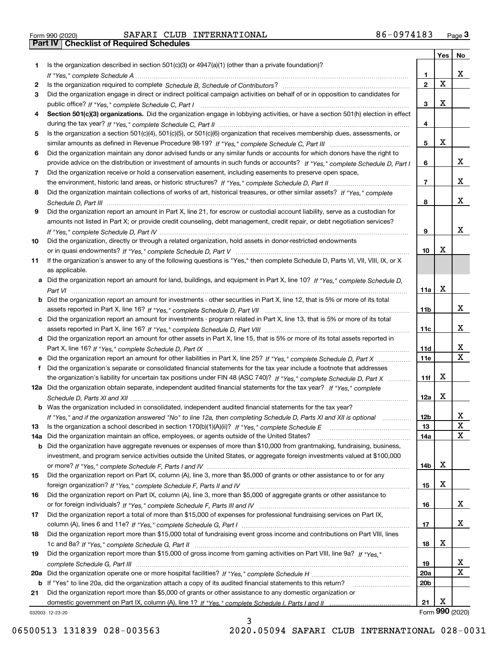|  | Form 990 (2020) |  |
|--|-----------------|--|

|     |                                                                                                                                  |                 | Yes | No                      |
|-----|----------------------------------------------------------------------------------------------------------------------------------|-----------------|-----|-------------------------|
| 1   | Is the organization described in section 501(c)(3) or 4947(a)(1) (other than a private foundation)?                              |                 |     |                         |
|     |                                                                                                                                  | 1.              |     | x                       |
| 2   |                                                                                                                                  | $\mathbf{2}$    | X   |                         |
| 3   | Did the organization engage in direct or indirect political campaign activities on behalf of or in opposition to candidates for  |                 |     |                         |
|     |                                                                                                                                  | 3               | х   |                         |
| 4   | Section 501(c)(3) organizations. Did the organization engage in lobbying activities, or have a section 501(h) election in effect |                 |     |                         |
|     |                                                                                                                                  | 4               |     |                         |
| 5   | Is the organization a section 501(c)(4), 501(c)(5), or 501(c)(6) organization that receives membership dues, assessments, or     |                 |     |                         |
|     |                                                                                                                                  | 5               | х   |                         |
| 6   | Did the organization maintain any donor advised funds or any similar funds or accounts for which donors have the right to        |                 |     |                         |
|     | provide advice on the distribution or investment of amounts in such funds or accounts? If "Yes," complete Schedule D, Part I     | 6               |     | X.                      |
| 7   | Did the organization receive or hold a conservation easement, including easements to preserve open space,                        |                 |     |                         |
|     |                                                                                                                                  | 7               |     | x                       |
| 8   | Did the organization maintain collections of works of art, historical treasures, or other similar assets? If "Yes," complete     |                 |     |                         |
|     |                                                                                                                                  | 8               |     | x                       |
| 9   | Did the organization report an amount in Part X, line 21, for escrow or custodial account liability, serve as a custodian for    |                 |     |                         |
|     | amounts not listed in Part X; or provide credit counseling, debt management, credit repair, or debt negotiation services?        |                 |     |                         |
|     |                                                                                                                                  | 9               |     | x                       |
| 10  | Did the organization, directly or through a related organization, hold assets in donor-restricted endowments                     |                 | х   |                         |
|     |                                                                                                                                  | 10              |     |                         |
| 11  | If the organization's answer to any of the following questions is "Yes," then complete Schedule D, Parts VI, VII, VIII, IX, or X |                 |     |                         |
|     | as applicable.                                                                                                                   |                 |     |                         |
|     | Did the organization report an amount for land, buildings, and equipment in Part X, line 10? If "Yes," complete Schedule D,      |                 | х   |                         |
| b   | Did the organization report an amount for investments - other securities in Part X, line 12, that is 5% or more of its total     | 11a             |     |                         |
|     |                                                                                                                                  | 11b             |     | x                       |
|     | c Did the organization report an amount for investments - program related in Part X, line 13, that is 5% or more of its total    |                 |     |                         |
|     |                                                                                                                                  | 11c             |     | X.                      |
|     | d Did the organization report an amount for other assets in Part X, line 15, that is 5% or more of its total assets reported in  |                 |     |                         |
|     |                                                                                                                                  | 11d             |     | X                       |
|     | Did the organization report an amount for other liabilities in Part X, line 25? If "Yes," complete Schedule D, Part X            | <b>11e</b>      |     | $\overline{\mathbf{x}}$ |
| f   | Did the organization's separate or consolidated financial statements for the tax year include a footnote that addresses          |                 |     |                         |
|     | the organization's liability for uncertain tax positions under FIN 48 (ASC 740)? If "Yes," complete Schedule D, Part X           | 11f             | x   |                         |
|     | 12a Did the organization obtain separate, independent audited financial statements for the tax year? If "Yes," complete          |                 |     |                         |
|     |                                                                                                                                  | 12a             | x   |                         |
|     | <b>b</b> Was the organization included in consolidated, independent audited financial statements for the tax year?               |                 |     |                         |
|     | If "Yes," and if the organization answered "No" to line 12a, then completing Schedule D, Parts XI and XII is optional            | 12 <sub>b</sub> |     | 44                      |
| 13  |                                                                                                                                  | 13              |     | X                       |
| 14a | Did the organization maintain an office, employees, or agents outside of the United States?                                      | 14a             |     | X                       |
| b   | Did the organization have aggregate revenues or expenses of more than \$10,000 from grantmaking, fundraising, business,          |                 |     |                         |
|     | investment, and program service activities outside the United States, or aggregate foreign investments valued at \$100,000       |                 |     |                         |
|     |                                                                                                                                  | 14b             | х   |                         |
| 15  | Did the organization report on Part IX, column (A), line 3, more than \$5,000 of grants or other assistance to or for any        |                 |     |                         |
|     | foreign organization? If "Yes," complete Schedule F, Parts II and IV                                                             | 15              | х   |                         |
| 16  | Did the organization report on Part IX, column (A), line 3, more than \$5,000 of aggregate grants or other assistance to         |                 |     |                         |
|     |                                                                                                                                  | 16              |     | X                       |
| 17  | Did the organization report a total of more than \$15,000 of expenses for professional fundraising services on Part IX,          |                 |     |                         |
|     |                                                                                                                                  | 17              |     | X.                      |
| 18  | Did the organization report more than \$15,000 total of fundraising event gross income and contributions on Part VIII, lines     |                 |     |                         |
|     |                                                                                                                                  | 18              | x   |                         |
| 19  | Did the organization report more than \$15,000 of gross income from gaming activities on Part VIII, line 9a? If "Yes."           |                 |     |                         |
|     |                                                                                                                                  | 19              |     | X                       |
| 20a |                                                                                                                                  | 20a             |     | $\mathbf X$             |
| b   | If "Yes" to line 20a, did the organization attach a copy of its audited financial statements to this return?                     | 20 <sub>b</sub> |     |                         |
| 21  | Did the organization report more than \$5,000 of grants or other assistance to any domestic organization or                      |                 |     |                         |
|     |                                                                                                                                  | 21              | х   |                         |
|     | 032003 12-23-20                                                                                                                  |                 |     | Form 990 (2020)         |

3

032003 12-23-20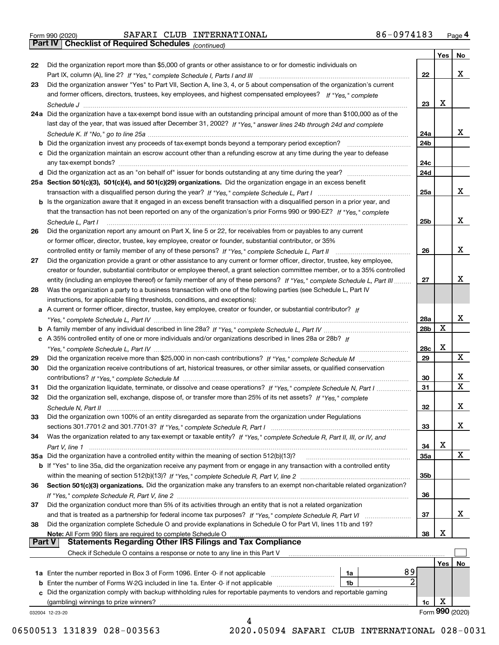|  | Form 990 (2020) |
|--|-----------------|

*(continued)*

|               |                                                                                                                                                                                 |                 | Yes | No.             |
|---------------|---------------------------------------------------------------------------------------------------------------------------------------------------------------------------------|-----------------|-----|-----------------|
| 22            | Did the organization report more than \$5,000 of grants or other assistance to or for domestic individuals on                                                                   |                 |     |                 |
|               |                                                                                                                                                                                 | 22              |     | x               |
| 23            | Did the organization answer "Yes" to Part VII, Section A, line 3, 4, or 5 about compensation of the organization's current                                                      |                 |     |                 |
|               | and former officers, directors, trustees, key employees, and highest compensated employees? If "Yes," complete                                                                  |                 |     |                 |
|               |                                                                                                                                                                                 | 23              | х   |                 |
|               | 24a Did the organization have a tax-exempt bond issue with an outstanding principal amount of more than \$100,000 as of the                                                     |                 |     |                 |
|               | last day of the year, that was issued after December 31, 2002? If "Yes," answer lines 24b through 24d and complete                                                              |                 |     |                 |
|               |                                                                                                                                                                                 | 24a             |     | x               |
|               | <b>b</b> Did the organization invest any proceeds of tax-exempt bonds beyond a temporary period exception?                                                                      | 24b             |     |                 |
|               | c Did the organization maintain an escrow account other than a refunding escrow at any time during the year to defease                                                          |                 |     |                 |
|               | any tax-exempt bonds?                                                                                                                                                           | 24c             |     |                 |
|               | d Did the organization act as an "on behalf of" issuer for bonds outstanding at any time during the year?                                                                       | 24d             |     |                 |
|               | 25a Section 501(c)(3), 501(c)(4), and 501(c)(29) organizations. Did the organization engage in an excess benefit                                                                |                 |     |                 |
|               |                                                                                                                                                                                 | 25a             |     | x               |
|               |                                                                                                                                                                                 |                 |     |                 |
|               | b Is the organization aware that it engaged in an excess benefit transaction with a disqualified person in a prior year, and                                                    |                 |     |                 |
|               | that the transaction has not been reported on any of the organization's prior Forms 990 or 990-EZ? If "Yes." complete                                                           |                 |     |                 |
|               | Schedule L. Part I                                                                                                                                                              | 25b             |     | x               |
| 26            | Did the organization report any amount on Part X, line 5 or 22, for receivables from or payables to any current                                                                 |                 |     |                 |
|               | or former officer, director, trustee, key employee, creator or founder, substantial contributor, or 35%                                                                         |                 |     |                 |
|               |                                                                                                                                                                                 | 26              |     | x               |
| 27            | Did the organization provide a grant or other assistance to any current or former officer, director, trustee, key employee,                                                     |                 |     |                 |
|               | creator or founder, substantial contributor or employee thereof, a grant selection committee member, or to a 35% controlled                                                     |                 |     |                 |
|               | entity (including an employee thereof) or family member of any of these persons? If "Yes," complete Schedule L. Part III                                                        | 27              |     | х               |
| 28            | Was the organization a party to a business transaction with one of the following parties (see Schedule L, Part IV                                                               |                 |     |                 |
|               | instructions, for applicable filing thresholds, conditions, and exceptions):                                                                                                    |                 |     |                 |
|               | a A current or former officer, director, trustee, key employee, creator or founder, or substantial contributor? If                                                              |                 |     |                 |
|               |                                                                                                                                                                                 | 28a             |     | x               |
|               |                                                                                                                                                                                 | 28 <sub>b</sub> | х   |                 |
|               | c A 35% controlled entity of one or more individuals and/or organizations described in lines 28a or 28b? If                                                                     |                 |     |                 |
|               |                                                                                                                                                                                 | 28c             | х   |                 |
| 29            |                                                                                                                                                                                 | 29              |     | x               |
| 30            | Did the organization receive contributions of art, historical treasures, or other similar assets, or qualified conservation                                                     |                 |     |                 |
|               |                                                                                                                                                                                 | 30              |     | x               |
| 31            | Did the organization liquidate, terminate, or dissolve and cease operations? If "Yes," complete Schedule N, Part I                                                              | 31              |     | $\mathbf X$     |
| 32            | Did the organization sell, exchange, dispose of, or transfer more than 25% of its net assets? If "Yes," complete                                                                |                 |     |                 |
|               |                                                                                                                                                                                 | 32              |     | х               |
| 33            | Did the organization own 100% of an entity disregarded as separate from the organization under Regulations                                                                      |                 |     |                 |
|               |                                                                                                                                                                                 | 33              |     | X               |
| 34            | Was the organization related to any tax-exempt or taxable entity? If "Yes," complete Schedule R, Part II, III, or IV, and                                                       |                 |     |                 |
|               |                                                                                                                                                                                 | 34              | х   |                 |
|               | 35a Did the organization have a controlled entity within the meaning of section 512(b)(13)?                                                                                     | <b>35a</b>      |     | X               |
|               | b If "Yes" to line 35a, did the organization receive any payment from or engage in any transaction with a controlled entity                                                     |                 |     |                 |
|               |                                                                                                                                                                                 | 35b             |     |                 |
| 36            | Section 501(c)(3) organizations. Did the organization make any transfers to an exempt non-charitable related organization?                                                      |                 |     |                 |
|               |                                                                                                                                                                                 | 36              |     |                 |
| 37            | Did the organization conduct more than 5% of its activities through an entity that is not a related organization                                                                |                 |     |                 |
|               |                                                                                                                                                                                 | 37              |     | x               |
|               |                                                                                                                                                                                 |                 |     |                 |
| 38            | Did the organization complete Schedule O and provide explanations in Schedule O for Part VI, lines 11b and 19?<br>Note: All Form 990 filers are required to complete Schedule O | 38              | х   |                 |
| <b>Part V</b> | <b>Statements Regarding Other IRS Filings and Tax Compliance</b>                                                                                                                |                 |     |                 |
|               | Check if Schedule O contains a response or note to any line in this Part V                                                                                                      |                 |     |                 |
|               |                                                                                                                                                                                 |                 | Yes | No.             |
|               | 89<br><b>1a</b> Enter the number reported in Box 3 of Form 1096. Enter -0- if not applicable <i>mummumumum</i><br>1a                                                            |                 |     |                 |
|               | 2<br><b>b</b> Enter the number of Forms W-2G included in line 1a. Enter -0- if not applicable <i>manumumumum</i><br>1b                                                          |                 |     |                 |
|               | c Did the organization comply with backup withholding rules for reportable payments to vendors and reportable gaming                                                            |                 |     |                 |
|               | (gambling) winnings to prize winners?                                                                                                                                           | 1c              | х   |                 |
|               |                                                                                                                                                                                 |                 |     | Form 990 (2020) |
|               | 032004 12-23-20                                                                                                                                                                 |                 |     |                 |

06500513 131839 028-003563 2020.05094 SAFARI CLUB INTERNATIONAL 028-0031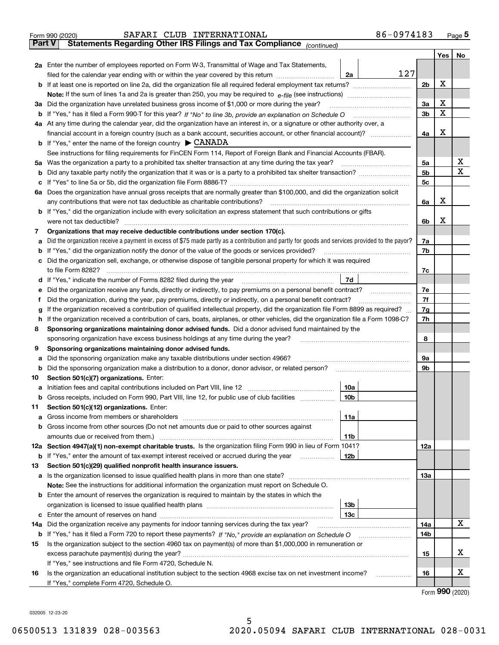|               | SAFARI CLUB INTERNATIONAL<br>Form 990 (2020)                                                                                                                                                                  | 86-0974183     |     | $_{\text{Page}}$ 5 |  |  |  |  |  |  |  |
|---------------|---------------------------------------------------------------------------------------------------------------------------------------------------------------------------------------------------------------|----------------|-----|--------------------|--|--|--|--|--|--|--|
| <b>Part V</b> | Statements Regarding Other IRS Filings and Tax Compliance (continued)                                                                                                                                         |                |     |                    |  |  |  |  |  |  |  |
|               |                                                                                                                                                                                                               |                | Yes | No                 |  |  |  |  |  |  |  |
|               | 2a Enter the number of employees reported on Form W-3, Transmittal of Wage and Tax Statements,                                                                                                                |                |     |                    |  |  |  |  |  |  |  |
|               | filed for the calendar year ending with or within the year covered by this return<br>2a                                                                                                                       | 127            |     |                    |  |  |  |  |  |  |  |
| b             |                                                                                                                                                                                                               |                |     |                    |  |  |  |  |  |  |  |
|               |                                                                                                                                                                                                               |                |     |                    |  |  |  |  |  |  |  |
| За            | Did the organization have unrelated business gross income of \$1,000 or more during the year?                                                                                                                 |                |     |                    |  |  |  |  |  |  |  |
|               |                                                                                                                                                                                                               | 3b             | X   |                    |  |  |  |  |  |  |  |
|               | 4a At any time during the calendar year, did the organization have an interest in, or a signature or other authority over, a                                                                                  |                |     |                    |  |  |  |  |  |  |  |
|               | financial account in a foreign country (such as a bank account, securities account, or other financial account)?                                                                                              | 4a             | х   |                    |  |  |  |  |  |  |  |
|               | <b>b</b> If "Yes," enter the name of the foreign country $\triangleright$ CANADA                                                                                                                              |                |     |                    |  |  |  |  |  |  |  |
|               | See instructions for filing requirements for FinCEN Form 114, Report of Foreign Bank and Financial Accounts (FBAR).                                                                                           |                |     |                    |  |  |  |  |  |  |  |
| 5a            |                                                                                                                                                                                                               | 5a             |     | х                  |  |  |  |  |  |  |  |
| b             |                                                                                                                                                                                                               | 5 <sub>b</sub> |     | X                  |  |  |  |  |  |  |  |
|               |                                                                                                                                                                                                               | 5c             |     |                    |  |  |  |  |  |  |  |
| с             |                                                                                                                                                                                                               |                |     |                    |  |  |  |  |  |  |  |
|               | 6a Does the organization have annual gross receipts that are normally greater than \$100,000, and did the organization solicit<br>any contributions that were not tax deductible as charitable contributions? |                | x   |                    |  |  |  |  |  |  |  |
|               |                                                                                                                                                                                                               | 6a             |     |                    |  |  |  |  |  |  |  |
|               | <b>b</b> If "Yes," did the organization include with every solicitation an express statement that such contributions or gifts                                                                                 |                | х   |                    |  |  |  |  |  |  |  |
|               | were not tax deductible?                                                                                                                                                                                      | 6b             |     |                    |  |  |  |  |  |  |  |
| 7             | Organizations that may receive deductible contributions under section 170(c).                                                                                                                                 |                |     |                    |  |  |  |  |  |  |  |
| а             | Did the organization receive a payment in excess of \$75 made partly as a contribution and partly for goods and services provided to the payor?                                                               | 7a             |     |                    |  |  |  |  |  |  |  |
| b             | If "Yes," did the organization notify the donor of the value of the goods or services provided?                                                                                                               | 7b             |     |                    |  |  |  |  |  |  |  |
| с             | Did the organization sell, exchange, or otherwise dispose of tangible personal property for which it was required                                                                                             |                |     |                    |  |  |  |  |  |  |  |
|               |                                                                                                                                                                                                               | 7c             |     |                    |  |  |  |  |  |  |  |
| d             | 7d                                                                                                                                                                                                            |                |     |                    |  |  |  |  |  |  |  |
| е             |                                                                                                                                                                                                               | 7e             |     |                    |  |  |  |  |  |  |  |
| f             | Did the organization, during the year, pay premiums, directly or indirectly, on a personal benefit contract?                                                                                                  | 7f             |     |                    |  |  |  |  |  |  |  |
| g             | If the organization received a contribution of qualified intellectual property, did the organization file Form 8899 as required?                                                                              | 7g             |     |                    |  |  |  |  |  |  |  |
| h             | If the organization received a contribution of cars, boats, airplanes, or other vehicles, did the organization file a Form 1098-C?                                                                            | 7h             |     |                    |  |  |  |  |  |  |  |
| 8             | Sponsoring organizations maintaining donor advised funds. Did a donor advised fund maintained by the                                                                                                          |                |     |                    |  |  |  |  |  |  |  |
|               | sponsoring organization have excess business holdings at any time during the year?                                                                                                                            | 8              |     |                    |  |  |  |  |  |  |  |
| 9             | Sponsoring organizations maintaining donor advised funds.                                                                                                                                                     |                |     |                    |  |  |  |  |  |  |  |
| а             | Did the sponsoring organization make any taxable distributions under section 4966?                                                                                                                            | 9а             |     |                    |  |  |  |  |  |  |  |
| b             | Did the sponsoring organization make a distribution to a donor, donor advisor, or related person?                                                                                                             | 9b             |     |                    |  |  |  |  |  |  |  |
| 10            | Section 501(c)(7) organizations. Enter:                                                                                                                                                                       |                |     |                    |  |  |  |  |  |  |  |
|               | 10a<br>a Initiation fees and capital contributions included on Part VIII, line 12 [111] [11] [11] Initiation fees and capital contributions included on Part VIII, line 12                                    |                |     |                    |  |  |  |  |  |  |  |
|               | 10b <br>Gross receipts, included on Form 990, Part VIII, line 12, for public use of club facilities                                                                                                           |                |     |                    |  |  |  |  |  |  |  |
| 11            | Section 501(c)(12) organizations. Enter:                                                                                                                                                                      |                |     |                    |  |  |  |  |  |  |  |
| a             | Gross income from members or shareholders<br>11a                                                                                                                                                              |                |     |                    |  |  |  |  |  |  |  |
| b             | Gross income from other sources (Do not net amounts due or paid to other sources against                                                                                                                      |                |     |                    |  |  |  |  |  |  |  |
|               | 11 <sub>b</sub>                                                                                                                                                                                               |                |     |                    |  |  |  |  |  |  |  |
|               | 12a Section 4947(a)(1) non-exempt charitable trusts. Is the organization filing Form 990 in lieu of Form 1041?                                                                                                | 12a            |     |                    |  |  |  |  |  |  |  |
|               | 12b<br><b>b</b> If "Yes," enter the amount of tax-exempt interest received or accrued during the year                                                                                                         |                |     |                    |  |  |  |  |  |  |  |
| 13            | Section 501(c)(29) qualified nonprofit health insurance issuers.                                                                                                                                              |                |     |                    |  |  |  |  |  |  |  |
| a             | Is the organization licensed to issue qualified health plans in more than one state?                                                                                                                          | 13a            |     |                    |  |  |  |  |  |  |  |
|               | Note: See the instructions for additional information the organization must report on Schedule O.                                                                                                             |                |     |                    |  |  |  |  |  |  |  |
| b             | Enter the amount of reserves the organization is required to maintain by the states in which the                                                                                                              |                |     |                    |  |  |  |  |  |  |  |
|               | 13 <sub>b</sub>                                                                                                                                                                                               |                |     |                    |  |  |  |  |  |  |  |
|               | 13 <sub>c</sub>                                                                                                                                                                                               |                |     |                    |  |  |  |  |  |  |  |
| 14a           | Did the organization receive any payments for indoor tanning services during the tax year?                                                                                                                    | 14a            |     | X                  |  |  |  |  |  |  |  |
|               | <b>b</b> If "Yes," has it filed a Form 720 to report these payments? If "No," provide an explanation on Schedule O                                                                                            | 14b            |     |                    |  |  |  |  |  |  |  |
| 15            | Is the organization subject to the section 4960 tax on payment(s) of more than \$1,000,000 in remuneration or                                                                                                 |                |     |                    |  |  |  |  |  |  |  |
|               |                                                                                                                                                                                                               | 15             |     | x                  |  |  |  |  |  |  |  |
|               | If "Yes," see instructions and file Form 4720, Schedule N.                                                                                                                                                    |                |     |                    |  |  |  |  |  |  |  |
| 16            | Is the organization an educational institution subject to the section 4968 excise tax on net investment income?                                                                                               | 16             |     | х                  |  |  |  |  |  |  |  |
|               | If "Yes," complete Form 4720, Schedule O.                                                                                                                                                                     |                |     |                    |  |  |  |  |  |  |  |
|               |                                                                                                                                                                                                               |                |     | $\mathbf{QQ}$      |  |  |  |  |  |  |  |

Form (2020) **990**

032005 12-23-20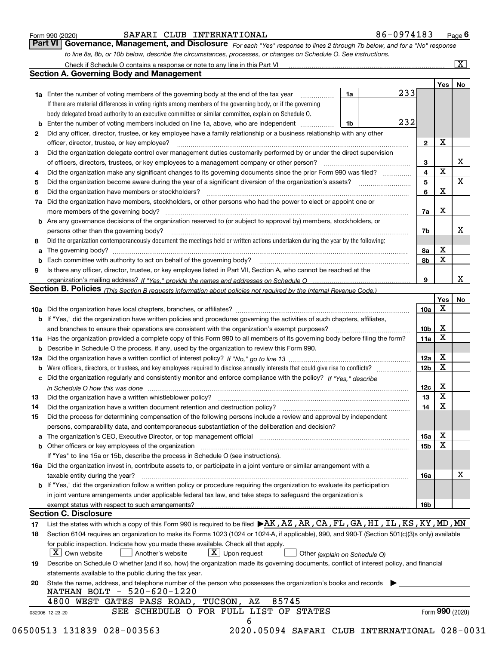|  | Form 990 (2020) |
|--|-----------------|
|  |                 |

### SAFARI CLUB INTERNATIONAL 86-0974183

*For each "Yes" response to lines 2 through 7b below, and for a "No" response to line 8a, 8b, or 10b below, describe the circumstances, processes, or changes on Schedule O. See instructions.* Form 990 (2020) **CONFINGT COMPUT SAFARI CLUB INTERNATIONAL** 86 - 0974183 Page 6<br>**Part VI Governance, Management, and Disclosure** For each "Yes" response to lines 2 through 7b below, and for a "No" response

|     |                                                                                                                                                                                                                  |    |     |                 | Yes   No        |    |
|-----|------------------------------------------------------------------------------------------------------------------------------------------------------------------------------------------------------------------|----|-----|-----------------|-----------------|----|
|     | <b>1a</b> Enter the number of voting members of the governing body at the end of the tax year <i>manumum</i>                                                                                                     | 1a | 233 |                 |                 |    |
|     | If there are material differences in voting rights among members of the governing body, or if the governing                                                                                                      |    |     |                 |                 |    |
|     | body delegated broad authority to an executive committee or similar committee, explain on Schedule O.                                                                                                            |    |     |                 |                 |    |
|     | Enter the number of voting members included on line 1a, above, who are independent                                                                                                                               | 1b | 232 |                 |                 |    |
| 2   | Did any officer, director, trustee, or key employee have a family relationship or a business relationship with any other                                                                                         |    |     |                 |                 |    |
|     | officer, director, trustee, or key employee?                                                                                                                                                                     |    |     | $\mathbf{2}$    | Х               |    |
| 3   | Did the organization delegate control over management duties customarily performed by or under the direct supervision                                                                                            |    |     |                 |                 |    |
|     |                                                                                                                                                                                                                  |    |     | 3               |                 | Х  |
| 4   | Did the organization make any significant changes to its governing documents since the prior Form 990 was filed?                                                                                                 |    |     | 4               | $\mathbf X$     |    |
| 5   |                                                                                                                                                                                                                  |    |     | 5               |                 | X  |
| 6   | Did the organization have members or stockholders?                                                                                                                                                               |    |     | 6               | $\mathbf X$     |    |
| 7a  | Did the organization have members, stockholders, or other persons who had the power to elect or appoint one or                                                                                                   |    |     |                 |                 |    |
|     |                                                                                                                                                                                                                  |    |     | 7a              | X               |    |
|     | <b>b</b> Are any governance decisions of the organization reserved to (or subject to approval by) members, stockholders, or                                                                                      |    |     |                 |                 |    |
|     | persons other than the governing body?                                                                                                                                                                           |    |     | 7b              |                 | х  |
| 8   | Did the organization contemporaneously document the meetings held or written actions undertaken during the year by the following:                                                                                |    |     |                 |                 |    |
| a   |                                                                                                                                                                                                                  |    |     | 8а              | х               |    |
|     |                                                                                                                                                                                                                  |    |     | 8b              | $\mathbf X$     |    |
| 9   | Is there any officer, director, trustee, or key employee listed in Part VII, Section A, who cannot be reached at the                                                                                             |    |     |                 |                 |    |
|     |                                                                                                                                                                                                                  |    |     | 9               |                 | х  |
|     | Section B. Policies (This Section B requests information about policies not required by the Internal Revenue Code.)                                                                                              |    |     |                 |                 |    |
|     |                                                                                                                                                                                                                  |    |     |                 | Yes             | No |
|     |                                                                                                                                                                                                                  |    |     | 10a             | Х               |    |
|     | b If "Yes," did the organization have written policies and procedures governing the activities of such chapters, affiliates,                                                                                     |    |     |                 |                 |    |
|     |                                                                                                                                                                                                                  |    |     | 10 <sub>b</sub> | X               |    |
|     | 11a Has the organization provided a complete copy of this Form 990 to all members of its governing body before filing the form?                                                                                  |    |     | 11a             | $\mathbf X$     |    |
|     | <b>b</b> Describe in Schedule O the process, if any, used by the organization to review this Form 990.                                                                                                           |    |     |                 |                 |    |
| 12a |                                                                                                                                                                                                                  |    |     | 12a             | х               |    |
| b   |                                                                                                                                                                                                                  |    |     | 12 <sub>b</sub> | $\mathbf X$     |    |
|     | c Did the organization regularly and consistently monitor and enforce compliance with the policy? If "Yes," describe                                                                                             |    |     |                 |                 |    |
|     | in Schedule O how this was done encourance and an array and a strategies of the strategies of the strategies o                                                                                                   |    |     | 12c             | х               |    |
| 13  | Did the organization have a written whistleblower policy?                                                                                                                                                        |    |     | 13              | $\mathbf X$     |    |
| 14  |                                                                                                                                                                                                                  |    |     | 14              | $\mathbf X$     |    |
| 15  | Did the process for determining compensation of the following persons include a review and approval by independent                                                                                               |    |     |                 |                 |    |
|     | persons, comparability data, and contemporaneous substantiation of the deliberation and decision?                                                                                                                |    |     |                 |                 |    |
|     | a The organization's CEO, Executive Director, or top management official manufactured content content of the organization's CEO, Executive Director, or top management official                                  |    |     | 15a             | х               |    |
|     | <b>b</b> Other officers or key employees of the organization                                                                                                                                                     |    |     | <b>15b</b>      | $\mathbf X$     |    |
|     |                                                                                                                                                                                                                  |    |     |                 |                 |    |
|     | If "Yes" to line 15a or 15b, describe the process in Schedule O (see instructions).<br>16a Did the organization invest in, contribute assets to, or participate in a joint venture or similar arrangement with a |    |     |                 |                 |    |
|     |                                                                                                                                                                                                                  |    |     |                 |                 | x  |
|     | taxable entity during the year?<br>b If "Yes," did the organization follow a written policy or procedure requiring the organization to evaluate its participation                                                |    |     | 16a             |                 |    |
|     |                                                                                                                                                                                                                  |    |     |                 |                 |    |
|     | in joint venture arrangements under applicable federal tax law, and take steps to safeguard the organization's                                                                                                   |    |     |                 |                 |    |
|     | <b>Section C. Disclosure</b>                                                                                                                                                                                     |    |     | <b>16b</b>      |                 |    |
|     |                                                                                                                                                                                                                  |    |     |                 |                 |    |
| 17  | List the states with which a copy of this Form 990 is required to be filed $\blacktriangleright$ AK, AZ, AR, CA, FL, GA, HI, IL, KS, KY, MD, MN                                                                  |    |     |                 |                 |    |
| 18  | Section 6104 requires an organization to make its Forms 1023 (1024 or 1024-A, if applicable), 990, and 990-T (Section 501(c)(3)s only) available                                                                 |    |     |                 |                 |    |
|     | for public inspection. Indicate how you made these available. Check all that apply.                                                                                                                              |    |     |                 |                 |    |
|     | $ X $ Own website<br>$\boxed{\text{X}}$ Upon request<br>Another's website<br>Other (explain on Schedule O)                                                                                                       |    |     |                 |                 |    |
| 19  | Describe on Schedule O whether (and if so, how) the organization made its governing documents, conflict of interest policy, and financial                                                                        |    |     |                 |                 |    |
|     | statements available to the public during the tax year.                                                                                                                                                          |    |     |                 |                 |    |
| 20  | State the name, address, and telephone number of the person who possesses the organization's books and records                                                                                                   |    |     |                 |                 |    |
|     | NATHAN BOLT - 520-620-1220                                                                                                                                                                                       |    |     |                 |                 |    |
|     | 85745<br>4800 WEST GATES PASS ROAD, TUCSON, AZ                                                                                                                                                                   |    |     |                 |                 |    |
|     | SEE SCHEDULE O FOR FULL LIST OF STATES<br>032006 12-23-20                                                                                                                                                        |    |     |                 | Form 990 (2020) |    |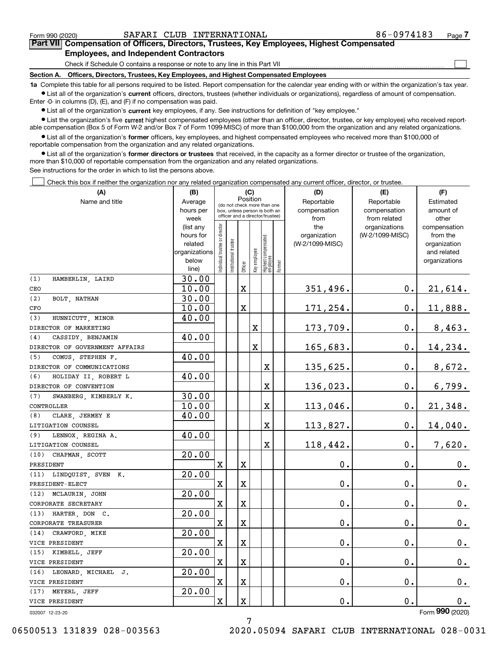$\mathcal{L}^{\text{max}}$ 

# **7Part VII Compensation of Officers, Directors, Trustees, Key Employees, Highest Compensated Employees, and Independent Contractors**

Check if Schedule O contains a response or note to any line in this Part VII

**Section A. Officers, Directors, Trustees, Key Employees, and Highest Compensated Employees**

**1a**  Complete this table for all persons required to be listed. Report compensation for the calendar year ending with or within the organization's tax year. **•** List all of the organization's current officers, directors, trustees (whether individuals or organizations), regardless of amount of compensation.

Enter -0- in columns (D), (E), and (F) if no compensation was paid.

 $\bullet$  List all of the organization's  $\,$ current key employees, if any. See instructions for definition of "key employee."

**•** List the organization's five current highest compensated employees (other than an officer, director, trustee, or key employee) who received reportable compensation (Box 5 of Form W-2 and/or Box 7 of Form 1099-MISC) of more than \$100,000 from the organization and any related organizations.

**•** List all of the organization's former officers, key employees, and highest compensated employees who received more than \$100,000 of reportable compensation from the organization and any related organizations.

**former directors or trustees**  ¥ List all of the organization's that received, in the capacity as a former director or trustee of the organization, more than \$10,000 of reportable compensation from the organization and any related organizations.

See instructions for the order in which to list the persons above.

Check this box if neither the organization nor any related organization compensated any current officer, director, or trustee.  $\mathcal{L}^{\text{max}}$ 

| (A)                            | (B)                    |                                         |                                                                  | (C)                     |                         |                                  |        | (D)                 | (E)                              | (F)                      |
|--------------------------------|------------------------|-----------------------------------------|------------------------------------------------------------------|-------------------------|-------------------------|----------------------------------|--------|---------------------|----------------------------------|--------------------------|
| Name and title                 | Average                | Position<br>(do not check more than one |                                                                  |                         |                         |                                  |        | Reportable          | Reportable                       | Estimated                |
|                                | hours per              |                                         | box, unless person is both an<br>officer and a director/trustee) |                         |                         |                                  |        | compensation        | compensation                     | amount of                |
|                                | week                   |                                         |                                                                  |                         |                         |                                  |        | from                | from related                     | other                    |
|                                | (list any<br>hours for | Individual trustee or director          |                                                                  |                         |                         |                                  |        | the<br>organization | organizations<br>(W-2/1099-MISC) | compensation<br>from the |
|                                | related                |                                         |                                                                  |                         |                         |                                  |        | (W-2/1099-MISC)     |                                  | organization             |
|                                | organizations          |                                         |                                                                  |                         |                         |                                  |        |                     |                                  | and related              |
|                                | below                  |                                         | Institutional trustee                                            |                         |                         |                                  |        |                     |                                  | organizations            |
|                                | line)                  |                                         |                                                                  | Officer                 | Key employee            | Highest compensated<br> employee | Former |                     |                                  |                          |
| HAMBERLIN, LAIRD<br>(1)        | 30.00                  |                                         |                                                                  |                         |                         |                                  |        |                     |                                  |                          |
| CEO                            | 10.00                  |                                         |                                                                  | $\mathbf X$             |                         |                                  |        | 351,496.            | $\mathbf 0$ .                    | 21,614.                  |
| (2)<br>BOLT, NATHAN            | 30.00                  |                                         |                                                                  |                         |                         |                                  |        |                     |                                  |                          |
| CFO                            | 10.00                  |                                         |                                                                  | $\mathbf X$             |                         |                                  |        | 171,254.            | $\mathbf 0$ .                    | 11,888.                  |
| (3)<br>HUNNICUTT, MINOR        | 40.00                  |                                         |                                                                  |                         |                         |                                  |        |                     |                                  |                          |
| DIRECTOR OF MARKETING          |                        |                                         |                                                                  |                         | $\overline{\textbf{X}}$ |                                  |        | 173,709.            | $\mathbf 0$ .                    | 8,463.                   |
| (4)<br>CASSIDY, BENJAMIN       | 40.00                  |                                         |                                                                  |                         |                         |                                  |        |                     |                                  |                          |
| DIRECTOR OF GOVERNMENT AFFAIRS |                        |                                         |                                                                  |                         | $\mathbf x$             |                                  |        | 165,683.            | 0.                               | 14,234.                  |
| (5)<br>COMUS, STEPHEN F.       | 40.00                  |                                         |                                                                  |                         |                         |                                  |        |                     |                                  |                          |
| DIRECTOR OF COMMUNICATIONS     |                        |                                         |                                                                  |                         |                         | x                                |        | 135,625.            | $\mathbf{0}$ .                   | 8,672.                   |
| (6)<br>HOLIDAY II, ROBERT L    | 40.00                  |                                         |                                                                  |                         |                         |                                  |        |                     |                                  |                          |
| DIRECTOR OF CONVENTION         |                        |                                         |                                                                  |                         |                         | X                                |        | 136,023.            | $\mathbf{0}$ .                   | 6,799.                   |
| (7)<br>SWANBERG, KIMBERLY K.   | 30.00                  |                                         |                                                                  |                         |                         |                                  |        |                     |                                  |                          |
| CONTROLLER                     | 10.00                  |                                         |                                                                  |                         |                         | X                                |        | 113,046.            | 0.                               | 21,348.                  |
| CLARE, JERMEY E<br>(8)         | 40.00                  |                                         |                                                                  |                         |                         |                                  |        |                     |                                  |                          |
| LITIGATION COUNSEL             |                        |                                         |                                                                  |                         |                         | X                                |        | 113,827.            | $\mathbf{0}$ .                   | 14,040.                  |
| (9)<br>LENNOX, REGINA A.       | 40.00                  |                                         |                                                                  |                         |                         |                                  |        |                     |                                  |                          |
| LITIGATION COUNSEL             |                        |                                         |                                                                  |                         |                         | X                                |        | 118,442.            | $\mathbf 0$ .                    | 7,620.                   |
| (10)<br>CHAPMAN, SCOTT         | 20.00                  |                                         |                                                                  |                         |                         |                                  |        |                     |                                  |                          |
| PRESIDENT                      |                        | $\rm X$                                 |                                                                  | $\mathbf X$             |                         |                                  |        | 0.                  | $\mathbf 0$ .                    | 0.                       |
| LINDQUIST, SVEN K.<br>(11)     | 20.00                  |                                         |                                                                  |                         |                         |                                  |        |                     |                                  |                          |
| PRESIDENT-ELECT                |                        | $\mathbf x$                             |                                                                  | $\mathbf x$             |                         |                                  |        | 0.                  | $\mathbf{0}$ .                   | $\mathbf 0$ .            |
| (12)<br>MCLAURIN, JOHN         | 20.00                  |                                         |                                                                  |                         |                         |                                  |        |                     |                                  |                          |
| CORPORATE SECRETARY            |                        | X                                       |                                                                  | $\mathbf X$             |                         |                                  |        | 0.                  | $\mathbf 0$ .                    | $\mathbf 0$ .            |
| (13)<br>HARTER, DON C.         | 20.00                  |                                         |                                                                  |                         |                         |                                  |        |                     |                                  |                          |
| CORPORATE TREASURER            |                        | $\mathbf X$                             |                                                                  | $\mathbf X$             |                         |                                  |        | 0.                  | $\mathbf 0$ .                    | $\mathbf 0$ .            |
| CRAWFORD, MIKE<br>(14)         | 20.00                  |                                         |                                                                  |                         |                         |                                  |        |                     |                                  |                          |
| VICE PRESIDENT                 |                        | $\overline{\mathbf{X}}$                 |                                                                  | $\mathbf X$             |                         |                                  |        | 0.                  | $\mathbf 0$ .                    | $\mathbf 0$ .            |
| (15)<br>KIMBELL, JEFF          | 20.00                  |                                         |                                                                  |                         |                         |                                  |        |                     |                                  |                          |
| VICE PRESIDENT                 |                        | $\mathbf X$                             |                                                                  | $\overline{\mathbf{X}}$ |                         |                                  |        | 0.                  | $\mathbf 0$ .                    | 0.                       |
| LEONARD, MICHAEL J.<br>(16)    | 20.00                  |                                         |                                                                  |                         |                         |                                  |        |                     |                                  |                          |
| VICE PRESIDENT                 |                        | $\mathbf X$                             |                                                                  | $\mathbf X$             |                         |                                  |        | 0.                  | $\mathbf 0$ .                    | $\mathbf 0$ .            |
| (17)<br>MEYERL, JEFF           | 20.00                  |                                         |                                                                  |                         |                         |                                  |        |                     |                                  |                          |
| VICE PRESIDENT                 |                        | $\mathbf X$                             |                                                                  | $\mathbf X$             |                         |                                  |        | 0.                  | $\mathbf 0$ .                    | 0.                       |
| 032007 12-23-20                |                        |                                         |                                                                  |                         |                         |                                  |        |                     |                                  | Form 990 (2020)          |

032007 12-23-20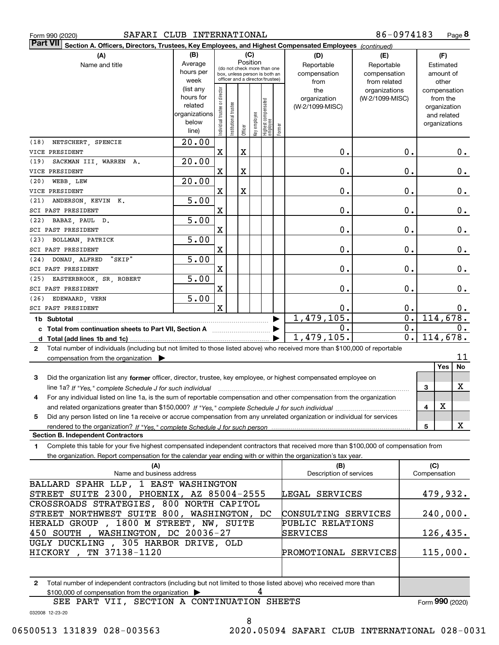|  | Form 990 (2020) |
|--|-----------------|

| Part VII Section A. Officers, Directors, Trustees, Key Employees, and Highest Compensated Employees (continued)                                                                                                                                              |                        |                                         |                                 |             |              |                                   |        |                                 |                 |    |                          |       |
|--------------------------------------------------------------------------------------------------------------------------------------------------------------------------------------------------------------------------------------------------------------|------------------------|-----------------------------------------|---------------------------------|-------------|--------------|-----------------------------------|--------|---------------------------------|-----------------|----|--------------------------|-------|
| (A)                                                                                                                                                                                                                                                          | (B)                    |                                         |                                 |             | (C)          |                                   |        | (D)                             | (E)             |    | (F)                      |       |
| Name and title                                                                                                                                                                                                                                               | Average                | Position<br>(do not check more than one |                                 |             |              |                                   |        | Reportable                      | Reportable      |    | Estimated                |       |
|                                                                                                                                                                                                                                                              | hours per              |                                         |                                 |             |              | box, unless person is both an     |        | compensation                    | compensation    |    | amount of                |       |
|                                                                                                                                                                                                                                                              | week                   |                                         | officer and a director/trustee) |             |              |                                   |        | from                            | from related    |    | other                    |       |
|                                                                                                                                                                                                                                                              | (list any<br>hours for |                                         |                                 |             |              |                                   |        | the                             | organizations   |    | compensation             |       |
|                                                                                                                                                                                                                                                              | related                |                                         |                                 |             |              |                                   |        | organization<br>(W-2/1099-MISC) | (W-2/1099-MISC) |    | from the<br>organization |       |
|                                                                                                                                                                                                                                                              | organizations          |                                         |                                 |             |              |                                   |        |                                 |                 |    | and related              |       |
|                                                                                                                                                                                                                                                              | below                  | Individual trustee or director          | Institutional trustee           |             | Key employee |                                   |        |                                 |                 |    | organizations            |       |
|                                                                                                                                                                                                                                                              | line)                  |                                         |                                 | Officer     |              | Highest compensated<br>  employee | Former |                                 |                 |    |                          |       |
| (18)<br>NETSCHERT, SPENCIE                                                                                                                                                                                                                                   | 20.00                  |                                         |                                 |             |              |                                   |        |                                 |                 |    |                          |       |
| VICE PRESIDENT                                                                                                                                                                                                                                               |                        | $\mathbf X$                             |                                 | X           |              |                                   |        | 0.                              |                 | 0. |                          | $0$ . |
| SACKMAN III, WARREN A.<br>(19)                                                                                                                                                                                                                               | 20.00                  |                                         |                                 |             |              |                                   |        |                                 |                 |    |                          |       |
| VICE PRESIDENT                                                                                                                                                                                                                                               |                        | X                                       |                                 | $\mathbf X$ |              |                                   |        | 0.                              |                 | 0. |                          | 0.    |
| (20)<br>WEBB, LEW                                                                                                                                                                                                                                            | 20.00                  |                                         |                                 |             |              |                                   |        |                                 |                 |    |                          |       |
| VICE PRESIDENT                                                                                                                                                                                                                                               |                        | X                                       |                                 | $\mathbf X$ |              |                                   |        | 0.                              |                 | 0. |                          | $0$ . |
| ANDERSON, KEVIN K.<br>(21)                                                                                                                                                                                                                                   | 5.00                   |                                         |                                 |             |              |                                   |        |                                 |                 |    |                          |       |
| SCI PAST PRESIDENT                                                                                                                                                                                                                                           |                        | $\mathbf X$                             |                                 |             |              |                                   |        | 0.                              |                 | 0. |                          | $0$ . |
| BABAZ, PAUL D.<br>(22)                                                                                                                                                                                                                                       | 5.00                   |                                         |                                 |             |              |                                   |        |                                 |                 |    |                          |       |
| SCI PAST PRESIDENT                                                                                                                                                                                                                                           |                        | X                                       |                                 |             |              |                                   |        | 0.                              |                 | 0. |                          | 0.    |
| (23)<br>BOLLMAN, PATRICK                                                                                                                                                                                                                                     | 5.00                   | X                                       |                                 |             |              |                                   |        | 0.                              |                 |    |                          |       |
| SCI PAST PRESIDENT<br>"SKIP"<br>(24)                                                                                                                                                                                                                         | 5.00                   |                                         |                                 |             |              |                                   |        |                                 |                 | 0. |                          | 0.    |
| DONAU, ALFRED<br>SCI PAST PRESIDENT                                                                                                                                                                                                                          |                        | X                                       |                                 |             |              |                                   |        | 0.                              |                 | 0. |                          | 0.    |
| (25)<br>EASTERBROOK, SR, ROBERT                                                                                                                                                                                                                              | 5.00                   |                                         |                                 |             |              |                                   |        |                                 |                 |    |                          |       |
| SCI PAST PRESIDENT                                                                                                                                                                                                                                           |                        | X                                       |                                 |             |              |                                   |        | 0.                              |                 | 0. |                          | 0.    |
| (26)<br>EDEWAARD, VERN                                                                                                                                                                                                                                       | 5.00                   |                                         |                                 |             |              |                                   |        |                                 |                 |    |                          |       |
| SCI PAST PRESIDENT                                                                                                                                                                                                                                           |                        | $\mathbf x$                             |                                 |             |              |                                   |        | 0.                              |                 | 0. |                          | $0$ . |
| 1b Subtotal                                                                                                                                                                                                                                                  |                        |                                         |                                 |             |              |                                   |        | 1,479,105.                      |                 | 0. | 114,678.                 |       |
|                                                                                                                                                                                                                                                              |                        |                                         |                                 |             |              |                                   |        | 0.                              |                 | 0. |                          | 0.    |
|                                                                                                                                                                                                                                                              |                        |                                         |                                 |             |              |                                   |        | 1,479,105.                      |                 | 0. | 114,678.                 |       |
| Total number of individuals (including but not limited to those listed above) who received more than \$100,000 of reportable<br>$\mathbf{2}$                                                                                                                 |                        |                                         |                                 |             |              |                                   |        |                                 |                 |    |                          |       |
| compensation from the organization                                                                                                                                                                                                                           |                        |                                         |                                 |             |              |                                   |        |                                 |                 |    |                          | 11    |
|                                                                                                                                                                                                                                                              |                        |                                         |                                 |             |              |                                   |        |                                 |                 |    | Yes                      | No    |
| Did the organization list any former officer, director, trustee, key employee, or highest compensated employee on<br>3                                                                                                                                       |                        |                                         |                                 |             |              |                                   |        |                                 |                 |    |                          |       |
| line 1a? If "Yes," complete Schedule J for such individual manufactured contains and the 1a? If "Yes," complete                                                                                                                                              |                        |                                         |                                 |             |              |                                   |        |                                 |                 |    | 3                        | X     |
| For any individual listed on line 1a, is the sum of reportable compensation and other compensation from the organization<br>4                                                                                                                                |                        |                                         |                                 |             |              |                                   |        |                                 |                 |    |                          |       |
|                                                                                                                                                                                                                                                              |                        |                                         |                                 |             |              |                                   |        |                                 |                 |    | X<br>4                   |       |
| Did any person listed on line 1a receive or accrue compensation from any unrelated organization or individual for services<br>5                                                                                                                              |                        |                                         |                                 |             |              |                                   |        |                                 |                 |    |                          |       |
|                                                                                                                                                                                                                                                              |                        |                                         |                                 |             |              |                                   |        |                                 |                 |    | 5                        | X     |
| <b>Section B. Independent Contractors</b>                                                                                                                                                                                                                    |                        |                                         |                                 |             |              |                                   |        |                                 |                 |    |                          |       |
| Complete this table for your five highest compensated independent contractors that received more than \$100,000 of compensation from<br>1.<br>the organization. Report compensation for the calendar year ending with or within the organization's tax year. |                        |                                         |                                 |             |              |                                   |        |                                 |                 |    |                          |       |
| (A)                                                                                                                                                                                                                                                          |                        |                                         |                                 |             |              |                                   |        | (B)                             |                 |    | (C)                      |       |
| Name and business address                                                                                                                                                                                                                                    |                        |                                         |                                 |             |              |                                   |        | Description of services         |                 |    | Compensation             |       |
| BALLARD SPAHR LLP, 1 EAST WASHINGTON                                                                                                                                                                                                                         |                        |                                         |                                 |             |              |                                   |        |                                 |                 |    |                          |       |
| STREET SUITE 2300, PHOENIX, AZ 85004-2555                                                                                                                                                                                                                    |                        |                                         |                                 |             |              |                                   |        | LEGAL SERVICES                  |                 |    | 479,932.                 |       |
| CROSSROADS STRATEGIES, 800 NORTH CAPITOL                                                                                                                                                                                                                     |                        |                                         |                                 |             |              |                                   |        |                                 |                 |    |                          |       |
| STREET NORTHWEST SUITE 800, WASHINGTON, DC                                                                                                                                                                                                                   |                        |                                         |                                 |             |              |                                   |        | CONSULTING SERVICES             |                 |    | 240,000.                 |       |
| HERALD GROUP, 1800 M STREET, NW, SUITE                                                                                                                                                                                                                       |                        |                                         |                                 |             |              |                                   |        | PUBLIC RELATIONS                |                 |    |                          |       |
| , WASHINGTON, DC 20036-27<br>450 SOUTH                                                                                                                                                                                                                       |                        |                                         |                                 |             |              |                                   |        | SERVICES                        |                 |    | 126,435.                 |       |
| UGLY DUCKLING, 305 HARBOR DRIVE, OLD                                                                                                                                                                                                                         |                        |                                         |                                 |             |              |                                   |        |                                 |                 |    |                          |       |
| TN 37138-1120<br>HICKORY,                                                                                                                                                                                                                                    |                        |                                         |                                 |             |              |                                   |        | PROMOTIONAL SERVICES            |                 |    | 115,000.                 |       |
|                                                                                                                                                                                                                                                              |                        |                                         |                                 |             |              |                                   |        |                                 |                 |    |                          |       |
|                                                                                                                                                                                                                                                              |                        |                                         |                                 |             |              |                                   |        |                                 |                 |    |                          |       |
| Total number of independent contractors (including but not limited to those listed above) who received more than<br>2<br>\$100,000 of compensation from the organization                                                                                     |                        |                                         |                                 |             | 4            |                                   |        |                                 |                 |    |                          |       |

SEE PART VII, SECTION A CONTINUATION SHEETS

Form (2020) **990**

032008 12-23-20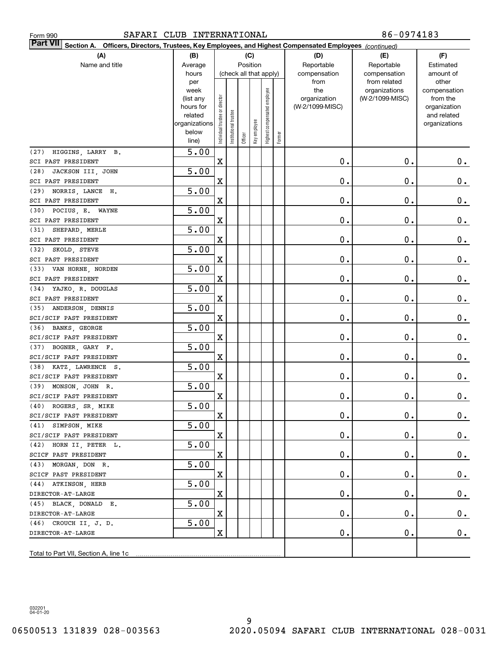| SAFARI CLUB INTERNATIONAL<br>Form 990                                                                                               |                   |                                |                       |         |              |                              |        |                 | 86-0974183                    |                       |
|-------------------------------------------------------------------------------------------------------------------------------------|-------------------|--------------------------------|-----------------------|---------|--------------|------------------------------|--------|-----------------|-------------------------------|-----------------------|
| <b>Part VII</b><br>Officers, Directors, Trustees, Key Employees, and Highest Compensated Employees (continued)<br><b>Section A.</b> |                   |                                |                       |         |              |                              |        |                 |                               |                       |
| (A)                                                                                                                                 | (B)               |                                |                       |         | (C)          |                              |        | (D)             | (E)                           | (F)                   |
| Name and title                                                                                                                      | Average           |                                |                       |         | Position     |                              |        | Reportable      | Reportable                    | Estimated             |
|                                                                                                                                     | hours             |                                |                       |         |              | (check all that apply)       |        | compensation    | compensation                  | amount of             |
|                                                                                                                                     | per<br>week       |                                |                       |         |              |                              |        | from<br>the     | from related<br>organizations | other<br>compensation |
|                                                                                                                                     | (list any         |                                |                       |         |              | Highest compensated employee |        | organization    | (W-2/1099-MISC)               | from the              |
|                                                                                                                                     | hours for         |                                |                       |         |              |                              |        | (W-2/1099-MISC) |                               | organization          |
|                                                                                                                                     | related           |                                |                       |         |              |                              |        |                 |                               | and related           |
|                                                                                                                                     | organizations     |                                |                       |         |              |                              |        |                 |                               | organizations         |
|                                                                                                                                     | below             | Individual trustee or director | Institutional trustee | Officer | Key employee |                              | Former |                 |                               |                       |
|                                                                                                                                     | line)             |                                |                       |         |              |                              |        |                 |                               |                       |
| HIGGINS, LARRY B.<br>(27)                                                                                                           | 5.00              |                                |                       |         |              |                              |        |                 |                               |                       |
| SCI PAST PRESIDENT                                                                                                                  |                   | X                              |                       |         |              |                              |        | $0$ .           | $\mathbf 0$ .                 | $0$ .                 |
| JACKSON III, JOHN<br>(28)                                                                                                           | 5.00              |                                |                       |         |              |                              |        |                 |                               |                       |
| SCI PAST PRESIDENT                                                                                                                  |                   | X                              |                       |         |              |                              |        | 0.              | $\mathbf 0$ .                 | 0.                    |
| NORRIS, LANCE H.<br>(29)                                                                                                            | 5.00              |                                |                       |         |              |                              |        |                 |                               |                       |
| SCI PAST PRESIDENT                                                                                                                  |                   | X                              |                       |         |              |                              |        | 0.              | $\mathbf 0$ .                 | $0$ .                 |
| POCIUS, E. WAYNE<br>(30)                                                                                                            | 5.00              |                                |                       |         |              |                              |        |                 |                               |                       |
| SCI PAST PRESIDENT                                                                                                                  |                   | X                              |                       |         |              |                              |        | 0.              | $\mathbf 0$ .                 | $0$ .                 |
| SHEPARD, MERLE<br>(31)<br>SCI PAST PRESIDENT                                                                                        | 5.00              | X                              |                       |         |              |                              |        | 0.              | $\mathbf 0$ .                 |                       |
| SKOLD, STEVE<br>(32)                                                                                                                | 5.00              |                                |                       |         |              |                              |        |                 |                               | $0$ .                 |
| SCI PAST PRESIDENT                                                                                                                  |                   | X                              |                       |         |              |                              |        | 0.              | $\mathbf 0$ .                 | $0$ .                 |
| VAN HORNE, NORDEN<br>(33)                                                                                                           | 5.00              |                                |                       |         |              |                              |        |                 |                               |                       |
| SCI PAST PRESIDENT                                                                                                                  |                   | X                              |                       |         |              |                              |        | 0.              | $\mathbf 0$ .                 | $0$ .                 |
| YAJKO, R. DOUGLAS<br>(34)                                                                                                           | 5.00              |                                |                       |         |              |                              |        |                 |                               |                       |
| SCI PAST PRESIDENT                                                                                                                  |                   | X                              |                       |         |              |                              |        | 0.              | $\mathbf 0$ .                 | $0$ .                 |
| (35)<br>ANDERSON, DENNIS                                                                                                            | 5.00              |                                |                       |         |              |                              |        |                 |                               |                       |
| SCI/SCIF PAST PRESIDENT                                                                                                             |                   | X                              |                       |         |              |                              |        | 0.              | $\mathbf 0$ .                 | $0$ .                 |
| (36)<br>BANKS, GEORGE                                                                                                               | 5.00              |                                |                       |         |              |                              |        |                 |                               |                       |
| SCI/SCIF PAST PRESIDENT                                                                                                             |                   | X                              |                       |         |              |                              |        | 0.              | $\mathbf 0$ .                 | $0$ .                 |
| (37)<br>BOGNER, GARY F.                                                                                                             | 5.00              |                                |                       |         |              |                              |        |                 |                               |                       |
| SCI/SCIF PAST PRESIDENT                                                                                                             |                   | X                              |                       |         |              |                              |        | 0.              | $\mathbf 0$ .                 | $0$ .                 |
| KATZ, LAWRENCE S.<br>(38)                                                                                                           | 5.00              |                                |                       |         |              |                              |        |                 |                               |                       |
| SCI/SCIF PAST PRESIDENT                                                                                                             |                   | Χ                              |                       |         |              |                              |        | $\mathbf 0$ .   | $\mathbf 0$ .                 | 0.                    |
| (39) MONSON, JOHN R.                                                                                                                | 5.00              |                                |                       |         |              |                              |        |                 |                               |                       |
| SCI/SCIF PAST PRESIDENT                                                                                                             |                   | X                              |                       |         |              |                              |        | $\mathbf 0$ .   | $\mathbf 0$ .                 | $\mathbf 0$ .         |
| (40) ROGERS, SR, MIKE                                                                                                               | $\overline{5.00}$ |                                |                       |         |              |                              |        |                 |                               |                       |
| SCI/SCIF PAST PRESIDENT                                                                                                             |                   | X                              |                       |         |              |                              |        | 0.              | $\mathbf 0$ .                 | 0.                    |
| (41) SIMPSON, MIKE                                                                                                                  | 5.00              |                                |                       |         |              |                              |        |                 |                               |                       |
| SCI/SCIF PAST PRESIDENT                                                                                                             |                   | X                              |                       |         |              |                              |        | $\mathbf 0$ .   | $\mathbf 0$ .                 | 0.                    |
| (42) HORN II, PETER L.                                                                                                              | 5.00              |                                |                       |         |              |                              |        |                 |                               |                       |
| SCICF PAST PRESIDENT                                                                                                                |                   | X                              |                       |         |              |                              |        | $\mathbf 0$ .   | $\mathbf 0$ .                 | $0\cdot$              |
| (43) MORGAN, DON R.                                                                                                                 | 5.00              |                                |                       |         |              |                              |        |                 |                               |                       |
| SCICF PAST PRESIDENT                                                                                                                |                   | X                              |                       |         |              |                              |        | $\mathbf 0$ .   | $\mathbf 0$ .                 | $0$ .                 |
| (44) ATKINSON, HERB                                                                                                                 | 5.00              |                                |                       |         |              |                              |        |                 |                               |                       |
| DIRECTOR-AT-LARGE                                                                                                                   |                   | X                              |                       |         |              |                              |        | $\mathbf 0$ .   | $\mathbf 0$ .                 | $0$ .                 |
| (45) BLACK, DONALD E.                                                                                                               | 5.00              |                                |                       |         |              |                              |        | $\mathbf 0$ .   | $\mathbf 0$ .                 |                       |
| DIRECTOR-AT-LARGE<br>(46) CROUCH II, J. D.                                                                                          | 5.00              | X                              |                       |         |              |                              |        |                 |                               | $0$ .                 |
| DIRECTOR-AT-LARGE                                                                                                                   |                   | X                              |                       |         |              |                              |        | $\mathbf 0$ .   | $\mathbf 0$ .                 | $0$ .                 |
|                                                                                                                                     |                   |                                |                       |         |              |                              |        |                 |                               |                       |
|                                                                                                                                     |                   |                                |                       |         |              |                              |        |                 |                               |                       |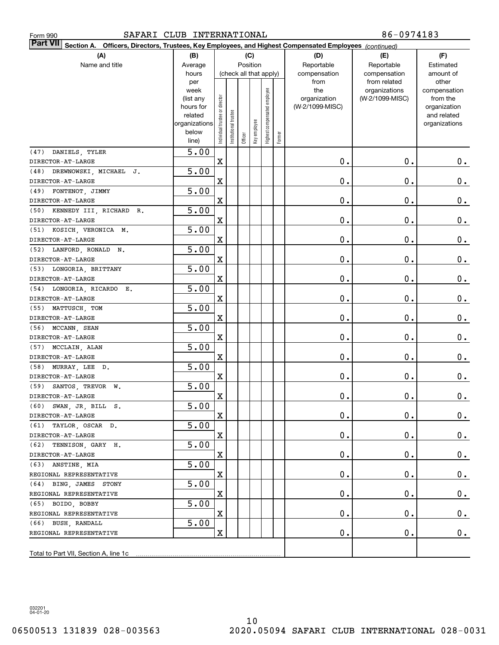| SAFARI CLUB INTERNATIONAL<br>Form 990                                                                                 |                |                                |                       |         |                        |                              |        |                 | 86-0974183                    |                       |
|-----------------------------------------------------------------------------------------------------------------------|----------------|--------------------------------|-----------------------|---------|------------------------|------------------------------|--------|-----------------|-------------------------------|-----------------------|
| Part VII<br>Section A.<br>Officers, Directors, Trustees, Key Employees, and Highest Compensated Employees (continued) |                |                                |                       |         |                        |                              |        |                 |                               |                       |
| (A)                                                                                                                   | (B)            |                                |                       |         | (C)                    |                              |        | (D)             | (E)                           | (F)                   |
| Name and title                                                                                                        | Average        |                                |                       |         | Position               |                              |        | Reportable      | Reportable                    | Estimated             |
|                                                                                                                       | hours          |                                |                       |         | (check all that apply) |                              |        | compensation    | compensation                  | amount of             |
|                                                                                                                       | per<br>week    |                                |                       |         |                        |                              |        | from<br>the     | from related<br>organizations | other<br>compensation |
|                                                                                                                       | (list any      |                                |                       |         |                        |                              |        | organization    | (W-2/1099-MISC)               | from the              |
|                                                                                                                       | hours for      |                                |                       |         |                        |                              |        | (W-2/1099-MISC) |                               | organization          |
|                                                                                                                       | related        |                                |                       |         |                        |                              |        |                 |                               | and related           |
|                                                                                                                       | organizations  |                                |                       |         |                        |                              |        |                 |                               | organizations         |
|                                                                                                                       | below<br>line) | Individual trustee or director | Institutional trustee | Officer | Key employee           | Highest compensated employee | Former |                 |                               |                       |
| (47) DANIELS, TYLER                                                                                                   | 5.00           |                                |                       |         |                        |                              |        |                 |                               |                       |
| DIRECTOR-AT-LARGE                                                                                                     |                | X                              |                       |         |                        |                              |        | 0.              | $\mathbf 0$ .                 | 0.                    |
| (48) DREWNOWSKI, MICHAEL J.                                                                                           | 5.00           |                                |                       |         |                        |                              |        |                 |                               |                       |
| DIRECTOR-AT-LARGE                                                                                                     |                | X                              |                       |         |                        |                              |        | 0.              | $\mathbf 0$ .                 | $\mathbf 0$ .         |
| (49) FONTENOT, JIMMY                                                                                                  | 5.00           |                                |                       |         |                        |                              |        |                 |                               |                       |
| DIRECTOR-AT-LARGE                                                                                                     |                | X                              |                       |         |                        |                              |        | 0.              | $\mathbf 0$ .                 | $\mathbf 0$ .         |
| (50) KENNEDY III, RICHARD R.                                                                                          | 5.00           |                                |                       |         |                        |                              |        |                 |                               |                       |
| DIRECTOR-AT-LARGE                                                                                                     |                | X                              |                       |         |                        |                              |        | 0.              | $\mathbf 0$ .                 | $\mathbf 0$ .         |
| (51) KOSICH, VERONICA M.                                                                                              | 5.00           |                                |                       |         |                        |                              |        |                 |                               |                       |
| DIRECTOR-AT-LARGE                                                                                                     |                | X                              |                       |         |                        |                              |        | 0.              | $\mathbf 0$ .                 | $\mathbf 0$ .         |
| (52) LANFORD, RONALD N.                                                                                               | 5.00           |                                |                       |         |                        |                              |        |                 |                               |                       |
| DIRECTOR-AT-LARGE                                                                                                     |                | X                              |                       |         |                        |                              |        | 0.              | 0.                            | $\mathbf 0$ .         |
| (53) LONGORIA, BRITTANY                                                                                               | 5.00           |                                |                       |         |                        |                              |        |                 |                               |                       |
| DIRECTOR-AT-LARGE                                                                                                     |                | X                              |                       |         |                        |                              |        | 0.              | $\mathbf 0$ .                 | $\mathbf 0$ .         |
| (54) LONGORIA, RICARDO E.                                                                                             | 5.00           |                                |                       |         |                        |                              |        |                 |                               |                       |
| DIRECTOR-AT-LARGE                                                                                                     |                | X                              |                       |         |                        |                              |        | 0.              | $\mathbf 0$ .                 | $\mathbf 0$ .         |
| (55) MATTUSCH, TOM                                                                                                    | 5.00           |                                |                       |         |                        |                              |        |                 |                               |                       |
| DIRECTOR-AT-LARGE                                                                                                     |                | X                              |                       |         |                        |                              |        | 0.              | 0.                            | $\mathbf 0$ .         |
| (56) MCCANN, SEAN                                                                                                     | 5.00           |                                |                       |         |                        |                              |        |                 |                               |                       |
| DIRECTOR-AT-LARGE                                                                                                     |                | X                              |                       |         |                        |                              |        | 0.              | 0.                            | $\mathbf 0$ .         |
| (57) MCCLAIN, ALAN<br>DIRECTOR-AT-LARGE                                                                               | 5.00           | X                              |                       |         |                        |                              |        | 0.              | 0.                            | 0.                    |
| (58) MURRAY, LEE D.                                                                                                   | 5.00           |                                |                       |         |                        |                              |        |                 |                               |                       |
| DIRECTOR-AT-LARGE                                                                                                     |                | X                              |                       |         |                        |                              |        | 0.              | $\mathbf 0$ .                 | $\mathbf 0$ .         |
| (59) SANTOS, TREVOR W.                                                                                                | 5.00           |                                |                       |         |                        |                              |        |                 |                               |                       |
| $\mathtt{DIRECTOR-AT-LARGE}$                                                                                          |                | $\mathbf X$                    |                       |         |                        |                              |        | $\mathbf 0$ .   | $\mathbf 0$ .                 | $\mathbf 0$ .         |
| $(60)$ SWAN, JR, BILL S.                                                                                              | 5.00           |                                |                       |         |                        |                              |        |                 |                               |                       |
| DIRECTOR-AT-LARGE                                                                                                     |                | X                              |                       |         |                        |                              |        | $0$ .           | $\mathbf 0$ .                 | 0.                    |
| (61) TAYLOR, OSCAR D.                                                                                                 | 5.00           |                                |                       |         |                        |                              |        |                 |                               |                       |
| DIRECTOR-AT-LARGE                                                                                                     |                | X                              |                       |         |                        |                              |        | 0.              | $\mathbf 0$ .                 | $0\cdot$              |
| (62) TENNISON, GARY H.                                                                                                | 5.00           |                                |                       |         |                        |                              |        |                 |                               |                       |
| DIRECTOR-AT-LARGE                                                                                                     |                | X                              |                       |         |                        |                              |        | 0.              | $\mathbf 0$ .                 | $0\cdot$              |
| (63) ANSTINE, MIA                                                                                                     | 5.00           |                                |                       |         |                        |                              |        |                 |                               |                       |
| REGIONAL REPRESENTATIVE                                                                                               |                | X                              |                       |         |                        |                              |        | 0.              | $\mathbf 0$ .                 | $0\cdot$              |
| (64) BING, JAMES STONY                                                                                                | 5.00           |                                |                       |         |                        |                              |        |                 |                               |                       |
| REGIONAL REPRESENTATIVE                                                                                               |                | X                              |                       |         |                        |                              |        | $0$ .           | $\mathbf 0$ .                 | $0\cdot$              |
| (65) BOIDO, BOBBY                                                                                                     | 5.00           |                                |                       |         |                        |                              |        |                 |                               |                       |
| REGIONAL REPRESENTATIVE                                                                                               |                | X                              |                       |         |                        |                              |        | $0$ .           | $\mathbf 0$ .                 | $0\cdot$              |
| (66) BUSH, RANDALL                                                                                                    | 5.00           |                                |                       |         |                        |                              |        |                 |                               |                       |
| REGIONAL REPRESENTATIVE                                                                                               |                | X                              |                       |         |                        |                              |        | 0.              | $\mathbf 0$ .                 | $0$ .                 |
|                                                                                                                       |                |                                |                       |         |                        |                              |        |                 |                               |                       |
| Total to Part VII, Section A, line 1c                                                                                 |                |                                |                       |         |                        |                              |        |                 |                               |                       |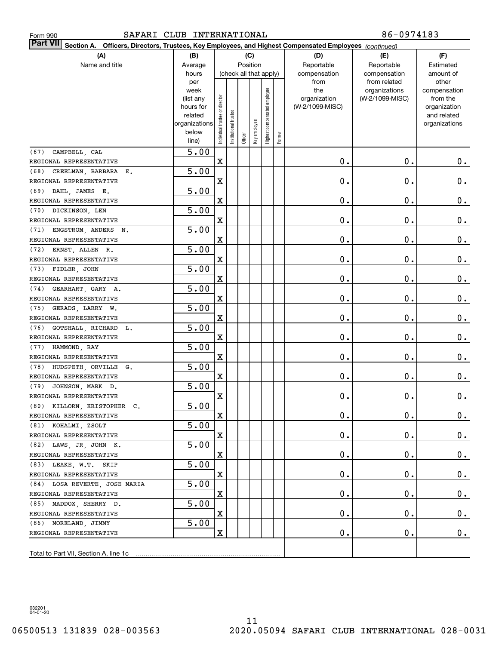| SAFARI CLUB INTERNATIONAL<br>Form 990                                                                                     |                                                                                     |                                |                       |         |                                           |                                 |        |                                                | 86-0974183                                                       |                                                                                   |
|---------------------------------------------------------------------------------------------------------------------------|-------------------------------------------------------------------------------------|--------------------------------|-----------------------|---------|-------------------------------------------|---------------------------------|--------|------------------------------------------------|------------------------------------------------------------------|-----------------------------------------------------------------------------------|
| <b>Part VII</b><br>Section A. Officers, Directors, Trustees, Key Employees, and Highest Compensated Employees (continued) |                                                                                     |                                |                       |         |                                           |                                 |        |                                                |                                                                  |                                                                                   |
| (A)<br>Name and title                                                                                                     | (B)<br>Average<br>hours                                                             |                                |                       |         | (C)<br>Position<br>(check all that apply) |                                 |        | (D)<br>Reportable<br>compensation              | (E)<br>Reportable                                                | (F)<br>Estimated<br>amount of                                                     |
|                                                                                                                           | per<br>week<br>(list any<br>hours for<br>related<br>organizations<br>below<br>line) | Individual trustee or director | Institutional trustee | Officer | Key employee                              | employee<br>Highest compensated | Former | from<br>the<br>organization<br>(W-2/1099-MISC) | compensation<br>from related<br>organizations<br>(W-2/1099-MISC) | other<br>compensation<br>from the<br>organization<br>and related<br>organizations |
| CAMPBELL, CAL<br>(67)                                                                                                     | 5.00                                                                                |                                |                       |         |                                           |                                 |        |                                                |                                                                  |                                                                                   |
| REGIONAL REPRESENTATIVE                                                                                                   |                                                                                     | $\mathbf X$                    |                       |         |                                           |                                 |        | 0.                                             | 0.                                                               | $0$ .                                                                             |
| CREELMAN, BARBARA E.<br>(68)                                                                                              | 5.00                                                                                |                                |                       |         |                                           |                                 |        |                                                |                                                                  |                                                                                   |
| REGIONAL REPRESENTATIVE                                                                                                   |                                                                                     | $\mathbf X$                    |                       |         |                                           |                                 |        | 0.                                             | Ο.                                                               | 0.                                                                                |
| DAHL JAMES E.<br>(69)                                                                                                     | 5.00                                                                                |                                |                       |         |                                           |                                 |        |                                                |                                                                  |                                                                                   |
| REGIONAL REPRESENTATIVE                                                                                                   |                                                                                     | $\mathbf X$                    |                       |         |                                           |                                 |        | 0.                                             | Ο.                                                               | 0.                                                                                |
| (70)<br>DICKINSON, LEN                                                                                                    | 5.00                                                                                |                                |                       |         |                                           |                                 |        |                                                |                                                                  |                                                                                   |
| REGIONAL REPRESENTATIVE                                                                                                   |                                                                                     | $\mathbf X$                    |                       |         |                                           |                                 |        | 0.                                             | Ο.                                                               | 0.                                                                                |
| (71)<br>ENGSTROM, ANDERS N.                                                                                               | 5.00                                                                                |                                |                       |         |                                           |                                 |        |                                                |                                                                  |                                                                                   |
| REGIONAL REPRESENTATIVE                                                                                                   |                                                                                     | $\mathbf X$                    |                       |         |                                           |                                 |        | 0.                                             | Ο.                                                               | 0.                                                                                |
| (72)<br>ERNST, ALLEN R.                                                                                                   | 5.00                                                                                |                                |                       |         |                                           |                                 |        |                                                |                                                                  |                                                                                   |
| REGIONAL REPRESENTATIVE                                                                                                   |                                                                                     | $\mathbf X$                    |                       |         |                                           |                                 |        | 0.                                             | Ο.                                                               | $0$ .                                                                             |
| (73)<br>FIDLER, JOHN                                                                                                      | 5.00                                                                                |                                |                       |         |                                           |                                 |        |                                                |                                                                  |                                                                                   |
| REGIONAL REPRESENTATIVE                                                                                                   |                                                                                     | $\mathbf X$                    |                       |         |                                           |                                 |        | 0.                                             | Ο.                                                               | 0.                                                                                |
| GEARHART, GARY A.<br>(74)                                                                                                 | 5.00                                                                                |                                |                       |         |                                           |                                 |        |                                                |                                                                  |                                                                                   |
| REGIONAL REPRESENTATIVE                                                                                                   |                                                                                     | $\mathbf X$                    |                       |         |                                           |                                 |        | 0.                                             | Ο.                                                               | 0.                                                                                |
| (75)<br>GERADS, LARRY W.                                                                                                  | 5.00                                                                                |                                |                       |         |                                           |                                 |        |                                                |                                                                  |                                                                                   |
| REGIONAL REPRESENTATIVE                                                                                                   |                                                                                     | $\mathbf X$                    |                       |         |                                           |                                 |        | $\mathbf 0$ .                                  | Ο.                                                               | 0.                                                                                |
| (76)<br>GOTSHALL, RICHARD L.                                                                                              | 5.00                                                                                |                                |                       |         |                                           |                                 |        |                                                |                                                                  |                                                                                   |
| REGIONAL REPRESENTATIVE                                                                                                   |                                                                                     | $\mathbf X$                    |                       |         |                                           |                                 |        | $\mathbf 0$ .                                  | Ο.                                                               | 0.                                                                                |
| (77)<br>HAMMOND, RAY                                                                                                      | 5.00                                                                                |                                |                       |         |                                           |                                 |        |                                                |                                                                  |                                                                                   |
| REGIONAL REPRESENTATIVE                                                                                                   |                                                                                     | $\mathbf X$                    |                       |         |                                           |                                 |        | $\mathbf 0$ .                                  | Ο.                                                               | 0.                                                                                |
| (78)<br>HUDSPETH, ORVILLE G.<br>REGIONAL REPRESENTATIVE                                                                   | 5.00                                                                                |                                |                       |         |                                           |                                 |        |                                                |                                                                  |                                                                                   |
|                                                                                                                           |                                                                                     | X                              |                       |         |                                           |                                 |        | Ο.                                             | Ο.                                                               | $0$ .                                                                             |
| (79) JOHNSON, MARK D.                                                                                                     | 5.00                                                                                |                                |                       |         |                                           |                                 |        | $\mathbf 0$ .                                  | $\mathbf 0$ .                                                    |                                                                                   |
| REGIONAL REPRESENTATIVE<br>(80) KILLORN, KRISTOPHER C.                                                                    | 5.00                                                                                | x                              |                       |         |                                           |                                 |        |                                                |                                                                  | 0.                                                                                |
| REGIONAL REPRESENTATIVE                                                                                                   |                                                                                     | X                              |                       |         |                                           |                                 |        | $\mathbf 0$ .                                  | $\mathbf 0$ .                                                    | $0$ .                                                                             |
| (81) KOHALMI, ZSOLT                                                                                                       | 5.00                                                                                |                                |                       |         |                                           |                                 |        |                                                |                                                                  |                                                                                   |
| REGIONAL REPRESENTATIVE                                                                                                   |                                                                                     | X                              |                       |         |                                           |                                 |        | $\mathbf 0$ .                                  | $\mathbf 0$ .                                                    | 0.                                                                                |
| (82) LAWS, JR, JOHN K.                                                                                                    | 5.00                                                                                |                                |                       |         |                                           |                                 |        |                                                |                                                                  |                                                                                   |
| REGIONAL REPRESENTATIVE                                                                                                   |                                                                                     | X                              |                       |         |                                           |                                 |        | $\mathbf 0$ .                                  | $\mathbf 0$ .                                                    | $0\cdot$                                                                          |
| (83) LEAKE, W.T. SKIP                                                                                                     | 5.00                                                                                |                                |                       |         |                                           |                                 |        |                                                |                                                                  |                                                                                   |
| REGIONAL REPRESENTATIVE                                                                                                   |                                                                                     | X                              |                       |         |                                           |                                 |        | $\mathbf 0$ .                                  | $\mathbf 0$ .                                                    | $\mathbf 0$ .                                                                     |
| (84) LOSA REVERTE, JOSE MARIA                                                                                             | 5.00                                                                                |                                |                       |         |                                           |                                 |        |                                                |                                                                  |                                                                                   |
| REGIONAL REPRESENTATIVE                                                                                                   |                                                                                     | X                              |                       |         |                                           |                                 |        | $\mathbf 0$ .                                  | $\mathbf 0$ .                                                    | $0_{.}$                                                                           |
| (85) MADDOX, SHERRY D.                                                                                                    | 5.00                                                                                |                                |                       |         |                                           |                                 |        |                                                |                                                                  |                                                                                   |
| REGIONAL REPRESENTATIVE                                                                                                   |                                                                                     | X                              |                       |         |                                           |                                 |        | $\mathbf 0$ .                                  | $\mathbf 0$ .                                                    | $\mathbf 0$ .                                                                     |
| (86) MORELAND, JIMMY                                                                                                      | 5.00                                                                                |                                |                       |         |                                           |                                 |        |                                                |                                                                  |                                                                                   |
| REGIONAL REPRESENTATIVE                                                                                                   |                                                                                     | X                              |                       |         |                                           |                                 |        | О.                                             | $\mathbf 0$ .                                                    | $0$ .                                                                             |
|                                                                                                                           |                                                                                     |                                |                       |         |                                           |                                 |        |                                                |                                                                  |                                                                                   |
| Total to Part VII, Section A, line 1c                                                                                     |                                                                                     |                                |                       |         |                                           |                                 |        |                                                |                                                                  |                                                                                   |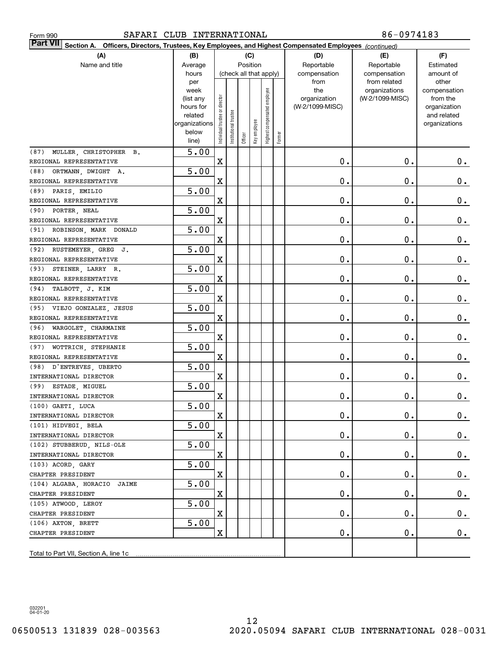| SAFARI CLUB INTERNATIONAL<br>Form 990                                                                                        |                        |                                |                        |          |              |                     |        |                 | 86-0974183                   |                    |
|------------------------------------------------------------------------------------------------------------------------------|------------------------|--------------------------------|------------------------|----------|--------------|---------------------|--------|-----------------|------------------------------|--------------------|
| <b>Part VII</b><br>Officers, Directors, Trustees, Key Employees, and Highest Compensated Employees (continued)<br>Section A. |                        |                                |                        |          |              |                     |        |                 |                              |                    |
| (A)                                                                                                                          | (B)                    |                                |                        |          | (C)          |                     |        | (D)             | (E)                          | (F)                |
| Name and title                                                                                                               | Average                |                                |                        | Position |              |                     |        | Reportable      | Reportable                   | Estimated          |
|                                                                                                                              | hours                  |                                | (check all that apply) |          |              |                     |        | compensation    | compensation<br>from related | amount of<br>other |
|                                                                                                                              | per<br>week            |                                |                        |          |              |                     |        | from<br>the     | organizations                | compensation       |
|                                                                                                                              | (list any              |                                |                        |          |              | employee            |        | organization    | (W-2/1099-MISC)              | from the           |
|                                                                                                                              | hours for              |                                |                        |          |              |                     |        | (W-2/1099-MISC) |                              | organization       |
|                                                                                                                              | related                |                                |                        |          |              |                     |        |                 |                              | and related        |
|                                                                                                                              | organizations<br>below |                                |                        |          |              |                     |        |                 |                              | organizations      |
|                                                                                                                              | line)                  | Individual trustee or director | Institutional trustee  | Officer  | Key employee | Highest compensated | Former |                 |                              |                    |
| MULLER, CHRISTOPHER B.<br>(87)                                                                                               | 5.00                   |                                |                        |          |              |                     |        |                 |                              |                    |
| REGIONAL REPRESENTATIVE                                                                                                      |                        | X                              |                        |          |              |                     |        | $\mathbf 0$ .   | $\mathbf 0$ .                | $0$ .              |
| (88)<br>ORTMANN, DWIGHT A.                                                                                                   | 5.00                   |                                |                        |          |              |                     |        |                 |                              |                    |
| REGIONAL REPRESENTATIVE                                                                                                      |                        | X                              |                        |          |              |                     |        | $\mathbf 0$ .   | Ο.                           | 0.                 |
| (89)<br>PARIS, EMILIO                                                                                                        | 5.00                   |                                |                        |          |              |                     |        |                 |                              |                    |
| REGIONAL REPRESENTATIVE                                                                                                      |                        | X                              |                        |          |              |                     |        | $\mathbf 0$ .   | Ο.                           | $0_{.}$            |
| (90)<br>PORTER, NEAL                                                                                                         | 5.00                   |                                |                        |          |              |                     |        |                 |                              |                    |
| REGIONAL REPRESENTATIVE                                                                                                      |                        | X                              |                        |          |              |                     |        | $\mathbf 0$ .   | Ο.                           | $0_{.}$            |
| (91)<br>ROBINSON, MARK DONALD                                                                                                | 5.00                   |                                |                        |          |              |                     |        |                 |                              |                    |
| REGIONAL REPRESENTATIVE                                                                                                      |                        | X                              |                        |          |              |                     |        | $\mathbf 0$ .   | Ο.                           | 0.                 |
| (92)<br>RUSTEMEYER, GREG J.                                                                                                  | 5.00                   |                                |                        |          |              |                     |        |                 |                              |                    |
| REGIONAL REPRESENTATIVE                                                                                                      |                        | X                              |                        |          |              |                     |        | $\mathbf 0$ .   | Ο.                           | 0.                 |
| (93)<br>STEINER, LARRY R.                                                                                                    | 5.00                   |                                |                        |          |              |                     |        |                 |                              |                    |
| REGIONAL REPRESENTATIVE                                                                                                      |                        | X                              |                        |          |              |                     |        | $\mathbf 0$ .   | Ο.                           | $0_{.}$            |
| (94)<br>TALBOTT, J. KIM                                                                                                      | 5.00                   |                                |                        |          |              |                     |        |                 |                              |                    |
| REGIONAL REPRESENTATIVE                                                                                                      |                        | X                              |                        |          |              |                     |        | $\mathbf 0$ .   | Ο.                           | 0.                 |
| (95) VIEJO GONZALEZ, JESUS                                                                                                   | 5.00                   |                                |                        |          |              |                     |        |                 |                              |                    |
| REGIONAL REPRESENTATIVE                                                                                                      |                        | X                              |                        |          |              |                     |        | $\mathbf 0$ .   | Ο.                           | 0.                 |
| (96)<br>WARGOLET, CHARMAINE                                                                                                  | 5.00                   |                                |                        |          |              |                     |        | $\mathbf 0$ .   | Ο.                           |                    |
| REGIONAL REPRESENTATIVE<br>(97)<br>WOTTRICH, STEPHANIE                                                                       | 5.00                   | X                              |                        |          |              |                     |        |                 |                              | 0.                 |
| REGIONAL REPRESENTATIVE                                                                                                      |                        | X                              |                        |          |              |                     |        | $\mathbf 0$ .   | Ο.                           | 0.                 |
| D'ENTREVES, UBERTO<br>(98)                                                                                                   | 5.00                   |                                |                        |          |              |                     |        |                 |                              |                    |
| INTERNATIONAL DIRECTOR                                                                                                       |                        | X                              |                        |          |              |                     |        | $\mathbf 0$ .   | Ο.                           | $0$ .              |
| (99) ESTADE, MIGUEL                                                                                                          | 5.00                   |                                |                        |          |              |                     |        |                 |                              |                    |
| INTERNATIONAL DIRECTOR                                                                                                       |                        | X                              |                        |          |              |                     |        | $\mathbf 0$ .   | $\mathbf 0$ .                | 0.                 |
| (100) GAETI, LUCA                                                                                                            | 5.00                   |                                |                        |          |              |                     |        |                 |                              |                    |
| INTERNATIONAL DIRECTOR                                                                                                       |                        | X                              |                        |          |              |                     |        | $\mathbf 0$ .   | $\mathfrak o$ .              | $0$ .              |
| (101) HIDVEGI, BELA                                                                                                          | 5.00                   |                                |                        |          |              |                     |        |                 |                              |                    |
| INTERNATIONAL DIRECTOR                                                                                                       |                        | X                              |                        |          |              |                     |        | $\mathbf 0$ .   | $\mathbf 0$ .                | $0\cdot$           |
| (102) STUBBERUD, NILS-OLE                                                                                                    | 5.00                   |                                |                        |          |              |                     |        |                 |                              |                    |
| INTERNATIONAL DIRECTOR                                                                                                       |                        | X                              |                        |          |              |                     |        | $\mathbf 0$ .   | $\mathbf 0$ .                | $0_{.}$            |
| (103) ACORD, GARY                                                                                                            | 5.00                   |                                |                        |          |              |                     |        |                 |                              |                    |
| CHAPTER PRESIDENT                                                                                                            |                        | X                              |                        |          |              |                     |        | $\mathbf 0$ .   | $\mathbf 0$ .                | $0_{.}$            |
| (104) ALGABA, HORACIO JAIME                                                                                                  | 5.00                   |                                |                        |          |              |                     |        |                 |                              |                    |
| CHAPTER PRESIDENT                                                                                                            |                        | X                              |                        |          |              |                     |        | $\mathbf 0$ .   | $\mathbf 0$ .                | $0_{.}$            |
| (105) ATWOOD, LEROY                                                                                                          | 5.00                   |                                |                        |          |              |                     |        |                 |                              |                    |
| CHAPTER PRESIDENT                                                                                                            |                        | X                              |                        |          |              |                     |        | $\mathbf 0$ .   | $\mathbf 0$ .                | $\mathbf 0$ .      |
| (106) AXTON, BRETT                                                                                                           | 5.00                   |                                |                        |          |              |                     |        |                 |                              |                    |
| CHAPTER PRESIDENT                                                                                                            |                        | X                              |                        |          |              |                     |        | О.              | $\mathbf 0$ .                | $0$ .              |
|                                                                                                                              |                        |                                |                        |          |              |                     |        |                 |                              |                    |
| Total to Part VII, Section A, line 1c                                                                                        |                        |                                |                        |          |              |                     |        |                 |                              |                    |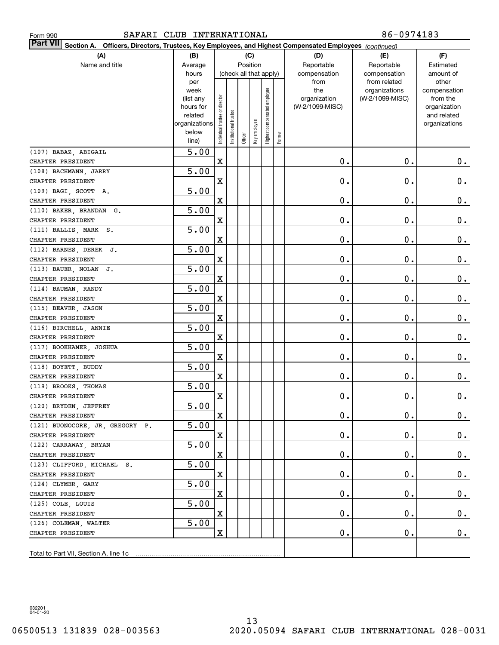| Form 990                                                                                                                  | SAFARI CLUB INTERNATIONAL |                                |                       |         |              |                        |        |                 | 86-0974183                    |                       |  |  |  |
|---------------------------------------------------------------------------------------------------------------------------|---------------------------|--------------------------------|-----------------------|---------|--------------|------------------------|--------|-----------------|-------------------------------|-----------------------|--|--|--|
| <b>Part VII</b><br>Section A. Officers, Directors, Trustees, Key Employees, and Highest Compensated Employees (continued) |                           |                                |                       |         |              |                        |        |                 |                               |                       |  |  |  |
| (A)                                                                                                                       | (B)                       |                                |                       |         | (C)          |                        |        | (D)             | (E)                           | (F)                   |  |  |  |
| Name and title                                                                                                            | Average                   |                                |                       |         | Position     |                        |        | Reportable      | Reportable                    | Estimated             |  |  |  |
|                                                                                                                           | hours                     |                                |                       |         |              | (check all that apply) |        | compensation    | compensation                  | amount of             |  |  |  |
|                                                                                                                           | per<br>week               |                                |                       |         |              |                        |        | from<br>the     | from related<br>organizations | other<br>compensation |  |  |  |
|                                                                                                                           | (list any                 |                                |                       |         |              | employee               |        | organization    | (W-2/1099-MISC)               | from the              |  |  |  |
|                                                                                                                           | hours for                 |                                |                       |         |              |                        |        | (W-2/1099-MISC) |                               | organization          |  |  |  |
|                                                                                                                           | related                   |                                |                       |         |              |                        |        |                 |                               | and related           |  |  |  |
|                                                                                                                           | organizations<br>below    |                                |                       |         |              |                        |        |                 |                               | organizations         |  |  |  |
|                                                                                                                           | line)                     | Individual trustee or director | Institutional trustee | Officer | Key employee | Highest compensated    | Former |                 |                               |                       |  |  |  |
| (107) BABAZ, ABIGAIL                                                                                                      | 5.00                      |                                |                       |         |              |                        |        |                 |                               |                       |  |  |  |
| CHAPTER PRESIDENT                                                                                                         |                           | $\mathbf X$                    |                       |         |              |                        |        | 0.              | 0.                            | $0$ .                 |  |  |  |
| (108) BACHMANN, JARRY                                                                                                     | 5.00                      |                                |                       |         |              |                        |        |                 |                               |                       |  |  |  |
| CHAPTER PRESIDENT                                                                                                         |                           | $\mathbf X$                    |                       |         |              |                        |        | 0.              | О.                            | 0.                    |  |  |  |
| (109) BAGI, SCOTT A.                                                                                                      | 5.00                      |                                |                       |         |              |                        |        |                 |                               |                       |  |  |  |
| CHAPTER PRESIDENT                                                                                                         |                           | $\mathbf X$                    |                       |         |              |                        |        | 0.              | О.                            | 0.                    |  |  |  |
| (110) BAKER, BRANDAN G.                                                                                                   | 5.00                      |                                |                       |         |              |                        |        |                 |                               |                       |  |  |  |
| CHAPTER PRESIDENT                                                                                                         |                           | $\mathbf X$                    |                       |         |              |                        |        | 0.              | О.                            | 0.                    |  |  |  |
| (111) BALLIS, MARK S.                                                                                                     | 5.00                      |                                |                       |         |              |                        |        |                 |                               |                       |  |  |  |
| CHAPTER PRESIDENT                                                                                                         |                           | $\mathbf X$                    |                       |         |              |                        |        | 0.              | О.                            | 0.                    |  |  |  |
| (112) BARNES, DEREK J.                                                                                                    | 5.00                      |                                |                       |         |              |                        |        |                 |                               |                       |  |  |  |
| CHAPTER PRESIDENT                                                                                                         |                           | $\mathbf X$                    |                       |         |              |                        |        | 0.              | О.                            | 0.                    |  |  |  |
| (113) BAUER, NOLAN<br>J.                                                                                                  | 5.00                      |                                |                       |         |              |                        |        |                 |                               |                       |  |  |  |
| CHAPTER PRESIDENT                                                                                                         |                           | $\mathbf X$                    |                       |         |              |                        |        | 0.              | О.                            | 0.                    |  |  |  |
| (114) BAUMAN, RANDY                                                                                                       | 5.00                      |                                |                       |         |              |                        |        |                 |                               |                       |  |  |  |
| CHAPTER PRESIDENT                                                                                                         |                           | $\mathbf X$                    |                       |         |              |                        |        | 0.              | О.                            | 0.                    |  |  |  |
| (115) BEAVER, JASON                                                                                                       | 5.00                      |                                |                       |         |              |                        |        |                 |                               |                       |  |  |  |
| CHAPTER PRESIDENT                                                                                                         |                           | $\mathbf X$                    |                       |         |              |                        |        | 0.              | О.                            | 0.                    |  |  |  |
| (116) BIRCHELL, ANNIE                                                                                                     | 5.00                      |                                |                       |         |              |                        |        |                 |                               |                       |  |  |  |
| CHAPTER PRESIDENT                                                                                                         |                           | $\mathbf X$                    |                       |         |              |                        |        | 0.              | О.                            | 0.                    |  |  |  |
| (117) BOOKHAMER, JOSHUA                                                                                                   | 5.00                      |                                |                       |         |              |                        |        |                 |                               |                       |  |  |  |
| CHAPTER PRESIDENT                                                                                                         |                           | $\mathbf X$                    |                       |         |              |                        |        | 0.              | О.                            | 0.                    |  |  |  |
| (118) BOYETT, BUDDY                                                                                                       | 5.00                      |                                |                       |         |              |                        |        |                 |                               |                       |  |  |  |
| CHAPTER PRESIDENT                                                                                                         |                           | $\mathbf X$                    |                       |         |              |                        |        | 0.              | О.                            | $0$ .                 |  |  |  |
| (119) BROOKS, THOMAS                                                                                                      | $\overline{5.00}$         |                                |                       |         |              |                        |        |                 |                               |                       |  |  |  |
| CHAPTER PRESIDENT                                                                                                         | 5.00                      | x                              |                       |         |              |                        |        | $\mathbf 0$ .   | $0$ .                         | 0.                    |  |  |  |
| (120) BRYDEN, JEFFREY<br>CHAPTER PRESIDENT                                                                                |                           | $\mathbf X$                    |                       |         |              |                        |        | $\mathbf 0$ .   | О.                            | $0_{.}$               |  |  |  |
| (121) BUONOCORE, JR, GREGORY P.                                                                                           | 5.00                      |                                |                       |         |              |                        |        |                 |                               |                       |  |  |  |
| CHAPTER PRESIDENT                                                                                                         |                           | X                              |                       |         |              |                        |        | 0.              | О.                            | $0_{.}$               |  |  |  |
| (122) CARRAWAY, BRYAN                                                                                                     | 5.00                      |                                |                       |         |              |                        |        |                 |                               |                       |  |  |  |
| CHAPTER PRESIDENT                                                                                                         |                           | $\mathbf X$                    |                       |         |              |                        |        | 0.              | О.                            | $0_{.}$               |  |  |  |
| (123) CLIFFORD, MICHAEL S.                                                                                                | 5.00                      |                                |                       |         |              |                        |        |                 |                               |                       |  |  |  |
| CHAPTER PRESIDENT                                                                                                         |                           | $\mathbf X$                    |                       |         |              |                        |        | 0.              | О.                            | $0_{.}$               |  |  |  |
| (124) CLYMER, GARY                                                                                                        | 5.00                      |                                |                       |         |              |                        |        |                 |                               |                       |  |  |  |
| CHAPTER PRESIDENT                                                                                                         |                           | $\mathbf X$                    |                       |         |              |                        |        | 0.              | О.                            | $0_{.}$               |  |  |  |
| (125) COLE, LOUIS                                                                                                         | 5.00                      |                                |                       |         |              |                        |        |                 |                               |                       |  |  |  |
| CHAPTER PRESIDENT                                                                                                         |                           | $\mathbf X$                    |                       |         |              |                        |        | 0.              | О.                            | $\mathbf 0$ .         |  |  |  |
| (126) COLEMAN, WALTER                                                                                                     | 5.00                      |                                |                       |         |              |                        |        |                 |                               |                       |  |  |  |
| CHAPTER PRESIDENT                                                                                                         |                           | $\mathbf X$                    |                       |         |              |                        |        | 0.              | $\mathbf 0$ .                 | $0$ .                 |  |  |  |
|                                                                                                                           |                           |                                |                       |         |              |                        |        |                 |                               |                       |  |  |  |
|                                                                                                                           |                           |                                |                       |         |              |                        |        |                 |                               |                       |  |  |  |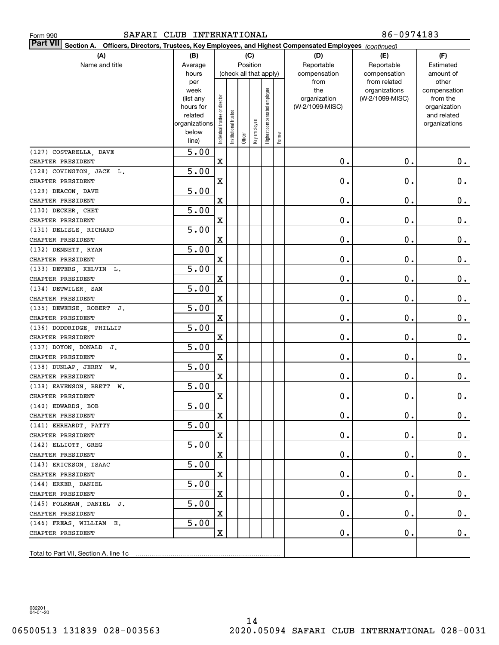| SAFARI CLUB INTERNATIONAL<br>Form 990                                                                                     |                                                |                                |                       |         |              |                                    |        |                                                                | 86-0974183                                                       |                                                                |  |  |  |
|---------------------------------------------------------------------------------------------------------------------------|------------------------------------------------|--------------------------------|-----------------------|---------|--------------|------------------------------------|--------|----------------------------------------------------------------|------------------------------------------------------------------|----------------------------------------------------------------|--|--|--|
| <b>Part VII</b><br>Section A. Officers, Directors, Trustees, Key Employees, and Highest Compensated Employees (continued) |                                                |                                |                       |         |              |                                    |        |                                                                |                                                                  |                                                                |  |  |  |
| (A)                                                                                                                       | (B)                                            |                                |                       |         | (C)          |                                    |        | (D)                                                            | (E)                                                              | (F)                                                            |  |  |  |
| Name and title                                                                                                            | Average                                        |                                |                       |         | Position     |                                    |        | Reportable                                                     | Reportable                                                       | Estimated                                                      |  |  |  |
|                                                                                                                           | hours<br>per<br>week<br>(list any<br>hours for |                                |                       |         |              | (check all that apply)<br>employee |        | compensation<br>from<br>the<br>organization<br>(W-2/1099-MISC) | compensation<br>from related<br>organizations<br>(W-2/1099-MISC) | amount of<br>other<br>compensation<br>from the<br>organization |  |  |  |
|                                                                                                                           | related<br>organizations<br>below<br>line)     | Individual trustee or director | Institutional trustee | Officer | Key employee | Highest compensated                | Former |                                                                |                                                                  | and related<br>organizations                                   |  |  |  |
| (127) COSTARELLA, DAVE                                                                                                    | 5.00                                           |                                |                       |         |              |                                    |        |                                                                |                                                                  |                                                                |  |  |  |
| CHAPTER PRESIDENT                                                                                                         |                                                | $\mathbf X$                    |                       |         |              |                                    |        | 0.                                                             | 0.                                                               | $0$ .                                                          |  |  |  |
| (128) COVINGTON, JACK L.                                                                                                  | 5.00                                           |                                |                       |         |              |                                    |        |                                                                |                                                                  |                                                                |  |  |  |
| CHAPTER PRESIDENT                                                                                                         |                                                | $\mathbf X$                    |                       |         |              |                                    |        | 0.                                                             | О.                                                               | 0.                                                             |  |  |  |
| (129) DEACON, DAVE                                                                                                        | 5.00                                           |                                |                       |         |              |                                    |        |                                                                |                                                                  |                                                                |  |  |  |
| CHAPTER PRESIDENT                                                                                                         |                                                | $\mathbf X$                    |                       |         |              |                                    |        | 0.                                                             | О.                                                               | 0.                                                             |  |  |  |
| (130) DECKER, CHET                                                                                                        | 5.00                                           |                                |                       |         |              |                                    |        |                                                                |                                                                  |                                                                |  |  |  |
| CHAPTER PRESIDENT                                                                                                         |                                                | $\mathbf X$                    |                       |         |              |                                    |        | 0.                                                             | О.                                                               | 0.                                                             |  |  |  |
| (131) DELISLE, RICHARD                                                                                                    | 5.00                                           |                                |                       |         |              |                                    |        |                                                                |                                                                  |                                                                |  |  |  |
| CHAPTER PRESIDENT                                                                                                         |                                                | $\mathbf X$                    |                       |         |              |                                    |        | 0.                                                             | О.                                                               | 0.                                                             |  |  |  |
| (132) DENNETT, RYAN                                                                                                       | 5.00                                           |                                |                       |         |              |                                    |        |                                                                |                                                                  |                                                                |  |  |  |
| CHAPTER PRESIDENT                                                                                                         |                                                | $\mathbf X$                    |                       |         |              |                                    |        | 0.                                                             | О.                                                               | 0.                                                             |  |  |  |
| (133) DETERS, KELVIN L.                                                                                                   | 5.00                                           |                                |                       |         |              |                                    |        |                                                                |                                                                  |                                                                |  |  |  |
| CHAPTER PRESIDENT                                                                                                         |                                                | $\mathbf X$                    |                       |         |              |                                    |        | 0.                                                             | О.                                                               | 0.                                                             |  |  |  |
| (134) DETWILER, SAM                                                                                                       | 5.00                                           |                                |                       |         |              |                                    |        |                                                                |                                                                  |                                                                |  |  |  |
| CHAPTER PRESIDENT                                                                                                         |                                                | $\mathbf X$                    |                       |         |              |                                    |        | 0.                                                             | О.                                                               | 0.                                                             |  |  |  |
| (135) DEWEESE, ROBERT J.                                                                                                  | 5.00                                           |                                |                       |         |              |                                    |        |                                                                |                                                                  |                                                                |  |  |  |
| CHAPTER PRESIDENT                                                                                                         |                                                | $\mathbf X$                    |                       |         |              |                                    |        | 0.                                                             | О.                                                               | 0.                                                             |  |  |  |
| (136) DODDRIDGE, PHILLIP                                                                                                  | 5.00                                           |                                |                       |         |              |                                    |        |                                                                |                                                                  |                                                                |  |  |  |
| CHAPTER PRESIDENT                                                                                                         | 5.00                                           | $\mathbf X$                    |                       |         |              |                                    |        | 0.                                                             | О.                                                               | 0.                                                             |  |  |  |
| (137) DOYON, DONALD J.<br>CHAPTER PRESIDENT                                                                               |                                                | $\mathbf X$                    |                       |         |              |                                    |        | 0.                                                             | О.                                                               | 0.                                                             |  |  |  |
| (138) DUNLAP, JERRY W.                                                                                                    | 5.00                                           |                                |                       |         |              |                                    |        |                                                                |                                                                  |                                                                |  |  |  |
| CHAPTER PRESIDENT                                                                                                         |                                                | $\mathbf X$                    |                       |         |              |                                    |        | 0.                                                             | О.                                                               | $0$ .                                                          |  |  |  |
| (139) EAVENSON, BRETT W.                                                                                                  | $\overline{5.00}$                              |                                |                       |         |              |                                    |        |                                                                |                                                                  |                                                                |  |  |  |
| CHAPTER PRESIDENT                                                                                                         |                                                | X                              |                       |         |              |                                    |        | $\mathbf 0$ .                                                  | $\mathbf{0}$ .                                                   | 0.                                                             |  |  |  |
| (140) EDWARDS, BOB                                                                                                        | $\overline{5.00}$                              |                                |                       |         |              |                                    |        |                                                                |                                                                  |                                                                |  |  |  |
| CHAPTER PRESIDENT                                                                                                         |                                                | $\mathbf X$                    |                       |         |              |                                    |        | $\mathbf 0$ .                                                  | $\mathbf 0$ .                                                    | $0$ .                                                          |  |  |  |
| (141) EHRHARDT, PATTY                                                                                                     | 5.00                                           |                                |                       |         |              |                                    |        |                                                                |                                                                  |                                                                |  |  |  |
| CHAPTER PRESIDENT                                                                                                         |                                                | $\mathbf X$                    |                       |         |              |                                    |        | 0.                                                             | $\mathbf 0$ .                                                    | $0_{.}$                                                        |  |  |  |
| (142) ELLIOTT, GREG                                                                                                       | 5.00                                           |                                |                       |         |              |                                    |        |                                                                |                                                                  |                                                                |  |  |  |
| CHAPTER PRESIDENT                                                                                                         |                                                | $\mathbf X$                    |                       |         |              |                                    |        | 0.                                                             | $\mathbf 0$ .                                                    | $0_{.}$                                                        |  |  |  |
| (143) ERICKSON, ISAAC                                                                                                     | 5.00                                           |                                |                       |         |              |                                    |        |                                                                |                                                                  |                                                                |  |  |  |
| CHAPTER PRESIDENT                                                                                                         |                                                | $\mathbf X$                    |                       |         |              |                                    |        | 0.                                                             | $\mathbf 0$ .                                                    | $0\cdot$                                                       |  |  |  |
| (144) ERKER, DANIEL                                                                                                       | 5.00                                           |                                |                       |         |              |                                    |        |                                                                |                                                                  |                                                                |  |  |  |
| CHAPTER PRESIDENT                                                                                                         |                                                | $\mathbf X$                    |                       |         |              |                                    |        | 0.                                                             | О.                                                               | $0_{.}$                                                        |  |  |  |
| (145) FOLKMAN, DANIEL J.                                                                                                  | 5.00                                           |                                |                       |         |              |                                    |        |                                                                |                                                                  |                                                                |  |  |  |
| CHAPTER PRESIDENT                                                                                                         |                                                | $\mathbf X$                    |                       |         |              |                                    |        | 0.                                                             | О.                                                               | $0_{.}$                                                        |  |  |  |
| (146) FREAS, WILLIAM E.                                                                                                   | 5.00                                           |                                |                       |         |              |                                    |        |                                                                |                                                                  |                                                                |  |  |  |
| CHAPTER PRESIDENT                                                                                                         |                                                | $\mathbf X$                    |                       |         |              |                                    |        | 0.                                                             | 0.                                                               | $0$ .                                                          |  |  |  |
|                                                                                                                           |                                                |                                |                       |         |              |                                    |        |                                                                |                                                                  |                                                                |  |  |  |
|                                                                                                                           |                                                |                                |                       |         |              |                                    |        |                                                                |                                                                  |                                                                |  |  |  |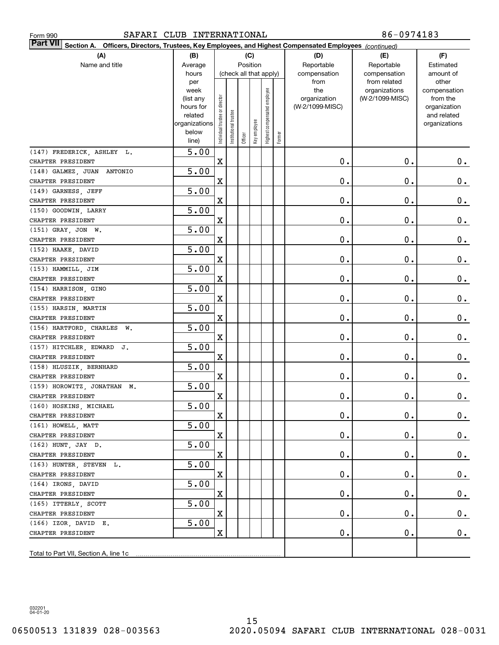| SAFARI CLUB INTERNATIONAL<br>Form 990                                                                                     |                |                                |                        |          |              |                     |        |                 | 86-0974183                    |                       |
|---------------------------------------------------------------------------------------------------------------------------|----------------|--------------------------------|------------------------|----------|--------------|---------------------|--------|-----------------|-------------------------------|-----------------------|
| <b>Part VII</b><br>Section A. Officers, Directors, Trustees, Key Employees, and Highest Compensated Employees (continued) |                |                                |                        |          |              |                     |        |                 |                               |                       |
| (A)                                                                                                                       | (B)            |                                |                        | (C)      |              |                     |        | (D)             | (E)                           | (F)                   |
| Name and title                                                                                                            | Average        |                                |                        | Position |              |                     |        | Reportable      | Reportable                    | Estimated             |
|                                                                                                                           | hours          |                                | (check all that apply) |          |              |                     |        | compensation    | compensation                  | amount of             |
|                                                                                                                           | per<br>week    |                                |                        |          |              |                     |        | from<br>the     | from related<br>organizations | other<br>compensation |
|                                                                                                                           | (list any      |                                |                        |          |              | employee            |        | organization    | (W-2/1099-MISC)               | from the              |
|                                                                                                                           | hours for      |                                |                        |          |              |                     |        | (W-2/1099-MISC) |                               | organization          |
|                                                                                                                           | related        |                                |                        |          |              |                     |        |                 |                               | and related           |
|                                                                                                                           | organizations  |                                |                        |          |              |                     |        |                 |                               | organizations         |
|                                                                                                                           | below<br>line) | Individual trustee or director | Institutional trustee  | Officer  | Key employee | Highest compensated | Former |                 |                               |                       |
| (147) FREDERICK, ASHLEY L.                                                                                                | 5.00           |                                |                        |          |              |                     |        |                 |                               |                       |
| CHAPTER PRESIDENT                                                                                                         |                | $\mathbf X$                    |                        |          |              |                     |        | 0.              | 0.                            | $0$ .                 |
| (148) GALMEZ, JUAN<br>ANTONIO                                                                                             | 5.00           |                                |                        |          |              |                     |        |                 |                               |                       |
| CHAPTER PRESIDENT                                                                                                         |                | $\mathbf X$                    |                        |          |              |                     |        | 0.              | 0.                            | 0.                    |
| (149) GARNESS, JEFF                                                                                                       | 5.00           |                                |                        |          |              |                     |        |                 |                               |                       |
| CHAPTER PRESIDENT                                                                                                         |                | $\mathbf X$                    |                        |          |              |                     |        | 0.              | 0.                            | 0.                    |
| (150) GOODWIN LARRY                                                                                                       | 5.00           |                                |                        |          |              |                     |        |                 |                               |                       |
| CHAPTER PRESIDENT                                                                                                         |                | $\mathbf X$                    |                        |          |              |                     |        | 0.              | 0.                            | 0.                    |
| (151) GRAY, JON W.                                                                                                        | 5.00           |                                |                        |          |              |                     |        |                 |                               |                       |
| CHAPTER PRESIDENT                                                                                                         |                | $\mathbf X$                    |                        |          |              |                     |        | 0.              | 0.                            | 0.                    |
| (152) HAAKE, DAVID                                                                                                        | 5.00           |                                |                        |          |              |                     |        |                 |                               |                       |
| CHAPTER PRESIDENT                                                                                                         |                | $\mathbf X$                    |                        |          |              |                     |        | 0.              | 0.                            | 0.                    |
| (153) HAMMILL, JIM                                                                                                        | 5.00           |                                |                        |          |              |                     |        |                 |                               |                       |
| CHAPTER PRESIDENT                                                                                                         |                | $\mathbf X$                    |                        |          |              |                     |        | 0.              | 0.                            | 0.                    |
| (154) HARRISON, GINO                                                                                                      | 5.00           |                                |                        |          |              |                     |        |                 |                               |                       |
| CHAPTER PRESIDENT                                                                                                         |                | $\mathbf X$                    |                        |          |              |                     |        | 0.              | 0.                            | 0.                    |
| (155) HARSIN, MARTIN                                                                                                      | 5.00           |                                |                        |          |              |                     |        |                 |                               |                       |
| CHAPTER PRESIDENT                                                                                                         |                | $\mathbf X$                    |                        |          |              |                     |        | 0.              | 0.                            | 0.                    |
| (156) HARTFORD, CHARLES W.                                                                                                | 5.00           |                                |                        |          |              |                     |        |                 |                               |                       |
| CHAPTER PRESIDENT                                                                                                         |                | $\mathbf X$                    |                        |          |              |                     |        | 0.              | 0.                            | 0.                    |
| (157) HITCHLER, EDWARD J.                                                                                                 | 5.00           |                                |                        |          |              |                     |        |                 |                               |                       |
| CHAPTER PRESIDENT                                                                                                         |                | $\mathbf X$                    |                        |          |              |                     |        | 0.              | 0.                            | 0.                    |
| (158) HLUSZIK, BERNHARD                                                                                                   | 5.00           |                                |                        |          |              |                     |        |                 |                               |                       |
| CHAPTER PRESIDENT                                                                                                         |                | X                              |                        |          |              |                     |        | 0.              | 0.                            | $0$ .                 |
| (159) HOROWITZ, JONATHAN M.                                                                                               | 5.00           |                                |                        |          |              |                     |        |                 |                               |                       |
| CHAPTER PRESIDENT                                                                                                         |                | x                              |                        |          |              |                     |        | $\mathbf 0$ .   | $\mathbf 0$ .                 | $\pmb{0}$ .           |
| (160) HOSKINS, MICHAEL                                                                                                    | 5.00           |                                |                        |          |              |                     |        |                 |                               |                       |
| CHAPTER PRESIDENT                                                                                                         |                | X                              |                        |          |              |                     |        | $\mathbf 0$ .   | $\mathbf 0$ .                 | $0$ .                 |
| (161) HOWELL, MATT                                                                                                        | 5.00           |                                |                        |          |              |                     |        |                 |                               |                       |
| CHAPTER PRESIDENT                                                                                                         |                | х                              |                        |          |              |                     |        | $\mathbf 0$ .   | 0.                            | 0.                    |
| (162) HUNT, JAY D.                                                                                                        | 5.00           |                                |                        |          |              |                     |        |                 |                               |                       |
| CHAPTER PRESIDENT                                                                                                         |                | х                              |                        |          |              |                     |        | $\mathfrak o$ . | 0.                            | $0\cdot$              |
| (163) HUNTER, STEVEN L.                                                                                                   | 5.00           |                                |                        |          |              |                     |        |                 |                               |                       |
| CHAPTER PRESIDENT                                                                                                         |                | х                              |                        |          |              |                     |        | $\mathbf 0$ .   | 0.                            | $0\cdot$              |
| (164) IRONS, DAVID<br>CHAPTER PRESIDENT                                                                                   | 5.00           |                                |                        |          |              |                     |        | $\mathfrak o$ . | 0.                            |                       |
|                                                                                                                           | 5.00           | х                              |                        |          |              |                     |        |                 |                               | $\mathbf 0$ .         |
| (165) ITTERLY, SCOTT<br>CHAPTER PRESIDENT                                                                                 |                | х                              |                        |          |              |                     |        | $\mathbf 0$ .   | 0.                            | $0_{.}$               |
| (166) IZOR, DAVID E.                                                                                                      | 5.00           |                                |                        |          |              |                     |        |                 |                               |                       |
| CHAPTER PRESIDENT                                                                                                         |                | $\mathbf X$                    |                        |          |              |                     |        | $\mathbf 0$ .   | 0.                            | $0$ .                 |
|                                                                                                                           |                |                                |                        |          |              |                     |        |                 |                               |                       |
| Total to Part VII, Section A, line 1c                                                                                     |                |                                |                        |          |              |                     |        |                 |                               |                       |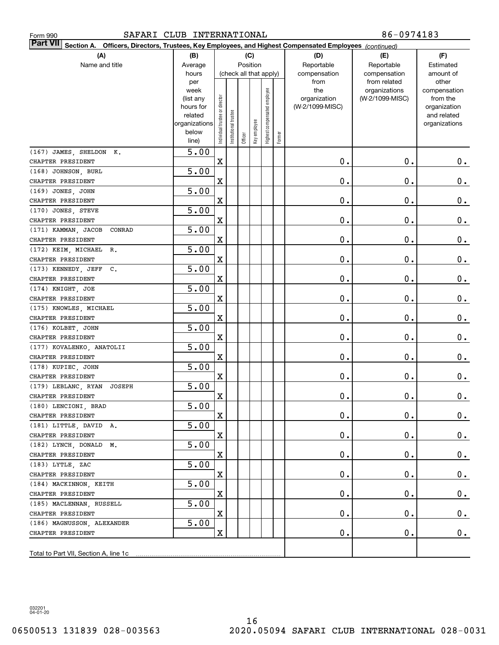| SAFARI CLUB INTERNATIONAL<br>Form 990                                                                                     |                                                                      |                                |                       |         |                        |                                 |        |                                 | 86-0974183                                    |                                                          |
|---------------------------------------------------------------------------------------------------------------------------|----------------------------------------------------------------------|--------------------------------|-----------------------|---------|------------------------|---------------------------------|--------|---------------------------------|-----------------------------------------------|----------------------------------------------------------|
| <b>Part VII</b><br>Section A. Officers, Directors, Trustees, Key Employees, and Highest Compensated Employees (continued) |                                                                      |                                |                       |         |                        |                                 |        |                                 |                                               |                                                          |
| (A)                                                                                                                       | (B)                                                                  |                                |                       |         | (C)                    |                                 |        | (D)                             | (E)                                           | (F)                                                      |
| Name and title                                                                                                            | Average                                                              |                                |                       |         | Position               |                                 |        | Reportable                      | Reportable                                    | Estimated                                                |
|                                                                                                                           | hours<br>per<br>week                                                 |                                |                       |         | (check all that apply) |                                 |        | compensation<br>from<br>the     | compensation<br>from related<br>organizations | amount of<br>other<br>compensation                       |
|                                                                                                                           | (list any<br>hours for<br>related<br>organizations<br>below<br>line) | Individual trustee or director | Institutional trustee | Officer | Key employee           | employee<br>Highest compensated | Former | organization<br>(W-2/1099-MISC) | (W-2/1099-MISC)                               | from the<br>organization<br>and related<br>organizations |
| (167) JAMES, SHELDON K.                                                                                                   | 5.00                                                                 |                                |                       |         |                        |                                 |        |                                 |                                               |                                                          |
| CHAPTER PRESIDENT                                                                                                         |                                                                      | $\mathbf X$                    |                       |         |                        |                                 |        | 0.                              | 0.                                            | $0$ .                                                    |
| (168) JOHNSON, BURL                                                                                                       | 5.00                                                                 |                                |                       |         |                        |                                 |        |                                 |                                               |                                                          |
| CHAPTER PRESIDENT                                                                                                         |                                                                      | $\mathbf X$                    |                       |         |                        |                                 |        | 0.                              | О.                                            | 0.                                                       |
| (169) JONES, JOHN                                                                                                         | 5.00                                                                 |                                |                       |         |                        |                                 |        |                                 |                                               |                                                          |
| CHAPTER PRESIDENT                                                                                                         |                                                                      | $\mathbf X$                    |                       |         |                        |                                 |        | 0.                              | О.                                            | 0.                                                       |
| (170) JONES, STEVE                                                                                                        | 5.00                                                                 |                                |                       |         |                        |                                 |        |                                 |                                               |                                                          |
| CHAPTER PRESIDENT                                                                                                         |                                                                      | $\mathbf X$                    |                       |         |                        |                                 |        | 0.                              | О.                                            | 0.                                                       |
| (171) KAMMAN, JACOB<br>CONRAD                                                                                             | 5.00                                                                 |                                |                       |         |                        |                                 |        |                                 |                                               |                                                          |
| CHAPTER PRESIDENT                                                                                                         |                                                                      | $\mathbf X$                    |                       |         |                        |                                 |        | 0.                              | О.                                            | 0.                                                       |
| (172) KEIM, MICHAEL<br>R.                                                                                                 | 5.00                                                                 |                                |                       |         |                        |                                 |        |                                 |                                               |                                                          |
| CHAPTER PRESIDENT                                                                                                         |                                                                      | $\mathbf X$                    |                       |         |                        |                                 |        | 0.                              | О.                                            | 0.                                                       |
| (173) KENNEDY, JEFF<br>$\mathbf{c}$ .                                                                                     | 5.00                                                                 |                                |                       |         |                        |                                 |        |                                 |                                               |                                                          |
| CHAPTER PRESIDENT                                                                                                         |                                                                      | $\mathbf X$                    |                       |         |                        |                                 |        | 0.                              | О.                                            | 0.                                                       |
| (174) KNIGHT, JOE                                                                                                         | 5.00                                                                 |                                |                       |         |                        |                                 |        |                                 |                                               |                                                          |
| CHAPTER PRESIDENT                                                                                                         |                                                                      | $\mathbf X$                    |                       |         |                        |                                 |        | 0.                              | О.                                            | 0.                                                       |
| (175) KNOWLES, MICHAEL                                                                                                    | 5.00                                                                 |                                |                       |         |                        |                                 |        |                                 |                                               |                                                          |
| CHAPTER PRESIDENT                                                                                                         |                                                                      | $\mathbf X$                    |                       |         |                        |                                 |        | 0.                              | О.                                            | 0.                                                       |
| (176) KOLBET, JOHN                                                                                                        | 5.00                                                                 |                                |                       |         |                        |                                 |        |                                 |                                               |                                                          |
| CHAPTER PRESIDENT                                                                                                         |                                                                      | $\mathbf X$                    |                       |         |                        |                                 |        | 0.                              | О.                                            | 0.                                                       |
| (177) KOVALENKO, ANATOLII                                                                                                 | 5.00                                                                 |                                |                       |         |                        |                                 |        |                                 |                                               |                                                          |
| CHAPTER PRESIDENT                                                                                                         |                                                                      | $\mathbf X$                    |                       |         |                        |                                 |        | 0.                              | О.                                            | $0_{.}$                                                  |
| (178) KUPIEC, JOHN                                                                                                        | 5.00                                                                 |                                |                       |         |                        |                                 |        |                                 |                                               |                                                          |
| CHAPTER PRESIDENT                                                                                                         |                                                                      | $\mathbf X$                    |                       |         |                        |                                 |        | 0.                              | О.                                            | $0$ .                                                    |
| (179) LEBLANC, RYAN<br>JOSEPH                                                                                             | $\overline{5.00}$                                                    |                                |                       |         |                        |                                 |        |                                 |                                               |                                                          |
| CHAPTER PRESIDENT                                                                                                         |                                                                      | X                              |                       |         |                        |                                 |        | $\mathbf 0$ .                   | $\mathbf 0$ .                                 | 0.                                                       |
| (180) LENCIONI, BRAD                                                                                                      | $\overline{5.00}$                                                    |                                |                       |         |                        |                                 |        |                                 |                                               |                                                          |
| CHAPTER PRESIDENT                                                                                                         |                                                                      | $\mathbf X$                    |                       |         |                        |                                 |        | 0.                              | $\mathbf 0$ .                                 | $0$ .                                                    |
| (181) LITTLE, DAVID A.                                                                                                    | 5.00                                                                 |                                |                       |         |                        |                                 |        |                                 |                                               |                                                          |
| CHAPTER PRESIDENT                                                                                                         |                                                                      | $\mathbf X$                    |                       |         |                        |                                 |        | 0.                              | 0.                                            | $0_{.}$                                                  |
| (182) LYNCH, DONALD M.                                                                                                    | 5.00                                                                 |                                |                       |         |                        |                                 |        |                                 |                                               |                                                          |
| CHAPTER PRESIDENT                                                                                                         |                                                                      | $\mathbf X$                    |                       |         |                        |                                 |        | 0.                              | 0.                                            | $0\cdot$                                                 |
| (183) LYTLE, ZAC                                                                                                          | 5.00                                                                 |                                |                       |         |                        |                                 |        |                                 |                                               |                                                          |
| CHAPTER PRESIDENT                                                                                                         |                                                                      | $\mathbf X$                    |                       |         |                        |                                 |        | 0.                              | 0.                                            | $0\cdot$                                                 |
| (184) MACKINNON, KEITH<br>CHAPTER PRESIDENT                                                                               | 5.00                                                                 |                                |                       |         |                        |                                 |        |                                 |                                               |                                                          |
|                                                                                                                           | 5.00                                                                 | $\mathbf X$                    |                       |         |                        |                                 |        | 0.                              | 0.                                            | $0_{.}$                                                  |
| (185) MACLENNAN, RUSSELL<br>CHAPTER PRESIDENT                                                                             |                                                                      | $\mathbf X$                    |                       |         |                        |                                 |        | 0.                              | 0.                                            | $0_{.}$                                                  |
| (186) MAGNUSSON, ALEXANDER                                                                                                | 5.00                                                                 |                                |                       |         |                        |                                 |        |                                 |                                               |                                                          |
| CHAPTER PRESIDENT                                                                                                         |                                                                      | $\mathbf X$                    |                       |         |                        |                                 |        | 0.                              | 0.                                            | $0$ .                                                    |
|                                                                                                                           |                                                                      |                                |                       |         |                        |                                 |        |                                 |                                               |                                                          |
|                                                                                                                           |                                                                      |                                |                       |         |                        |                                 |        |                                 |                                               |                                                          |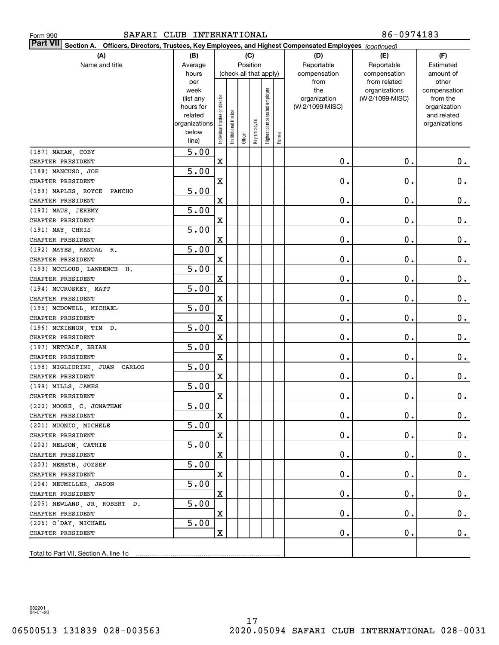| SAFARI CLUB INTERNATIONAL<br>Form 990                                                                                     |                   |                                |                       |         |                        |                     |        |                 | 86-0974183                    |                       |  |  |  |
|---------------------------------------------------------------------------------------------------------------------------|-------------------|--------------------------------|-----------------------|---------|------------------------|---------------------|--------|-----------------|-------------------------------|-----------------------|--|--|--|
| <b>Part VII</b><br>Section A. Officers, Directors, Trustees, Key Employees, and Highest Compensated Employees (continued) |                   |                                |                       |         |                        |                     |        |                 |                               |                       |  |  |  |
| (A)                                                                                                                       | (B)               |                                |                       |         | (C)                    |                     |        | (D)             | (E)                           | (F)                   |  |  |  |
| Name and title                                                                                                            | Average           |                                |                       |         | Position               |                     |        | Reportable      | Reportable                    | Estimated             |  |  |  |
|                                                                                                                           | hours             |                                |                       |         | (check all that apply) |                     |        | compensation    | compensation                  | amount of             |  |  |  |
|                                                                                                                           | per<br>week       |                                |                       |         |                        |                     |        | from<br>the     | from related<br>organizations | other<br>compensation |  |  |  |
|                                                                                                                           | (list any         |                                |                       |         |                        | employee            |        | organization    | (W-2/1099-MISC)               | from the              |  |  |  |
|                                                                                                                           | hours for         |                                |                       |         |                        |                     |        | (W-2/1099-MISC) |                               | organization          |  |  |  |
|                                                                                                                           | related           |                                |                       |         |                        |                     |        |                 |                               | and related           |  |  |  |
|                                                                                                                           | organizations     |                                |                       |         |                        |                     |        |                 |                               | organizations         |  |  |  |
|                                                                                                                           | below<br>line)    | Individual trustee or director | Institutional trustee | Officer | Key employee           | Highest compensated | Former |                 |                               |                       |  |  |  |
| (187) MAHAN, COBY                                                                                                         | 5.00              |                                |                       |         |                        |                     |        |                 |                               |                       |  |  |  |
| CHAPTER PRESIDENT                                                                                                         |                   | $\mathbf X$                    |                       |         |                        |                     |        | 0.              | 0.                            | $0$ .                 |  |  |  |
| (188) MANCUSO, JOE                                                                                                        | 5.00              |                                |                       |         |                        |                     |        |                 |                               |                       |  |  |  |
| CHAPTER PRESIDENT                                                                                                         |                   | $\mathbf X$                    |                       |         |                        |                     |        | 0.              | О.                            | 0.                    |  |  |  |
| (189) MAPLES, ROYCE<br>PANCHO                                                                                             | 5.00              |                                |                       |         |                        |                     |        |                 |                               |                       |  |  |  |
| CHAPTER PRESIDENT                                                                                                         |                   | $\mathbf X$                    |                       |         |                        |                     |        | 0.              | О.                            | 0.                    |  |  |  |
| (190) MAUS, JEREMY                                                                                                        | 5.00              |                                |                       |         |                        |                     |        |                 |                               |                       |  |  |  |
| CHAPTER PRESIDENT                                                                                                         |                   | $\mathbf X$                    |                       |         |                        |                     |        | 0.              | О.                            | 0.                    |  |  |  |
| (191) MAY CHRIS                                                                                                           | 5.00              |                                |                       |         |                        |                     |        |                 |                               |                       |  |  |  |
| CHAPTER PRESIDENT                                                                                                         |                   | $\mathbf X$                    |                       |         |                        |                     |        | 0.              | О.                            | 0.                    |  |  |  |
| (192) MAYES, RANDAL R.                                                                                                    | 5.00              |                                |                       |         |                        |                     |        |                 |                               |                       |  |  |  |
| CHAPTER PRESIDENT                                                                                                         |                   | $\mathbf X$                    |                       |         |                        |                     |        | 0.              | О.                            | 0.                    |  |  |  |
| (193) MCCLOUD, LAWRENCE H.                                                                                                | 5.00              |                                |                       |         |                        |                     |        |                 |                               |                       |  |  |  |
| CHAPTER PRESIDENT                                                                                                         |                   | $\mathbf X$                    |                       |         |                        |                     |        | 0.              | О.                            | 0.                    |  |  |  |
| (194) MCCROSKEY, MATT                                                                                                     | 5.00              |                                |                       |         |                        |                     |        |                 |                               |                       |  |  |  |
| CHAPTER PRESIDENT                                                                                                         |                   | $\mathbf X$                    |                       |         |                        |                     |        | 0.              | О.                            | 0.                    |  |  |  |
| (195) MCDOWELL, MICHAEL                                                                                                   | 5.00              |                                |                       |         |                        |                     |        |                 |                               |                       |  |  |  |
| CHAPTER PRESIDENT                                                                                                         |                   | $\mathbf X$                    |                       |         |                        |                     |        | 0.              | О.                            | 0.                    |  |  |  |
| (196) MCKINNON, TIM D.                                                                                                    | 5.00              |                                |                       |         |                        |                     |        |                 |                               |                       |  |  |  |
| CHAPTER PRESIDENT                                                                                                         |                   | $\mathbf X$                    |                       |         |                        |                     |        | 0.              | О.                            | 0.                    |  |  |  |
| (197) METCALF, BRIAN                                                                                                      | 5.00              |                                |                       |         |                        |                     |        |                 |                               |                       |  |  |  |
| CHAPTER PRESIDENT                                                                                                         |                   | $\mathbf X$                    |                       |         |                        |                     |        | 0.              | О.                            | 0.                    |  |  |  |
| (198) MIGLIORINI, JUAN<br>CARLOS                                                                                          | 5.00              |                                |                       |         |                        |                     |        |                 |                               |                       |  |  |  |
| CHAPTER PRESIDENT                                                                                                         |                   | $\mathbf X$                    |                       |         |                        |                     |        | 0.              | О.                            | $0$ .                 |  |  |  |
| (199) MILLS, JAMES                                                                                                        | $\overline{5.00}$ |                                |                       |         |                        |                     |        |                 |                               |                       |  |  |  |
| CHAPTER PRESIDENT                                                                                                         |                   | x                              |                       |         |                        |                     |        | $\mathbf 0$ .   | $0$ .                         | 0.                    |  |  |  |
| (200) MOORE, C. JONATHAN                                                                                                  | $\overline{5.00}$ |                                |                       |         |                        |                     |        |                 |                               |                       |  |  |  |
| CHAPTER PRESIDENT                                                                                                         |                   | X                              |                       |         |                        |                     |        | 0.              | О.                            | $0$ .                 |  |  |  |
| (201) MUONIO, MICHELE<br>CHAPTER PRESIDENT                                                                                | 5.00              | $\mathbf X$                    |                       |         |                        |                     |        |                 |                               |                       |  |  |  |
| (202) NELSON, CATHIE                                                                                                      | 5.00              |                                |                       |         |                        |                     |        | 0.              | О.                            | $0_{.}$               |  |  |  |
| CHAPTER PRESIDENT                                                                                                         |                   | $\mathbf X$                    |                       |         |                        |                     |        | 0.              | О.                            | $0_{.}$               |  |  |  |
| (203) NEMETH, JOZSEF                                                                                                      | 5.00              |                                |                       |         |                        |                     |        |                 |                               |                       |  |  |  |
| CHAPTER PRESIDENT                                                                                                         |                   | $\mathbf X$                    |                       |         |                        |                     |        | 0.              | О.                            | $0_{.}$               |  |  |  |
| (204) NEUMILLER, JASON                                                                                                    | 5.00              |                                |                       |         |                        |                     |        |                 |                               |                       |  |  |  |
| CHAPTER PRESIDENT                                                                                                         |                   | $\mathbf X$                    |                       |         |                        |                     |        | 0.              | О.                            | $0_{.}$               |  |  |  |
| (205) NEWLAND, JR, ROBERT D.                                                                                              | 5.00              |                                |                       |         |                        |                     |        |                 |                               |                       |  |  |  |
| CHAPTER PRESIDENT                                                                                                         |                   | $\mathbf X$                    |                       |         |                        |                     |        | 0.              | О.                            | $\mathbf 0$ .         |  |  |  |
| (206) O'DAY, MICHAEL                                                                                                      | 5.00              |                                |                       |         |                        |                     |        |                 |                               |                       |  |  |  |
| CHAPTER PRESIDENT                                                                                                         |                   | $\mathbf X$                    |                       |         |                        |                     |        | 0.              | О.                            | $0$ .                 |  |  |  |
|                                                                                                                           |                   |                                |                       |         |                        |                     |        |                 |                               |                       |  |  |  |
|                                                                                                                           |                   |                                |                       |         |                        |                     |        |                 |                               |                       |  |  |  |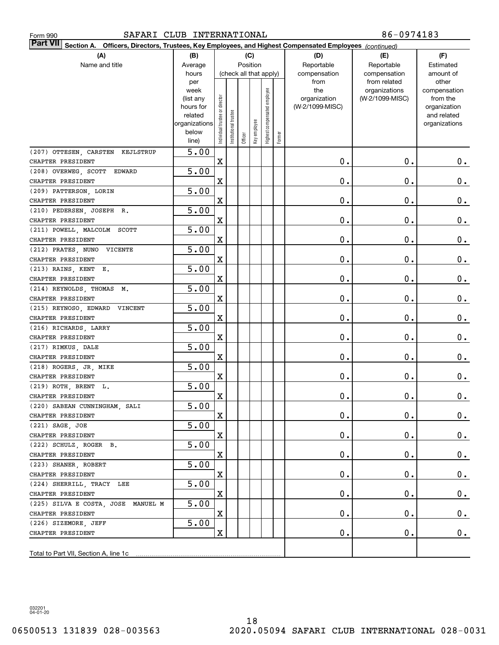| Form 990 |  |
|----------|--|
|          |  |

| <b>Part VII</b> Section A. Officers, Directors, Trustees, Key Employees, and Highest Compensated Employees (continued) |                        |                                |                        |         |              |                              |        |                     |                 |                          |
|------------------------------------------------------------------------------------------------------------------------|------------------------|--------------------------------|------------------------|---------|--------------|------------------------------|--------|---------------------|-----------------|--------------------------|
| (A)                                                                                                                    | (B)                    |                                |                        |         | (C)          |                              |        | (D)                 | (E)             | (F)                      |
| Name and title                                                                                                         | Average                |                                |                        |         | Position     |                              |        | Reportable          | Reportable      | Estimated                |
|                                                                                                                        | hours                  |                                | (check all that apply) |         |              |                              |        | compensation        | compensation    | amount of                |
|                                                                                                                        | per                    |                                |                        |         |              |                              |        | from                | from related    | other                    |
|                                                                                                                        | week                   |                                |                        |         |              | Highest compensated employee |        | the<br>organization | organizations   | compensation<br>from the |
|                                                                                                                        | (list any<br>hours for |                                |                        |         |              |                              |        | (W-2/1099-MISC)     | (W-2/1099-MISC) | organization             |
|                                                                                                                        | related                |                                |                        |         |              |                              |        |                     |                 | and related              |
|                                                                                                                        | organizations          |                                |                        |         |              |                              |        |                     |                 | organizations            |
|                                                                                                                        | below                  | Individual trustee or director | nstitutional trustee   |         | Key employee |                              |        |                     |                 |                          |
|                                                                                                                        | line)                  |                                |                        | Officer |              |                              | Former |                     |                 |                          |
| (207) OTTESEN, CARSTEN KEJLSTRUP                                                                                       | $\overline{5.00}$      |                                |                        |         |              |                              |        |                     |                 |                          |
| CHAPTER PRESIDENT                                                                                                      |                        | $\mathbf X$                    |                        |         |              |                              |        | 0.                  | 0.              | $0$ .                    |
| (208) OVERWEG, SCOTT EDWARD                                                                                            | 5.00                   |                                |                        |         |              |                              |        |                     |                 |                          |
| CHAPTER PRESIDENT                                                                                                      |                        | $\mathbf X$                    |                        |         |              |                              |        | 0.                  | 0.              | 0.                       |
| (209) PATTERSON, LORIN                                                                                                 | 5.00                   |                                |                        |         |              |                              |        |                     |                 |                          |
| CHAPTER PRESIDENT                                                                                                      |                        | $\mathbf X$                    |                        |         |              |                              |        | 0.                  | 0.              | 0.                       |
| (210) PEDERSEN, JOSEPH R.                                                                                              | 5.00                   |                                |                        |         |              |                              |        |                     |                 |                          |
| CHAPTER PRESIDENT                                                                                                      |                        | $\mathbf X$                    |                        |         |              |                              |        | 0.                  | 0.              | 0.                       |
| (211) POWELL, MALCOLM<br>SCOTT                                                                                         | 5.00                   |                                |                        |         |              |                              |        |                     |                 |                          |
| CHAPTER PRESIDENT                                                                                                      |                        | $\mathbf X$                    |                        |         |              |                              |        | 0.                  | 0.              | 0.                       |
| (212) PRATES, NUNO<br>VICENTE                                                                                          | 5.00                   |                                |                        |         |              |                              |        |                     |                 |                          |
| CHAPTER PRESIDENT                                                                                                      |                        | $\mathbf X$                    |                        |         |              |                              |        | 0.                  | 0.              | 0.                       |
| (213) RAINS, KENT E.                                                                                                   | 5.00                   |                                |                        |         |              |                              |        |                     |                 |                          |
| CHAPTER PRESIDENT                                                                                                      |                        | $\mathbf X$                    |                        |         |              |                              |        | 0.                  | 0.              | 0.                       |
| (214) REYNOLDS, THOMAS M.                                                                                              | 5.00                   |                                |                        |         |              |                              |        |                     |                 |                          |
| CHAPTER PRESIDENT                                                                                                      |                        | $\mathbf X$                    |                        |         |              |                              |        | 0.                  | 0.              | 0.                       |
| (215) REYNOSO, EDWARD<br>VINCENT                                                                                       | 5.00                   |                                |                        |         |              |                              |        |                     |                 |                          |
| CHAPTER PRESIDENT                                                                                                      |                        | $\mathbf X$                    |                        |         |              |                              |        | 0.                  | 0.              | 0.                       |
| (216) RICHARDS, LARRY                                                                                                  | 5.00                   |                                |                        |         |              |                              |        |                     |                 |                          |
| CHAPTER PRESIDENT                                                                                                      |                        | $\mathbf X$                    |                        |         |              |                              |        | 0.                  | 0.              | 0.                       |
| (217) RIMKUS, DALE                                                                                                     | 5.00                   |                                |                        |         |              |                              |        |                     |                 |                          |
| CHAPTER PRESIDENT                                                                                                      |                        | $\mathbf X$                    |                        |         |              |                              |        | 0.                  | 0.              | 0.                       |
| (218) ROGERS, JR, MIKE                                                                                                 | $\overline{5.00}$      |                                |                        |         |              |                              |        |                     |                 |                          |
| CHAPTER PRESIDENT                                                                                                      |                        | $\mathbf X$                    |                        |         |              |                              |        | 0.                  | 0.              | 0.                       |
| (219) ROTH, BRENT L.                                                                                                   | $\overline{5.00}$      |                                |                        |         |              |                              |        |                     |                 |                          |
| CHAPTER PRESIDENT                                                                                                      |                        | X                              |                        |         |              |                              |        | $0$ .               | 0.              | 0.                       |
| (220) SABEAN CUNNINGHAM, SALI                                                                                          | 5.00                   |                                |                        |         |              |                              |        |                     |                 |                          |
| CHAPTER PRESIDENT                                                                                                      |                        | X                              |                        |         |              |                              |        | $\mathbf 0$ .       | $\mathbf 0$ .   | $0$ .                    |
| (221) SAGE, JOE                                                                                                        | 5.00                   |                                |                        |         |              |                              |        |                     |                 |                          |
| CHAPTER PRESIDENT                                                                                                      |                        | $\mathbf X$                    |                        |         |              |                              |        | 0.                  | $\mathbf 0$ .   | $0$ .                    |
| (222) SCHULZ, ROGER B.                                                                                                 | 5.00                   |                                |                        |         |              |                              |        |                     |                 |                          |
| CHAPTER PRESIDENT                                                                                                      |                        | X                              |                        |         |              |                              |        | $\mathbf 0$ .       | $\mathbf 0$ .   | $0$ .                    |
| (223) SHANER, ROBERT                                                                                                   | 5.00                   |                                |                        |         |              |                              |        |                     |                 |                          |
| CHAPTER PRESIDENT                                                                                                      |                        | X                              |                        |         |              |                              |        | $\mathbf 0$ .       | $\mathbf 0$ .   | 0.                       |
| (224) SHERRILL, TRACY LEE                                                                                              | 5.00                   |                                |                        |         |              |                              |        |                     |                 |                          |
| CHAPTER PRESIDENT                                                                                                      |                        | X                              |                        |         |              |                              |        | $\mathbf 0$ .       | $\mathbf 0$ .   | 0.                       |
| (225) SILVA E COSTA, JOSE MANUEL M                                                                                     | 5.00                   | $\mathbf X$                    |                        |         |              |                              |        |                     |                 |                          |
| CHAPTER PRESIDENT                                                                                                      |                        |                                |                        |         |              |                              |        | $\mathbf 0$ .       | $\mathbf 0$ .   | 0.                       |
| (226) SIZEMORE, JEFF                                                                                                   | 5.00                   | X                              |                        |         |              |                              |        |                     |                 |                          |
| CHAPTER PRESIDENT                                                                                                      |                        |                                |                        |         |              |                              |        | $\mathbf 0$ .       | $\mathbf 0$ .   | 0.                       |
|                                                                                                                        |                        |                                |                        |         |              |                              |        |                     |                 |                          |
|                                                                                                                        |                        |                                |                        |         |              |                              |        |                     |                 |                          |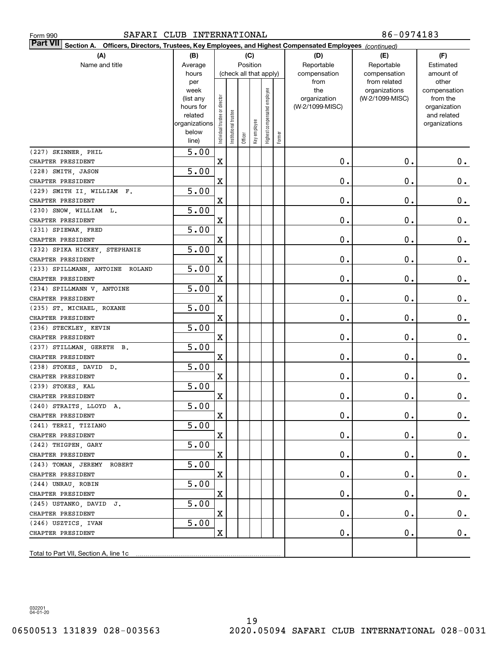| SAFARI CLUB INTERNATIONAL<br>Form 990                                                                                        |                |                                |                       |                        |              |                     |        |                 | 86-0974183                    |                       |
|------------------------------------------------------------------------------------------------------------------------------|----------------|--------------------------------|-----------------------|------------------------|--------------|---------------------|--------|-----------------|-------------------------------|-----------------------|
| <b>Part VII</b><br>Officers, Directors, Trustees, Key Employees, and Highest Compensated Employees (continued)<br>Section A. |                |                                |                       |                        |              |                     |        |                 |                               |                       |
| (A)                                                                                                                          | (B)            |                                |                       | (C)                    |              |                     |        | (D)             | (E)                           | (F)                   |
| Name and title                                                                                                               | Average        |                                |                       | Position               |              |                     |        | Reportable      | Reportable                    | Estimated             |
|                                                                                                                              | hours          |                                |                       | (check all that apply) |              |                     |        | compensation    | compensation                  | amount of             |
|                                                                                                                              | per<br>week    |                                |                       |                        |              |                     |        | from<br>the     | from related<br>organizations | other<br>compensation |
|                                                                                                                              | (list any      |                                |                       |                        |              | employee            |        | organization    | (W-2/1099-MISC)               | from the              |
|                                                                                                                              | hours for      |                                |                       |                        |              |                     |        | (W-2/1099-MISC) |                               | organization          |
|                                                                                                                              | related        |                                |                       |                        |              |                     |        |                 |                               | and related           |
|                                                                                                                              | organizations  |                                |                       |                        |              |                     |        |                 |                               | organizations         |
|                                                                                                                              | below<br>line) | Individual trustee or director | Institutional trustee | Officer                | Key employee | Highest compensated | Former |                 |                               |                       |
| (227) SKINNER, PHIL                                                                                                          | 5.00           |                                |                       |                        |              |                     |        |                 |                               |                       |
| CHAPTER PRESIDENT                                                                                                            |                | $\mathbf X$                    |                       |                        |              |                     |        | $\mathbf 0$ .   | $\mathbf 0$ .                 | $0$ .                 |
| (228) SMITH, JASON                                                                                                           | 5.00           |                                |                       |                        |              |                     |        |                 |                               |                       |
| CHAPTER PRESIDENT                                                                                                            |                | X                              |                       |                        |              |                     |        | $\mathbf 0$ .   | 0.                            | 0.                    |
| (229) SMITH II, WILLIAM F.                                                                                                   | 5.00           |                                |                       |                        |              |                     |        |                 |                               |                       |
| CHAPTER PRESIDENT                                                                                                            |                | X                              |                       |                        |              |                     |        | $\mathbf 0$ .   | 0.                            | $0_{.}$               |
| (230) SNOW, WILLIAM L.                                                                                                       | 5.00           |                                |                       |                        |              |                     |        |                 |                               |                       |
| CHAPTER PRESIDENT                                                                                                            |                | X                              |                       |                        |              |                     |        | $\mathbf 0$ .   | 0.                            | 0.                    |
| (231) SPIEWAK, FRED                                                                                                          | 5.00           |                                |                       |                        |              |                     |        |                 |                               |                       |
| CHAPTER PRESIDENT                                                                                                            |                | X                              |                       |                        |              |                     |        | $\mathbf 0$ .   | 0.                            | 0.                    |
| (232) SPIKA HICKEY, STEPHANIE                                                                                                | 5.00           |                                |                       |                        |              |                     |        |                 |                               |                       |
| CHAPTER PRESIDENT                                                                                                            |                | X                              |                       |                        |              |                     |        | $\mathbf 0$ .   | 0.                            | $0_{.}$               |
| (233) SPILLMANN, ANTOINE ROLAND                                                                                              | 5.00           |                                |                       |                        |              |                     |        |                 |                               |                       |
| CHAPTER PRESIDENT                                                                                                            |                | X                              |                       |                        |              |                     |        | $\mathbf 0$ .   | 0.                            | 0.                    |
| (234) SPILLMANN V, ANTOINE                                                                                                   | 5.00           |                                |                       |                        |              |                     |        |                 |                               |                       |
| CHAPTER PRESIDENT                                                                                                            |                | X                              |                       |                        |              |                     |        | $\mathbf 0$ .   | 0.                            | 0.                    |
| (235) ST. MICHAEL, ROXANE                                                                                                    | 5.00           |                                |                       |                        |              |                     |        |                 |                               |                       |
| CHAPTER PRESIDENT                                                                                                            |                | X                              |                       |                        |              |                     |        | $\mathbf 0$ .   | 0.                            | 0.                    |
| (236) STECKLEY, KEVIN                                                                                                        | 5.00           |                                |                       |                        |              |                     |        |                 |                               |                       |
| CHAPTER PRESIDENT                                                                                                            |                | X                              |                       |                        |              |                     |        | $\mathbf 0$ .   | 0.                            | $0$ .                 |
| (237) STILLMAN, GERETH B.                                                                                                    | 5.00           |                                |                       |                        |              |                     |        |                 |                               |                       |
| CHAPTER PRESIDENT                                                                                                            |                | X                              |                       |                        |              |                     |        | $\mathbf 0$ .   | 0.                            | 0.                    |
| (238) STOKES, DAVID D.                                                                                                       | 5.00           |                                |                       |                        |              |                     |        |                 |                               |                       |
| CHAPTER PRESIDENT                                                                                                            |                | X                              |                       |                        |              |                     |        | $\mathbf 0$ .   | 0.                            | $0$ .                 |
| (239) STOKES, KAL                                                                                                            | 5.00           |                                |                       |                        |              |                     |        |                 |                               |                       |
| CHAPTER PRESIDENT                                                                                                            |                | X                              |                       |                        |              |                     |        | $\mathbf 0$ .   | $\mathbf 0$ .                 | 0.                    |
| (240) STRAITS, LLOYD A.                                                                                                      | 5.00           |                                |                       |                        |              |                     |        |                 |                               |                       |
| CHAPTER PRESIDENT                                                                                                            |                | X                              |                       |                        |              |                     |        | $\mathbf 0$ .   | $\mathbf 0$ .                 | $0$ .                 |
| (241) TERZI, TIZIANO<br>CHAPTER PRESIDENT                                                                                    | 5.00           | X                              |                       |                        |              |                     |        | $\mathbf 0$ .   | $\mathbf 0$ .                 |                       |
| (242) THIGPEN, GARY                                                                                                          | 5.00           |                                |                       |                        |              |                     |        |                 |                               | 0.                    |
| CHAPTER PRESIDENT                                                                                                            |                | X                              |                       |                        |              |                     |        | $\mathbf 0$ .   | $\mathbf 0$ .                 | 0.                    |
| (243) TOMAN, JEREMY ROBERT                                                                                                   | 5.00           |                                |                       |                        |              |                     |        |                 |                               |                       |
| CHAPTER PRESIDENT                                                                                                            |                | X                              |                       |                        |              |                     |        | $\mathbf 0$ .   | $\mathbf 0$ .                 | $0\cdot$              |
| (244) UNRAU, ROBIN                                                                                                           | 5.00           |                                |                       |                        |              |                     |        |                 |                               |                       |
| CHAPTER PRESIDENT                                                                                                            |                | X                              |                       |                        |              |                     |        | $\mathbf 0$ .   | $\mathbf 0$ .                 | $0\cdot$              |
| (245) USTANKO, DAVID J.                                                                                                      | 5.00           |                                |                       |                        |              |                     |        |                 |                               |                       |
| CHAPTER PRESIDENT                                                                                                            |                | X                              |                       |                        |              |                     |        | $\mathbf 0$ .   | $\mathbf 0$ .                 | $0_{.}$               |
| (246) USZTICS, IVAN                                                                                                          | 5.00           |                                |                       |                        |              |                     |        |                 |                               |                       |
| CHAPTER PRESIDENT                                                                                                            |                | X                              |                       |                        |              |                     |        | О.              | $\mathbf 0$ .                 | $0$ .                 |
|                                                                                                                              |                |                                |                       |                        |              |                     |        |                 |                               |                       |
| Total to Part VII, Section A, line 1c                                                                                        |                |                                |                       |                        |              |                     |        |                 |                               |                       |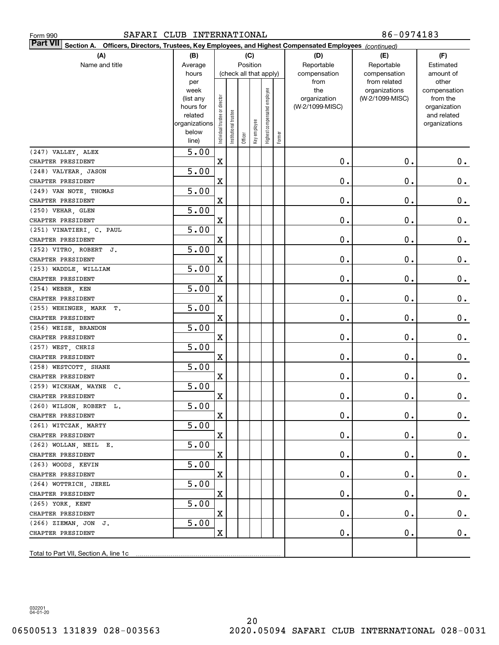| SAFARI CLUB INTERNATIONAL<br>Form 990                                                                                     |                        |                                |                       |         |              |                        |        |                 | 86-0974183                   |                       |
|---------------------------------------------------------------------------------------------------------------------------|------------------------|--------------------------------|-----------------------|---------|--------------|------------------------|--------|-----------------|------------------------------|-----------------------|
| <b>Part VII</b><br>Section A. Officers, Directors, Trustees, Key Employees, and Highest Compensated Employees (continued) |                        |                                |                       |         |              |                        |        |                 |                              |                       |
| (A)                                                                                                                       | (B)                    |                                |                       |         | (C)          |                        |        | (D)             | (E)                          | (F)                   |
| Name and title                                                                                                            | Average                |                                |                       |         | Position     |                        |        | Reportable      | Reportable                   | Estimated             |
|                                                                                                                           | hours                  |                                |                       |         |              | (check all that apply) |        | compensation    | compensation<br>from related | amount of             |
|                                                                                                                           | per<br>week            |                                |                       |         |              |                        |        | from<br>the     | organizations                | other<br>compensation |
|                                                                                                                           | (list any              |                                |                       |         |              | employee               |        | organization    | (W-2/1099-MISC)              | from the              |
|                                                                                                                           | hours for              |                                |                       |         |              |                        |        | (W-2/1099-MISC) |                              | organization          |
|                                                                                                                           | related                |                                |                       |         |              |                        |        |                 |                              | and related           |
|                                                                                                                           | organizations<br>below |                                |                       |         |              |                        |        |                 |                              | organizations         |
|                                                                                                                           | line)                  | Individual trustee or director | Institutional trustee | Officer | Key employee | Highest compensated    | Former |                 |                              |                       |
| (247) VALLEY, ALEX                                                                                                        | 5.00                   |                                |                       |         |              |                        |        |                 |                              |                       |
| CHAPTER PRESIDENT                                                                                                         |                        | $\mathbf X$                    |                       |         |              |                        |        | 0.              | 0.                           | $0$ .                 |
| (248) VALYEAR, JASON                                                                                                      | 5.00                   |                                |                       |         |              |                        |        |                 |                              |                       |
| CHAPTER PRESIDENT                                                                                                         |                        | $\mathbf X$                    |                       |         |              |                        |        | 0.              | О.                           | 0.                    |
| (249) VAN NOTE, THOMAS                                                                                                    | 5.00                   |                                |                       |         |              |                        |        |                 |                              |                       |
| CHAPTER PRESIDENT                                                                                                         |                        | $\mathbf X$                    |                       |         |              |                        |        | 0.              | О.                           | 0.                    |
| (250) VEHAR, GLEN                                                                                                         | 5.00                   |                                |                       |         |              |                        |        |                 |                              |                       |
| CHAPTER PRESIDENT                                                                                                         |                        | $\mathbf X$                    |                       |         |              |                        |        | 0.              | О.                           | 0.                    |
| (251) VINATIERI, C. PAUL                                                                                                  | 5.00                   |                                |                       |         |              |                        |        |                 |                              |                       |
| CHAPTER PRESIDENT                                                                                                         |                        | $\mathbf X$                    |                       |         |              |                        |        | 0.              | О.                           | 0.                    |
| (252) VITRO, ROBERT J.                                                                                                    | 5.00                   |                                |                       |         |              |                        |        |                 |                              |                       |
| CHAPTER PRESIDENT                                                                                                         |                        | $\mathbf X$                    |                       |         |              |                        |        | 0.              | О.                           | 0.                    |
| (253) WADDLE, WILLIAM                                                                                                     | 5.00                   |                                |                       |         |              |                        |        |                 |                              |                       |
| CHAPTER PRESIDENT                                                                                                         |                        | $\mathbf X$                    |                       |         |              |                        |        | 0.              | О.                           | 0.                    |
| (254) WEBER, KEN                                                                                                          | 5.00                   |                                |                       |         |              |                        |        |                 |                              |                       |
| CHAPTER PRESIDENT                                                                                                         |                        | $\mathbf X$                    |                       |         |              |                        |        | 0.              | О.                           | 0.                    |
| (255) WEHINGER, MARK T.                                                                                                   | 5.00                   | $\mathbf X$                    |                       |         |              |                        |        | 0.              | О.                           |                       |
| CHAPTER PRESIDENT<br>(256) WEISE, BRANDON                                                                                 | 5.00                   |                                |                       |         |              |                        |        |                 |                              | 0.                    |
| CHAPTER PRESIDENT                                                                                                         |                        | $\mathbf X$                    |                       |         |              |                        |        | 0.              | О.                           | 0.                    |
| (257) WEST, CHRIS                                                                                                         | 5.00                   |                                |                       |         |              |                        |        |                 |                              |                       |
| CHAPTER PRESIDENT                                                                                                         |                        | $\mathbf X$                    |                       |         |              |                        |        | 0.              | О.                           | 0.                    |
| (258) WESTCOTT, SHANE                                                                                                     | 5.00                   |                                |                       |         |              |                        |        |                 |                              |                       |
| CHAPTER PRESIDENT                                                                                                         |                        | $\mathbf X$                    |                       |         |              |                        |        | 0.              | О.                           | $0$ .                 |
| (259) WICKHAM, WAYNE C.                                                                                                   | $\overline{5.00}$      |                                |                       |         |              |                        |        |                 |                              |                       |
| CHAPTER PRESIDENT                                                                                                         |                        | X                              |                       |         |              |                        |        | $\mathbf 0$ .   | $\mathbf 0$ .                | $\pmb{0}$ .           |
| (260) WILSON, ROBERT L.                                                                                                   | $\overline{5.00}$      |                                |                       |         |              |                        |        |                 |                              |                       |
| CHAPTER PRESIDENT                                                                                                         |                        | $\mathbf X$                    |                       |         |              |                        |        | $\mathbf 0$ .   | $\mathbf 0$ .                | $0$ .                 |
| (261) WITCZAK, MARTY                                                                                                      | 5.00                   |                                |                       |         |              |                        |        |                 |                              |                       |
| CHAPTER PRESIDENT                                                                                                         |                        | $\mathbf X$                    |                       |         |              |                        |        | $\mathbf 0$ .   | $\mathbf 0$ .                | $0\cdot$              |
| (262) WOLLAN, NEIL E.                                                                                                     | 5.00                   |                                |                       |         |              |                        |        |                 |                              |                       |
| CHAPTER PRESIDENT                                                                                                         |                        | $\mathbf X$                    |                       |         |              |                        |        | 0.              | 0.                           | $\mathbf 0$ .         |
| (263) WOODS, KEVIN                                                                                                        | 5.00                   |                                |                       |         |              |                        |        |                 |                              |                       |
| CHAPTER PRESIDENT                                                                                                         |                        | $\mathbf X$                    |                       |         |              |                        |        | 0.              | 0.                           | $\mathbf 0$ .         |
| (264) WOTTRICH, JEREL                                                                                                     | 5.00                   |                                |                       |         |              |                        |        |                 |                              |                       |
| CHAPTER PRESIDENT                                                                                                         |                        | $\mathbf X$                    |                       |         |              |                        |        | 0.              | 0.                           | $\mathbf 0$ .         |
| (265) YORK, KENT                                                                                                          | 5.00                   |                                |                       |         |              |                        |        |                 |                              |                       |
| CHAPTER PRESIDENT                                                                                                         |                        | $\mathbf X$                    |                       |         |              |                        |        | 0.              | 0.                           | $0\cdot$              |
| (266) ZIEMAN, JON J.                                                                                                      | 5.00                   |                                |                       |         |              |                        |        |                 |                              |                       |
| CHAPTER PRESIDENT                                                                                                         |                        | $\mathbf X$                    |                       |         |              |                        |        | 0.              | 0.                           | 0.                    |
|                                                                                                                           |                        |                                |                       |         |              |                        |        |                 |                              |                       |
|                                                                                                                           |                        |                                |                       |         |              |                        |        |                 |                              |                       |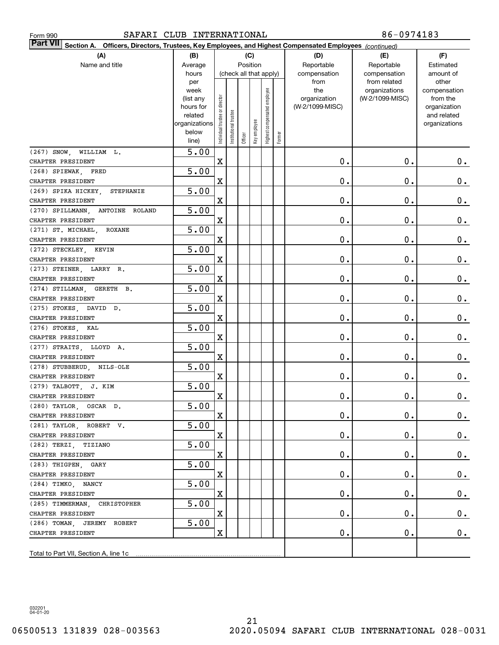| 86-0974183<br>SAFARI CLUB INTERNATIONAL<br>Form 990                                                                       |               |                                |                       |             |                               |                        |            |                 |                 |               |
|---------------------------------------------------------------------------------------------------------------------------|---------------|--------------------------------|-----------------------|-------------|-------------------------------|------------------------|------------|-----------------|-----------------|---------------|
| <b>Part VII</b><br>Section A. Officers, Directors, Trustees, Key Employees, and Highest Compensated Employees (continued) |               |                                |                       |             |                               |                        |            |                 |                 |               |
| (A)                                                                                                                       | (B)           |                                |                       |             | (C)                           |                        |            | (D)             | (E)             | (F)           |
| Name and title                                                                                                            | Average       | Position                       |                       |             |                               | Reportable             | Reportable | Estimated       |                 |               |
|                                                                                                                           | hours         |                                |                       |             |                               | (check all that apply) |            | compensation    | compensation    | amount of     |
|                                                                                                                           | per<br>week   |                                |                       | from<br>the | from related<br>organizations | other<br>compensation  |            |                 |                 |               |
|                                                                                                                           | (list any     |                                |                       |             |                               | employee               |            | organization    | (W-2/1099-MISC) | from the      |
|                                                                                                                           | hours for     |                                |                       |             |                               |                        |            | (W-2/1099-MISC) |                 | organization  |
|                                                                                                                           | related       |                                |                       |             |                               |                        |            |                 |                 | and related   |
|                                                                                                                           | organizations |                                |                       |             |                               |                        |            |                 |                 | organizations |
|                                                                                                                           | below         | Individual trustee or director | Institutional trustee | Officer     | Key employee                  | Highest compensated    | Former     |                 |                 |               |
|                                                                                                                           | line)         |                                |                       |             |                               |                        |            |                 |                 |               |
| $(267)$ SNOW.<br>WILLIAM L.                                                                                               | 5.00          |                                |                       |             |                               |                        |            |                 |                 |               |
| CHAPTER PRESIDENT                                                                                                         |               | $\mathbf X$                    |                       |             |                               |                        |            | 0.              | 0.              | $0$ .         |
| (268) SPIEWAK, FRED                                                                                                       | 5.00          |                                |                       |             |                               |                        |            |                 |                 |               |
| CHAPTER PRESIDENT                                                                                                         |               | $\mathbf X$                    |                       |             |                               |                        |            | 0.              | 0.              | 0.            |
| (269) SPIKA HICKEY,<br>STEPHANIE                                                                                          | 5.00          |                                |                       |             |                               |                        |            |                 |                 |               |
| CHAPTER PRESIDENT                                                                                                         |               | $\mathbf X$                    |                       |             |                               |                        |            | 0.              | 0.              | 0.            |
| $(270)$ SPILLMANN,<br>ANTOINE ROLAND                                                                                      | 5.00          |                                |                       |             |                               |                        |            |                 |                 |               |
| CHAPTER PRESIDENT                                                                                                         |               | $\mathbf X$                    |                       |             |                               |                        |            | 0.              | 0.              | 0.            |
| (271) ST. MICHAEL.<br>ROXANE                                                                                              | 5.00          |                                |                       |             |                               |                        |            |                 |                 |               |
| CHAPTER PRESIDENT                                                                                                         |               | $\mathbf X$                    |                       |             |                               |                        |            | 0.              | 0.              | 0.            |
| (272) STECKLEY, KEVIN                                                                                                     | 5.00          |                                |                       |             |                               |                        |            |                 |                 |               |
| CHAPTER PRESIDENT                                                                                                         | 5.00          | $\mathbf X$                    |                       |             |                               |                        |            | 0.              | 0.              | $0$ .         |
| (273) STEINER, LARRY R.<br>CHAPTER PRESIDENT                                                                              |               | $\mathbf X$                    |                       |             |                               |                        |            | 0.              | 0.              | $0$ .         |
| $(274)$ STILLMAN,<br>GERETH B.                                                                                            | 5.00          |                                |                       |             |                               |                        |            |                 |                 |               |
| CHAPTER PRESIDENT                                                                                                         |               | $\mathbf X$                    |                       |             |                               |                        |            | 0.              | 0.              | $0$ .         |
| (275) STOKES, DAVID D.                                                                                                    | 5.00          |                                |                       |             |                               |                        |            |                 |                 |               |
| CHAPTER PRESIDENT                                                                                                         |               | $\mathbf X$                    |                       |             |                               |                        |            | 0.              | 0.              | $0$ .         |
| (276) STOKES, KAL                                                                                                         | 5.00          |                                |                       |             |                               |                        |            |                 |                 |               |
| CHAPTER PRESIDENT                                                                                                         |               | $\mathbf X$                    |                       |             |                               |                        |            | 0.              | 0.              | $0$ .         |
| (277) STRAITS, LLOYD A.                                                                                                   | 5.00          |                                |                       |             |                               |                        |            |                 |                 |               |
| CHAPTER PRESIDENT                                                                                                         |               | $\mathbf X$                    |                       |             |                               |                        |            | 0.              | 0.              | 0.            |
| (278) STUBBERUD, NILS-OLE                                                                                                 | 5.00          |                                |                       |             |                               |                        |            |                 |                 |               |
| CHAPTER PRESIDENT                                                                                                         |               | $\mathbf X$                    |                       |             |                               |                        |            | 0.              | 0.              | $0$ .         |
| (279) TALBOTT, J. KIM                                                                                                     | 5.00          |                                |                       |             |                               |                        |            |                 |                 |               |
| CHAPTER PRESIDENT                                                                                                         |               | x                              |                       |             |                               |                        |            | $\mathbf 0$ .   | $0$ .           | 0.            |
| (280) TAYLOR, OSCAR D.                                                                                                    | 5.00          |                                |                       |             |                               |                        |            |                 |                 |               |
| CHAPTER PRESIDENT                                                                                                         |               | X                              |                       |             |                               |                        |            | $\mathbf 0$ .   | $\mathbf 0$ .   | $0_{.}$       |
| (281) TAYLOR, ROBERT V.                                                                                                   | 5.00          |                                |                       |             |                               |                        |            |                 |                 |               |
| CHAPTER PRESIDENT                                                                                                         |               | X                              |                       |             |                               |                        |            | 0.              | $\mathbf 0$ .   | $0$ .         |
| (282) TERZI, TIZIANO                                                                                                      | 5.00          |                                |                       |             |                               |                        |            |                 |                 |               |
| CHAPTER PRESIDENT                                                                                                         |               | X                              |                       |             |                               |                        |            | 0.              | $\mathbf 0$ .   | $0$ .         |
| (283) THIGPEN, GARY                                                                                                       | 5.00          |                                |                       |             |                               |                        |            |                 |                 |               |
| CHAPTER PRESIDENT                                                                                                         |               | X                              |                       |             |                               |                        |            | $\mathbf 0$ .   | $\mathbf 0$ .   | $0$ .         |
| (284) TIMKO, NANCY                                                                                                        | 5.00          |                                |                       |             |                               |                        |            |                 |                 |               |
| CHAPTER PRESIDENT                                                                                                         |               | X                              |                       |             |                               |                        |            | 0.              | $\mathbf 0$ .   | 0.            |
| (285) TIMMERMAN, CHRISTOPHER                                                                                              | 5.00          |                                |                       |             |                               |                        |            |                 |                 |               |
| CHAPTER PRESIDENT                                                                                                         |               | X                              |                       |             |                               |                        |            | $\mathbf 0$ .   | 0.              | 0.            |
| (286) TOMAN, JEREMY ROBERT                                                                                                | 5.00          |                                |                       |             |                               |                        |            |                 |                 |               |
| CHAPTER PRESIDENT                                                                                                         |               | X                              |                       |             |                               |                        |            | 0.              | 0.              | 0.            |
|                                                                                                                           |               |                                |                       |             |                               |                        |            |                 |                 |               |
|                                                                                                                           |               |                                |                       |             |                               |                        |            |                 |                 |               |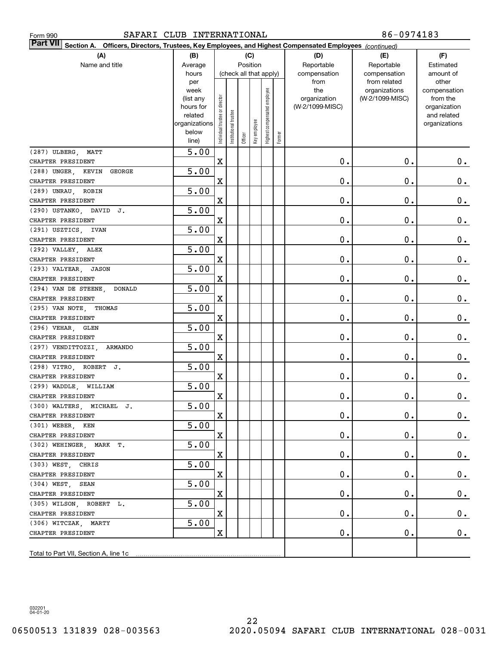| Form 990                                                                                                                  | 86-0974183<br>SAFARI CLUB INTERNATIONAL |                                |                       |            |              |                        |        |                 |                               |                       |
|---------------------------------------------------------------------------------------------------------------------------|-----------------------------------------|--------------------------------|-----------------------|------------|--------------|------------------------|--------|-----------------|-------------------------------|-----------------------|
| <b>Part VII</b><br>Section A. Officers, Directors, Trustees, Key Employees, and Highest Compensated Employees (continued) |                                         |                                |                       |            |              |                        |        |                 |                               |                       |
| (A)                                                                                                                       | (B)                                     |                                |                       |            | (C)          |                        |        | (D)             | (E)                           | (F)                   |
| Name and title                                                                                                            | Average                                 | Position                       |                       | Reportable | Reportable   | Estimated              |        |                 |                               |                       |
|                                                                                                                           | hours                                   |                                |                       |            |              | (check all that apply) |        | compensation    | compensation                  | amount of             |
|                                                                                                                           | per<br>week                             |                                |                       |            |              |                        |        | from<br>the     | from related<br>organizations | other<br>compensation |
|                                                                                                                           | (list any                               |                                |                       |            |              | employee               |        | organization    | (W-2/1099-MISC)               | from the              |
|                                                                                                                           | hours for                               |                                |                       |            |              |                        |        | (W-2/1099-MISC) |                               | organization          |
|                                                                                                                           | related                                 |                                |                       |            |              |                        |        |                 |                               | and related           |
|                                                                                                                           | organizations                           |                                |                       |            |              |                        |        |                 |                               | organizations         |
|                                                                                                                           | below<br>line)                          | Individual trustee or director | Institutional trustee | Officer    | Key employee | Highest compensated    | Former |                 |                               |                       |
| (287) ULBERG,<br>MATT                                                                                                     | 5.00                                    |                                |                       |            |              |                        |        |                 |                               |                       |
| CHAPTER PRESIDENT                                                                                                         |                                         | $\mathbf X$                    |                       |            |              |                        |        | $\mathbf 0$ .   | 0.                            | $0$ .                 |
| (288) UNGER, KEVIN<br>GEORGE                                                                                              | 5.00                                    |                                |                       |            |              |                        |        |                 |                               |                       |
| CHAPTER PRESIDENT                                                                                                         |                                         | $\mathbf X$                    |                       |            |              |                        |        | $\mathbf 0$ .   | 0.                            | 0.                    |
| (289) UNRAU, ROBIN                                                                                                        | 5.00                                    |                                |                       |            |              |                        |        |                 |                               |                       |
| CHAPTER PRESIDENT                                                                                                         |                                         | $\mathbf X$                    |                       |            |              |                        |        | $\mathbf 0$ .   | 0.                            | $0_{.}$               |
| (290) USTANKO, DAVID J.                                                                                                   | 5.00                                    |                                |                       |            |              |                        |        |                 |                               |                       |
| CHAPTER PRESIDENT                                                                                                         |                                         | $\mathbf X$                    |                       |            |              |                        |        | $\mathbf 0$ .   | 0.                            | $0_{.}$               |
| (291) USZTICS, IVAN                                                                                                       | 5.00                                    |                                |                       |            |              |                        |        |                 |                               |                       |
| CHAPTER PRESIDENT                                                                                                         |                                         | $\mathbf X$                    |                       |            |              |                        |        | $\mathbf 0$ .   | 0.                            | $0_{.}$               |
| (292) VALLEY, ALEX                                                                                                        | 5.00                                    |                                |                       |            |              |                        |        |                 |                               |                       |
| CHAPTER PRESIDENT                                                                                                         |                                         | $\mathbf X$                    |                       |            |              |                        |        | $\mathbf 0$ .   | 0.                            | $0$ .                 |
| (293) VALYEAR,<br>JASON                                                                                                   | 5.00                                    |                                |                       |            |              |                        |        |                 |                               |                       |
| CHAPTER PRESIDENT                                                                                                         |                                         | $\mathbf X$                    |                       |            |              |                        |        | $\mathbf 0$ .   | 0.                            | $0$ .                 |
| (294) VAN DE STEENE,<br><b>DONALD</b>                                                                                     | 5.00                                    |                                |                       |            |              |                        |        |                 |                               |                       |
| CHAPTER PRESIDENT                                                                                                         |                                         | $\mathbf X$                    |                       |            |              |                        |        | $\mathbf 0$ .   | 0.                            | $0$ .                 |
| (295) VAN NOTE,<br>THOMAS                                                                                                 | 5.00                                    |                                |                       |            |              |                        |        |                 |                               |                       |
| CHAPTER PRESIDENT                                                                                                         |                                         | $\mathbf X$                    |                       |            |              |                        |        | $\mathbf 0$ .   | 0.                            | $0$ .                 |
| (296) VEHAR,<br>GLEN                                                                                                      | 5.00                                    |                                |                       |            |              |                        |        |                 |                               |                       |
| CHAPTER PRESIDENT                                                                                                         |                                         | $\mathbf X$                    |                       |            |              |                        |        | $\mathbf 0$ .   | 0.                            | $0$ .                 |
| (297) VENDITTOZZI,<br>ARMANDO                                                                                             | 5.00                                    |                                |                       |            |              |                        |        |                 |                               |                       |
| CHAPTER PRESIDENT                                                                                                         |                                         | $\mathbf X$                    |                       |            |              |                        |        | $\mathbf 0$ .   | 0.                            | 0.                    |
| (298) VITRO, ROBERT J.                                                                                                    | 5.00                                    |                                |                       |            |              |                        |        |                 |                               |                       |
| CHAPTER PRESIDENT                                                                                                         |                                         | $\mathbf X$                    |                       |            |              |                        |        | $\mathbf 0$ .   | 0.                            | $0$ .                 |
| (299) WADDLE, WILLIAM                                                                                                     | 5.00                                    |                                |                       |            |              |                        |        |                 |                               |                       |
| CHAPTER PRESIDENT                                                                                                         |                                         | x                              |                       |            |              |                        |        | $\mathbf 0$ .   | $0$ .                         | 0.                    |
| (300) WALTERS, MICHAEL J.<br>CHAPTER PRESIDENT                                                                            | 5.00                                    | X                              |                       |            |              |                        |        | $\mathbf 0$ .   | $\mathbf 0$ .                 | $0_{.}$               |
| (301) WEBER, KEN                                                                                                          | 5.00                                    |                                |                       |            |              |                        |        |                 |                               |                       |
| CHAPTER PRESIDENT                                                                                                         |                                         | X                              |                       |            |              |                        |        | 0.              | $\mathbf 0$ .                 | $0$ .                 |
| (302) WEHINGER, MARK T.                                                                                                   | 5.00                                    |                                |                       |            |              |                        |        |                 |                               |                       |
| CHAPTER PRESIDENT                                                                                                         |                                         | X                              |                       |            |              |                        |        | 0.              | $\mathbf 0$ .                 | $0$ .                 |
| (303) WEST, CHRIS                                                                                                         | 5.00                                    |                                |                       |            |              |                        |        |                 |                               |                       |
| CHAPTER PRESIDENT                                                                                                         |                                         | X                              |                       |            |              |                        |        | $\mathbf 0$ .   | $\mathbf 0$ .                 | $0$ .                 |
| $(304)$ WEST, SEAN                                                                                                        | 5.00                                    |                                |                       |            |              |                        |        |                 |                               |                       |
| CHAPTER PRESIDENT                                                                                                         |                                         | X                              |                       |            |              |                        |        | $\mathbf 0$ .   | $\mathbf 0$ .                 | $0$ .                 |
| (305) WILSON, ROBERT L.                                                                                                   | 5.00                                    |                                |                       |            |              |                        |        |                 |                               |                       |
| CHAPTER PRESIDENT                                                                                                         |                                         | X                              |                       |            |              |                        |        | $\mathbf 0$ .   | $\mathbf 0$ .                 | 0.                    |
| (306) WITCZAK, MARTY                                                                                                      | 5.00                                    |                                |                       |            |              |                        |        |                 |                               |                       |
| CHAPTER PRESIDENT                                                                                                         |                                         | X                              |                       |            |              |                        |        | $\mathbf 0$ .   | $\mathbf 0$ .                 | 0.                    |
|                                                                                                                           |                                         |                                |                       |            |              |                        |        |                 |                               |                       |
|                                                                                                                           |                                         |                                |                       |            |              |                        |        |                 |                               |                       |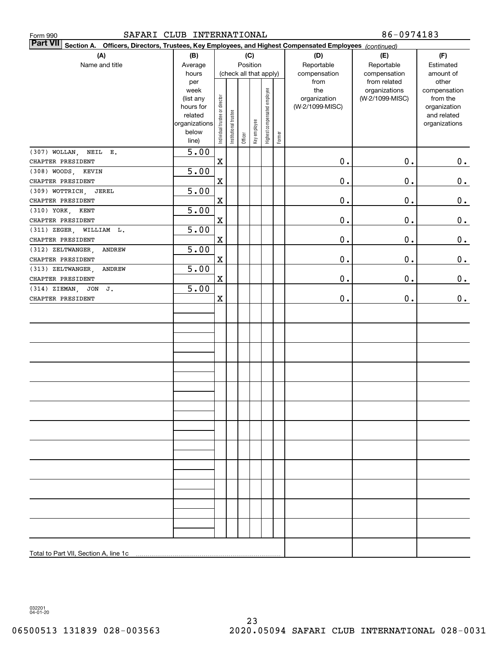| SAFARI CLUB INTERNATIONAL<br>Form 990                                                                                        |               |                                |                       |         |                        |                              |        |                 | 86-0974183                       |                          |
|------------------------------------------------------------------------------------------------------------------------------|---------------|--------------------------------|-----------------------|---------|------------------------|------------------------------|--------|-----------------|----------------------------------|--------------------------|
| <b>Part VII</b><br>Section A.<br>Officers, Directors, Trustees, Key Employees, and Highest Compensated Employees (continued) |               |                                |                       |         |                        |                              |        |                 |                                  |                          |
| (A)                                                                                                                          | (B)           |                                |                       |         | (C)                    |                              |        | (D)             | (E)                              | (F)                      |
| Name and title                                                                                                               | Average       |                                |                       |         | Position               |                              |        | Reportable      | Reportable                       | Estimated                |
|                                                                                                                              | hours         |                                |                       |         | (check all that apply) |                              |        | compensation    | compensation                     | amount of                |
|                                                                                                                              | per<br>week   |                                |                       |         |                        |                              |        | from<br>the     | from related                     | other                    |
|                                                                                                                              | (list any     |                                |                       |         |                        | Highest compensated employee |        | organization    | organizations<br>(W-2/1099-MISC) | compensation<br>from the |
|                                                                                                                              | hours for     |                                |                       |         |                        |                              |        | (W-2/1099-MISC) |                                  | organization             |
|                                                                                                                              | related       |                                |                       |         |                        |                              |        |                 |                                  | and related              |
|                                                                                                                              | organizations |                                |                       |         |                        |                              |        |                 |                                  | organizations            |
|                                                                                                                              | below         | Individual trustee or director | Institutional trustee | Officer | Key employee           |                              | Former |                 |                                  |                          |
|                                                                                                                              | line)         |                                |                       |         |                        |                              |        |                 |                                  |                          |
| (307) WOLLAN, NEIL E.<br>CHAPTER PRESIDENT                                                                                   | 5.00          | $\mathbf X$                    |                       |         |                        |                              |        | 0.              | 0.                               |                          |
| (308) WOODS, KEVIN                                                                                                           | 5.00          |                                |                       |         |                        |                              |        |                 |                                  | 0.                       |
| CHAPTER PRESIDENT                                                                                                            |               | $\mathbf X$                    |                       |         |                        |                              |        | 0.              | 0.                               | 0.                       |
| (309) WOTTRICH, JEREL                                                                                                        | 5.00          |                                |                       |         |                        |                              |        |                 |                                  |                          |
| CHAPTER PRESIDENT                                                                                                            |               | $\mathbf X$                    |                       |         |                        |                              |        | 0.              | 0.                               | $0_{.}$                  |
| (310) YORK,<br>KENT                                                                                                          | 5.00          |                                |                       |         |                        |                              |        |                 |                                  |                          |
| CHAPTER PRESIDENT                                                                                                            |               | $\mathbf X$                    |                       |         |                        |                              |        | 0.              | 0.                               | 0.                       |
| (311) ZEGER, WILLIAM L.                                                                                                      | 5.00          |                                |                       |         |                        |                              |        |                 |                                  |                          |
| CHAPTER PRESIDENT                                                                                                            |               | $\mathbf X$                    |                       |         |                        |                              |        | 0.              | 0.                               | $0_{.}$                  |
| (312) ZELTWANGER,<br>ANDREW                                                                                                  | 5.00          |                                |                       |         |                        |                              |        |                 |                                  |                          |
| CHAPTER PRESIDENT                                                                                                            |               | $\mathbf X$                    |                       |         |                        |                              |        | 0.              | 0.                               | 0.                       |
| (313) ZELTWANGER,<br>ANDREW                                                                                                  | 5.00          |                                |                       |         |                        |                              |        |                 |                                  |                          |
| CHAPTER PRESIDENT                                                                                                            |               | $\mathbf X$                    |                       |         |                        |                              |        | 0.              | 0.                               | 0.                       |
| (314) ZIEMAN, JON J.                                                                                                         | 5.00          |                                |                       |         |                        |                              |        |                 |                                  |                          |
| CHAPTER PRESIDENT                                                                                                            |               | $\mathbf X$                    |                       |         |                        |                              |        | 0.              | $\mathbf 0$ .                    | 0.                       |
|                                                                                                                              |               |                                |                       |         |                        |                              |        |                 |                                  |                          |
|                                                                                                                              |               |                                |                       |         |                        |                              |        |                 |                                  |                          |
|                                                                                                                              |               |                                |                       |         |                        |                              |        |                 |                                  |                          |
|                                                                                                                              |               |                                |                       |         |                        |                              |        |                 |                                  |                          |
|                                                                                                                              |               |                                |                       |         |                        |                              |        |                 |                                  |                          |
|                                                                                                                              |               |                                |                       |         |                        |                              |        |                 |                                  |                          |
|                                                                                                                              |               |                                |                       |         |                        |                              |        |                 |                                  |                          |
|                                                                                                                              |               |                                |                       |         |                        |                              |        |                 |                                  |                          |
|                                                                                                                              |               |                                |                       |         |                        |                              |        |                 |                                  |                          |
|                                                                                                                              |               |                                |                       |         |                        |                              |        |                 |                                  |                          |
|                                                                                                                              |               |                                |                       |         |                        |                              |        |                 |                                  |                          |
|                                                                                                                              |               |                                |                       |         |                        |                              |        |                 |                                  |                          |
|                                                                                                                              |               |                                |                       |         |                        |                              |        |                 |                                  |                          |
|                                                                                                                              |               |                                |                       |         |                        |                              |        |                 |                                  |                          |
|                                                                                                                              |               |                                |                       |         |                        |                              |        |                 |                                  |                          |
|                                                                                                                              |               |                                |                       |         |                        |                              |        |                 |                                  |                          |
|                                                                                                                              |               |                                |                       |         |                        |                              |        |                 |                                  |                          |
|                                                                                                                              |               |                                |                       |         |                        |                              |        |                 |                                  |                          |
|                                                                                                                              |               |                                |                       |         |                        |                              |        |                 |                                  |                          |
|                                                                                                                              |               |                                |                       |         |                        |                              |        |                 |                                  |                          |
|                                                                                                                              |               |                                |                       |         |                        |                              |        |                 |                                  |                          |
|                                                                                                                              |               |                                |                       |         |                        |                              |        |                 |                                  |                          |
|                                                                                                                              |               |                                |                       |         |                        |                              |        |                 |                                  |                          |
| Total to Part VII, Section A, line 1c                                                                                        |               |                                |                       |         |                        |                              |        |                 |                                  |                          |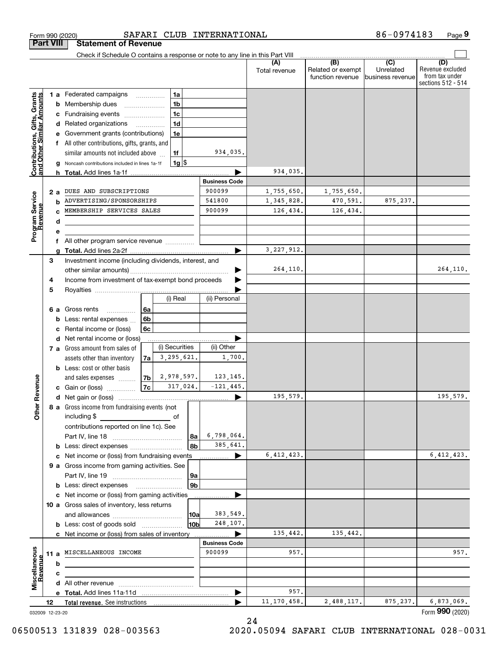| Form 990 (2020)                                           |    |        |                                                                               |                          |                |                      | SAFARI CLUB INTERNATIONAL      |                      |                                                           | 86-0974183                                      | Page 9                                                          |
|-----------------------------------------------------------|----|--------|-------------------------------------------------------------------------------|--------------------------|----------------|----------------------|--------------------------------|----------------------|-----------------------------------------------------------|-------------------------------------------------|-----------------------------------------------------------------|
| <b>Part VIII</b>                                          |    |        | <b>Statement of Revenue</b>                                                   |                          |                |                      |                                |                      |                                                           |                                                 |                                                                 |
|                                                           |    |        | Check if Schedule O contains a response or note to any line in this Part VIII |                          |                |                      |                                |                      |                                                           |                                                 |                                                                 |
|                                                           |    |        |                                                                               |                          |                |                      |                                | (A)<br>Total revenue | $\overline{(B)}$<br>Related or exempt<br>function revenue | $\overline{C}$<br>Unrelated<br>business revenue | (D)<br>Revenue excluded<br>from tax under<br>sections 512 - 514 |
|                                                           |    |        | 1 a Federated campaigns                                                       |                          | 1a             |                      |                                |                      |                                                           |                                                 |                                                                 |
|                                                           |    | b      | Membership dues                                                               |                          | 1 <sub>b</sub> |                      |                                |                      |                                                           |                                                 |                                                                 |
|                                                           |    |        | Fundraising events                                                            |                          | 1 <sub>c</sub> |                      |                                |                      |                                                           |                                                 |                                                                 |
|                                                           |    |        | d Related organizations                                                       | $\overline{\phantom{a}}$ | 1 <sub>d</sub> |                      |                                |                      |                                                           |                                                 |                                                                 |
|                                                           |    |        | e Government grants (contributions)                                           |                          | 1e             |                      |                                |                      |                                                           |                                                 |                                                                 |
|                                                           |    |        | f All other contributions, gifts, grants, and                                 |                          |                |                      |                                |                      |                                                           |                                                 |                                                                 |
| Contributions, Gifts, Grants<br>and Other Similar Amounts |    |        | similar amounts not included above                                            |                          | 1f             |                      | 934,035.                       |                      |                                                           |                                                 |                                                                 |
|                                                           |    | g      | Noncash contributions included in lines 1a-1f                                 |                          | $1g$ \$        |                      |                                |                      |                                                           |                                                 |                                                                 |
|                                                           |    |        |                                                                               |                          |                |                      | <b>Business Code</b>           | 934,035.             |                                                           |                                                 |                                                                 |
|                                                           | 2a |        | DUES AND SUBSCRIPTIONS                                                        |                          |                |                      | 900099                         | 1,755,650.           | 1,755,650.                                                |                                                 |                                                                 |
| Program Service<br>Revenue                                |    |        | ADVERTISING/SPONSORSHIPS                                                      |                          |                |                      | 541800                         | 1,345,828.           | 470,591.                                                  | 875, 237.                                       |                                                                 |
|                                                           |    |        | MEMBERSHIP SERVICES SALES                                                     |                          |                |                      | 900099                         | 126,434.             | 126,434.                                                  |                                                 |                                                                 |
|                                                           |    | d      |                                                                               |                          |                |                      |                                |                      |                                                           |                                                 |                                                                 |
|                                                           |    |        |                                                                               |                          |                |                      |                                |                      |                                                           |                                                 |                                                                 |
|                                                           |    |        | f All other program service revenue                                           |                          |                |                      |                                |                      |                                                           |                                                 |                                                                 |
|                                                           |    |        |                                                                               |                          |                |                      |                                | 3, 227, 912.         |                                                           |                                                 |                                                                 |
|                                                           | 3  |        | Investment income (including dividends, interest, and                         |                          |                |                      |                                |                      |                                                           |                                                 |                                                                 |
|                                                           |    |        |                                                                               |                          |                |                      |                                | 264,110.             |                                                           |                                                 | 264,110.                                                        |
|                                                           | 4  |        | Income from investment of tax-exempt bond proceeds                            |                          |                |                      |                                |                      |                                                           |                                                 |                                                                 |
|                                                           | 5  |        |                                                                               |                          | (i) Real       |                      | (ii) Personal                  |                      |                                                           |                                                 |                                                                 |
|                                                           |    |        |                                                                               |                          |                |                      |                                |                      |                                                           |                                                 |                                                                 |
|                                                           |    |        | 6 a Gross rents<br>.<br>Less: rental expenses                                 | 6a<br>6b                 |                |                      |                                |                      |                                                           |                                                 |                                                                 |
|                                                           |    |        | Rental income or (loss)                                                       | 6c                       |                |                      |                                |                      |                                                           |                                                 |                                                                 |
|                                                           |    | d      | Net rental income or (loss)                                                   |                          |                |                      |                                |                      |                                                           |                                                 |                                                                 |
|                                                           |    |        | 7 a Gross amount from sales of                                                |                          | (i) Securities |                      | (ii) Other                     |                      |                                                           |                                                 |                                                                 |
|                                                           |    |        | assets other than inventory                                                   | 7a                       | 3,295,621.     |                      | 1,700.                         |                      |                                                           |                                                 |                                                                 |
|                                                           |    |        | <b>b</b> Less: cost or other basis                                            |                          |                |                      |                                |                      |                                                           |                                                 |                                                                 |
|                                                           |    |        | and sales expenses                                                            | 7b                       | 2,978,597.     |                      | 123,145.                       |                      |                                                           |                                                 |                                                                 |
| evenue                                                    |    |        | c Gain or (loss)                                                              | 7c                       | 317,024.       |                      | $-121, 445.$                   |                      |                                                           |                                                 |                                                                 |
| č                                                         |    |        |                                                                               |                          |                |                      |                                | 195,579.             |                                                           |                                                 | 195,579.                                                        |
| Other                                                     |    |        | 8 a Gross income from fundraising events (not                                 |                          |                |                      |                                |                      |                                                           |                                                 |                                                                 |
|                                                           |    |        | including \$                                                                  |                          |                |                      |                                |                      |                                                           |                                                 |                                                                 |
|                                                           |    |        | contributions reported on line 1c). See                                       |                          |                |                      | 6,798,064.                     |                      |                                                           |                                                 |                                                                 |
|                                                           |    |        | <b>b</b> Less: direct expenses <i></i>                                        |                          |                | 8a<br>8 <sub>b</sub> | 385,641.                       |                      |                                                           |                                                 |                                                                 |
|                                                           |    |        | c Net income or (loss) from fundraising events                                |                          |                |                      |                                | 6,412,423.           |                                                           |                                                 | 6,412,423.                                                      |
|                                                           |    |        | 9 a Gross income from gaming activities. See                                  |                          |                |                      |                                |                      |                                                           |                                                 |                                                                 |
|                                                           |    |        |                                                                               |                          |                | 9a                   |                                |                      |                                                           |                                                 |                                                                 |
|                                                           |    |        |                                                                               |                          |                | 9 <sub>b</sub>       |                                |                      |                                                           |                                                 |                                                                 |
|                                                           |    |        | c Net income or (loss) from gaming activities                                 |                          |                |                      |                                |                      |                                                           |                                                 |                                                                 |
|                                                           |    |        | 10 a Gross sales of inventory, less returns                                   |                          |                |                      |                                |                      |                                                           |                                                 |                                                                 |
|                                                           |    |        |                                                                               |                          |                | 10a                  | 383,549.                       |                      |                                                           |                                                 |                                                                 |
|                                                           |    |        |                                                                               |                          |                | 10 <sub>b</sub>      | 248,107.                       |                      |                                                           |                                                 |                                                                 |
|                                                           |    |        | c Net income or (loss) from sales of inventory                                |                          |                |                      |                                | 135,442.             | 135,442.                                                  |                                                 |                                                                 |
|                                                           |    |        | 11 a MISCELLANEOUS INCOME                                                     |                          |                |                      | <b>Business Code</b><br>900099 | 957.                 |                                                           |                                                 | 957.                                                            |
|                                                           |    |        |                                                                               |                          |                |                      |                                |                      |                                                           |                                                 |                                                                 |
| Revenue                                                   |    | b<br>c |                                                                               |                          |                |                      |                                |                      |                                                           |                                                 |                                                                 |
| Miscellaneous                                             |    |        |                                                                               |                          |                |                      |                                |                      |                                                           |                                                 |                                                                 |
|                                                           |    |        |                                                                               |                          |                |                      |                                | 957.                 |                                                           |                                                 |                                                                 |
|                                                           | 12 |        | Total revenue. See instructions                                               |                          |                |                      |                                | 11, 170, 458.        | 2,488,117.                                                | 875, 237.                                       | 6,873,069.                                                      |
| 032009 12-23-20                                           |    |        |                                                                               |                          |                |                      |                                |                      |                                                           |                                                 | Form 990 (2020)                                                 |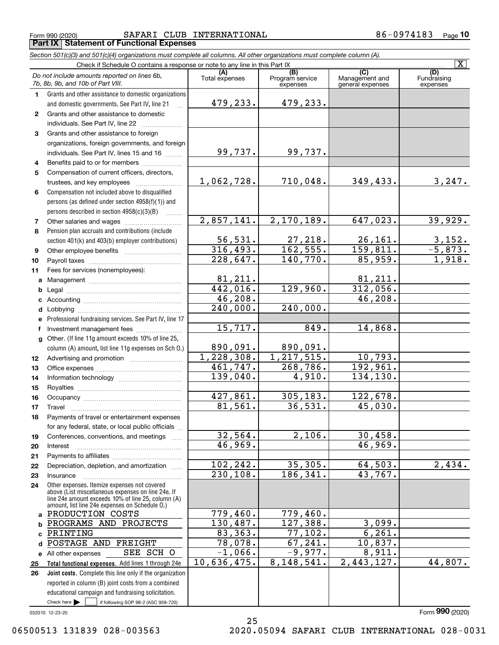Form 990 (2020) SAFARI CLUB INTERNATIONAL 8 6-0974183 Page **Part IX Statement of Functional Expenses**

|    | Section 501(c)(3) and 501(c)(4) organizations must complete all columns. All other organizations must complete column (A).                                                                                                                                                                                                                                                                                                                                                             |                            |                                    |                                           |                                |
|----|----------------------------------------------------------------------------------------------------------------------------------------------------------------------------------------------------------------------------------------------------------------------------------------------------------------------------------------------------------------------------------------------------------------------------------------------------------------------------------------|----------------------------|------------------------------------|-------------------------------------------|--------------------------------|
|    | Check if Schedule O contains a response or note to any line in this Part IX                                                                                                                                                                                                                                                                                                                                                                                                            |                            |                                    |                                           | $\overline{\mathbf{X}}$        |
|    | Do not include amounts reported on lines 6b,<br>7b, 8b, 9b, and 10b of Part VIII.                                                                                                                                                                                                                                                                                                                                                                                                      | (A)<br>Total expenses      | (B)<br>Program service<br>expenses | (C)<br>Management and<br>general expenses | (D)<br>Fundraising<br>expenses |
| 1. | Grants and other assistance to domestic organizations                                                                                                                                                                                                                                                                                                                                                                                                                                  |                            |                                    |                                           |                                |
|    | and domestic governments. See Part IV, line 21                                                                                                                                                                                                                                                                                                                                                                                                                                         | 479,233.                   | 479,233.                           |                                           |                                |
| 2  | Grants and other assistance to domestic                                                                                                                                                                                                                                                                                                                                                                                                                                                |                            |                                    |                                           |                                |
|    | individuals. See Part IV, line 22                                                                                                                                                                                                                                                                                                                                                                                                                                                      |                            |                                    |                                           |                                |
| 3  | Grants and other assistance to foreign                                                                                                                                                                                                                                                                                                                                                                                                                                                 |                            |                                    |                                           |                                |
|    | organizations, foreign governments, and foreign                                                                                                                                                                                                                                                                                                                                                                                                                                        |                            |                                    |                                           |                                |
|    | individuals. See Part IV, lines 15 and 16                                                                                                                                                                                                                                                                                                                                                                                                                                              | 99,737.                    | 99,737.                            |                                           |                                |
| 4  | Benefits paid to or for members                                                                                                                                                                                                                                                                                                                                                                                                                                                        |                            |                                    |                                           |                                |
| 5  | Compensation of current officers, directors,                                                                                                                                                                                                                                                                                                                                                                                                                                           |                            |                                    |                                           |                                |
|    | trustees, and key employees                                                                                                                                                                                                                                                                                                                                                                                                                                                            | <u>1,062,728.</u>          | 710,048.                           | 349,433.                                  | <u>3,247.</u>                  |
| 6  | Compensation not included above to disqualified                                                                                                                                                                                                                                                                                                                                                                                                                                        |                            |                                    |                                           |                                |
|    | persons (as defined under section 4958(f)(1)) and                                                                                                                                                                                                                                                                                                                                                                                                                                      |                            |                                    |                                           |                                |
|    | persons described in section 4958(c)(3)(B)                                                                                                                                                                                                                                                                                                                                                                                                                                             |                            |                                    |                                           |                                |
| 7  | Other salaries and wages                                                                                                                                                                                                                                                                                                                                                                                                                                                               | 2,857,141.                 | 2,170,189.                         | 647,023.                                  | 39,929.                        |
| 8  | Pension plan accruals and contributions (include                                                                                                                                                                                                                                                                                                                                                                                                                                       |                            |                                    |                                           |                                |
|    | section 401(k) and 403(b) employer contributions)                                                                                                                                                                                                                                                                                                                                                                                                                                      | $\frac{56,531}{316,493}$ . | $\frac{27,218}{162,555}$           | $\frac{26,161.}{159,811.}$                | $\frac{3,152}{-5,873}$ .       |
| 9  |                                                                                                                                                                                                                                                                                                                                                                                                                                                                                        |                            |                                    |                                           |                                |
| 10 |                                                                                                                                                                                                                                                                                                                                                                                                                                                                                        | $\overline{228,647}$ .     | 140,770.                           | 85,959.                                   | 1,918.                         |
| 11 | Fees for services (nonemployees):                                                                                                                                                                                                                                                                                                                                                                                                                                                      |                            |                                    |                                           |                                |
| a  |                                                                                                                                                                                                                                                                                                                                                                                                                                                                                        | 81,211.                    |                                    | 81,211.                                   |                                |
| b  |                                                                                                                                                                                                                                                                                                                                                                                                                                                                                        | 442,016.                   | 129,960.                           | 312,056.                                  |                                |
| с  |                                                                                                                                                                                                                                                                                                                                                                                                                                                                                        | 46,208.                    |                                    | 46,208.                                   |                                |
| d  |                                                                                                                                                                                                                                                                                                                                                                                                                                                                                        | $\overline{240,000}$ .     | 240,000.                           |                                           |                                |
| е  | Professional fundraising services. See Part IV, line 17                                                                                                                                                                                                                                                                                                                                                                                                                                |                            |                                    |                                           |                                |
| f  | Investment management fees                                                                                                                                                                                                                                                                                                                                                                                                                                                             | 15,717.                    | 849.                               | 14,868.                                   |                                |
| g  | Other. (If line 11g amount exceeds 10% of line 25,                                                                                                                                                                                                                                                                                                                                                                                                                                     |                            |                                    |                                           |                                |
|    | column (A) amount, list line 11g expenses on Sch O.)                                                                                                                                                                                                                                                                                                                                                                                                                                   | 890,091.                   | 890,091.                           |                                           |                                |
| 12 |                                                                                                                                                                                                                                                                                                                                                                                                                                                                                        | 1,228,308.                 | $\overline{1, 217, 515}$ .         | 10,793.                                   |                                |
| 13 |                                                                                                                                                                                                                                                                                                                                                                                                                                                                                        | 461,747.                   | 268,786.                           | 192,961.                                  |                                |
| 14 |                                                                                                                                                                                                                                                                                                                                                                                                                                                                                        | 139,040.                   | 4,910.                             | 134,130.                                  |                                |
| 15 |                                                                                                                                                                                                                                                                                                                                                                                                                                                                                        |                            |                                    |                                           |                                |
| 16 |                                                                                                                                                                                                                                                                                                                                                                                                                                                                                        | 427,861.                   | 305,183.                           | 122,678.                                  |                                |
| 17 | $\begin{minipage}{0.5\textwidth} \centering \begin{tabular}{ c c c c } \hline \textbf{Travel} & \textbf{if} & \textbf{if} & \textbf{if} \\ \hline \textbf{if} & \textbf{if} & \textbf{if} \\ \hline \textbf{if} & \textbf{if} & \textbf{if} \\ \hline \textbf{if} & \textbf{if} \\ \hline \textbf{if} & \textbf{if} \\ \hline \textbf{if} & \textbf{if} \\ \hline \textbf{if} & \textbf{if} \\ \hline \textbf{if} & \textbf{if} \\ \hline \textbf{if} & \textbf{if} \\ \hline \textbf$ | 81,561.                    | 36,531.                            | 45,030.                                   |                                |
| 18 | Payments of travel or entertainment expenses                                                                                                                                                                                                                                                                                                                                                                                                                                           |                            |                                    |                                           |                                |
|    | for any federal, state, or local public officials                                                                                                                                                                                                                                                                                                                                                                                                                                      |                            |                                    |                                           |                                |
| 19 | Conferences, conventions, and meetings                                                                                                                                                                                                                                                                                                                                                                                                                                                 | 32,564.<br>46,969.         | 2,106.                             | 30,458.<br>46,969.                        |                                |
| 20 | Interest                                                                                                                                                                                                                                                                                                                                                                                                                                                                               |                            |                                    |                                           |                                |
| 21 |                                                                                                                                                                                                                                                                                                                                                                                                                                                                                        | 102,242.                   | 35,305.                            | 64,503.                                   | 2,434.                         |
| 22 | Depreciation, depletion, and amortization                                                                                                                                                                                                                                                                                                                                                                                                                                              | 230,108.                   | 186,341.                           | 43,767.                                   |                                |
| 23 | Insurance                                                                                                                                                                                                                                                                                                                                                                                                                                                                              |                            |                                    |                                           |                                |
| 24 | Other expenses. Itemize expenses not covered<br>above (List miscellaneous expenses on line 24e. If<br>line 24e amount exceeds 10% of line 25, column (A)<br>amount, list line 24e expenses on Schedule O.)                                                                                                                                                                                                                                                                             |                            |                                    |                                           |                                |
| a  | PRODUCTION COSTS                                                                                                                                                                                                                                                                                                                                                                                                                                                                       | 779,460.                   | 779,460.                           |                                           |                                |
| b  | PROGRAMS AND PROJECTS                                                                                                                                                                                                                                                                                                                                                                                                                                                                  | 130,487.                   | 127,388.                           | 3,099.                                    |                                |
| c  | PRINTING                                                                                                                                                                                                                                                                                                                                                                                                                                                                               | 83,363.                    | 77,102.                            | 6, 261.                                   |                                |
| d  | POSTAGE AND<br>FREIGHT                                                                                                                                                                                                                                                                                                                                                                                                                                                                 | 78,078.                    | 67,241.                            | 10,837.                                   |                                |
|    | ${\tt SEE}$<br>SCH O<br>e All other expenses                                                                                                                                                                                                                                                                                                                                                                                                                                           | $-1,066$ .                 | $-9,977.$                          | 8,911.                                    |                                |
| 25 | Total functional expenses. Add lines 1 through 24e                                                                                                                                                                                                                                                                                                                                                                                                                                     | 10,636,475.                | 8, 148, 541.                       | 2,443,127.                                | 44,807.                        |
|    |                                                                                                                                                                                                                                                                                                                                                                                                                                                                                        |                            |                                    |                                           |                                |

Check here  $\bullet$  if following SOP 98-2 (ASC 958-720) **Joint costs.** Complete this line only if the organization **26** reported in column (B) joint costs from a combined educational campaign and fundraising solicitation. Check here  $\blacktriangleright$ 

032010 12-23-20

Form (2020) **990**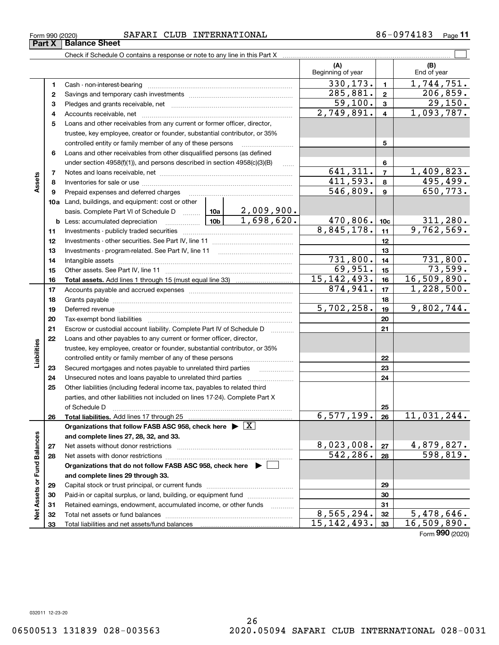|               | 4  |                                                                                                                                                                                                                                |                     |            | 2,749,891.    | 4               | 1,093,787.      |
|---------------|----|--------------------------------------------------------------------------------------------------------------------------------------------------------------------------------------------------------------------------------|---------------------|------------|---------------|-----------------|-----------------|
|               | 5  | Loans and other receivables from any current or former officer, director,                                                                                                                                                      |                     |            |               |                 |                 |
|               |    | trustee, key employee, creator or founder, substantial contributor, or 35%                                                                                                                                                     |                     |            |               |                 |                 |
|               |    | controlled entity or family member of any of these persons                                                                                                                                                                     |                     |            |               | 5               |                 |
|               | 6  | Loans and other receivables from other disqualified persons (as defined                                                                                                                                                        |                     |            |               |                 |                 |
|               |    | under section $4958(f)(1)$ , and persons described in section $4958(c)(3)(B)$                                                                                                                                                  |                     | $\ldots$   |               | 6               |                 |
|               | 7  |                                                                                                                                                                                                                                |                     |            | 641, 311.     | $\overline{7}$  | 1,409,823.      |
| Assets        | 8  |                                                                                                                                                                                                                                |                     |            | 411,593.      | 8               | 495,499.        |
|               | 9  | Prepaid expenses and deferred charges                                                                                                                                                                                          |                     |            | 546,809.      | 9               | 650,773.        |
|               |    | 10a Land, buildings, and equipment: cost or other                                                                                                                                                                              |                     |            |               |                 |                 |
|               |    | basis. Complete Part VI of Schedule D  10a                                                                                                                                                                                     |                     | 2,009,900. |               |                 |                 |
|               |    |                                                                                                                                                                                                                                |                     | 1,698,620. | 470,806.      | 10 <sub>c</sub> | 311,280.        |
|               | 11 |                                                                                                                                                                                                                                |                     |            | 8,845,178.    | 11              | 9,762,569.      |
|               | 12 |                                                                                                                                                                                                                                |                     |            |               | 12              |                 |
|               | 13 |                                                                                                                                                                                                                                |                     |            |               | 13              |                 |
|               | 14 |                                                                                                                                                                                                                                |                     |            | 731,800.      | 14              | 731,800.        |
|               | 15 |                                                                                                                                                                                                                                |                     |            | 69,951.       | 15              | 73,599.         |
|               | 16 |                                                                                                                                                                                                                                |                     |            | 15, 142, 493. | 16              | 16,509,890.     |
|               | 17 |                                                                                                                                                                                                                                |                     |            | 874,941.      | 17              | 1,228,500.      |
|               | 18 |                                                                                                                                                                                                                                |                     |            |               | 18              |                 |
|               | 19 | Deferred revenue manual contracts and contracts are all the contracts and contracts are contracted and contracts are contracted and contract are contracted and contract are contracted and contract are contracted and contra |                     | 5,702,258. | 19            | 9,802,744.      |                 |
|               | 20 |                                                                                                                                                                                                                                |                     |            | 20            |                 |                 |
|               | 21 | Escrow or custodial account liability. Complete Part IV of Schedule D                                                                                                                                                          | 1.1.1.1.1.1.1.1.1.1 |            | 21            |                 |                 |
|               | 22 | Loans and other payables to any current or former officer, director,                                                                                                                                                           |                     |            |               |                 |                 |
|               |    | trustee, key employee, creator or founder, substantial contributor, or 35%                                                                                                                                                     |                     |            |               |                 |                 |
| Liabilities   |    | controlled entity or family member of any of these persons                                                                                                                                                                     |                     |            |               | 22              |                 |
|               | 23 | Secured mortgages and notes payable to unrelated third parties                                                                                                                                                                 |                     | .          |               | 23              |                 |
|               | 24 |                                                                                                                                                                                                                                |                     |            |               | 24              |                 |
|               | 25 | Other liabilities (including federal income tax, payables to related third                                                                                                                                                     |                     |            |               |                 |                 |
|               |    | parties, and other liabilities not included on lines 17-24). Complete Part X                                                                                                                                                   |                     |            |               |                 |                 |
|               |    | of Schedule D                                                                                                                                                                                                                  |                     |            |               | 25              |                 |
|               | 26 | Total liabilities. Add lines 17 through 25                                                                                                                                                                                     |                     |            | 6,577,199.    | 26              | 11,031,244.     |
|               |    | Organizations that follow FASB ASC 958, check here $\triangleright \lfloor X \rfloor$                                                                                                                                          |                     |            |               |                 |                 |
|               |    | and complete lines 27, 28, 32, and 33.                                                                                                                                                                                         |                     |            |               |                 |                 |
|               | 27 |                                                                                                                                                                                                                                |                     |            | 8,023,008.    | 27              | 4,879,827.      |
| und Balances  | 28 | Net assets with donor restrictions                                                                                                                                                                                             |                     |            | 542, 286.     | 28              | 598,819.        |
|               |    | Organizations that do not follow FASB ASC 958, check here ▶ □                                                                                                                                                                  |                     |            |               |                 |                 |
| щ             |    | and complete lines 29 through 33.                                                                                                                                                                                              |                     |            |               |                 |                 |
|               | 29 |                                                                                                                                                                                                                                |                     |            |               | 29              |                 |
| Net Assets or | 30 | Paid-in or capital surplus, or land, building, or equipment fund                                                                                                                                                               |                     |            |               | 30              |                 |
|               | 31 | Retained earnings, endowment, accumulated income, or other funds                                                                                                                                                               |                     |            |               | 31              |                 |
|               | 32 |                                                                                                                                                                                                                                |                     |            | 8,565,294.    | 32              | 5,478,646.      |
|               | 33 |                                                                                                                                                                                                                                |                     |            | 15, 142, 493. | 33              | 16,509,890.     |
|               |    |                                                                                                                                                                                                                                |                     |            |               |                 | Form 990 (2020) |

Form 990 (2020) SAFARI CLUB INTERNATIONAL 8 6-0974183 Page

**1**Cash - non-interest-bearing ~~~~~~~~~~~~~~~~~~~~~~~~~ **2**Savings and temporary cash investments ~~~~~~~~~~~~~~~~~~**3** Pledges and grants receivable, net **Communication** Pledges and grants receivable, net

Check if Schedule O contains a response or note to any line in this Part X

(B)<br>End of year

 $\mathcal{L}^{\text{max}}$ 

**(A) (B)**

Beginning of year | | End of year

**123**

 $330, 173.$  1,744,751.

 $285,881. | z | 206,859.$ 

 $\begin{array}{|c|c|c|c|c|}\n 59,100 & 3 & 29,150.\n \end{array}$ 

**Part X** | Balance Sheet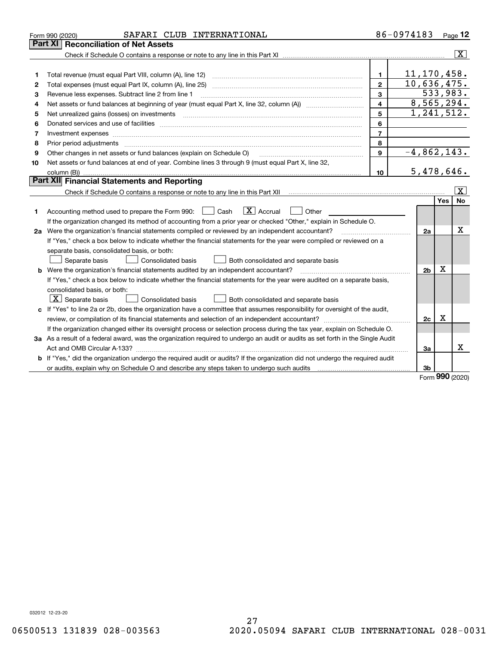|    | SAFARI CLUB INTERNATIONAL<br>Form 990 (2020)                                                                                                                                            |                | 86-0974183                 |     | Page 12                 |
|----|-----------------------------------------------------------------------------------------------------------------------------------------------------------------------------------------|----------------|----------------------------|-----|-------------------------|
|    | <b>Reconciliation of Net Assets</b><br><b>Part XI</b>                                                                                                                                   |                |                            |     |                         |
|    |                                                                                                                                                                                         |                |                            |     | $\overline{\mathbf{x}}$ |
|    |                                                                                                                                                                                         |                |                            |     |                         |
| 1  | Total revenue (must equal Part VIII, column (A), line 12)                                                                                                                               | 1.             | 11, 170, 458.              |     |                         |
| 2  | Total expenses (must equal Part IX, column (A), line 25)                                                                                                                                | $\mathbf{2}$   | 10,636,475.                |     |                         |
| 3  | Revenue less expenses. Subtract line 2 from line 1                                                                                                                                      | 3              |                            |     | 533,983.                |
| 4  | Net assets or fund balances at beginning of year (must equal Part X, line 32, column (A)) <i>massets</i> or fund balances at beginning of year (must equal Part X, line 32, column (A)) | 4              | 8,565,294.                 |     |                         |
| 5  | Net unrealized gains (losses) on investments                                                                                                                                            | 5              | $\overline{1}$ , 241, 512. |     |                         |
| 6  |                                                                                                                                                                                         | 6              |                            |     |                         |
| 7  | Investment expenses www.communication.com/www.communication.com/www.communication.com/www.com                                                                                           | $\overline{7}$ |                            |     |                         |
| 8  | Prior period adjustments                                                                                                                                                                | 8              |                            |     |                         |
| 9  | Other changes in net assets or fund balances (explain on Schedule O)                                                                                                                    | 9              | $-4,862,143.$              |     |                         |
| 10 | Net assets or fund balances at end of year. Combine lines 3 through 9 (must equal Part X, line 32,                                                                                      |                |                            |     |                         |
|    |                                                                                                                                                                                         | 10             | 5,478,646.                 |     |                         |
|    | Part XII Financial Statements and Reporting                                                                                                                                             |                |                            |     |                         |
|    |                                                                                                                                                                                         |                |                            |     | $\overline{\mathbf{x}}$ |
|    |                                                                                                                                                                                         |                |                            | Yes | No                      |
| 1  | $\boxed{\mathbf{X}}$ Accrual<br>Accounting method used to prepare the Form 990: <u>June</u> Cash<br>Other                                                                               |                |                            |     |                         |
|    | If the organization changed its method of accounting from a prior year or checked "Other," explain in Schedule O.                                                                       |                |                            |     |                         |
|    | 2a Were the organization's financial statements compiled or reviewed by an independent accountant?                                                                                      |                | 2a                         |     | Χ                       |
|    | If "Yes," check a box below to indicate whether the financial statements for the year were compiled or reviewed on a                                                                    |                |                            |     |                         |
|    | separate basis, consolidated basis, or both:                                                                                                                                            |                |                            |     |                         |
|    | Separate basis<br><b>Consolidated basis</b><br>Both consolidated and separate basis                                                                                                     |                |                            |     |                         |
|    | <b>b</b> Were the organization's financial statements audited by an independent accountant?                                                                                             |                | 2 <sub>b</sub>             | х   |                         |
|    | If "Yes," check a box below to indicate whether the financial statements for the year were audited on a separate basis,                                                                 |                |                            |     |                         |
|    | consolidated basis, or both:                                                                                                                                                            |                |                            |     |                         |
|    | $\vert X \vert$ Separate basis<br>Consolidated basis<br>Both consolidated and separate basis                                                                                            |                |                            |     |                         |
|    | c If "Yes" to line 2a or 2b, does the organization have a committee that assumes responsibility for oversight of the audit,                                                             |                |                            |     |                         |
|    |                                                                                                                                                                                         |                | 2c                         | x   |                         |
|    | If the organization changed either its oversight process or selection process during the tax year, explain on Schedule O.                                                               |                |                            |     |                         |
|    | 3a As a result of a federal award, was the organization required to undergo an audit or audits as set forth in the Single Audit                                                         |                |                            |     |                         |
|    |                                                                                                                                                                                         |                | 3a                         |     | x                       |
|    | b If "Yes," did the organization undergo the required audit or audits? If the organization did not undergo the required audit                                                           |                |                            |     |                         |
|    |                                                                                                                                                                                         |                | 3b                         |     |                         |

Form (2020) **990**

032012 12-23-20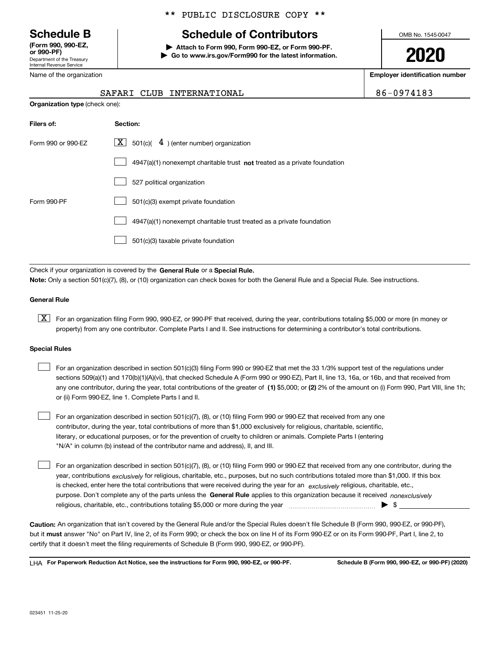Department of the Treasury Internal Revenue Service **(Form 990, 990-EZ, or 990-PF)**

Name of the organization

**Organization type** (check one):

### \*\* PUBLIC DISCLOSURE COPY \*\*

# **Schedule B Schedule of Contributors**

**| Attach to Form 990, Form 990-EZ, or Form 990-PF. | Go to www.irs.gov/Form990 for the latest information.** OMB No. 1545-0047

**2020**

**Employer identification number**

| $6 - 0974183$ |  |
|---------------|--|
|---------------|--|

|  | SAFARI CLUB INTERNATIONAL | 86-0974183 |
|--|---------------------------|------------|
|  |                           |            |

| Filers of:         | Section:                                                                    |
|--------------------|-----------------------------------------------------------------------------|
| Form 990 or 990-EZ | X  <br>501(c)( $\frac{4}{}$ ) (enter number) organization                   |
|                    | $4947(a)(1)$ nonexempt charitable trust not treated as a private foundation |
|                    | 527 political organization                                                  |
| Form 990-PF        | 501(c)(3) exempt private foundation                                         |
|                    | 4947(a)(1) nonexempt charitable trust treated as a private foundation       |
|                    | 501(c)(3) taxable private foundation                                        |

Check if your organization is covered by the **General Rule** or a **Special Rule. Note:**  Only a section 501(c)(7), (8), or (10) organization can check boxes for both the General Rule and a Special Rule. See instructions.

### **General Rule**

 $\boxed{\textbf{X}}$  For an organization filing Form 990, 990-EZ, or 990-PF that received, during the year, contributions totaling \$5,000 or more (in money or property) from any one contributor. Complete Parts I and II. See instructions for determining a contributor's total contributions.

#### **Special Rules**

| For an organization described in section 501(c)(3) filing Form 990 or 990-EZ that met the 33 1/3% support test of the regulations under               |
|-------------------------------------------------------------------------------------------------------------------------------------------------------|
| sections 509(a)(1) and 170(b)(1)(A)(vi), that checked Schedule A (Form 990 or 990-EZ), Part II, line 13, 16a, or 16b, and that received from          |
| any one contributor, during the year, total contributions of the greater of (1) \$5,000; or (2) 2% of the amount on (i) Form 990, Part VIII, line 1h; |
| or (ii) Form 990-EZ, line 1. Complete Parts I and II.                                                                                                 |

For an organization described in section 501(c)(7), (8), or (10) filing Form 990 or 990-EZ that received from any one contributor, during the year, total contributions of more than \$1,000 exclusively for religious, charitable, scientific, literary, or educational purposes, or for the prevention of cruelty to children or animals. Complete Parts I (entering "N/A" in column (b) instead of the contributor name and address), II, and III.  $\mathcal{L}^{\text{max}}$ 

purpose. Don't complete any of the parts unless the **General Rule** applies to this organization because it received *nonexclusively* year, contributions <sub>exclusively</sub> for religious, charitable, etc., purposes, but no such contributions totaled more than \$1,000. If this box is checked, enter here the total contributions that were received during the year for an  $\;$ exclusively religious, charitable, etc., For an organization described in section 501(c)(7), (8), or (10) filing Form 990 or 990-EZ that received from any one contributor, during the religious, charitable, etc., contributions totaling \$5,000 or more during the year  $\Box$ — $\Box$   $\Box$  $\mathcal{L}^{\text{max}}$ 

**Caution:**  An organization that isn't covered by the General Rule and/or the Special Rules doesn't file Schedule B (Form 990, 990-EZ, or 990-PF),  **must** but it answer "No" on Part IV, line 2, of its Form 990; or check the box on line H of its Form 990-EZ or on its Form 990-PF, Part I, line 2, to certify that it doesn't meet the filing requirements of Schedule B (Form 990, 990-EZ, or 990-PF).

**For Paperwork Reduction Act Notice, see the instructions for Form 990, 990-EZ, or 990-PF. Schedule B (Form 990, 990-EZ, or 990-PF) (2020)** LHA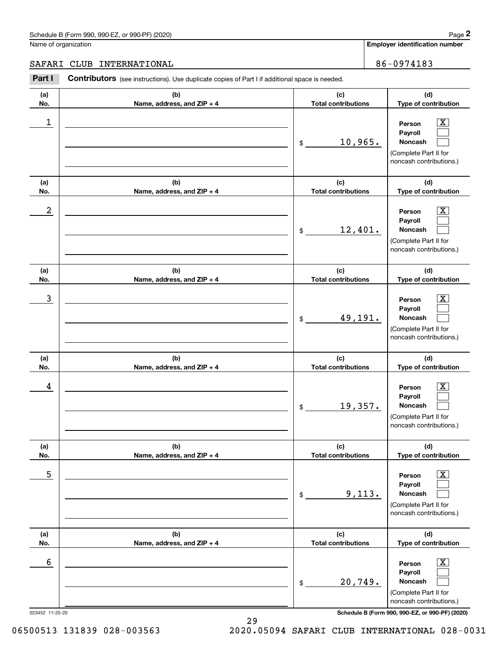#### Schedule B (Form 990, 990-EZ, or 990-PF) (2020) **Page 2** Page 2 and the state of the state of the state of the state of the state of the state of the state of the state of the state of the state of the state of the state o

Name of organization

**Employer identification number**

### SAFARI CLUB INTERNATIONAL **1990 1-100 1-100 1-100 1-100 1-100 1-100 1-100 1-100 1-100 1-100 1-100 1-100 1-100 1-**

**(a)No.(b)Name, address, and ZIP + 4 (c)Total contributions (d)Type of contribution PersonPayrollNoncash (a)No.(b)Name, address, and ZIP + 4 (c)Total contributions (d)Type of contribution PersonPayrollNoncash (a)No.(b)Name, address, and ZIP + 4 (c)Total contributions (d)Type of contribution PersonPayrollNoncash (a) No.(b) Name, address, and ZIP + 4 (c) Total contributions (d) Type of contribution PersonPayrollNoncash (a) No.(b) Name, address, and ZIP + 4 (c) Total contributions (d) Type of contribution PersonPayrollNoncash (a) No.(b)Name, address, and ZIP + 4 (c) Total contributions (d)Type of contribution PersonPayrollNoncash Contributors** (see instructions). Use duplicate copies of Part I if additional space is needed. \$(Complete Part II for noncash contributions.) \$(Complete Part II for noncash contributions.) \$(Complete Part II for noncash contributions.) \$(Complete Part II for noncash contributions.) \$(Complete Part II for noncash contributions.) \$(Complete Part II for noncash contributions.) Chedule B (Form 990, 990-EZ, or 990-PF) (2020)<br> **2Part I 2Part I CLUB INTERNATIONAL**<br> **2Part I Contributors** (see instructions). Use duplicate copies of Part I if additional space is needed.  $|X|$  $\mathcal{L}^{\text{max}}$  $\mathcal{L}^{\text{max}}$  $\boxed{\text{X}}$  $\mathcal{L}^{\text{max}}$  $\mathcal{L}^{\text{max}}$  $|X|$  $\mathcal{L}^{\text{max}}$  $\mathcal{L}^{\text{max}}$  $\boxed{\text{X}}$  $\mathcal{L}^{\text{max}}$  $\mathcal{L}^{\text{max}}$  $\boxed{\text{X}}$  $\mathcal{L}^{\text{max}}$  $\mathcal{L}^{\text{max}}$  $\boxed{\text{X}}$  $\mathcal{L}^{\text{max}}$  $\mathcal{L}^{\text{max}}$  $\begin{array}{c|c|c|c|c|c} 1 & \hspace{1.5cm} & \hspace{1.5cm} & \hspace{1.5cm} & \hspace{1.5cm} & \hspace{1.5cm} & \hspace{1.5cm} & \hspace{1.5cm} & \hspace{1.5cm} & \hspace{1.5cm} & \hspace{1.5cm} & \hspace{1.5cm} & \hspace{1.5cm} & \hspace{1.5cm} & \hspace{1.5cm} & \hspace{1.5cm} & \hspace{1.5cm} & \hspace{1.5cm} & \hspace{1.5cm} & \hspace{1.5cm} & \hspace{1.5cm} &$ 10,965.  $2$  | Person  $\overline{\text{X}}$ 12,401.  $\overline{3}$  | Person  $\overline{X}$ 49,191.  $4$  | Person  $\overline{\text{X}}$ 19,357.  $\sim$  5 | Person X 9,113.  $\sim$  6 | Person X 20,749.

023452 11-25-20 **Schedule B (Form 990, 990-EZ, or 990-PF) (2020)**

06500513 131839 028-003563 2020.05094 SAFARI CLUB INTERNATIONAL 028-0031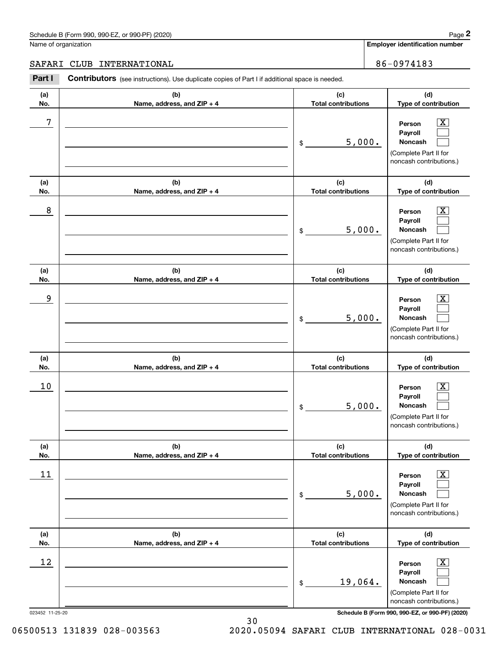#### Schedule B (Form 990, 990-EZ, or 990-PF) (2020) **Page 2** Page 2 and the state of the state of the state of the state of the state of the state of the state of the state of the state of the state of the state of the state o

Name of organization

**Employer identification number**

### SAFARI CLUB INTERNATIONAL **1990 1-100 1-100 1-100 1-100 1-100 1-100 1-100 1-100 1-100 1-100 1-100 1-100 1-100 1-**

**(a)No.(b)Name, address, and ZIP + 4 (c)Total contributions (d)Type of contribution PersonPayrollNoncash (a)No.(b)Name, address, and ZIP + 4 (c)Total contributions (d)Type of contribution PersonPayrollNoncash (a)No.(b)Name, address, and ZIP + 4 (c)Total contributions (d)Type of contribution PersonPayrollNoncash (a) No.(b) Name, address, and ZIP + 4 (c) Total contributions (d) Type of contribution PersonPayrollNoncash (a) No.(b) Name, address, and ZIP + 4 (c) Total contributions (d) Type of contribution PersonPayrollNoncash (a) No.(b)Name, address, and ZIP + 4 (c) Total contributions (d)Type of contribution PersonPayrollNoncash Contributors** (see instructions). Use duplicate copies of Part I if additional space is needed. \$(Complete Part II for noncash contributions.) \$(Complete Part II for noncash contributions.) \$(Complete Part II for noncash contributions.) \$(Complete Part II for noncash contributions.) \$(Complete Part II for noncash contributions.) \$(Complete Part II for noncash contributions.) Chedule B (Form 990, 990-EZ, or 990-PF) (2020)<br> **2Part I 2Part I CLUB INTERNATIONAL**<br> **2Part I Contributors** (see instructions). Use duplicate copies of Part I if additional space is needed.  $|X|$  $\mathcal{L}^{\text{max}}$  $\mathcal{L}^{\text{max}}$  $\boxed{\text{X}}$  $\mathcal{L}^{\text{max}}$  $\mathcal{L}^{\text{max}}$  $|X|$  $\mathcal{L}^{\text{max}}$  $\mathcal{L}^{\text{max}}$  $\boxed{\text{X}}$  $\mathcal{L}^{\text{max}}$  $\mathcal{L}^{\text{max}}$  $\boxed{\text{X}}$  $\mathcal{L}^{\text{max}}$  $\mathcal{L}^{\text{max}}$  $\boxed{\text{X}}$  $\mathcal{L}^{\text{max}}$  $\mathcal{L}^{\text{max}}$ 7 X 5,000. 8 X 5,000. example and the set of the set of the set of the set of the set of the set of the set of the set of the set of 5,000.  $10$  Person  $\overline{\text{X}}$ 5,000.  $11$  Person X 5,000.  $12$  Person X 19,064.

023452 11-25-20 **Schedule B (Form 990, 990-EZ, or 990-PF) (2020)**

06500513 131839 028-003563 2020.05094 SAFARI CLUB INTERNATIONAL 028-0031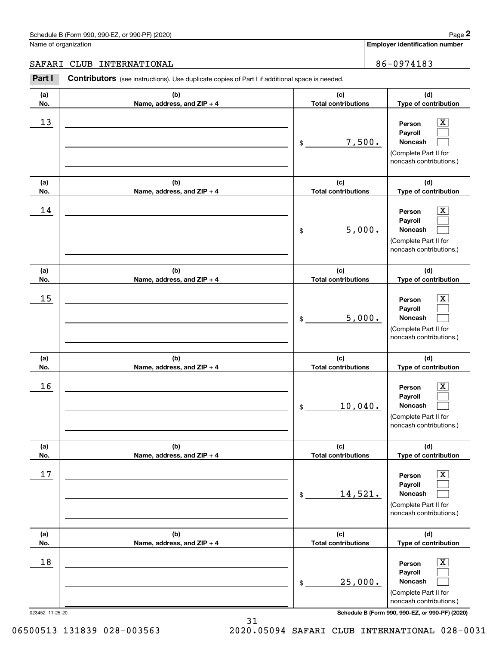# Schedule B (Form 990, 990-EZ, or 990-PF) (2020) Page 2

### SAFARI CLUB INTERNATIONAL 86-0974183

|                      | Schedule B (Form 990, 990-EZ, or 990-PF) (2020)                                                       |                                   | Page 2                                                                                                      |
|----------------------|-------------------------------------------------------------------------------------------------------|-----------------------------------|-------------------------------------------------------------------------------------------------------------|
| Name of organization |                                                                                                       |                                   | <b>Employer identification number</b>                                                                       |
| SAFARI               | INTERNATIONAL<br><b>CLUB</b>                                                                          |                                   | 86-0974183                                                                                                  |
| Part I               | <b>Contributors</b> (see instructions). Use duplicate copies of Part I if additional space is needed. |                                   |                                                                                                             |
| (a)<br>No.           | (b)<br>Name, address, and ZIP + 4                                                                     | (c)<br><b>Total contributions</b> | (d)<br>Type of contribution                                                                                 |
| 13                   |                                                                                                       | 7,500.<br>\$                      | $\overline{\mathbf{X}}$<br>Person<br>Payroll<br>Noncash<br>(Complete Part II for<br>noncash contributions.) |
| (a)<br>No.           | (b)<br>Name, address, and ZIP + 4                                                                     | (c)<br><b>Total contributions</b> | (d)<br>Type of contribution                                                                                 |
| 14                   |                                                                                                       | 5,000.<br>\$                      | X<br>Person<br>Payroll<br>Noncash<br>(Complete Part II for<br>noncash contributions.)                       |
| (a)<br>No.           | (b)<br>Name, address, and ZIP + 4                                                                     | (c)<br><b>Total contributions</b> | (d)<br>Type of contribution                                                                                 |
| 15                   |                                                                                                       | 5,000.<br>\$                      | X<br>Person<br>Payroll<br>Noncash<br>(Complete Part II for<br>noncash contributions.)                       |
| (a)<br>No.           | (b)<br>Name, address, and ZIP + 4                                                                     | (c)<br><b>Total contributions</b> | (d)<br>Type of contribution                                                                                 |
| 16                   |                                                                                                       | 10,040.<br>\$                     | $\mathbf{X}$<br>Person<br>Payroll<br>Noncash<br>(Complete Part II for<br>noncash contributions.)            |
| (a)<br>No.           | (b)<br>Name, address, and ZIP + 4                                                                     | (c)<br><b>Total contributions</b> | (d)<br>Type of contribution                                                                                 |
| 17                   |                                                                                                       | 14,521.<br>\$                     | $\boxed{\text{X}}$<br>Person<br>Payroll<br>Noncash<br>(Complete Part II for<br>noncash contributions.)      |
| (a)<br>No.           | (b)<br>Name, address, and ZIP + 4                                                                     | (c)<br><b>Total contributions</b> | (d)<br>Type of contribution                                                                                 |
| 18                   |                                                                                                       | 25,000.<br>\$                     | $\boxed{\text{X}}$<br>Person<br>Payroll<br>Noncash<br>(Complete Part II for<br>noncash contributions.)      |
| 023452 11-25-20      |                                                                                                       |                                   | Schedule B (Form 990, 990-EZ, or 990-PF) (2020)                                                             |

31

06500513 131839 028-003563 2020.05094 SAFARI CLUB INTERNATIONAL 028-0031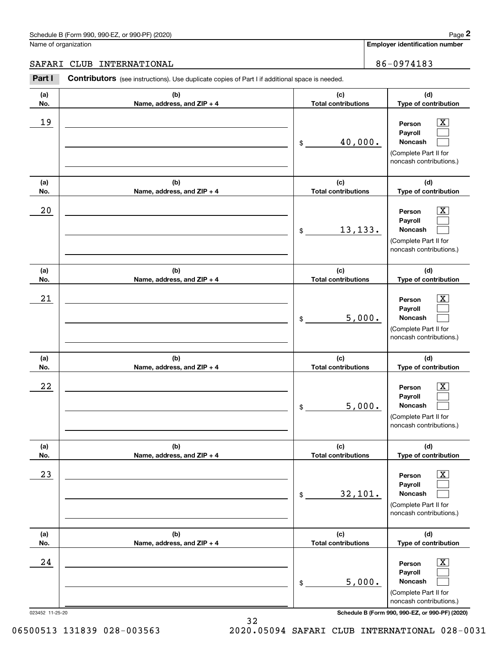# Schedule B (Form 990, 990-EZ, or 990-PF) (2020) Page 2

# SAFARI CLUB INTERNATIONAL 86-0974183

|                      | Schedule B (Form 990, 990-EZ, or 990-PF) (2020)                                                       |                                   | Page 2                                                                                                                |
|----------------------|-------------------------------------------------------------------------------------------------------|-----------------------------------|-----------------------------------------------------------------------------------------------------------------------|
| Name of organization |                                                                                                       |                                   | Employer identification number                                                                                        |
| SAFARI               | INTERNATIONAL<br>CLUB                                                                                 |                                   | 86-0974183                                                                                                            |
| Part I               | <b>Contributors</b> (see instructions). Use duplicate copies of Part I if additional space is needed. |                                   |                                                                                                                       |
| (a)<br>No.           | (b)<br>Name, address, and ZIP + 4                                                                     | (c)<br><b>Total contributions</b> | (d)<br>Type of contribution                                                                                           |
| 19                   |                                                                                                       | 40,000.<br>\$                     | $\mathbf{X}$<br>Person<br>Payroll<br>Noncash<br>(Complete Part II for<br>noncash contributions.)                      |
| (a)<br>No.           | (b)<br>Name, address, and ZIP + 4                                                                     | (c)<br><b>Total contributions</b> | (d)<br>Type of contribution                                                                                           |
| 20                   |                                                                                                       | 13,133.<br>\$                     | $\overline{\mathbf{X}}$<br>Person<br>Payroll<br>Noncash<br>(Complete Part II for<br>noncash contributions.)           |
| (a)<br>No.           | (b)<br>Name, address, and ZIP + 4                                                                     | (c)<br><b>Total contributions</b> | (d)<br>Type of contribution                                                                                           |
| 21                   |                                                                                                       | \$                                | $\overline{\mathbf{X}}$<br>Person<br>Payroll<br>5,000.<br>Noncash<br>(Complete Part II for<br>noncash contributions.) |
| (a)<br>No.           | (b)<br>Name, address, and ZIP + 4                                                                     | (c)<br><b>Total contributions</b> | (d)<br>Type of contribution                                                                                           |
| 22                   |                                                                                                       | \$                                | $\mathbf{X}$<br>Person<br>Payroll<br>5,000.<br>Noncash<br>(Complete Part II for<br>noncash contributions.)            |
| (a)<br>No.           | (b)<br>Name, address, and ZIP + 4                                                                     | (c)<br><b>Total contributions</b> | (d)<br>Type of contribution                                                                                           |
| 23                   |                                                                                                       | 32,101.<br>\$                     | $\overline{\mathbf{X}}$<br>Person<br>Payroll<br>Noncash<br>(Complete Part II for<br>noncash contributions.)           |
| (a)<br>No.           | (b)<br>Name, address, and ZIP + 4                                                                     | (c)<br><b>Total contributions</b> | (d)<br>Type of contribution                                                                                           |
| 24                   |                                                                                                       | \$                                | $\overline{\mathbf{X}}$<br>Person<br>Payroll<br>5,000.<br>Noncash<br>(Complete Part II for<br>noncash contributions.) |
| 023452 11-25-20      |                                                                                                       |                                   | Schedule B (Form 990, 990-EZ, or 990-PF) (2020)                                                                       |

06500513 131839 028-003563 2020.05094 SAFARI CLUB INTERNATIONAL 028-0031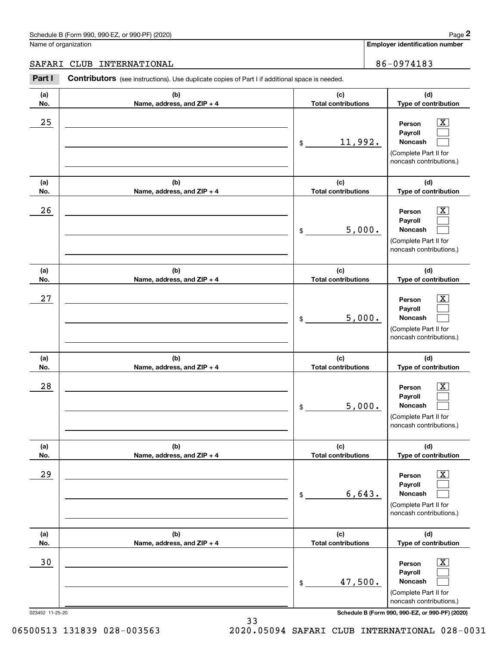#### Schedule B (Form 990, 990-EZ, or 990-PF) (2020) **Page 2** Page 2 and the state of the state of the state of the state of the state of the state of the state of the state of the state of the state of the state of the state o

Name of organization

**Employer identification number**

### SAFARI CLUB INTERNATIONAL **1990 1-100 1-100 1-100 1-100 1-100 1-100 1-100 1-100 1-100 1-100 1-100 1-100 1-100 1-**

**(a)No.(b)Name, address, and ZIP + 4 (c)Total contributions (d)Type of contribution PersonPayrollNoncash (a)No.(b)Name, address, and ZIP + 4 (c)Total contributions (d)Type of contribution PersonPayrollNoncash (a)No.(b)Name, address, and ZIP + 4 (c)Total contributions (d)Type of contribution PersonPayrollNoncash (a) No.(b) Name, address, and ZIP + 4 (c) Total contributions (d) Type of contribution PersonPayrollNoncash (a) No.(b) Name, address, and ZIP + 4 (c) Total contributions (d) Type of contribution PersonPayrollNoncash (a) No.(b)Name, address, and ZIP + 4 (c) Total contributions (d)Type of contribution PersonPayrollNoncash Contributors** (see instructions). Use duplicate copies of Part I if additional space is needed. \$(Complete Part II for noncash contributions.) \$(Complete Part II for noncash contributions.) \$(Complete Part II for noncash contributions.) \$(Complete Part II for noncash contributions.) \$(Complete Part II for noncash contributions.) \$(Complete Part II for noncash contributions.) Chedule B (Form 990, 990-EZ, or 990-PF) (2020)<br> **2Part I 2Part I CLUB INTERNATIONAL**<br> **2Part I Contributors** (see instructions). Use duplicate copies of Part I if additional space is needed.  $|X|$  $\mathcal{L}^{\text{max}}$  $\mathcal{L}^{\text{max}}$  $\boxed{\text{X}}$  $\mathcal{L}^{\text{max}}$  $\mathcal{L}^{\text{max}}$  $|X|$  $\mathcal{L}^{\text{max}}$  $\mathcal{L}^{\text{max}}$  $\boxed{\text{X}}$  $\mathcal{L}^{\text{max}}$  $\mathcal{L}^{\text{max}}$  $\boxed{\text{X}}$  $\mathcal{L}^{\text{max}}$  $\mathcal{L}^{\text{max}}$  $\boxed{\text{X}}$  $\mathcal{L}^{\text{max}}$  $\mathcal{L}^{\text{max}}$  $25$  | Person  $\overline{\text{X}}$ 11,992.  $26$  | Person  $\overline{\text{X}}$ 5,000.  $27$  | Person  $\overline{\text{X}}$ 5,000.  $28$  | Person  $\overline{\text{X}}$ 5,000.  $29$  | Person  $\overline{\text{X}}$ 6,643. 30 Person X 47,500.

023452 11-25-20 **Schedule B (Form 990, 990-EZ, or 990-PF) (2020)**

33 06500513 131839 028-003563 2020.05094 SAFARI CLUB INTERNATIONAL 028-0031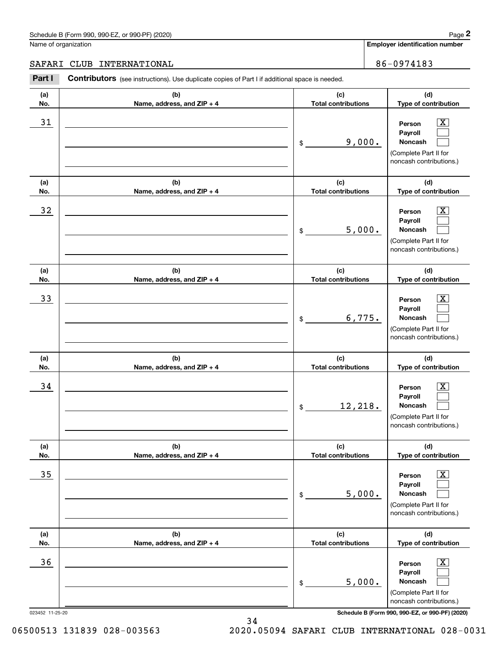# Schedule B (Form 990, 990-EZ, or 990-PF) (2020) Page 2

### SAFARI CLUB INTERNATIONAL 86-0974183

|                      | Schedule B (Form 990, 990-EZ, or 990-PF) (2020)                                                       |                                   | Page 2                                                                                                      |
|----------------------|-------------------------------------------------------------------------------------------------------|-----------------------------------|-------------------------------------------------------------------------------------------------------------|
| Name of organization |                                                                                                       |                                   | <b>Employer identification number</b>                                                                       |
| SAFARI               | INTERNATIONAL<br><b>CLUB</b>                                                                          |                                   | 86-0974183                                                                                                  |
| Part I               | <b>Contributors</b> (see instructions). Use duplicate copies of Part I if additional space is needed. |                                   |                                                                                                             |
| (a)<br>No.           | (b)<br>Name, address, and ZIP + 4                                                                     | (c)<br><b>Total contributions</b> | (d)<br>Type of contribution                                                                                 |
| 31                   |                                                                                                       | 9,000.<br>\$                      | $\overline{\mathbf{X}}$<br>Person<br>Payroll<br>Noncash<br>(Complete Part II for<br>noncash contributions.) |
| (a)<br>No.           | (b)<br>Name, address, and ZIP + 4                                                                     | (c)<br><b>Total contributions</b> | (d)<br>Type of contribution                                                                                 |
| 32                   |                                                                                                       | 5,000.<br>\$                      | X<br>Person<br>Payroll<br>Noncash<br>(Complete Part II for<br>noncash contributions.)                       |
| (a)<br>No.           | (b)<br>Name, address, and ZIP + 4                                                                     | (c)<br><b>Total contributions</b> | (d)<br>Type of contribution                                                                                 |
| 33                   |                                                                                                       | 6,775.<br>\$                      | X<br>Person<br>Payroll<br>Noncash<br>(Complete Part II for<br>noncash contributions.)                       |
| (a)<br>No.           | (b)<br>Name, address, and ZIP + 4                                                                     | (c)<br><b>Total contributions</b> | (d)<br>Type of contribution                                                                                 |
| 34                   |                                                                                                       | 12,218.<br>\$                     | $\mathbf{X}$<br>Person<br>Payroll<br>Noncash<br>(Complete Part II for<br>noncash contributions.)            |
| (a)<br>No.           | (b)<br>Name, address, and ZIP + 4                                                                     | (c)<br><b>Total contributions</b> | (d)<br>Type of contribution                                                                                 |
| 35                   |                                                                                                       | 5,000.<br>\$                      | $\boxed{\text{X}}$<br>Person<br>Payroll<br>Noncash<br>(Complete Part II for<br>noncash contributions.)      |
| (a)<br>No.           | (b)<br>Name, address, and ZIP + 4                                                                     | (c)<br><b>Total contributions</b> | (d)<br>Type of contribution                                                                                 |
| 36                   |                                                                                                       | 5,000.<br>\$                      | $\boxed{\text{X}}$<br>Person<br>Payroll<br>Noncash<br>(Complete Part II for<br>noncash contributions.)      |
| 023452 11-25-20      |                                                                                                       |                                   | Schedule B (Form 990, 990-EZ, or 990-PF) (2020)                                                             |

06500513 131839 028-003563 2020.05094 SAFARI CLUB INTERNATIONAL 028-0031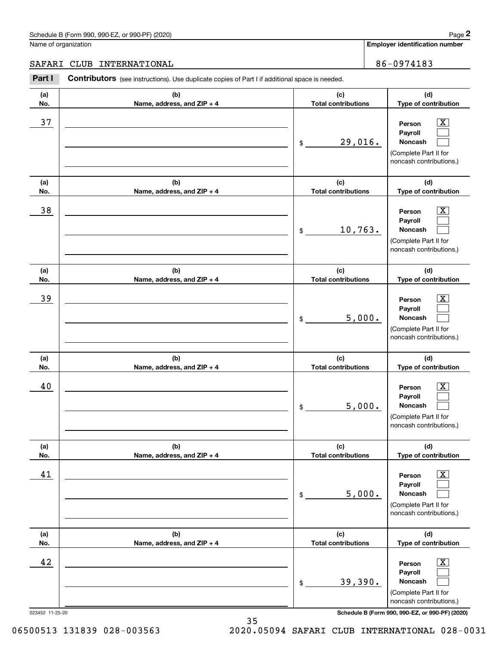#### Schedule B (Form 990, 990-EZ, or 990-PF) (2020) **Page 2** Page 2 and the state of the state of the state of the state of the state of the state of the state of the state of the state of the state of the state of the state o

Name of organization

**Employer identification number**

### SAFARI CLUB INTERNATIONAL **1990 1-100 1-100 1-100 1-100 1-100 1-100 1-100 1-100 1-100 1-100 1-100 1-100 1-100 1-**

**(a)No.(b)Name, address, and ZIP + 4 (c)Total contributions (d)Type of contribution PersonPayrollNoncash (a)No.(b)Name, address, and ZIP + 4 (c)Total contributions (d)Type of contribution PersonPayrollNoncash (a)No.(b)Name, address, and ZIP + 4 (c)Total contributions (d)Type of contribution PersonPayrollNoncash (a) No.(b) Name, address, and ZIP + 4 (c) Total contributions (d) Type of contribution PersonPayrollNoncash (a) No.(b) Name, address, and ZIP + 4 (c) Total contributions (d) Type of contribution PersonPayrollNoncash (a) No.(b)Name, address, and ZIP + 4 (c) Total contributions (d)Type of contribution PersonPayrollNoncash Contributors** (see instructions). Use duplicate copies of Part I if additional space is needed. \$(Complete Part II for noncash contributions.) \$(Complete Part II for noncash contributions.) \$(Complete Part II for noncash contributions.) \$(Complete Part II for noncash contributions.) \$(Complete Part II for noncash contributions.) \$(Complete Part II for noncash contributions.) Chedule B (Form 990, 990-EZ, or 990-PF) (2020)<br> **2Part I 2Part I CLUB INTERNATIONAL**<br> **2Part I Contributors** (see instructions). Use duplicate copies of Part I if additional space is needed.  $|X|$  $\mathcal{L}^{\text{max}}$  $\mathcal{L}^{\text{max}}$  $\boxed{\text{X}}$  $\mathcal{L}^{\text{max}}$  $\mathcal{L}^{\text{max}}$  $|X|$  $\mathcal{L}^{\text{max}}$  $\mathcal{L}^{\text{max}}$  $\boxed{\text{X}}$  $\mathcal{L}^{\text{max}}$  $\mathcal{L}^{\text{max}}$  $\boxed{\text{X}}$  $\mathcal{L}^{\text{max}}$  $\mathcal{L}^{\text{max}}$  $\boxed{\text{X}}$  $\mathcal{L}^{\text{max}}$  $\mathcal{L}^{\text{max}}$ 37 X 29,016. 38 X 10,763. 39 X 5,000. 40 Person X 5,000. 41 | Person X 5,000. 42 Person X 39,390.

023452 11-25-20 **Schedule B (Form 990, 990-EZ, or 990-PF) (2020)**

06500513 131839 028-003563 2020.05094 SAFARI CLUB INTERNATIONAL 028-0031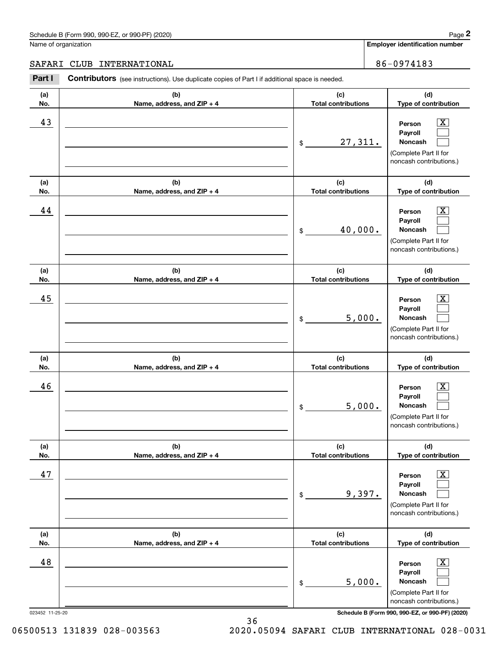# SAFARI CLUB INTERNATIONAL 86-0974183

|                      | Schedule B (Form 990, 990-EZ, or 990-PF) (2020)                                                       |                                   | Page 2                                                                                                                |
|----------------------|-------------------------------------------------------------------------------------------------------|-----------------------------------|-----------------------------------------------------------------------------------------------------------------------|
| Name of organization |                                                                                                       |                                   | <b>Employer identification number</b>                                                                                 |
| SAFARI               | CLUB<br>INTERNATIONAL                                                                                 |                                   | 86-0974183                                                                                                            |
| Part I               | <b>Contributors</b> (see instructions). Use duplicate copies of Part I if additional space is needed. |                                   |                                                                                                                       |
| (a)<br>No.           | (b)<br>Name, address, and ZIP + 4                                                                     | (c)<br><b>Total contributions</b> | (d)<br>Type of contribution                                                                                           |
| 43                   |                                                                                                       | 27,311.<br>\$                     | $\mathbf{X}$<br>Person<br>Payroll<br>Noncash<br>(Complete Part II for<br>noncash contributions.)                      |
| (a)<br>No.           | (b)<br>Name, address, and ZIP + 4                                                                     | (c)<br><b>Total contributions</b> | (d)<br>Type of contribution                                                                                           |
| 44                   |                                                                                                       | 40,000.<br>\$                     | $\overline{\mathbf{X}}$<br>Person<br>Payroll<br>Noncash<br>(Complete Part II for<br>noncash contributions.)           |
| (a)<br>No.           | (b)<br>Name, address, and ZIP + 4                                                                     | (c)<br><b>Total contributions</b> | (d)<br>Type of contribution                                                                                           |
| 45                   |                                                                                                       | \$                                | $\overline{\mathbf{X}}$<br>Person<br>Payroll<br>5,000.<br>Noncash<br>(Complete Part II for<br>noncash contributions.) |
| (a)<br>No.           | (b)<br>Name, address, and ZIP + 4                                                                     | (c)<br><b>Total contributions</b> | (d)<br>Type of contribution                                                                                           |
| 46                   |                                                                                                       | \$                                | $\mathbf{X}$<br>Person<br>Payroll<br>5,000.<br>Noncash<br>(Complete Part II for<br>noncash contributions.)            |
| (a)<br>No.           | (b)<br>Name, address, and ZIP + 4                                                                     | (c)<br><b>Total contributions</b> | (d)<br>Type of contribution                                                                                           |
| 47                   |                                                                                                       | \$                                | $\overline{\mathbf{X}}$<br>Person<br>Payroll<br>9,397.<br>Noncash<br>(Complete Part II for<br>noncash contributions.) |
| (a)<br>No.           | (b)<br>Name, address, and ZIP + 4                                                                     | (c)<br><b>Total contributions</b> | (d)<br>Type of contribution                                                                                           |
| 48                   |                                                                                                       | \$                                | $\overline{\mathbf{X}}$<br>Person<br>Payroll<br>5,000.<br>Noncash<br>(Complete Part II for<br>noncash contributions.) |
| 023452 11-25-20      |                                                                                                       |                                   | Schedule B (Form 990, 990-EZ, or 990-PF) (2020)                                                                       |

06500513 131839 028-003563 2020.05094 SAFARI CLUB INTERNATIONAL 028-0031

36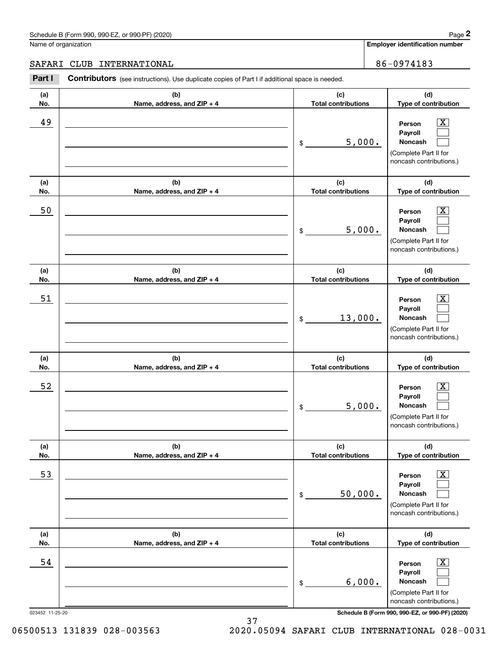# SAFARI CLUB INTERNATIONAL 86-0974183

|                      | Schedule B (Form 990, 990-EZ, or 990-PF) (2020)                                                       |                                   | Page 2                                                                                                      |
|----------------------|-------------------------------------------------------------------------------------------------------|-----------------------------------|-------------------------------------------------------------------------------------------------------------|
| Name of organization |                                                                                                       |                                   | <b>Employer identification number</b>                                                                       |
| SAFARI               | INTERNATIONAL<br><b>CLUB</b>                                                                          |                                   | 86-0974183                                                                                                  |
| Part I               | <b>Contributors</b> (see instructions). Use duplicate copies of Part I if additional space is needed. |                                   |                                                                                                             |
| (a)<br>No.           | (b)<br>Name, address, and ZIP + 4                                                                     | (c)<br><b>Total contributions</b> | (d)<br>Type of contribution                                                                                 |
| 49                   |                                                                                                       | 5,000.<br>\$                      | $\overline{\mathbf{X}}$<br>Person<br>Payroll<br>Noncash<br>(Complete Part II for<br>noncash contributions.) |
| (a)<br>No.           | (b)<br>Name, address, and ZIP + 4                                                                     | (c)<br><b>Total contributions</b> | (d)<br>Type of contribution                                                                                 |
| 50                   |                                                                                                       | 5,000.<br>\$                      | $\overline{\mathbf{X}}$<br>Person<br>Payroll<br>Noncash<br>(Complete Part II for<br>noncash contributions.) |
| (a)<br>No.           | (b)<br>Name, address, and ZIP + 4                                                                     | (c)<br><b>Total contributions</b> | (d)<br>Type of contribution                                                                                 |
| 51                   |                                                                                                       | 13,000.<br>\$                     | X<br>Person<br>Payroll<br>Noncash<br>(Complete Part II for<br>noncash contributions.)                       |
| (a)<br>No.           | (b)<br>Name, address, and ZIP + 4                                                                     | (c)<br><b>Total contributions</b> | (d)<br>Type of contribution                                                                                 |
| 52                   |                                                                                                       | 5,000.<br>\$                      | $\mathbf{X}$<br>Person<br>Payroll<br>Noncash<br>(Complete Part II for<br>noncash contributions.)            |
| (a)<br>No.           | (b)<br>Name, address, and ZIP + 4                                                                     | (c)<br><b>Total contributions</b> | (d)<br>Type of contribution                                                                                 |
| 53                   |                                                                                                       | 50,000.<br>\$                     | $\boxed{\text{X}}$<br>Person<br>Payroll<br>Noncash<br>(Complete Part II for<br>noncash contributions.)      |
| (a)<br>No.           | (b)<br>Name, address, and ZIP + 4                                                                     | (c)<br><b>Total contributions</b> | (d)<br>Type of contribution                                                                                 |
| 54                   |                                                                                                       | 6,000.<br>\$                      | $\boxed{\text{X}}$<br>Person<br>Payroll<br>Noncash<br>(Complete Part II for<br>noncash contributions.)      |
| 023452 11-25-20      |                                                                                                       |                                   | Schedule B (Form 990, 990-EZ, or 990-PF) (2020)                                                             |

37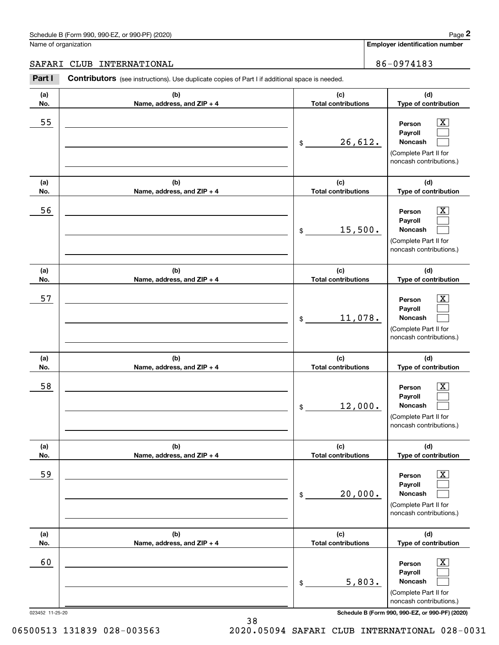# SAFARI CLUB INTERNATIONAL 86-0974183

|                      | Schedule B (Form 990, 990-EZ, or 990-PF) (2020)                                                       |                                   | Page 2                                                                                                      |
|----------------------|-------------------------------------------------------------------------------------------------------|-----------------------------------|-------------------------------------------------------------------------------------------------------------|
| Name of organization |                                                                                                       |                                   | <b>Employer identification number</b>                                                                       |
| SAFARI               | INTERNATIONAL<br>CLUB                                                                                 |                                   | 86-0974183                                                                                                  |
| Part I               | <b>Contributors</b> (see instructions). Use duplicate copies of Part I if additional space is needed. |                                   |                                                                                                             |
| (a)<br>No.           | (b)<br>Name, address, and ZIP + 4                                                                     | (c)<br><b>Total contributions</b> | (d)<br>Type of contribution                                                                                 |
| 55                   |                                                                                                       | 26,612.<br>\$                     | $\mathbf{X}$<br>Person<br>Payroll<br>Noncash<br>(Complete Part II for<br>noncash contributions.)            |
| (a)<br>No.           | (b)<br>Name, address, and ZIP + 4                                                                     | (c)<br><b>Total contributions</b> | (d)<br>Type of contribution                                                                                 |
| 56                   |                                                                                                       | 15,500.<br>\$                     | $\overline{\mathbf{X}}$<br>Person<br>Payroll<br>Noncash<br>(Complete Part II for<br>noncash contributions.) |
| (a)<br>No.           | (b)<br>Name, address, and ZIP + 4                                                                     | (c)<br><b>Total contributions</b> | (d)<br>Type of contribution                                                                                 |
| 57                   |                                                                                                       | 11,078.<br>\$                     | X<br>Person<br>Payroll<br>Noncash<br>(Complete Part II for<br>noncash contributions.)                       |
| (a)<br>No.           | (b)<br>Name, address, and ZIP + 4                                                                     | (c)<br><b>Total contributions</b> | (d)<br>Type of contribution                                                                                 |
| 58                   |                                                                                                       | 12,000.<br>\$                     | $\mathbf{X}$<br>Person<br>Payroll<br>Noncash<br>(Complete Part II for<br>noncash contributions.)            |
| (a)<br>No.           | (b)<br>Name, address, and ZIP + 4                                                                     | (c)<br><b>Total contributions</b> | (d)<br>Type of contribution                                                                                 |
| 59                   |                                                                                                       | 20,000.<br>\$                     | $\boxed{\text{X}}$<br>Person<br>Payroll<br>Noncash<br>(Complete Part II for<br>noncash contributions.)      |
| (a)<br>No.           | (b)<br>Name, address, and ZIP + 4                                                                     | (c)<br><b>Total contributions</b> | (d)<br>Type of contribution                                                                                 |
| 60                   |                                                                                                       | 5,803.<br>\$                      | $\boxed{\text{X}}$<br>Person<br>Payroll<br>Noncash<br>(Complete Part II for<br>noncash contributions.)      |
| 023452 11-25-20      |                                                                                                       |                                   | Schedule B (Form 990, 990-EZ, or 990-PF) (2020)                                                             |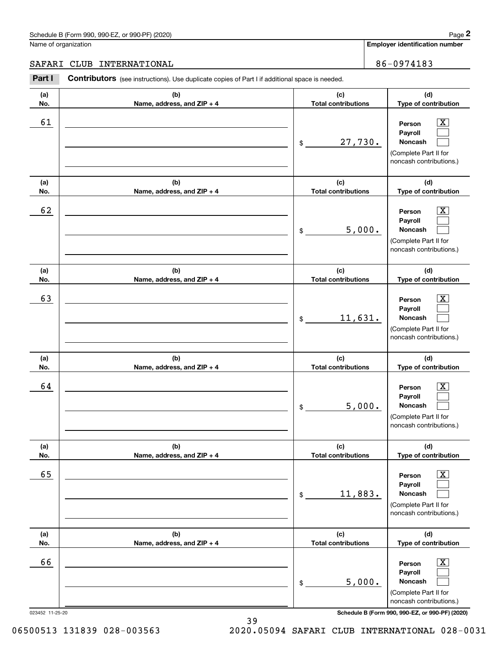### SAFARI CLUB INTERNATIONAL 86-0974183

|                      | Schedule B (Form 990, 990-EZ, or 990-PF) (2020)                                                       |                                   | Page 2                                                                                                      |
|----------------------|-------------------------------------------------------------------------------------------------------|-----------------------------------|-------------------------------------------------------------------------------------------------------------|
| Name of organization |                                                                                                       |                                   | Employer identification number                                                                              |
| SAFARI               | CLUB<br>INTERNATIONAL                                                                                 |                                   | 86-0974183                                                                                                  |
| Part I               | <b>Contributors</b> (see instructions). Use duplicate copies of Part I if additional space is needed. |                                   |                                                                                                             |
| (a)<br>No.           | (b)<br>Name, address, and ZIP + 4                                                                     | (c)<br><b>Total contributions</b> | (d)<br>Type of contribution                                                                                 |
| 61                   |                                                                                                       | 27,730.<br>\$                     | $\overline{\mathbf{X}}$<br>Person<br>Payroll<br>Noncash<br>(Complete Part II for<br>noncash contributions.) |
| (a)<br>No.           | (b)<br>Name, address, and ZIP + 4                                                                     | (c)<br><b>Total contributions</b> | (d)<br>Type of contribution                                                                                 |
| 62                   |                                                                                                       | 5,000.<br>\$                      | $\overline{\mathbf{X}}$<br>Person<br>Payroll<br>Noncash<br>(Complete Part II for<br>noncash contributions.) |
| (a)<br>No.           | (b)<br>Name, address, and ZIP + 4                                                                     | (c)<br><b>Total contributions</b> | (d)<br>Type of contribution                                                                                 |
| 63                   |                                                                                                       | 11,631.<br>\$                     | $\overline{\mathbf{X}}$<br>Person<br>Payroll<br>Noncash<br>(Complete Part II for<br>noncash contributions.) |
| (a)<br>No.           | (b)<br>Name, address, and ZIP + 4                                                                     | (c)<br><b>Total contributions</b> | (d)<br>Type of contribution                                                                                 |
| 64                   |                                                                                                       | 5,000.<br>\$                      | $\mathbf{X}$<br>Person<br>Payroll<br>Noncash<br>(Complete Part II for<br>noncash contributions.)            |
| (a)<br>No.           | (b)<br>Name, address, and ZIP + 4                                                                     | (c)<br><b>Total contributions</b> | (d)<br>Type of contribution                                                                                 |
| 65                   |                                                                                                       | 11,883.<br>\$                     | $\overline{\mathbf{X}}$<br>Person<br>Payroll<br>Noncash<br>(Complete Part II for<br>noncash contributions.) |
| (a)<br>No.           | (b)<br>Name, address, and ZIP + 4                                                                     | (c)<br><b>Total contributions</b> | (d)<br>Type of contribution                                                                                 |
| 66                   |                                                                                                       | 5,000.<br>\$                      | $\overline{\mathbf{X}}$<br>Person<br>Payroll<br>Noncash<br>(Complete Part II for<br>noncash contributions.) |
| 023452 11-25-20      |                                                                                                       |                                   | Schedule B (Form 990, 990-EZ, or 990-PF) (2020)                                                             |

06500513 131839 028-003563 2020.05094 SAFARI CLUB INTERNATIONAL 028-0031

39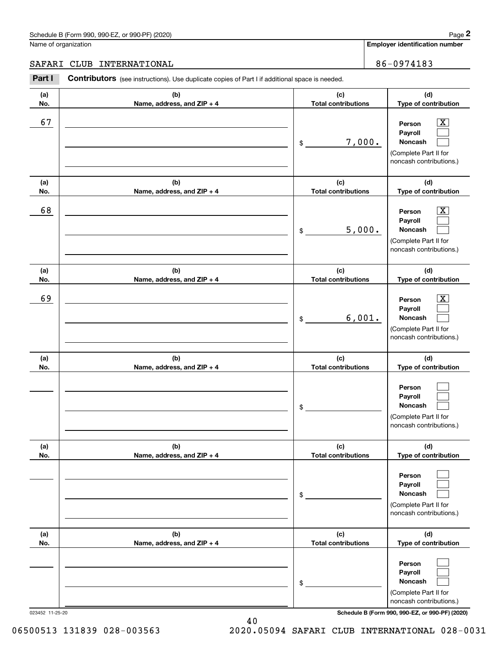#### Schedule B (Form 990, 990-EZ, or 990-PF) (2020) **Page 2** Page 2 and the state of the state of the state of the state of the state of the state of the state of the state of the state of the state of the state of the state o

Name of organization

**Employer identification number**

### SAFARI CLUB INTERNATIONAL **1990 1-100 1-100 1-100 1-100 1-100 1-100 1-100 1-100 1-100 1-100 1-100 1-100 1-100 1-**

**(a)No.(b)Name, address, and ZIP + 4 (c)Total contributions (d)Type of contribution PersonPayrollNoncash (a)No.(b)Name, address, and ZIP + 4 (c)Total contributions (d)Type of contribution PersonPayrollNoncash (a)No.(b)Name, address, and ZIP + 4 (c)Total contributions (d)Type of contribution PersonPayrollNoncash (a) No.(b) Name, address, and ZIP + 4 (c) Total contributions (d) Type of contribution PersonPayrollNoncash(a) No.(b) Name, address, and ZIP + 4 (c) Total contributions (d) Type of contribution PersonPayrollNoncash(a) No.(b)Name, address, and ZIP + 4 (c) Total contributions (d)Type of contribution PersonPayrollNoncash** Contributors (see instructions). Use duplicate copies of Part I if additional space is needed. \$(Complete Part II for noncash contributions.) \$(Complete Part II for noncash contributions.) \$(Complete Part II for noncash contributions.) \$(Complete Part II for noncash contributions.) \$(Complete Part II for noncash contributions.) \$(Complete Part II for noncash contributions.) Chedule B (Form 990, 990-EZ, or 990-PF) (2020)<br> **2Part I 2Part I CLUB INTERNATIONAL**<br> **2Part I Contributors** (see instructions). Use duplicate copies of Part I if additional space is needed.  $|X|$  $\mathcal{L}^{\text{max}}$  $\mathcal{L}^{\text{max}}$  $\boxed{\text{X}}$  $\mathcal{L}^{\text{max}}$  $\mathcal{L}^{\text{max}}$  $|X|$  $\mathcal{L}^{\text{max}}$  $\mathcal{L}^{\text{max}}$  $\mathcal{L}^{\text{max}}$  $\mathcal{L}^{\text{max}}$  $\mathcal{L}^{\text{max}}$  $\mathcal{L}^{\text{max}}$  $\mathcal{L}^{\text{max}}$  $\mathcal{L}^{\text{max}}$  $\mathcal{L}^{\text{max}}$  $\mathcal{L}^{\text{max}}$  $\mathcal{L}^{\text{max}}$ 67 X 7,000. 68 X 5,000. 69 X 6,001.

023452 11-25-20 **Schedule B (Form 990, 990-EZ, or 990-PF) (2020)**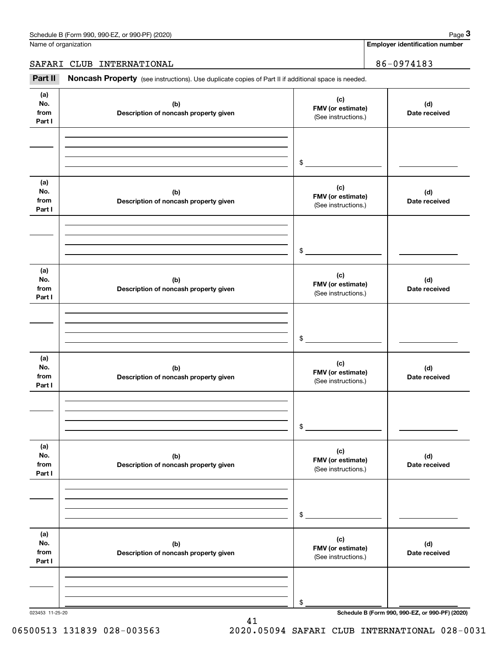Name of organization

**Employer identification number**

SAFARI CLUB INTERNATIONAL | 86-0974183

Chedule B (Form 990, 990-EZ, or 990-PF) (2020)<br> **2020 Alame of organization**<br> **3RFARI CLUB INTERNATIONAL**<br> **19974183**<br> **19974183** 

| (a)<br>(c)<br>No.<br>(b)<br>(d)<br>FMV (or estimate)<br>from<br>Description of noncash property given<br>Date received<br>(See instructions.)<br>Part I<br>$\frac{1}{2}$<br>(a)<br>(c)<br>No.<br>(b)<br>(d)<br>FMV (or estimate)<br>from<br>Description of noncash property given<br>Date received<br>(See instructions.)<br>Part I<br>$\frac{1}{2}$<br>(a)<br>(c)<br>No.<br>(b)<br>(d)<br>FMV (or estimate)<br>from<br>Description of noncash property given<br>Date received<br>(See instructions.)<br>Part I<br>$\sim$<br>(a)<br>(c)<br>No.<br>(b)<br>(d)<br>FMV (or estimate)<br>from<br>Description of noncash property given<br>Date received<br>(See instructions.)<br>Part I<br>$\mathfrak s$<br>(a)<br>(c)<br>No.<br>(b)<br>(d)<br>FMV (or estimate)<br>from<br>Description of noncash property given<br>Date received<br>(See instructions.)<br>Part I<br>\$<br>(a)<br>(c)<br>No.<br>(b)<br>(d)<br>FMV (or estimate)<br>from<br>Description of noncash property given<br>Date received<br>(See instructions.)<br>Part I |  |  |
|-----------------------------------------------------------------------------------------------------------------------------------------------------------------------------------------------------------------------------------------------------------------------------------------------------------------------------------------------------------------------------------------------------------------------------------------------------------------------------------------------------------------------------------------------------------------------------------------------------------------------------------------------------------------------------------------------------------------------------------------------------------------------------------------------------------------------------------------------------------------------------------------------------------------------------------------------------------------------------------------------------------------------------------|--|--|
|                                                                                                                                                                                                                                                                                                                                                                                                                                                                                                                                                                                                                                                                                                                                                                                                                                                                                                                                                                                                                                   |  |  |
|                                                                                                                                                                                                                                                                                                                                                                                                                                                                                                                                                                                                                                                                                                                                                                                                                                                                                                                                                                                                                                   |  |  |
|                                                                                                                                                                                                                                                                                                                                                                                                                                                                                                                                                                                                                                                                                                                                                                                                                                                                                                                                                                                                                                   |  |  |
|                                                                                                                                                                                                                                                                                                                                                                                                                                                                                                                                                                                                                                                                                                                                                                                                                                                                                                                                                                                                                                   |  |  |
|                                                                                                                                                                                                                                                                                                                                                                                                                                                                                                                                                                                                                                                                                                                                                                                                                                                                                                                                                                                                                                   |  |  |
|                                                                                                                                                                                                                                                                                                                                                                                                                                                                                                                                                                                                                                                                                                                                                                                                                                                                                                                                                                                                                                   |  |  |
|                                                                                                                                                                                                                                                                                                                                                                                                                                                                                                                                                                                                                                                                                                                                                                                                                                                                                                                                                                                                                                   |  |  |
|                                                                                                                                                                                                                                                                                                                                                                                                                                                                                                                                                                                                                                                                                                                                                                                                                                                                                                                                                                                                                                   |  |  |
|                                                                                                                                                                                                                                                                                                                                                                                                                                                                                                                                                                                                                                                                                                                                                                                                                                                                                                                                                                                                                                   |  |  |
|                                                                                                                                                                                                                                                                                                                                                                                                                                                                                                                                                                                                                                                                                                                                                                                                                                                                                                                                                                                                                                   |  |  |
|                                                                                                                                                                                                                                                                                                                                                                                                                                                                                                                                                                                                                                                                                                                                                                                                                                                                                                                                                                                                                                   |  |  |
| \$<br>Schedule B (Form 990, 990-EZ, or 990-PF) (2020)                                                                                                                                                                                                                                                                                                                                                                                                                                                                                                                                                                                                                                                                                                                                                                                                                                                                                                                                                                             |  |  |

41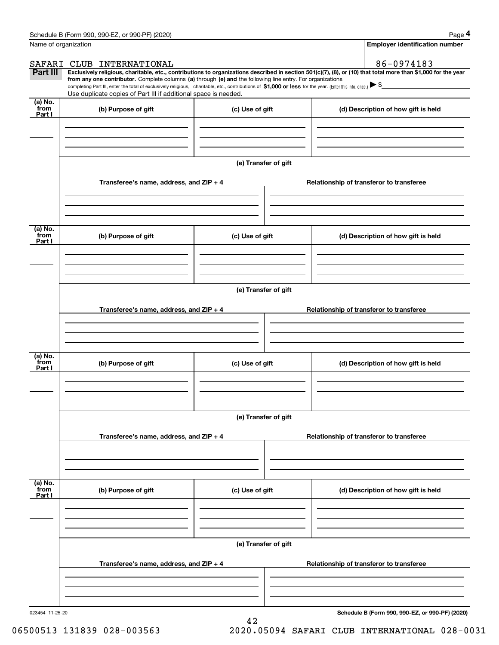|                           | Schedule B (Form 990, 990-EZ, or 990-PF) (2020)                                                                                                                                                                                                                                                                                                                                                                                                                   |                      |  | Page 4                                   |
|---------------------------|-------------------------------------------------------------------------------------------------------------------------------------------------------------------------------------------------------------------------------------------------------------------------------------------------------------------------------------------------------------------------------------------------------------------------------------------------------------------|----------------------|--|------------------------------------------|
| Name of organization      |                                                                                                                                                                                                                                                                                                                                                                                                                                                                   |                      |  | <b>Employer identification number</b>    |
|                           | SAFARI CLUB INTERNATIONAL                                                                                                                                                                                                                                                                                                                                                                                                                                         |                      |  | 86-0974183                               |
| Part III                  | Exclusively religious, charitable, etc., contributions to organizations described in section 501(c)(7), (8), or (10) that total more than \$1,000 for the year<br>from any one contributor. Complete columns (a) through (e) and the following line entry. For organizations<br>completing Part III, enter the total of exclusively religious, charitable, etc., contributions of \$1,000 or less for the year. (Enter this info. once.) $\blacktriangleright$ \$ |                      |  |                                          |
|                           | Use duplicate copies of Part III if additional space is needed.                                                                                                                                                                                                                                                                                                                                                                                                   |                      |  |                                          |
| (a) No.<br>from<br>Part I | (b) Purpose of gift                                                                                                                                                                                                                                                                                                                                                                                                                                               | (c) Use of gift      |  | (d) Description of how gift is held      |
|                           |                                                                                                                                                                                                                                                                                                                                                                                                                                                                   |                      |  |                                          |
|                           |                                                                                                                                                                                                                                                                                                                                                                                                                                                                   |                      |  |                                          |
|                           |                                                                                                                                                                                                                                                                                                                                                                                                                                                                   | (e) Transfer of gift |  |                                          |
|                           | Transferee's name, address, and ZIP + 4                                                                                                                                                                                                                                                                                                                                                                                                                           |                      |  | Relationship of transferor to transferee |
|                           |                                                                                                                                                                                                                                                                                                                                                                                                                                                                   |                      |  |                                          |
| (a) No.<br>from<br>Part I | (b) Purpose of gift                                                                                                                                                                                                                                                                                                                                                                                                                                               | (c) Use of gift      |  | (d) Description of how gift is held      |
|                           |                                                                                                                                                                                                                                                                                                                                                                                                                                                                   |                      |  |                                          |
|                           |                                                                                                                                                                                                                                                                                                                                                                                                                                                                   |                      |  |                                          |
|                           |                                                                                                                                                                                                                                                                                                                                                                                                                                                                   | (e) Transfer of gift |  |                                          |
|                           | Transferee's name, address, and ZIP + 4                                                                                                                                                                                                                                                                                                                                                                                                                           |                      |  | Relationship of transferor to transferee |
|                           |                                                                                                                                                                                                                                                                                                                                                                                                                                                                   |                      |  |                                          |
| (a) No.<br>from<br>Part I | (b) Purpose of gift                                                                                                                                                                                                                                                                                                                                                                                                                                               | (c) Use of gift      |  | (d) Description of how gift is held      |
|                           |                                                                                                                                                                                                                                                                                                                                                                                                                                                                   |                      |  |                                          |
|                           |                                                                                                                                                                                                                                                                                                                                                                                                                                                                   |                      |  |                                          |
|                           |                                                                                                                                                                                                                                                                                                                                                                                                                                                                   | (e) Transfer of gift |  |                                          |
|                           | Transferee's name, address, and $ZIP + 4$                                                                                                                                                                                                                                                                                                                                                                                                                         |                      |  | Relationship of transferor to transferee |
|                           |                                                                                                                                                                                                                                                                                                                                                                                                                                                                   |                      |  |                                          |
| (a) No.<br>from<br>Part I | (b) Purpose of gift                                                                                                                                                                                                                                                                                                                                                                                                                                               | (c) Use of gift      |  | (d) Description of how gift is held      |
|                           |                                                                                                                                                                                                                                                                                                                                                                                                                                                                   |                      |  |                                          |
|                           |                                                                                                                                                                                                                                                                                                                                                                                                                                                                   |                      |  |                                          |
|                           |                                                                                                                                                                                                                                                                                                                                                                                                                                                                   | (e) Transfer of gift |  |                                          |
|                           | Transferee's name, address, and ZIP + 4                                                                                                                                                                                                                                                                                                                                                                                                                           |                      |  | Relationship of transferor to transferee |
|                           |                                                                                                                                                                                                                                                                                                                                                                                                                                                                   |                      |  |                                          |
|                           |                                                                                                                                                                                                                                                                                                                                                                                                                                                                   |                      |  |                                          |

42

**Schedule B (Form 990, 990-EZ, or 990-PF) (2020)**

<sup>023454 11-25-20</sup>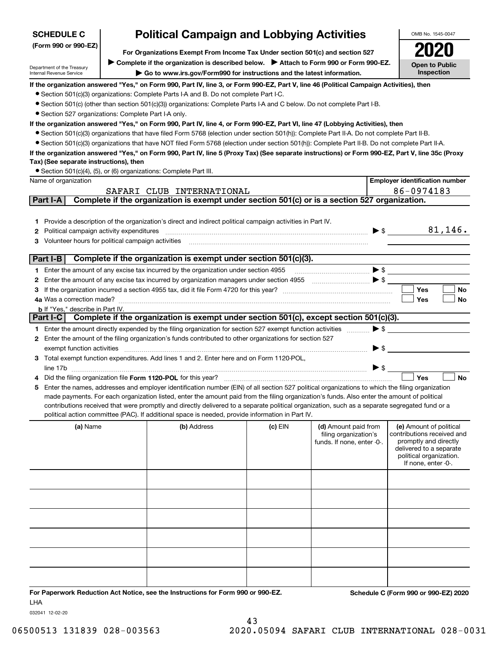| <b>SCHEDULE C</b>                                                                                                      | <b>Political Campaign and Lobbying Activities</b><br>For Organizations Exempt From Income Tax Under section 501(c) and section 527 |                                                                                                                                                                                                                                                                                                                                                                                                                                                                                                                                                                                                                                                                                                                                                                                                                                                                                                                                                                                                                             |           | OMB No. 1545-0047                                                           |                          |                                                                                                                                                             |
|------------------------------------------------------------------------------------------------------------------------|------------------------------------------------------------------------------------------------------------------------------------|-----------------------------------------------------------------------------------------------------------------------------------------------------------------------------------------------------------------------------------------------------------------------------------------------------------------------------------------------------------------------------------------------------------------------------------------------------------------------------------------------------------------------------------------------------------------------------------------------------------------------------------------------------------------------------------------------------------------------------------------------------------------------------------------------------------------------------------------------------------------------------------------------------------------------------------------------------------------------------------------------------------------------------|-----------|-----------------------------------------------------------------------------|--------------------------|-------------------------------------------------------------------------------------------------------------------------------------------------------------|
| (Form 990 or 990-EZ)                                                                                                   |                                                                                                                                    |                                                                                                                                                                                                                                                                                                                                                                                                                                                                                                                                                                                                                                                                                                                                                                                                                                                                                                                                                                                                                             |           | 2020                                                                        |                          |                                                                                                                                                             |
|                                                                                                                        |                                                                                                                                    | Complete if the organization is described below. Attach to Form 990 or Form 990-EZ.                                                                                                                                                                                                                                                                                                                                                                                                                                                                                                                                                                                                                                                                                                                                                                                                                                                                                                                                         |           |                                                                             |                          | <b>Open to Public</b>                                                                                                                                       |
| Department of the Treasury<br>Internal Revenue Service                                                                 |                                                                                                                                    | Go to www.irs.gov/Form990 for instructions and the latest information.                                                                                                                                                                                                                                                                                                                                                                                                                                                                                                                                                                                                                                                                                                                                                                                                                                                                                                                                                      |           |                                                                             |                          | <b>Inspection</b>                                                                                                                                           |
| • Section 527 organizations: Complete Part I-A only.<br>Tax) (See separate instructions), then<br>Name of organization |                                                                                                                                    | If the organization answered "Yes," on Form 990, Part IV, line 3, or Form 990-EZ, Part V, line 46 (Political Campaign Activities), then<br>• Section 501(c)(3) organizations: Complete Parts I-A and B. Do not complete Part I-C.<br>• Section 501(c) (other than section 501(c)(3)) organizations: Complete Parts I-A and C below. Do not complete Part I-B.<br>If the organization answered "Yes," on Form 990, Part IV, line 4, or Form 990-EZ, Part VI, line 47 (Lobbying Activities), then<br>• Section 501(c)(3) organizations that have filed Form 5768 (election under section 501(h)): Complete Part II-A. Do not complete Part II-B.<br>• Section 501(c)(3) organizations that have NOT filed Form 5768 (election under section 501(h)): Complete Part II-B. Do not complete Part II-A.<br>If the organization answered "Yes," on Form 990, Part IV, line 5 (Proxy Tax) (See separate instructions) or Form 990-EZ, Part V, line 35c (Proxy<br>• Section 501(c)(4), (5), or (6) organizations: Complete Part III. |           |                                                                             |                          | <b>Employer identification number</b>                                                                                                                       |
|                                                                                                                        |                                                                                                                                    |                                                                                                                                                                                                                                                                                                                                                                                                                                                                                                                                                                                                                                                                                                                                                                                                                                                                                                                                                                                                                             |           |                                                                             |                          |                                                                                                                                                             |
| Part I-A                                                                                                               |                                                                                                                                    | SAFARI CLUB INTERNATIONAL<br>Complete if the organization is exempt under section 501(c) or is a section 527 organization.                                                                                                                                                                                                                                                                                                                                                                                                                                                                                                                                                                                                                                                                                                                                                                                                                                                                                                  |           |                                                                             |                          | 86-0974183                                                                                                                                                  |
| Political campaign activity expenditures                                                                               |                                                                                                                                    | 1 Provide a description of the organization's direct and indirect political campaign activities in Part IV.<br>Volunteer hours for political campaign activities [11] manufactures in the contract of the contract of the contract of the contract of the contract of the contract of the contract of the contract of the contract of the con                                                                                                                                                                                                                                                                                                                                                                                                                                                                                                                                                                                                                                                                               |           |                                                                             | $\blacktriangleright$ \$ | 81,146.                                                                                                                                                     |
| Part I-B                                                                                                               |                                                                                                                                    | Complete if the organization is exempt under section 501(c)(3).                                                                                                                                                                                                                                                                                                                                                                                                                                                                                                                                                                                                                                                                                                                                                                                                                                                                                                                                                             |           |                                                                             |                          |                                                                                                                                                             |
|                                                                                                                        |                                                                                                                                    | Enter the amount of any excise tax incurred by the organization under section 4955                                                                                                                                                                                                                                                                                                                                                                                                                                                                                                                                                                                                                                                                                                                                                                                                                                                                                                                                          |           |                                                                             |                          | $\blacktriangleright$ \$                                                                                                                                    |
|                                                                                                                        |                                                                                                                                    |                                                                                                                                                                                                                                                                                                                                                                                                                                                                                                                                                                                                                                                                                                                                                                                                                                                                                                                                                                                                                             |           |                                                                             |                          |                                                                                                                                                             |
|                                                                                                                        |                                                                                                                                    |                                                                                                                                                                                                                                                                                                                                                                                                                                                                                                                                                                                                                                                                                                                                                                                                                                                                                                                                                                                                                             |           |                                                                             |                          | <b>Yes</b><br>No                                                                                                                                            |
|                                                                                                                        |                                                                                                                                    |                                                                                                                                                                                                                                                                                                                                                                                                                                                                                                                                                                                                                                                                                                                                                                                                                                                                                                                                                                                                                             |           |                                                                             |                          | <b>Yes</b><br><b>No</b>                                                                                                                                     |
| <b>b</b> If "Yes," describe in Part IV.                                                                                |                                                                                                                                    |                                                                                                                                                                                                                                                                                                                                                                                                                                                                                                                                                                                                                                                                                                                                                                                                                                                                                                                                                                                                                             |           |                                                                             |                          |                                                                                                                                                             |
| Part I-C                                                                                                               |                                                                                                                                    | Complete if the organization is exempt under section 501(c), except section 501(c)(3).                                                                                                                                                                                                                                                                                                                                                                                                                                                                                                                                                                                                                                                                                                                                                                                                                                                                                                                                      |           |                                                                             |                          |                                                                                                                                                             |
|                                                                                                                        |                                                                                                                                    | 1 Enter the amount directly expended by the filing organization for section 527 exempt function activities<br>2 Enter the amount of the filing organization's funds contributed to other organizations for section 527                                                                                                                                                                                                                                                                                                                                                                                                                                                                                                                                                                                                                                                                                                                                                                                                      |           |                                                                             | $\blacktriangleright$ \$ |                                                                                                                                                             |
|                                                                                                                        |                                                                                                                                    |                                                                                                                                                                                                                                                                                                                                                                                                                                                                                                                                                                                                                                                                                                                                                                                                                                                                                                                                                                                                                             |           |                                                                             |                          |                                                                                                                                                             |
| exempt function activities                                                                                             |                                                                                                                                    | 3 Total exempt function expenditures. Add lines 1 and 2. Enter here and on Form 1120-POL,                                                                                                                                                                                                                                                                                                                                                                                                                                                                                                                                                                                                                                                                                                                                                                                                                                                                                                                                   |           |                                                                             | $\blacktriangleright$ \$ |                                                                                                                                                             |
|                                                                                                                        |                                                                                                                                    |                                                                                                                                                                                                                                                                                                                                                                                                                                                                                                                                                                                                                                                                                                                                                                                                                                                                                                                                                                                                                             |           |                                                                             |                          |                                                                                                                                                             |
| line 17b                                                                                                               |                                                                                                                                    |                                                                                                                                                                                                                                                                                                                                                                                                                                                                                                                                                                                                                                                                                                                                                                                                                                                                                                                                                                                                                             |           |                                                                             | $\blacktriangleright$ \$ | <b>No</b><br>Yes                                                                                                                                            |
|                                                                                                                        |                                                                                                                                    | Enter the names, addresses and employer identification number (EIN) of all section 527 political organizations to which the filing organization<br>made payments. For each organization listed, enter the amount paid from the filing organization's funds. Also enter the amount of political<br>contributions received that were promptly and directly delivered to a separate political organization, such as a separate segregated fund or a<br>political action committee (PAC). If additional space is needed, provide information in Part IV.                                                                                                                                                                                                                                                                                                                                                                                                                                                                        |           |                                                                             |                          |                                                                                                                                                             |
| (a) Name                                                                                                               |                                                                                                                                    | (b) Address                                                                                                                                                                                                                                                                                                                                                                                                                                                                                                                                                                                                                                                                                                                                                                                                                                                                                                                                                                                                                 | $(c)$ EIN | (d) Amount paid from<br>filing organization's<br>funds. If none, enter -0-. |                          | (e) Amount of political<br>contributions received and<br>promptly and directly<br>delivered to a separate<br>political organization.<br>If none, enter -0-. |
|                                                                                                                        |                                                                                                                                    |                                                                                                                                                                                                                                                                                                                                                                                                                                                                                                                                                                                                                                                                                                                                                                                                                                                                                                                                                                                                                             |           |                                                                             |                          |                                                                                                                                                             |
|                                                                                                                        |                                                                                                                                    |                                                                                                                                                                                                                                                                                                                                                                                                                                                                                                                                                                                                                                                                                                                                                                                                                                                                                                                                                                                                                             |           |                                                                             |                          |                                                                                                                                                             |
|                                                                                                                        |                                                                                                                                    |                                                                                                                                                                                                                                                                                                                                                                                                                                                                                                                                                                                                                                                                                                                                                                                                                                                                                                                                                                                                                             |           |                                                                             |                          |                                                                                                                                                             |
|                                                                                                                        |                                                                                                                                    |                                                                                                                                                                                                                                                                                                                                                                                                                                                                                                                                                                                                                                                                                                                                                                                                                                                                                                                                                                                                                             |           |                                                                             |                          |                                                                                                                                                             |
|                                                                                                                        |                                                                                                                                    |                                                                                                                                                                                                                                                                                                                                                                                                                                                                                                                                                                                                                                                                                                                                                                                                                                                                                                                                                                                                                             |           |                                                                             |                          |                                                                                                                                                             |

**For Paperwork Reduction Act Notice, see the Instructions for Form 990 or 990-EZ. Schedule C (Form 990 or 990-EZ) 2020** LHA

032041 12-02-20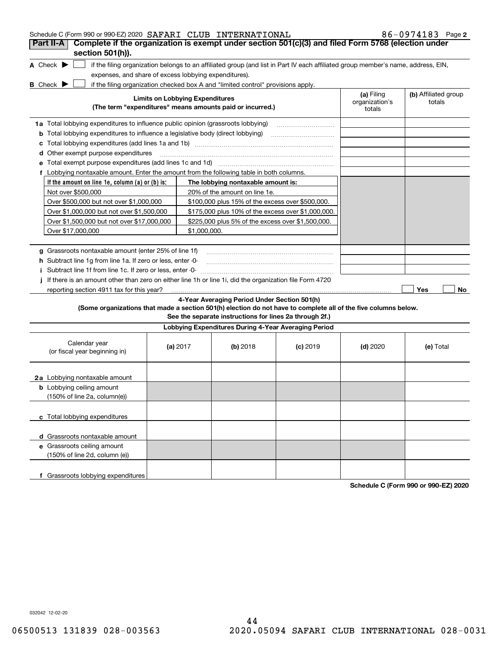| Schedule C (Form 990 or 990-EZ) 2020 SAFARI CLUB INTERNATIONAL                                                                                                     |                                        |                                                                                                         |            |                                        | 86-0974183 Page 2              |
|--------------------------------------------------------------------------------------------------------------------------------------------------------------------|----------------------------------------|---------------------------------------------------------------------------------------------------------|------------|----------------------------------------|--------------------------------|
| Complete if the organization is exempt under section 501(c)(3) and filed Form 5768 (election under<br>Part II-A                                                    |                                        |                                                                                                         |            |                                        |                                |
| section 501(h)).                                                                                                                                                   |                                        |                                                                                                         |            |                                        |                                |
| A Check $\blacktriangleright$<br>if the filing organization belongs to an affiliated group (and list in Part IV each affiliated group member's name, address, EIN, |                                        |                                                                                                         |            |                                        |                                |
| expenses, and share of excess lobbying expenditures).                                                                                                              |                                        |                                                                                                         |            |                                        |                                |
| if the filing organization checked box A and "limited control" provisions apply.<br><b>B</b> Check $\blacktriangleright$                                           |                                        |                                                                                                         |            |                                        |                                |
| (The term "expenditures" means amounts paid or incurred.)                                                                                                          | <b>Limits on Lobbying Expenditures</b> |                                                                                                         |            | (a) Filing<br>organization's<br>totals | (b) Affiliated group<br>totals |
| <b>1a</b> Total lobbying expenditures to influence public opinion (grassroots lobbying)                                                                            |                                        |                                                                                                         |            |                                        |                                |
| <b>b</b> Total lobbying expenditures to influence a legislative body (direct lobbying)                                                                             |                                        |                                                                                                         |            |                                        |                                |
| с                                                                                                                                                                  |                                        |                                                                                                         |            |                                        |                                |
| <b>d</b> Other exempt purpose expenditures                                                                                                                         |                                        |                                                                                                         |            |                                        |                                |
|                                                                                                                                                                    |                                        |                                                                                                         |            |                                        |                                |
| f Lobbying nontaxable amount. Enter the amount from the following table in both columns.                                                                           |                                        |                                                                                                         |            |                                        |                                |
| If the amount on line 1e, column $(a)$ or $(b)$ is:                                                                                                                |                                        | The lobbying nontaxable amount is:                                                                      |            |                                        |                                |
| Not over \$500,000                                                                                                                                                 |                                        | 20% of the amount on line 1e.                                                                           |            |                                        |                                |
| Over \$500,000 but not over \$1,000,000                                                                                                                            |                                        | \$100,000 plus 15% of the excess over \$500,000.                                                        |            |                                        |                                |
| Over \$1,000,000 but not over \$1,500,000                                                                                                                          |                                        | \$175,000 plus 10% of the excess over \$1,000,000.                                                      |            |                                        |                                |
| Over \$1,500,000 but not over \$17,000,000                                                                                                                         |                                        | \$225,000 plus 5% of the excess over \$1,500,000.                                                       |            |                                        |                                |
| Over \$17,000,000                                                                                                                                                  | \$1,000,000.                           |                                                                                                         |            |                                        |                                |
|                                                                                                                                                                    |                                        |                                                                                                         |            |                                        |                                |
| g Grassroots nontaxable amount (enter 25% of line 1f)                                                                                                              |                                        |                                                                                                         |            |                                        |                                |
| h Subtract line 1q from line 1a. If zero or less, enter -0-                                                                                                        |                                        |                                                                                                         |            |                                        |                                |
| i Subtract line 1f from line 1c. If zero or less, enter -0-                                                                                                        |                                        |                                                                                                         |            |                                        |                                |
| If there is an amount other than zero on either line 1h or line 1i, did the organization file Form 4720                                                            |                                        |                                                                                                         |            |                                        |                                |
| reporting section 4911 tax for this year?                                                                                                                          |                                        |                                                                                                         |            |                                        | Yes<br>No                      |
| (Some organizations that made a section 501(h) election do not have to complete all of the five columns below.                                                     |                                        | 4-Year Averaging Period Under Section 501(h)<br>See the separate instructions for lines 2a through 2f.) |            |                                        |                                |
|                                                                                                                                                                    |                                        | Lobbying Expenditures During 4-Year Averaging Period                                                    |            |                                        |                                |
| Calendar year<br>(or fiscal year beginning in)                                                                                                                     | (a) 2017                               | $(b)$ 2018                                                                                              | $(c)$ 2019 | $(d)$ 2020                             | (e) Total                      |
| 2a Lobbying nontaxable amount                                                                                                                                      |                                        |                                                                                                         |            |                                        |                                |
| <b>b</b> Lobbying ceiling amount<br>$(150\% \text{ of line } 2a, \text{ column}(e))$                                                                               |                                        |                                                                                                         |            |                                        |                                |
| c Total lobbying expenditures                                                                                                                                      |                                        |                                                                                                         |            |                                        |                                |
| d Grassroots nontaxable amount                                                                                                                                     |                                        |                                                                                                         |            |                                        |                                |
| e Grassroots ceiling amount<br>(150% of line 2d, column (e))                                                                                                       |                                        |                                                                                                         |            |                                        |                                |
| f Grassroots lobbying expenditures                                                                                                                                 |                                        |                                                                                                         |            |                                        |                                |

**Schedule C (Form 990 or 990-EZ) 2020**

032042 12-02-20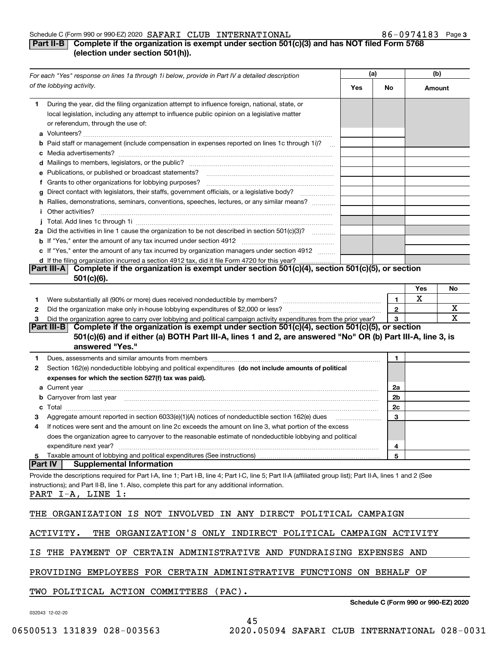### Schedule C (Form 990 or 990-EZ) 2020 Page SAFARI CLUB INTERNATIONAL 86-0974183

### **3**

## **Part II-B** Complete if the organization is exempt under section 501(c)(3) and has NOT filed Form 5768 **(election under section 501(h)).**

|    | For each "Yes" response on lines 1a through 1i below, provide in Part IV a detailed description                                                                                                                                                                                     | (a) |                | (b)                                  |    |
|----|-------------------------------------------------------------------------------------------------------------------------------------------------------------------------------------------------------------------------------------------------------------------------------------|-----|----------------|--------------------------------------|----|
|    | of the lobbying activity.                                                                                                                                                                                                                                                           | Yes | No             | Amount                               |    |
| 1  | During the year, did the filing organization attempt to influence foreign, national, state, or<br>local legislation, including any attempt to influence public opinion on a legislative matter<br>or referendum, through the use of:                                                |     |                |                                      |    |
|    |                                                                                                                                                                                                                                                                                     |     |                |                                      |    |
|    | <b>b</b> Paid staff or management (include compensation in expenses reported on lines 1c through 1i)?                                                                                                                                                                               |     |                |                                      |    |
|    |                                                                                                                                                                                                                                                                                     |     |                |                                      |    |
|    | e Publications, or published or broadcast statements?                                                                                                                                                                                                                               |     |                |                                      |    |
|    | f Grants to other organizations for lobbying purposes?                                                                                                                                                                                                                              |     |                |                                      |    |
|    | g Direct contact with legislators, their staffs, government officials, or a legislative body?                                                                                                                                                                                       |     |                |                                      |    |
|    | h Rallies, demonstrations, seminars, conventions, speeches, lectures, or any similar means?                                                                                                                                                                                         |     |                |                                      |    |
|    | <i>i</i> Other activities?                                                                                                                                                                                                                                                          |     |                |                                      |    |
|    |                                                                                                                                                                                                                                                                                     |     |                |                                      |    |
|    | 2a Did the activities in line 1 cause the organization to be not described in section 501(c)(3)?                                                                                                                                                                                    |     |                |                                      |    |
|    |                                                                                                                                                                                                                                                                                     |     |                |                                      |    |
|    |                                                                                                                                                                                                                                                                                     |     |                |                                      |    |
|    | c If "Yes," enter the amount of any tax incurred by organization managers under section 4912                                                                                                                                                                                        |     |                |                                      |    |
|    | d If the filing organization incurred a section 4912 tax, did it file Form 4720 for this year?<br>Complete if the organization is exempt under section 501(c)(4), section 501(c)(5), or section<br><b>Part III-A</b>                                                                |     |                |                                      |    |
|    | $501(c)(6)$ .                                                                                                                                                                                                                                                                       |     |                |                                      |    |
|    |                                                                                                                                                                                                                                                                                     |     |                | Yes                                  | No |
|    |                                                                                                                                                                                                                                                                                     |     |                | х                                    |    |
| 1. | Were substantially all (90% or more) dues received nondeductible by members? [11] www.community.community.com                                                                                                                                                                       |     | 1              |                                      |    |
| 2  |                                                                                                                                                                                                                                                                                     |     | $\overline{2}$ |                                      | х  |
| з  | Did the organization agree to carry over lobbying and political campaign activity expenditures from the prior year?<br>Complete if the organization is exempt under section $501(c)(4)$ , section $501(c)(5)$ , or section<br>Part III-BI                                           |     | 3              |                                      | x  |
|    | 501(c)(6) and if either (a) BOTH Part III-A, lines 1 and 2, are answered "No" OR (b) Part III-A, line 3, is<br>answered "Yes."                                                                                                                                                      |     |                |                                      |    |
| 1  | Dues, assessments and similar amounts from members [11] matter content to the state of the state of the state of the state of the state of the state of the state of the state of the state of the state of the state of the s                                                      |     | 1              |                                      |    |
| 2  | Section 162(e) nondeductible lobbying and political expenditures (do not include amounts of political                                                                                                                                                                               |     |                |                                      |    |
|    | expenses for which the section 527(f) tax was paid).                                                                                                                                                                                                                                |     |                |                                      |    |
|    |                                                                                                                                                                                                                                                                                     |     | 2a             |                                      |    |
|    |                                                                                                                                                                                                                                                                                     |     | 2b             |                                      |    |
|    |                                                                                                                                                                                                                                                                                     |     | 2c             |                                      |    |
| з  |                                                                                                                                                                                                                                                                                     |     | 3              |                                      |    |
| 4  | If notices were sent and the amount on line 2c exceeds the amount on line 3, what portion of the excess                                                                                                                                                                             |     |                |                                      |    |
|    | does the organization agree to carryover to the reasonable estimate of nondeductible lobbying and political                                                                                                                                                                         |     |                |                                      |    |
|    | expenditure next year?                                                                                                                                                                                                                                                              |     | 4              |                                      |    |
| 5  |                                                                                                                                                                                                                                                                                     |     | 5              |                                      |    |
|    | <b>Supplemental Information</b><br> Part IV                                                                                                                                                                                                                                         |     |                |                                      |    |
|    | Provide the descriptions required for Part I-A, line 1; Part I-B, line 4; Part I-C, line 5; Part II-A (affiliated group list); Part II-A, lines 1 and 2 (See<br>instructions); and Part II-B, line 1. Also, complete this part for any additional information.<br>PART I-A, LINE 1: |     |                |                                      |    |
|    |                                                                                                                                                                                                                                                                                     |     |                |                                      |    |
|    | THE ORGANIZATION IS NOT INVOLVED IN ANY DIRECT POLITICAL CAMPAIGN                                                                                                                                                                                                                   |     |                |                                      |    |
|    |                                                                                                                                                                                                                                                                                     |     |                |                                      |    |
|    | THE ORGANIZATION'S ONLY INDIRECT POLITICAL CAMPAIGN ACTIVITY<br>ACTIVITY.                                                                                                                                                                                                           |     |                |                                      |    |
| IS | THE PAYMENT OF CERTAIN ADMINISTRATIVE AND FUNDRAISING EXPENSES AND                                                                                                                                                                                                                  |     |                |                                      |    |
|    | PROVIDING EMPLOYEES FOR CERTAIN ADMINISTRATIVE FUNCTIONS ON BEHALF OF                                                                                                                                                                                                               |     |                |                                      |    |
|    | TWO POLITICAL ACTION COMMITTEES<br>$(PAC)$ .                                                                                                                                                                                                                                        |     |                |                                      |    |
|    | 032043 12-02-20                                                                                                                                                                                                                                                                     |     |                | Schedule C (Form 990 or 990-EZ) 2020 |    |

45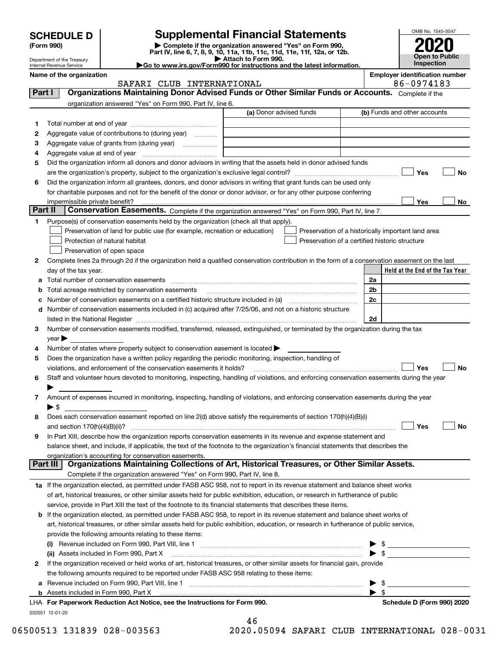| <b>SCHEDULE D</b> |  |
|-------------------|--|
|-------------------|--|

| (Form 990) |  |
|------------|--|
|------------|--|

# **Supplemental Financial Statements**

**(Form 990)** (**Form 990,**<br>Part IV, line 6, 7, 8, 9, 10, 11a, 11b, 11c, 11d, 11e, 11f, 12a, or 12b.<br>Department of the Treasury **and Exercise Connect Connect Connect Connect Connect Connect Connect Connect Connect** 

| Attach to Form 990.                                                    |
|------------------------------------------------------------------------|
| Go to www.irs.gov/Form990 for instructions and the latest information. |
|                                                                        |



Department of the Treasury Internal Revenue Service

**Name of the organization Employer identification number**

SAFARI CLUB INTERNATIONAL **86-0974183** 

| Part I  | Organizations Maintaining Donor Advised Funds or Other Similar Funds or Accounts. Complete if the                                                                 |                         |                                                    |
|---------|-------------------------------------------------------------------------------------------------------------------------------------------------------------------|-------------------------|----------------------------------------------------|
|         | organization answered "Yes" on Form 990, Part IV, line 6.                                                                                                         |                         |                                                    |
|         |                                                                                                                                                                   | (a) Donor advised funds | (b) Funds and other accounts                       |
| 1       |                                                                                                                                                                   |                         |                                                    |
| 2       | Aggregate value of contributions to (during year)                                                                                                                 |                         |                                                    |
| з       | Aggregate value of grants from (during year)                                                                                                                      |                         |                                                    |
| 4       |                                                                                                                                                                   |                         |                                                    |
| 5       | Did the organization inform all donors and donor advisors in writing that the assets held in donor advised funds                                                  |                         |                                                    |
|         |                                                                                                                                                                   |                         | Yes<br>No                                          |
| 6       | Did the organization inform all grantees, donors, and donor advisors in writing that grant funds can be used only                                                 |                         |                                                    |
|         | for charitable purposes and not for the benefit of the donor or donor advisor, or for any other purpose conferring                                                |                         |                                                    |
|         | impermissible private benefit?                                                                                                                                    |                         | Yes<br>No                                          |
| Part II | Conservation Easements. Complete if the organization answered "Yes" on Form 990, Part IV, line 7.                                                                 |                         |                                                    |
| 1       | Purpose(s) of conservation easements held by the organization (check all that apply).                                                                             |                         |                                                    |
|         | Preservation of land for public use (for example, recreation or education)                                                                                        |                         | Preservation of a historically important land area |
|         | Protection of natural habitat                                                                                                                                     |                         | Preservation of a certified historic structure     |
|         | Preservation of open space                                                                                                                                        |                         |                                                    |
| 2       | Complete lines 2a through 2d if the organization held a qualified conservation contribution in the form of a conservation easement on the last                    |                         |                                                    |
|         | day of the tax year.                                                                                                                                              |                         | Held at the End of the Tax Year                    |
| а       |                                                                                                                                                                   |                         | 2a                                                 |
| b       | Total acreage restricted by conservation easements                                                                                                                |                         | 2b                                                 |
| c       | Number of conservation easements on a certified historic structure included in (a) manufacture included in (a)                                                    |                         | 2c                                                 |
| d       | Number of conservation easements included in (c) acquired after 7/25/06, and not on a historic structure                                                          |                         |                                                    |
|         |                                                                                                                                                                   |                         | 2d                                                 |
| 3       | Number of conservation easements modified, transferred, released, extinguished, or terminated by the organization during the tax                                  |                         |                                                    |
|         | $year \blacktriangleright$                                                                                                                                        |                         |                                                    |
| 4       | Number of states where property subject to conservation easement is located >                                                                                     |                         |                                                    |
| 5       | Does the organization have a written policy regarding the periodic monitoring, inspection, handling of                                                            |                         |                                                    |
|         | violations, and enforcement of the conservation easements it holds?                                                                                               |                         | Yes<br>No                                          |
| 6       | Staff and volunteer hours devoted to monitoring, inspecting, handling of violations, and enforcing conservation easements during the year                         |                         |                                                    |
|         |                                                                                                                                                                   |                         |                                                    |
| 7       | Amount of expenses incurred in monitoring, inspecting, handling of violations, and enforcing conservation easements during the year                               |                         |                                                    |
|         | $\blacktriangleright$ \$                                                                                                                                          |                         |                                                    |
| 8       | Does each conservation easement reported on line 2(d) above satisfy the requirements of section 170(h)(4)(B)(i)                                                   |                         |                                                    |
|         |                                                                                                                                                                   |                         | Yes<br>No                                          |
| 9       | In Part XIII, describe how the organization reports conservation easements in its revenue and expense statement and                                               |                         |                                                    |
|         | balance sheet, and include, if applicable, the text of the footnote to the organization's financial statements that describes the                                 |                         |                                                    |
|         | organization's accounting for conservation easements.<br>Organizations Maintaining Collections of Art, Historical Treasures, or Other Similar Assets.<br>Part III |                         |                                                    |
|         | Complete if the organization answered "Yes" on Form 990, Part IV, line 8.                                                                                         |                         |                                                    |
|         |                                                                                                                                                                   |                         |                                                    |
|         | 1a If the organization elected, as permitted under FASB ASC 958, not to report in its revenue statement and balance sheet works                                   |                         |                                                    |
|         | of art, historical treasures, or other similar assets held for public exhibition, education, or research in furtherance of public                                 |                         |                                                    |
|         | service, provide in Part XIII the text of the footnote to its financial statements that describes these items.                                                    |                         |                                                    |
|         | <b>b</b> If the organization elected, as permitted under FASB ASC 958, to report in its revenue statement and balance sheet works of                              |                         |                                                    |
|         | art, historical treasures, or other similar assets held for public exhibition, education, or research in furtherance of public service,                           |                         |                                                    |
|         | provide the following amounts relating to these items:                                                                                                            |                         |                                                    |
|         |                                                                                                                                                                   |                         | \$<br>$\blacktriangleright$ s                      |
|         | (ii) Assets included in Form 990, Part X                                                                                                                          |                         |                                                    |
| 2       | If the organization received or held works of art, historical treasures, or other similar assets for financial gain, provide                                      |                         |                                                    |
|         | the following amounts required to be reported under FASB ASC 958 relating to these items:                                                                         |                         |                                                    |
| а       |                                                                                                                                                                   |                         | - \$<br>- \$                                       |
|         | LHA For Paperwork Reduction Act Notice, see the Instructions for Form 990.                                                                                        |                         | Schedule D (Form 990) 2020                         |
|         | 032051 12-01-20                                                                                                                                                   |                         |                                                    |

|       | 46 |  |  |        |  |
|-------|----|--|--|--------|--|
| n n n |    |  |  | 0.5001 |  |

46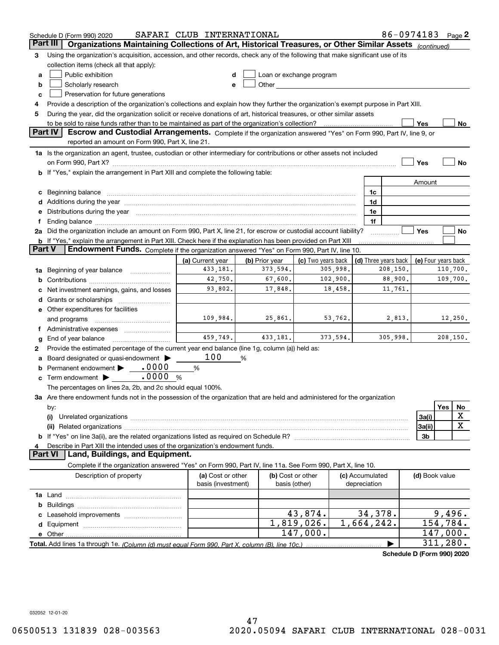|          | Schedule D (Form 990) 2020                                                                                                                                                                                                           | SAFARI CLUB INTERNATIONAL |                |                                                                                                                                                                                                                               |                 | 86-0974183 Page 2          |                     |     |          |
|----------|--------------------------------------------------------------------------------------------------------------------------------------------------------------------------------------------------------------------------------------|---------------------------|----------------|-------------------------------------------------------------------------------------------------------------------------------------------------------------------------------------------------------------------------------|-----------------|----------------------------|---------------------|-----|----------|
| Part III | Organizations Maintaining Collections of Art, Historical Treasures, or Other Similar Assets (continued)                                                                                                                              |                           |                |                                                                                                                                                                                                                               |                 |                            |                     |     |          |
| 3        | Using the organization's acquisition, accession, and other records, check any of the following that make significant use of its                                                                                                      |                           |                |                                                                                                                                                                                                                               |                 |                            |                     |     |          |
|          | collection items (check all that apply):                                                                                                                                                                                             |                           |                |                                                                                                                                                                                                                               |                 |                            |                     |     |          |
| a        | Public exhibition                                                                                                                                                                                                                    |                           |                | Loan or exchange program                                                                                                                                                                                                      |                 |                            |                     |     |          |
| b        | Scholarly research                                                                                                                                                                                                                   | e                         |                | Other and the contract of the contract of the contract of the contract of the contract of the contract of the contract of the contract of the contract of the contract of the contract of the contract of the contract of the |                 |                            |                     |     |          |
| c        | Preservation for future generations                                                                                                                                                                                                  |                           |                |                                                                                                                                                                                                                               |                 |                            |                     |     |          |
| 4        | Provide a description of the organization's collections and explain how they further the organization's exempt purpose in Part XIII.                                                                                                 |                           |                |                                                                                                                                                                                                                               |                 |                            |                     |     |          |
| 5        | During the year, did the organization solicit or receive donations of art, historical treasures, or other similar assets                                                                                                             |                           |                |                                                                                                                                                                                                                               |                 |                            |                     |     |          |
|          | to be sold to raise funds rather than to be maintained as part of the organization's collection?                                                                                                                                     |                           |                |                                                                                                                                                                                                                               |                 |                            | Yes                 |     | No       |
|          | Part IV<br>Escrow and Custodial Arrangements. Complete if the organization answered "Yes" on Form 990, Part IV, line 9, or                                                                                                           |                           |                |                                                                                                                                                                                                                               |                 |                            |                     |     |          |
|          | reported an amount on Form 990, Part X, line 21.                                                                                                                                                                                     |                           |                |                                                                                                                                                                                                                               |                 |                            |                     |     |          |
|          | 1a Is the organization an agent, trustee, custodian or other intermediary for contributions or other assets not included                                                                                                             |                           |                |                                                                                                                                                                                                                               |                 |                            |                     |     |          |
|          |                                                                                                                                                                                                                                      |                           |                |                                                                                                                                                                                                                               |                 |                            | Yes                 |     | No       |
|          |                                                                                                                                                                                                                                      |                           |                |                                                                                                                                                                                                                               |                 |                            |                     |     |          |
|          | <b>b</b> If "Yes," explain the arrangement in Part XIII and complete the following table:                                                                                                                                            |                           |                |                                                                                                                                                                                                                               |                 |                            |                     |     |          |
|          |                                                                                                                                                                                                                                      |                           |                |                                                                                                                                                                                                                               |                 |                            | Amount              |     |          |
| c        | Beginning balance <b>contract to the contract of the contract of the contract of the contract of the contract of the contract of the contract of the contract of the contract of the contract of the contract of the contract of</b> |                           |                |                                                                                                                                                                                                                               | 1c              |                            |                     |     |          |
| d        | Additions during the year manufactured and an according to the year manufactured and according the year manufactured and according the year manufactured and according the year manufactured and according the year manufactur       |                           |                |                                                                                                                                                                                                                               | 1d              |                            |                     |     |          |
| е        | Distributions during the year manufactured and continuum and continuum and contact the year manufactured and contact the sear manufactured and contact the sear manufactured and contact the search of the search of the searc       |                           |                |                                                                                                                                                                                                                               | 1e              |                            |                     |     |          |
|          | Ending balance manufactured and contact the contract of the contract of the contract of the contract of the contract of the contract of the contract of the contract of the contract of the contract of the contract of the co       |                           |                |                                                                                                                                                                                                                               | 1f              |                            |                     |     |          |
|          | 2a Did the organization include an amount on Form 990, Part X, line 21, for escrow or custodial account liability?                                                                                                                   |                           |                |                                                                                                                                                                                                                               |                 |                            | Yes                 |     | No       |
|          | b If "Yes," explain the arrangement in Part XIII. Check here if the explanation has been provided on Part XIII                                                                                                                       |                           |                |                                                                                                                                                                                                                               |                 |                            |                     |     |          |
| Part V   | Endowment Funds. Complete if the organization answered "Yes" on Form 990, Part IV, line 10.                                                                                                                                          |                           |                |                                                                                                                                                                                                                               |                 |                            |                     |     |          |
|          |                                                                                                                                                                                                                                      | (a) Current year          | (b) Prior year | (c) Two years back                                                                                                                                                                                                            |                 | (d) Three years back       | (e) Four years back |     |          |
| 1a       | Beginning of year balance                                                                                                                                                                                                            | 433, 181.                 | 373,594.       | 305,998.                                                                                                                                                                                                                      |                 | 208,150.                   |                     |     | 110,700. |
| b        |                                                                                                                                                                                                                                      | 42,750.                   | 67,600.        | 102,900.                                                                                                                                                                                                                      |                 | 88,900.                    |                     |     | 109,700. |
|          | Net investment earnings, gains, and losses                                                                                                                                                                                           | 93,802.                   | 17,848.        | 18,458.                                                                                                                                                                                                                       |                 | 11,761.                    |                     |     |          |
| d        |                                                                                                                                                                                                                                      |                           |                |                                                                                                                                                                                                                               |                 |                            |                     |     |          |
|          | e Other expenditures for facilities                                                                                                                                                                                                  |                           |                |                                                                                                                                                                                                                               |                 |                            |                     |     |          |
|          | and programs                                                                                                                                                                                                                         | 109,984.                  | 25,861.        | 53,762.                                                                                                                                                                                                                       |                 | 2,813.                     |                     |     | 12,250.  |
|          | f Administrative expenses                                                                                                                                                                                                            |                           |                |                                                                                                                                                                                                                               |                 |                            |                     |     |          |
| g        | End of year balance                                                                                                                                                                                                                  | 459,749.                  | 433, 181.      | 373,594.                                                                                                                                                                                                                      |                 | 305,998.                   |                     |     | 208,150. |
| 2        | Provide the estimated percentage of the current year end balance (line 1g, column (a)) held as:                                                                                                                                      |                           |                |                                                                                                                                                                                                                               |                 |                            |                     |     |          |
| а        | Board designated or quasi-endowment                                                                                                                                                                                                  | 100                       | %              |                                                                                                                                                                                                                               |                 |                            |                     |     |          |
| b        | Permanent endowment > 0000                                                                                                                                                                                                           | %                         |                |                                                                                                                                                                                                                               |                 |                            |                     |     |          |
| c        | .0000<br>Term endowment $\blacktriangleright$                                                                                                                                                                                        | %                         |                |                                                                                                                                                                                                                               |                 |                            |                     |     |          |
|          | The percentages on lines 2a, 2b, and 2c should equal 100%.                                                                                                                                                                           |                           |                |                                                                                                                                                                                                                               |                 |                            |                     |     |          |
|          | 3a Are there endowment funds not in the possession of the organization that are held and administered for the organization                                                                                                           |                           |                |                                                                                                                                                                                                                               |                 |                            |                     |     |          |
|          | by:                                                                                                                                                                                                                                  |                           |                |                                                                                                                                                                                                                               |                 |                            |                     | Yes | No       |
|          | (i)                                                                                                                                                                                                                                  |                           |                |                                                                                                                                                                                                                               |                 |                            | 3a(i)               |     | х        |
|          |                                                                                                                                                                                                                                      |                           |                |                                                                                                                                                                                                                               |                 |                            | 3a(ii)              |     | X        |
|          |                                                                                                                                                                                                                                      |                           |                |                                                                                                                                                                                                                               |                 |                            | 3b                  |     |          |
|          | Describe in Part XIII the intended uses of the organization's endowment funds.                                                                                                                                                       |                           |                |                                                                                                                                                                                                                               |                 |                            |                     |     |          |
|          | Land, Buildings, and Equipment.<br><b>Part VI</b>                                                                                                                                                                                    |                           |                |                                                                                                                                                                                                                               |                 |                            |                     |     |          |
|          | Complete if the organization answered "Yes" on Form 990, Part IV, line 11a. See Form 990, Part X, line 10.                                                                                                                           |                           |                |                                                                                                                                                                                                                               |                 |                            |                     |     |          |
|          | Description of property                                                                                                                                                                                                              | (a) Cost or other         |                | (b) Cost or other                                                                                                                                                                                                             | (c) Accumulated |                            | (d) Book value      |     |          |
|          |                                                                                                                                                                                                                                      | basis (investment)        |                | basis (other)                                                                                                                                                                                                                 | depreciation    |                            |                     |     |          |
|          |                                                                                                                                                                                                                                      |                           |                |                                                                                                                                                                                                                               |                 |                            |                     |     |          |
| b        |                                                                                                                                                                                                                                      |                           |                |                                                                                                                                                                                                                               |                 |                            |                     |     |          |
|          |                                                                                                                                                                                                                                      |                           |                | 43,874.                                                                                                                                                                                                                       | 34,378.         |                            |                     |     | 9,496.   |
|          |                                                                                                                                                                                                                                      |                           |                | 1,819,026.                                                                                                                                                                                                                    | 1,664,242.      |                            |                     |     | 154,784. |
|          |                                                                                                                                                                                                                                      |                           |                | 147,000.                                                                                                                                                                                                                      |                 |                            |                     |     | 147,000. |
|          | e Other                                                                                                                                                                                                                              |                           |                |                                                                                                                                                                                                                               |                 |                            |                     |     | 311,280. |
|          | Total. Add lines 1a through 1e. (Column (d) must equal Form 990. Part X, column (B), line 10c.)                                                                                                                                      |                           |                |                                                                                                                                                                                                                               |                 |                            |                     |     |          |
|          |                                                                                                                                                                                                                                      |                           |                |                                                                                                                                                                                                                               |                 | Schedule D (Form 990) 2020 |                     |     |          |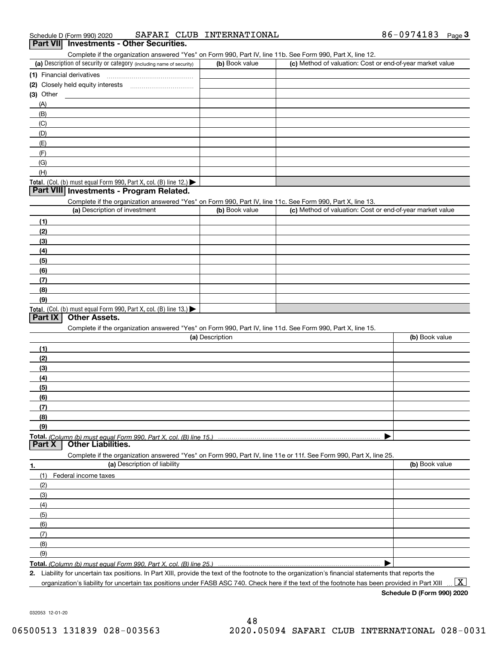| SAFARI CLUB INTERNATIONAL<br>Schedule D (Form 990) 2020                                                                                           | 86-0974183<br>$Page$ <sup>3</sup>                         |
|---------------------------------------------------------------------------------------------------------------------------------------------------|-----------------------------------------------------------|
| Part VII Investments - Other Securities.                                                                                                          |                                                           |
| Complete if the organization answered "Yes" on Form 990, Part IV, line 11b. See Form 990, Part X, line 12.                                        |                                                           |
| (a) Description of security or category (including name of security)<br>(b) Book value                                                            | (c) Method of valuation: Cost or end-of-year market value |
| (1) Financial derivatives                                                                                                                         |                                                           |
|                                                                                                                                                   |                                                           |
| (3) Other                                                                                                                                         |                                                           |
| (A)                                                                                                                                               |                                                           |
| (B)                                                                                                                                               |                                                           |
| (C)                                                                                                                                               |                                                           |
| (D)                                                                                                                                               |                                                           |
| (E)                                                                                                                                               |                                                           |
| (F)                                                                                                                                               |                                                           |
| (G)                                                                                                                                               |                                                           |
| (H)                                                                                                                                               |                                                           |
| Total. (Col. (b) must equal Form 990, Part X, col. (B) line 12.)                                                                                  |                                                           |
| Part VIII Investments - Program Related.                                                                                                          |                                                           |
| Complete if the organization answered "Yes" on Form 990, Part IV, line 11c. See Form 990, Part X, line 13.                                        |                                                           |
| (a) Description of investment<br>(b) Book value                                                                                                   | (c) Method of valuation: Cost or end-of-year market value |
| (1)                                                                                                                                               |                                                           |
| (2)                                                                                                                                               |                                                           |
| (3)                                                                                                                                               |                                                           |
| (4)                                                                                                                                               |                                                           |
| (5)                                                                                                                                               |                                                           |
| (6)                                                                                                                                               |                                                           |
| (7)                                                                                                                                               |                                                           |
| (8)                                                                                                                                               |                                                           |
| (9)                                                                                                                                               |                                                           |
| Total. (Col. (b) must equal Form 990, Part X, col. (B) line 13.)                                                                                  |                                                           |
| <b>Other Assets.</b><br>Part IX                                                                                                                   |                                                           |
| Complete if the organization answered "Yes" on Form 990, Part IV, line 11d. See Form 990, Part X, line 15.                                        |                                                           |
| (a) Description                                                                                                                                   | (b) Book value                                            |
| (1)                                                                                                                                               |                                                           |
| (2)                                                                                                                                               |                                                           |
| (3)                                                                                                                                               |                                                           |
| (4)                                                                                                                                               |                                                           |
| (5)                                                                                                                                               |                                                           |
| (6)                                                                                                                                               |                                                           |
| (7)                                                                                                                                               |                                                           |
| (8)                                                                                                                                               |                                                           |
| (9)                                                                                                                                               |                                                           |
| <b>Total.</b> (Column (b) must equal Form 990. Part X, col. (B) line 15.)<br>Part X<br><b>Other Liabilities.</b>                                  |                                                           |
|                                                                                                                                                   |                                                           |
| Complete if the organization answered "Yes" on Form 990, Part IV, line 11e or 11f. See Form 990, Part X, line 25.<br>(a) Description of liability | (b) Book value                                            |
| 1.                                                                                                                                                |                                                           |
| (1)<br>Federal income taxes                                                                                                                       |                                                           |
| (2)                                                                                                                                               |                                                           |
| (3)                                                                                                                                               |                                                           |
| (4)                                                                                                                                               |                                                           |
| (5)                                                                                                                                               |                                                           |
| (6)                                                                                                                                               |                                                           |
| (7)                                                                                                                                               |                                                           |
| (8)                                                                                                                                               |                                                           |
| (9)                                                                                                                                               |                                                           |
| Total. (Column (b) must equal Form 990, Part X, col. (B) line 25.)                                                                                |                                                           |

**2.** Liability for uncertain tax positions. In Part XIII, provide the text of the footnote to the organization's financial statements that reports the organization's liability for uncertain tax positions under FASB ASC 740. Check here if the text of the footnote has been provided in Part XIII  $\boxed{\text{X}}$ 

**Schedule D (Form 990) 2020**

032053 12-01-20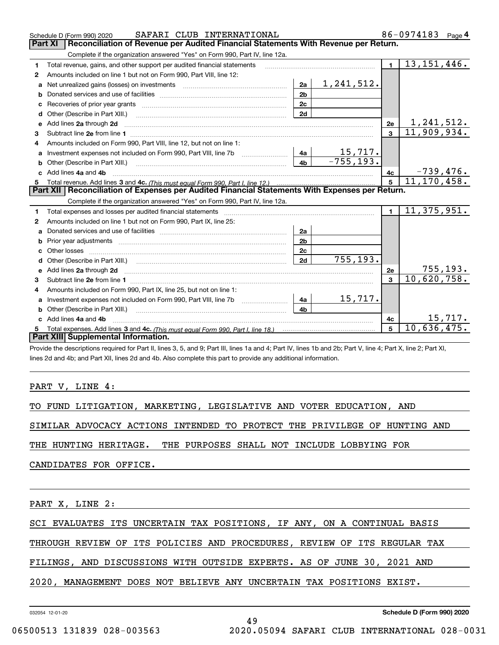|              | SAFARI CLUB INTERNATIONAL<br>Schedule D (Form 990) 2020                                                                                                                                                                       |                |              |                | 86-0974183<br>Page $4$           |
|--------------|-------------------------------------------------------------------------------------------------------------------------------------------------------------------------------------------------------------------------------|----------------|--------------|----------------|----------------------------------|
|              | Part XI<br>Reconciliation of Revenue per Audited Financial Statements With Revenue per Return.                                                                                                                                |                |              |                |                                  |
|              | Complete if the organization answered "Yes" on Form 990, Part IV, line 12a.                                                                                                                                                   |                |              |                |                                  |
| 1            | Total revenue, gains, and other support per audited financial statements                                                                                                                                                      |                |              | $\blacksquare$ | 13, 151, 446.                    |
| $\mathbf{2}$ | Amounts included on line 1 but not on Form 990. Part VIII, line 12:                                                                                                                                                           |                |              |                |                                  |
| a            |                                                                                                                                                                                                                               | 2a             | 1, 241, 512. |                |                                  |
|              |                                                                                                                                                                                                                               | 2 <sub>b</sub> |              |                |                                  |
|              |                                                                                                                                                                                                                               | 2c             |              |                |                                  |
| d            | Other (Describe in Part XIII.) <b>Construction Contract Construction</b> Construction Construction Construction Const                                                                                                         | 2d             |              |                |                                  |
| е            | Add lines 2a through 2d                                                                                                                                                                                                       |                |              | 2e             | $\frac{1,241,512.}{11,909,934.}$ |
| 3            |                                                                                                                                                                                                                               |                |              | $\mathbf{3}$   |                                  |
| 4            | Amounts included on Form 990, Part VIII, line 12, but not on line 1:                                                                                                                                                          |                |              |                |                                  |
|              |                                                                                                                                                                                                                               |                | 15,717.      |                |                                  |
|              |                                                                                                                                                                                                                               | 4 <sub>h</sub> | $-755, 193.$ |                |                                  |
| c.           | Add lines 4a and 4b                                                                                                                                                                                                           |                |              | 4с             | $-739,476.$<br>11,170,458.       |
|              |                                                                                                                                                                                                                               |                |              | $\overline{5}$ |                                  |
|              |                                                                                                                                                                                                                               |                |              |                |                                  |
|              | Part XII   Reconciliation of Expenses per Audited Financial Statements With Expenses per Return.                                                                                                                              |                |              |                |                                  |
|              | Complete if the organization answered "Yes" on Form 990, Part IV, line 12a.                                                                                                                                                   |                |              |                |                                  |
| 1            | Total expenses and losses per audited financial statements [11, 11] manuscription control expenses and losses per audited financial statements [11] manuscription of the statements [11] manuscription of the statements [11] |                |              | $\mathbf{1}$   | 11,375,951.                      |
| 2            | Amounts included on line 1 but not on Form 990, Part IX, line 25:                                                                                                                                                             |                |              |                |                                  |
| a            |                                                                                                                                                                                                                               | 2a             |              |                |                                  |
|              |                                                                                                                                                                                                                               | 2 <sub>b</sub> |              |                |                                  |
| c.           |                                                                                                                                                                                                                               | 2c             |              |                |                                  |
|              |                                                                                                                                                                                                                               | 2d             | 755, 193.    |                |                                  |
|              |                                                                                                                                                                                                                               |                |              | 2e             | 755, 193.                        |
| 3            |                                                                                                                                                                                                                               |                |              | $\mathbf{R}$   | $\overline{10}$ , 620, 758.      |
| 4            | Amounts included on Form 990, Part IX, line 25, but not on line 1:                                                                                                                                                            |                |              |                |                                  |
| a            |                                                                                                                                                                                                                               | 4a             | 15,717.      |                |                                  |
| b            |                                                                                                                                                                                                                               | 4b             |              |                |                                  |
|              | Add lines 4a and 4b                                                                                                                                                                                                           |                |              | 4c             | 15,717.                          |
|              | Part XIII Supplemental Information.                                                                                                                                                                                           |                |              | $5\phantom{a}$ | 10,636,475.                      |

Provide the descriptions required for Part II, lines 3, 5, and 9; Part III, lines 1a and 4; Part IV, lines 1b and 2b; Part V, line 4; Part X, line 2; Part XI, lines 2d and 4b; and Part XII, lines 2d and 4b. Also complete this part to provide any additional information.

PART V, LINE 4:

TO FUND LITIGATION, MARKETING, LEGISLATIVE AND VOTER EDUCATION, AND

SIMILAR ADVOCACY ACTIONS INTENDED TO PROTECT THE PRIVILEGE OF HUNTING AND

THE HUNTING HERITAGE. THE PURPOSES SHALL NOT INCLUDE LOBBYING FOR

CANDIDATES FOR OFFICE.

PART X, LINE 2:

SCI EVALUATES ITS UNCERTAIN TAX POSITIONS, IF ANY, ON A CONTINUAL BASIS

THROUGH REVIEW OF ITS POLICIES AND PROCEDURES, REVIEW OF ITS REGULAR TAX

49

FILINGS, AND DISCUSSIONS WITH OUTSIDE EXPERTS. AS OF JUNE 30, 2021 AND

2020, MANAGEMENT DOES NOT BELIEVE ANY UNCERTAIN TAX POSITIONS EXIST.

032054 12-01-20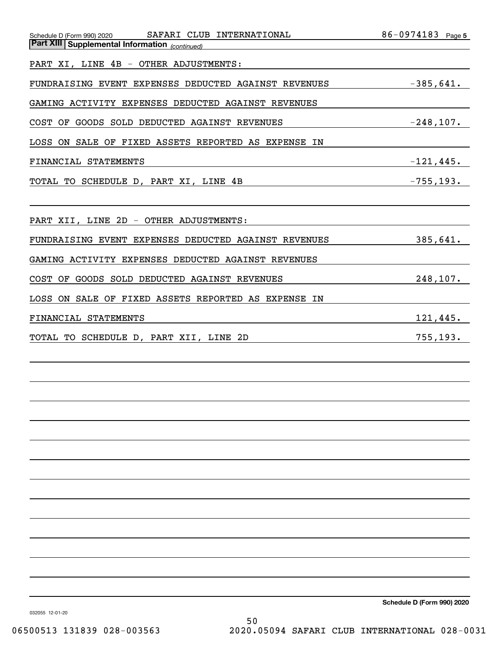|                                                                | 86-0974183 Page 5                                             |
|----------------------------------------------------------------|---------------------------------------------------------------|
| <b>Part XIII Supplemental Information</b> (continued)          |                                                               |
| PART XI, LINE 4B - OTHER ADJUSTMENTS:                          |                                                               |
| FUNDRAISING EVENT EXPENSES DEDUCTED AGAINST REVENUES -385,641. |                                                               |
| GAMING ACTIVITY EXPENSES DEDUCTED AGAINST REVENUES             |                                                               |
| COST OF GOODS SOLD DEDUCTED AGAINST REVENUES                   | $-248,107.$                                                   |
| LOSS ON SALE OF FIXED ASSETS REPORTED AS EXPENSE IN            |                                                               |
| FINANCIAL STATEMENTS                                           | $-121,445.$                                                   |
| TOTAL TO SCHEDULE D, PART XI, LINE 4B<br>-755,193.             |                                                               |
|                                                                |                                                               |
| PART XII, LINE 2D - OTHER ADJUSTMENTS:                         |                                                               |
| FUNDRAISING EVENT EXPENSES DEDUCTED AGAINST REVENUES           | 385,641.                                                      |
| GAMING ACTIVITY EXPENSES DEDUCTED AGAINST REVENUES             |                                                               |
| COST OF GOODS SOLD DEDUCTED AGAINST REVENUES                   | 248, 107.<br><u> 1989 - Johann Barbara, martxa amerikan p</u> |
| LOSS ON SALE OF FIXED ASSETS REPORTED AS EXPENSE IN            |                                                               |
| FINANCIAL STATEMENTS                                           | 121,445.                                                      |
| TOTAL TO SCHEDULE D, PART XII, LINE 2D                         | 755, 193.                                                     |
|                                                                |                                                               |
|                                                                |                                                               |
|                                                                |                                                               |
|                                                                |                                                               |
|                                                                |                                                               |
|                                                                |                                                               |
|                                                                |                                                               |
|                                                                |                                                               |
|                                                                |                                                               |
|                                                                |                                                               |
|                                                                |                                                               |
|                                                                |                                                               |
|                                                                |                                                               |
|                                                                |                                                               |

**Schedule D (Form 990) 2020**

032055 12-01-20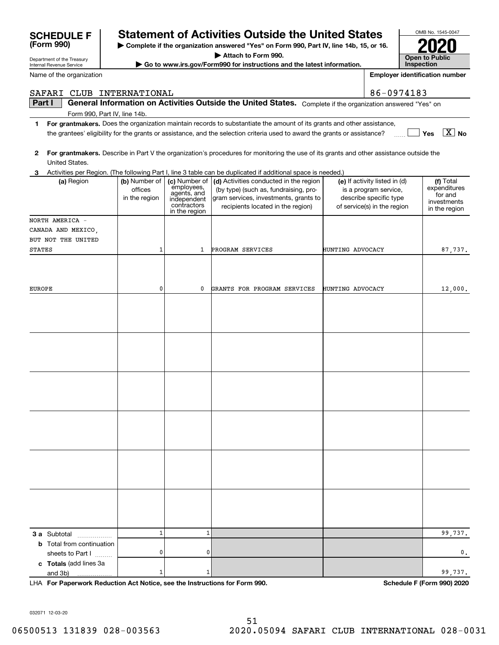| Part I                           |               |                            | General Information on Activities Outside the United States. Complete if the organization answered "Yes" on                             |                               |                              |
|----------------------------------|---------------|----------------------------|-----------------------------------------------------------------------------------------------------------------------------------------|-------------------------------|------------------------------|
| Form 990, Part IV, line 14b.     |               |                            |                                                                                                                                         |                               |                              |
| 1.                               |               |                            | For grantmakers. Does the organization maintain records to substantiate the amount of its grants and other assistance,                  |                               |                              |
|                                  |               |                            | the grantees' eligibility for the grants or assistance, and the selection criteria used to award the grants or assistance?              |                               | $\boxed{\text{X}}$ No<br>Yes |
|                                  |               |                            |                                                                                                                                         |                               |                              |
| 2                                |               |                            | For grantmakers. Describe in Part V the organization's procedures for monitoring the use of its grants and other assistance outside the |                               |                              |
| United States.                   |               |                            |                                                                                                                                         |                               |                              |
| 3                                |               |                            | Activities per Region. (The following Part I, line 3 table can be duplicated if additional space is needed.)                            |                               |                              |
| (a) Region                       | (b) Number of | (c) Number of              | (d) Activities conducted in the region                                                                                                  | (e) If activity listed in (d) | (f) Total                    |
|                                  | offices       | employees,<br>agents, and  | (by type) (such as, fundraising, pro-                                                                                                   | is a program service,         | expenditures<br>for and      |
|                                  | in the region | independent<br>contractors | gram services, investments, grants to                                                                                                   | describe specific type        | investments                  |
|                                  |               | in the region              | recipients located in the region)                                                                                                       | of service(s) in the region   | in the region                |
| NORTH AMERICA -                  |               |                            |                                                                                                                                         |                               |                              |
| CANADA AND MEXICO,               |               |                            |                                                                                                                                         |                               |                              |
| BUT NOT THE UNITED               |               |                            |                                                                                                                                         |                               |                              |
| <b>STATES</b>                    | 1             | $\mathbf{1}$               | PROGRAM SERVICES                                                                                                                        | HUNTING ADVOCACY              | 87,737.                      |
|                                  |               |                            |                                                                                                                                         |                               |                              |
|                                  |               |                            |                                                                                                                                         |                               |                              |
|                                  |               |                            |                                                                                                                                         |                               |                              |
| <b>EUROPE</b>                    | 0             | 0                          | GRANTS FOR PROGRAM SERVICES                                                                                                             | HUNTING ADVOCACY              | 12,000.                      |
|                                  |               |                            |                                                                                                                                         |                               |                              |
|                                  |               |                            |                                                                                                                                         |                               |                              |
|                                  |               |                            |                                                                                                                                         |                               |                              |
|                                  |               |                            |                                                                                                                                         |                               |                              |
|                                  |               |                            |                                                                                                                                         |                               |                              |
|                                  |               |                            |                                                                                                                                         |                               |                              |
|                                  |               |                            |                                                                                                                                         |                               |                              |
|                                  |               |                            |                                                                                                                                         |                               |                              |
|                                  |               |                            |                                                                                                                                         |                               |                              |
|                                  |               |                            |                                                                                                                                         |                               |                              |
|                                  |               |                            |                                                                                                                                         |                               |                              |
|                                  |               |                            |                                                                                                                                         |                               |                              |
|                                  |               |                            |                                                                                                                                         |                               |                              |
|                                  |               |                            |                                                                                                                                         |                               |                              |
|                                  |               |                            |                                                                                                                                         |                               |                              |
|                                  |               |                            |                                                                                                                                         |                               |                              |
|                                  |               |                            |                                                                                                                                         |                               |                              |
|                                  |               |                            |                                                                                                                                         |                               |                              |
|                                  |               |                            |                                                                                                                                         |                               |                              |
|                                  |               |                            |                                                                                                                                         |                               |                              |
|                                  |               |                            |                                                                                                                                         |                               |                              |
|                                  |               |                            |                                                                                                                                         |                               |                              |
|                                  |               |                            |                                                                                                                                         |                               |                              |
|                                  |               |                            |                                                                                                                                         |                               |                              |
| 3 a Subtotal<br>.                | $\mathbf 1$   | 1                          |                                                                                                                                         |                               | 99,737.                      |
| <b>b</b> Total from continuation |               |                            |                                                                                                                                         |                               |                              |
| sheets to Part I                 | 0             | 0                          |                                                                                                                                         |                               | 0.                           |
| c Totals (add lines 3a           |               |                            |                                                                                                                                         |                               |                              |
| and 3b)                          | 1             | 1                          |                                                                                                                                         |                               | 99,737.                      |

**For Paperwork Reduction Act Notice, see the Instructions for Form 990. Schedule F (Form 990) 2020** LHA

032071 12-03-20

# **SCHEDULE F Statement of Activities Outside the United States**

**| Complete if the organization answered "Yes" on Form 990, Part IV, line 14b, 15, or 16.**

**| Attach to Form 990.**

**| Go to www.irs.gov/Form990 for instructions and the latest information.**

OMB No. 1545-0047 **Open to Public Inspection2020**

**Employer identification number**

Internal Revenue Service Name of the organization

| <u>JUIILDULLI</u><br>(Form 990) |
|---------------------------------|
| Department of the Treasury      |

SAFARI CLUB INTERNATIONAL 86-0974183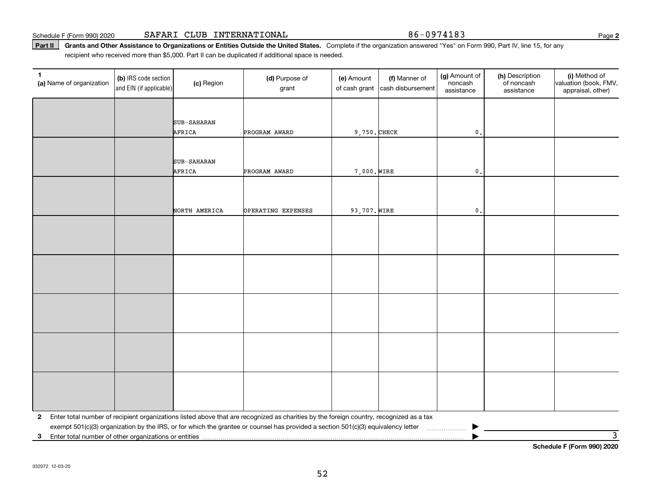Part II | Grants and Other Assistance to Organizations or Entities Outside the United States. Complete if the organization answered "Yes" on Form 990, Part IV, line 15, for any recipient who received more than \$5,000. Part II can be duplicated if additional space is needed.

| 1<br>(a) Name of organization | (b) IRS code section<br>and EIN (if applicable) | (c) Region         | (d) Purpose of<br>grant                                                                                                                 | (e) Amount<br>of cash grant | (f) Manner of<br>cash disbursement | (g) Amount of<br>noncash<br>assistance | (h) Description<br>of noncash<br>assistance | (i) Method of<br>valuation (book, FMV,<br>appraisal, other) |
|-------------------------------|-------------------------------------------------|--------------------|-----------------------------------------------------------------------------------------------------------------------------------------|-----------------------------|------------------------------------|----------------------------------------|---------------------------------------------|-------------------------------------------------------------|
|                               |                                                 |                    |                                                                                                                                         |                             |                                    |                                        |                                             |                                                             |
|                               |                                                 | SUB-SAHARAN        |                                                                                                                                         |                             |                                    |                                        |                                             |                                                             |
|                               |                                                 | AFRICA             | PROGRAM AWARD                                                                                                                           | $9,750.$ CHECK              |                                    | $\mathfrak o$ .                        |                                             |                                                             |
|                               |                                                 |                    |                                                                                                                                         |                             |                                    |                                        |                                             |                                                             |
|                               |                                                 | <b>SUB-SAHARAN</b> |                                                                                                                                         |                             |                                    |                                        |                                             |                                                             |
|                               |                                                 | AFRICA             | PROGRAM AWARD                                                                                                                           | 7,000. WIRE                 |                                    | $\mathsf{0}$ .                         |                                             |                                                             |
|                               |                                                 |                    |                                                                                                                                         |                             |                                    |                                        |                                             |                                                             |
|                               |                                                 |                    |                                                                                                                                         |                             |                                    |                                        |                                             |                                                             |
|                               |                                                 | NORTH AMERICA      | OPERATING EXPENSES                                                                                                                      | 93,707. WIRE                |                                    | $\mathbf{0}$ .                         |                                             |                                                             |
|                               |                                                 |                    |                                                                                                                                         |                             |                                    |                                        |                                             |                                                             |
|                               |                                                 |                    |                                                                                                                                         |                             |                                    |                                        |                                             |                                                             |
|                               |                                                 |                    |                                                                                                                                         |                             |                                    |                                        |                                             |                                                             |
|                               |                                                 |                    |                                                                                                                                         |                             |                                    |                                        |                                             |                                                             |
|                               |                                                 |                    |                                                                                                                                         |                             |                                    |                                        |                                             |                                                             |
|                               |                                                 |                    |                                                                                                                                         |                             |                                    |                                        |                                             |                                                             |
|                               |                                                 |                    |                                                                                                                                         |                             |                                    |                                        |                                             |                                                             |
|                               |                                                 |                    |                                                                                                                                         |                             |                                    |                                        |                                             |                                                             |
|                               |                                                 |                    |                                                                                                                                         |                             |                                    |                                        |                                             |                                                             |
|                               |                                                 |                    |                                                                                                                                         |                             |                                    |                                        |                                             |                                                             |
|                               |                                                 |                    |                                                                                                                                         |                             |                                    |                                        |                                             |                                                             |
|                               |                                                 |                    |                                                                                                                                         |                             |                                    |                                        |                                             |                                                             |
|                               |                                                 |                    |                                                                                                                                         |                             |                                    |                                        |                                             |                                                             |
|                               |                                                 |                    |                                                                                                                                         |                             |                                    |                                        |                                             |                                                             |
|                               |                                                 |                    |                                                                                                                                         |                             |                                    |                                        |                                             |                                                             |
| $\mathbf{2}$                  |                                                 |                    | Enter total number of recipient organizations listed above that are recognized as charities by the foreign country, recognized as a tax |                             |                                    |                                        |                                             |                                                             |
|                               |                                                 |                    |                                                                                                                                         |                             |                                    |                                        |                                             | $\overline{\mathbf{3}}$                                     |
| 3                             |                                                 |                    |                                                                                                                                         |                             |                                    |                                        |                                             | Schedule F (Form 990) 2020                                  |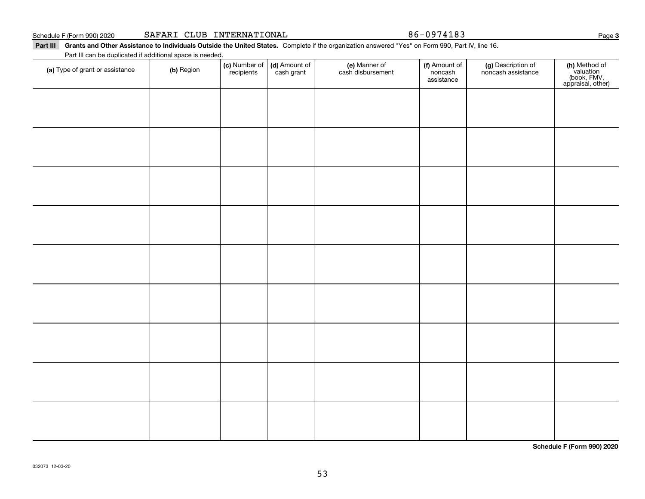| SAFARI CLUB INTERNATIONAL<br>Schedule F (Form 990) 2020 |  |
|---------------------------------------------------------|--|
|---------------------------------------------------------|--|

86-0974183

Part III Grants and Other Assistance to Individuals Outside the United States. Complete if the organization answered "Yes" on Form 990, Part IV, line 16. Part III can be duplicated if additional space is needed.

| Part in can be duplicated if additional space is needed.<br>(a) Type of grant or assistance | (b) Region | (c) Number of<br>recipients | (d) Amount of<br>cash grant | (e) Manner of<br>cash disbursement | (f) Amount of<br>noncash<br>assistance | (g) Description of<br>noncash assistance | (h) Method of<br>valuation<br>(book, FMV,<br>appraisal, other) |
|---------------------------------------------------------------------------------------------|------------|-----------------------------|-----------------------------|------------------------------------|----------------------------------------|------------------------------------------|----------------------------------------------------------------|
|                                                                                             |            |                             |                             |                                    |                                        |                                          |                                                                |
|                                                                                             |            |                             |                             |                                    |                                        |                                          |                                                                |
|                                                                                             |            |                             |                             |                                    |                                        |                                          |                                                                |
|                                                                                             |            |                             |                             |                                    |                                        |                                          |                                                                |
|                                                                                             |            |                             |                             |                                    |                                        |                                          |                                                                |
|                                                                                             |            |                             |                             |                                    |                                        |                                          |                                                                |
|                                                                                             |            |                             |                             |                                    |                                        |                                          |                                                                |
|                                                                                             |            |                             |                             |                                    |                                        |                                          |                                                                |
|                                                                                             |            |                             |                             |                                    |                                        |                                          |                                                                |
|                                                                                             |            |                             |                             |                                    |                                        |                                          |                                                                |
|                                                                                             |            |                             |                             |                                    |                                        |                                          |                                                                |

**Schedule F (Form 990) 2020**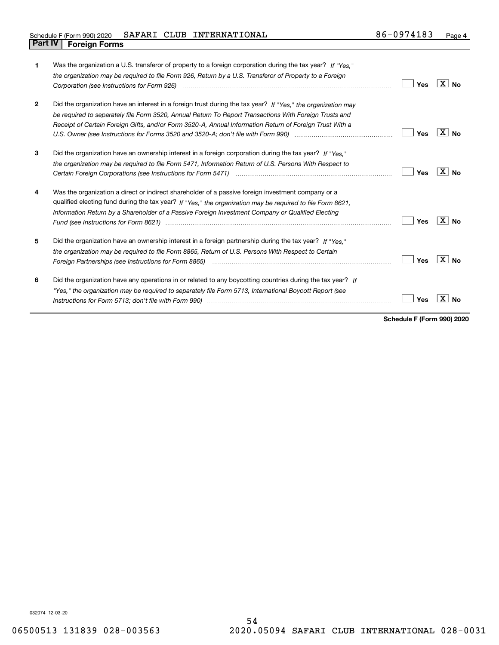| 1            | Was the organization a U.S. transferor of property to a foreign corporation during the tax year? If "Yes."<br>the organization may be required to file Form 926, Return by a U.S. Transferor of Property to a Foreign<br>Corporation (see Instructions for Form 926)                                                                                                                                                                                                                                                                                    | Yes | ∣X∣No                     |
|--------------|---------------------------------------------------------------------------------------------------------------------------------------------------------------------------------------------------------------------------------------------------------------------------------------------------------------------------------------------------------------------------------------------------------------------------------------------------------------------------------------------------------------------------------------------------------|-----|---------------------------|
| $\mathbf{2}$ | Did the organization have an interest in a foreign trust during the tax year? If "Yes," the organization may<br>be required to separately file Form 3520, Annual Return To Report Transactions With Foreign Trusts and<br>Receipt of Certain Foreign Gifts, and/or Form 3520-A, Annual Information Return of Foreign Trust With a                                                                                                                                                                                                                       | Yes | ΧI<br><b>No</b>           |
| 3            | Did the organization have an ownership interest in a foreign corporation during the tax year? If "Yes."<br>the organization may be required to file Form 5471, Information Return of U.S. Persons With Respect to                                                                                                                                                                                                                                                                                                                                       | Yes | X∣No                      |
| 4            | Was the organization a direct or indirect shareholder of a passive foreign investment company or a<br>qualified electing fund during the tax year? If "Yes," the organization may be required to file Form 8621,<br>Information Return by a Shareholder of a Passive Foreign Investment Company or Qualified Electing<br>Fund (see Instructions for Form 8621) manufactured control to the form of the state of the control of the state of the state of the state of the state of the state of the state of the state of the state of the state of the | Yes | $\mathbf{X}$<br><b>No</b> |
| 5            | Did the organization have an ownership interest in a foreign partnership during the tax year? If "Yes."<br>the organization may be required to file Form 8865, Return of U.S. Persons With Respect to Certain                                                                                                                                                                                                                                                                                                                                           | Yes | X∣No                      |
| 6            | Did the organization have any operations in or related to any boycotting countries during the tax year? If<br>"Yes," the organization may be required to separately file Form 5713, International Boycott Report (see                                                                                                                                                                                                                                                                                                                                   | Yes |                           |

**Schedule F (Form 990) 2020**

032074 12-03-20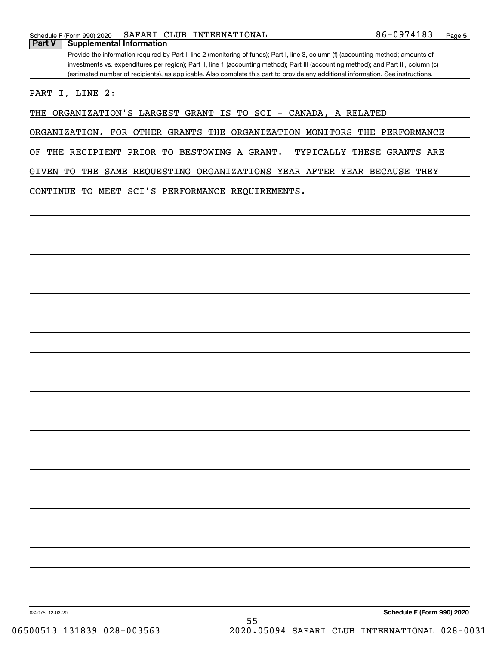Provide the information required by Part I, line 2 (monitoring of funds); Part I, line 3, column (f) (accounting method; amounts of investments vs. expenditures per region); Part II, line 1 (accounting method); Part III (accounting method); and Part III, column (c) (estimated number of recipients), as applicable. Also complete this part to provide any additional information. See instructions.

PART I, LINE 2:

THE ORGANIZATION'S LARGEST GRANT IS TO SCI - CANADA, A RELATED

ORGANIZATION. FOR OTHER GRANTS THE ORGANIZATION MONITORS THE PERFORMANCE

OF THE RECIPIENT PRIOR TO BESTOWING A GRANT. TYPICALLY THESE GRANTS ARE

GIVEN TO THE SAME REQUESTING ORGANIZATIONS YEAR AFTER YEAR BECAUSE THEY

CONTINUE TO MEET SCI'S PERFORMANCE REQUIREMENTS.

**Schedule F (Form 990) 2020**

032075 12-03-20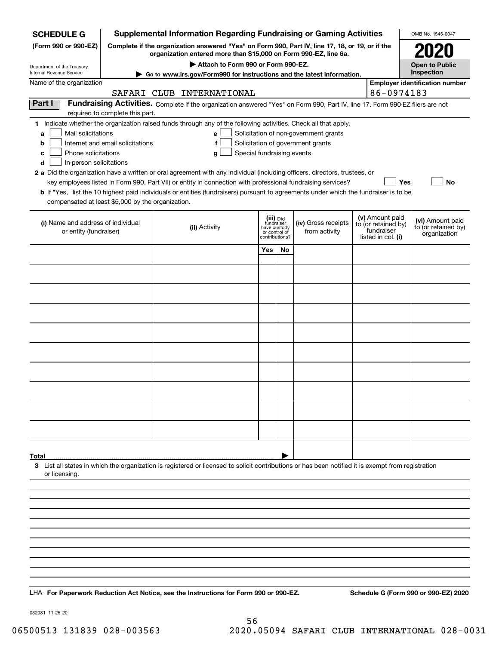| <b>SCHEDULE G</b>                                                                                                                                          | <b>Supplemental Information Regarding Fundraising or Gaming Activities</b><br>OMB No. 1545-0047 |                                                                                                                                                    |                         |                                                 |                                       |                                        |            |                                         |  |  |  |  |
|------------------------------------------------------------------------------------------------------------------------------------------------------------|-------------------------------------------------------------------------------------------------|----------------------------------------------------------------------------------------------------------------------------------------------------|-------------------------|-------------------------------------------------|---------------------------------------|----------------------------------------|------------|-----------------------------------------|--|--|--|--|
| (Form 990 or 990-EZ)                                                                                                                                       |                                                                                                 | Complete if the organization answered "Yes" on Form 990, Part IV, line 17, 18, or 19, or if the                                                    |                         |                                                 |                                       |                                        |            | 2020                                    |  |  |  |  |
|                                                                                                                                                            |                                                                                                 | organization entered more than \$15,000 on Form 990-EZ, line 6a.<br>Attach to Form 990 or Form 990-EZ.                                             |                         |                                                 |                                       |                                        |            | <b>Open to Public</b>                   |  |  |  |  |
| Department of the Treasury<br>Internal Revenue Service                                                                                                     |                                                                                                 | Go to www.irs.gov/Form990 for instructions and the latest information.                                                                             |                         |                                                 |                                       |                                        |            | Inspection                              |  |  |  |  |
| Name of the organization                                                                                                                                   |                                                                                                 | SAFARI CLUB INTERNATIONAL                                                                                                                          |                         |                                                 |                                       |                                        | 86-0974183 | <b>Employer identification number</b>   |  |  |  |  |
| Part I                                                                                                                                                     |                                                                                                 | Fundraising Activities. Complete if the organization answered "Yes" on Form 990, Part IV, line 17. Form 990-EZ filers are not                      |                         |                                                 |                                       |                                        |            |                                         |  |  |  |  |
|                                                                                                                                                            | required to complete this part.                                                                 |                                                                                                                                                    |                         |                                                 |                                       |                                        |            |                                         |  |  |  |  |
| Mail solicitations<br>a                                                                                                                                    |                                                                                                 | 1 Indicate whether the organization raised funds through any of the following activities. Check all that apply.<br>e <sub>1</sub>                  |                         |                                                 | Solicitation of non-government grants |                                        |            |                                         |  |  |  |  |
| b                                                                                                                                                          | Internet and email solicitations                                                                | f                                                                                                                                                  |                         |                                                 | Solicitation of government grants     |                                        |            |                                         |  |  |  |  |
| Phone solicitations<br>с                                                                                                                                   |                                                                                                 | Special fundraising events<br>g                                                                                                                    |                         |                                                 |                                       |                                        |            |                                         |  |  |  |  |
| d<br>In-person solicitations<br>2 a Did the organization have a written or oral agreement with any individual (including officers, directors, trustees, or |                                                                                                 |                                                                                                                                                    |                         |                                                 |                                       |                                        |            |                                         |  |  |  |  |
| key employees listed in Form 990, Part VII) or entity in connection with professional fundraising services?<br>Yes<br>No                                   |                                                                                                 |                                                                                                                                                    |                         |                                                 |                                       |                                        |            |                                         |  |  |  |  |
|                                                                                                                                                            |                                                                                                 | <b>b</b> If "Yes," list the 10 highest paid individuals or entities (fundraisers) pursuant to agreements under which the fundraiser is to be       |                         |                                                 |                                       |                                        |            |                                         |  |  |  |  |
| compensated at least \$5,000 by the organization.                                                                                                          |                                                                                                 |                                                                                                                                                    |                         |                                                 |                                       |                                        |            |                                         |  |  |  |  |
| (i) Name and address of individual                                                                                                                         |                                                                                                 | (ii) Activity                                                                                                                                      | (iii) Did<br>fundraiser |                                                 | (iv) Gross receipts                   | (v) Amount paid<br>to (or retained by) |            | (vi) Amount paid<br>to (or retained by) |  |  |  |  |
| or entity (fundraiser)                                                                                                                                     |                                                                                                 |                                                                                                                                                    |                         | have custody<br>or control of<br>contributions? | from activity                         | fundraiser<br>listed in col. (i)       |            | organization                            |  |  |  |  |
|                                                                                                                                                            |                                                                                                 |                                                                                                                                                    | Yes                     | No                                              |                                       |                                        |            |                                         |  |  |  |  |
|                                                                                                                                                            |                                                                                                 |                                                                                                                                                    |                         |                                                 |                                       |                                        |            |                                         |  |  |  |  |
|                                                                                                                                                            |                                                                                                 |                                                                                                                                                    |                         |                                                 |                                       |                                        |            |                                         |  |  |  |  |
|                                                                                                                                                            |                                                                                                 |                                                                                                                                                    |                         |                                                 |                                       |                                        |            |                                         |  |  |  |  |
|                                                                                                                                                            |                                                                                                 |                                                                                                                                                    |                         |                                                 |                                       |                                        |            |                                         |  |  |  |  |
|                                                                                                                                                            |                                                                                                 |                                                                                                                                                    |                         |                                                 |                                       |                                        |            |                                         |  |  |  |  |
|                                                                                                                                                            |                                                                                                 |                                                                                                                                                    |                         |                                                 |                                       |                                        |            |                                         |  |  |  |  |
|                                                                                                                                                            |                                                                                                 |                                                                                                                                                    |                         |                                                 |                                       |                                        |            |                                         |  |  |  |  |
|                                                                                                                                                            |                                                                                                 |                                                                                                                                                    |                         |                                                 |                                       |                                        |            |                                         |  |  |  |  |
|                                                                                                                                                            |                                                                                                 |                                                                                                                                                    |                         |                                                 |                                       |                                        |            |                                         |  |  |  |  |
|                                                                                                                                                            |                                                                                                 |                                                                                                                                                    |                         |                                                 |                                       |                                        |            |                                         |  |  |  |  |
|                                                                                                                                                            |                                                                                                 |                                                                                                                                                    |                         |                                                 |                                       |                                        |            |                                         |  |  |  |  |
|                                                                                                                                                            |                                                                                                 |                                                                                                                                                    |                         |                                                 |                                       |                                        |            |                                         |  |  |  |  |
|                                                                                                                                                            |                                                                                                 |                                                                                                                                                    |                         |                                                 |                                       |                                        |            |                                         |  |  |  |  |
|                                                                                                                                                            |                                                                                                 |                                                                                                                                                    |                         |                                                 |                                       |                                        |            |                                         |  |  |  |  |
|                                                                                                                                                            |                                                                                                 |                                                                                                                                                    |                         |                                                 |                                       |                                        |            |                                         |  |  |  |  |
| Total                                                                                                                                                      |                                                                                                 | 3 List all states in which the organization is registered or licensed to solicit contributions or has been notified it is exempt from registration |                         |                                                 |                                       |                                        |            |                                         |  |  |  |  |
| or licensing.                                                                                                                                              |                                                                                                 |                                                                                                                                                    |                         |                                                 |                                       |                                        |            |                                         |  |  |  |  |
|                                                                                                                                                            |                                                                                                 |                                                                                                                                                    |                         |                                                 |                                       |                                        |            |                                         |  |  |  |  |
|                                                                                                                                                            |                                                                                                 |                                                                                                                                                    |                         |                                                 |                                       |                                        |            |                                         |  |  |  |  |
|                                                                                                                                                            |                                                                                                 |                                                                                                                                                    |                         |                                                 |                                       |                                        |            |                                         |  |  |  |  |
|                                                                                                                                                            |                                                                                                 |                                                                                                                                                    |                         |                                                 |                                       |                                        |            |                                         |  |  |  |  |
|                                                                                                                                                            |                                                                                                 |                                                                                                                                                    |                         |                                                 |                                       |                                        |            |                                         |  |  |  |  |
|                                                                                                                                                            |                                                                                                 |                                                                                                                                                    |                         |                                                 |                                       |                                        |            |                                         |  |  |  |  |
|                                                                                                                                                            |                                                                                                 |                                                                                                                                                    |                         |                                                 |                                       |                                        |            |                                         |  |  |  |  |
|                                                                                                                                                            |                                                                                                 |                                                                                                                                                    |                         |                                                 |                                       |                                        |            |                                         |  |  |  |  |
|                                                                                                                                                            |                                                                                                 | LHA For Paperwork Reduction Act Notice, see the Instructions for Form 990 or 990-EZ.                                                               |                         |                                                 |                                       |                                        |            | Schedule G (Form 990 or 990-EZ) 2020    |  |  |  |  |

032081 11-25-20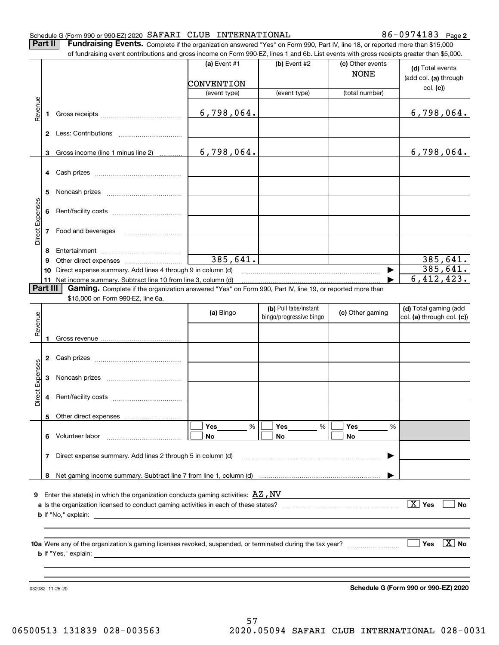#### Schedule G (Form 990 or 990-EZ) 2020 Page SAFARI CLUB INTERNATIONAL 86-0974183

**2**

**Part II** | Fundraising Events. Complete if the organization answered "Yes" on Form 990, Part IV, line 18, or reported more than \$15,000 of fundraising event contributions and gross income on Form 990-EZ, lines 1 and 6b. List events with gross receipts greater than \$5,000.

|                 |          | of fundraising event contributions and gross income on Form 990-EZ, lines 1 and 6b. List events with gross receipts greater than \$5,000. |                |                                                  |                                 |                                                     |
|-----------------|----------|-------------------------------------------------------------------------------------------------------------------------------------------|----------------|--------------------------------------------------|---------------------------------|-----------------------------------------------------|
|                 |          |                                                                                                                                           | (a) Event $#1$ | (b) Event #2                                     | (c) Other events<br><b>NONE</b> | (d) Total events<br>(add col. (a) through           |
|                 |          |                                                                                                                                           | CONVENTION     |                                                  |                                 | col. (c)                                            |
|                 |          |                                                                                                                                           | (event type)   | (event type)                                     | (total number)                  |                                                     |
| Revenue         | 1        |                                                                                                                                           | 6,798,064.     |                                                  |                                 | 6,798,064.                                          |
|                 |          |                                                                                                                                           |                |                                                  |                                 |                                                     |
|                 | 3        | Gross income (line 1 minus line 2)                                                                                                        | 6,798,064.     |                                                  |                                 | 6,798,064.                                          |
|                 |          |                                                                                                                                           |                |                                                  |                                 |                                                     |
|                 | 5        |                                                                                                                                           |                |                                                  |                                 |                                                     |
|                 | 6        |                                                                                                                                           |                |                                                  |                                 |                                                     |
| Direct Expenses | 7        | Food and beverages                                                                                                                        |                |                                                  |                                 |                                                     |
|                 | 8        |                                                                                                                                           |                |                                                  |                                 |                                                     |
|                 | 9        |                                                                                                                                           | 385,641.       |                                                  |                                 | 385,641.                                            |
|                 | 10       | Direct expense summary. Add lines 4 through 9 in column (d)                                                                               |                |                                                  | ▶                               | 385,641.                                            |
|                 | 11       | Net income summary. Subtract line 10 from line 3, column (d)                                                                              |                |                                                  |                                 | 6,412,423.                                          |
|                 | Part III | Gaming. Complete if the organization answered "Yes" on Form 990, Part IV, line 19, or reported more than                                  |                |                                                  |                                 |                                                     |
|                 |          | \$15,000 on Form 990-EZ, line 6a.                                                                                                         |                |                                                  |                                 |                                                     |
| Revenue         |          |                                                                                                                                           | (a) Bingo      | (b) Pull tabs/instant<br>bingo/progressive bingo | (c) Other gaming                | (d) Total gaming (add<br>col. (a) through col. (c)) |
|                 |          |                                                                                                                                           |                |                                                  |                                 |                                                     |
|                 | 1        |                                                                                                                                           |                |                                                  |                                 |                                                     |
|                 | 2        |                                                                                                                                           |                |                                                  |                                 |                                                     |
| Direct Expenses | 3        |                                                                                                                                           |                |                                                  |                                 |                                                     |
|                 | 4        |                                                                                                                                           |                |                                                  |                                 |                                                     |
|                 |          | 5 Other direct expenses                                                                                                                   |                |                                                  |                                 |                                                     |
|                 |          |                                                                                                                                           | %<br>Yes       | Yes<br>%                                         | Yes<br>%                        |                                                     |
|                 |          | 6 Volunteer labor                                                                                                                         | No             | No                                               | No                              |                                                     |
|                 | 7        | Direct expense summary. Add lines 2 through 5 in column (d)                                                                               |                |                                                  |                                 |                                                     |
|                 |          |                                                                                                                                           |                |                                                  |                                 |                                                     |
|                 |          |                                                                                                                                           |                |                                                  |                                 |                                                     |
| 9               |          | Enter the state(s) in which the organization conducts gaming activities: $\mathbf{A}\mathbf{Z}$ , $\mathbf{N}\mathbf{V}$                  |                |                                                  |                                 |                                                     |
|                 |          |                                                                                                                                           |                |                                                  |                                 | $\boxed{\text{X}}$ Yes<br>No                        |
|                 |          |                                                                                                                                           |                |                                                  |                                 |                                                     |
|                 |          |                                                                                                                                           |                |                                                  |                                 |                                                     |
|                 |          |                                                                                                                                           |                |                                                  |                                 |                                                     |
|                 |          |                                                                                                                                           |                |                                                  |                                 | $\boxed{\text{X}}$ No<br>Yes                        |
|                 |          |                                                                                                                                           |                |                                                  |                                 |                                                     |
|                 |          |                                                                                                                                           |                |                                                  |                                 |                                                     |
|                 |          |                                                                                                                                           |                |                                                  |                                 |                                                     |
|                 |          | 032082 11-25-20                                                                                                                           |                |                                                  |                                 | Schedule G (Form 990 or 990-EZ) 2020                |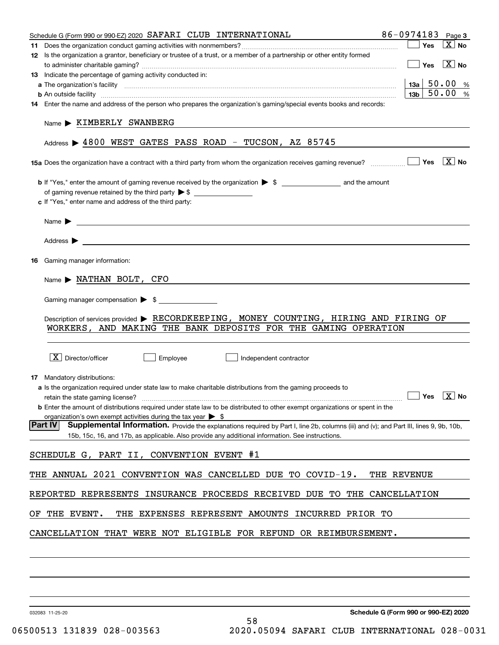| Schedule G (Form 990 or 990-EZ) 2020 SAFARI CLUB INTERNATIONAL                                                                                                                                                                                                                                                        | 86-0974183 Page 3                               |          |
|-----------------------------------------------------------------------------------------------------------------------------------------------------------------------------------------------------------------------------------------------------------------------------------------------------------------------|-------------------------------------------------|----------|
|                                                                                                                                                                                                                                                                                                                       | $\blacksquare$ Yes                              | $ X $ No |
| 12 Is the organization a grantor, beneficiary or trustee of a trust, or a member of a partnership or other entity formed                                                                                                                                                                                              | $\boxed{\phantom{1}}$ Yes $\boxed{\text{X}}$ No |          |
| 13 Indicate the percentage of gaming activity conducted in:                                                                                                                                                                                                                                                           |                                                 |          |
|                                                                                                                                                                                                                                                                                                                       | $13a$ 50.00 %                                   |          |
| <b>b</b> An outside facility <i>[11]</i> [20] [20] <b>https://www.frace.com/interest in the contract of the contract of the contract of the contract of the contract of the contract of the contract of the contract of the contract of th</b>                                                                        | $13b$ 50.00 %                                   |          |
| 14 Enter the name and address of the person who prepares the organization's gaming/special events books and records:                                                                                                                                                                                                  |                                                 |          |
| Name > KIMBERLY SWANBERG                                                                                                                                                                                                                                                                                              |                                                 |          |
| Address $\triangleright$ 4800 WEST GATES PASS ROAD - TUCSON, AZ 85745                                                                                                                                                                                                                                                 |                                                 |          |
| <b>15a</b> Does the organization have a contract with a third party from whom the organization receives gaming revenue? $\Box$ Thes $\Box$ No                                                                                                                                                                         |                                                 |          |
|                                                                                                                                                                                                                                                                                                                       |                                                 |          |
|                                                                                                                                                                                                                                                                                                                       |                                                 |          |
| c If "Yes," enter name and address of the third party:                                                                                                                                                                                                                                                                |                                                 |          |
|                                                                                                                                                                                                                                                                                                                       |                                                 |          |
|                                                                                                                                                                                                                                                                                                                       |                                                 |          |
|                                                                                                                                                                                                                                                                                                                       |                                                 |          |
| <b>16</b> Gaming manager information:                                                                                                                                                                                                                                                                                 |                                                 |          |
|                                                                                                                                                                                                                                                                                                                       |                                                 |          |
| Gaming manager compensation > \$                                                                                                                                                                                                                                                                                      |                                                 |          |
| Description of services provided > RECORDKEEPING, MONEY COUNTING, HIRING AND FIRING OF<br>WORKERS, AND MAKING THE BANK DEPOSITS FOR THE GAMING OPERATION                                                                                                                                                              |                                                 |          |
| $\overline{X}$ Director/officer<br>Employee<br>Independent contractor                                                                                                                                                                                                                                                 |                                                 |          |
| 17 Mandatory distributions:                                                                                                                                                                                                                                                                                           |                                                 |          |
| <b>a</b> Is the organization required under state law to make charitable distributions from the gaming proceeds to<br>$\Box$ Yes $\Box$ No<br>retain the state gaming license?<br><b>b</b> Enter the amount of distributions required under state law to be distributed to other exempt organizations or spent in the |                                                 |          |
| organization's own exempt activities during the tax year $\triangleright$ \$                                                                                                                                                                                                                                          |                                                 |          |
| Part IV<br>Supplemental Information. Provide the explanations required by Part I, line 2b, columns (iii) and (v); and Part III, lines 9, 9b, 10b,<br>15b, 15c, 16, and 17b, as applicable. Also provide any additional information. See instructions.                                                                 |                                                 |          |
| SCHEDULE G, PART II, CONVENTION EVENT #1                                                                                                                                                                                                                                                                              |                                                 |          |
| THE ANNUAL 2021 CONVENTION WAS CANCELLED DUE TO COVID-19.                                                                                                                                                                                                                                                             | THE REVENUE                                     |          |
| REPORTED REPRESENTS INSURANCE PROCEEDS RECEIVED DUE TO THE CANCELLATION                                                                                                                                                                                                                                               |                                                 |          |
| OF THE EVENT.<br>THE EXPENSES REPRESENT AMOUNTS INCURRED PRIOR TO                                                                                                                                                                                                                                                     |                                                 |          |
| CANCELLATION THAT WERE NOT ELIGIBLE FOR REFUND OR REIMBURSEMENT.                                                                                                                                                                                                                                                      |                                                 |          |
|                                                                                                                                                                                                                                                                                                                       |                                                 |          |
|                                                                                                                                                                                                                                                                                                                       |                                                 |          |
|                                                                                                                                                                                                                                                                                                                       |                                                 |          |

032083 11-25-20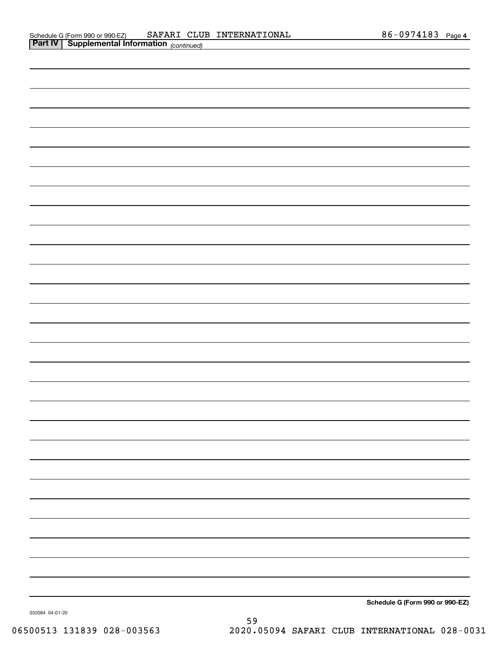| . . | $1 - 1 - 1 - 1 - 1 - 1$ |                                                                         |
|-----|-------------------------|-------------------------------------------------------------------------|
|     |                         |                                                                         |
|     |                         |                                                                         |
|     |                         |                                                                         |
|     |                         |                                                                         |
|     |                         |                                                                         |
|     |                         |                                                                         |
|     |                         |                                                                         |
|     |                         |                                                                         |
|     |                         |                                                                         |
|     |                         |                                                                         |
|     |                         |                                                                         |
|     |                         |                                                                         |
|     |                         |                                                                         |
|     |                         |                                                                         |
|     |                         |                                                                         |
|     |                         |                                                                         |
|     |                         |                                                                         |
|     |                         |                                                                         |
|     |                         |                                                                         |
|     |                         |                                                                         |
|     |                         |                                                                         |
|     |                         |                                                                         |
|     |                         |                                                                         |
|     |                         |                                                                         |
|     |                         |                                                                         |
|     |                         |                                                                         |
|     |                         |                                                                         |
|     |                         |                                                                         |
|     |                         |                                                                         |
|     |                         |                                                                         |
|     |                         |                                                                         |
|     |                         | $\sim$ $\sim$<br>$\sim$<br>$\sim$ $\sim$ $\sim$ $\sim$<br>$\sim$ $\sim$ |

**Schedule G (Form 990 or 990-EZ)**

032084 04-01-20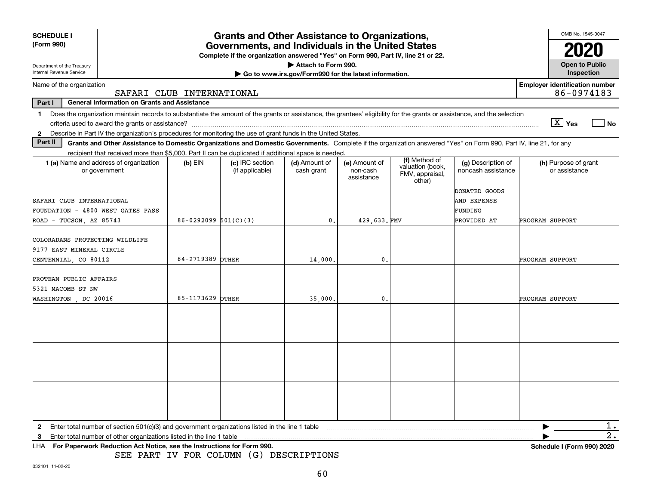| <b>SCHEDULE I</b><br><b>Grants and Other Assistance to Organizations,</b><br>(Form 990)<br>Governments, and Individuals in the United States |                                                                                                                                                                          |                            |                                                                                  |                                                       |                                         |                                               |                                          |                 |                                                     | OMB No. 1545-0047 |
|----------------------------------------------------------------------------------------------------------------------------------------------|--------------------------------------------------------------------------------------------------------------------------------------------------------------------------|----------------------------|----------------------------------------------------------------------------------|-------------------------------------------------------|-----------------------------------------|-----------------------------------------------|------------------------------------------|-----------------|-----------------------------------------------------|-------------------|
|                                                                                                                                              |                                                                                                                                                                          |                            | Complete if the organization answered "Yes" on Form 990, Part IV, line 21 or 22. |                                                       |                                         |                                               |                                          |                 | 2020                                                |                   |
| Department of the Treasury                                                                                                                   |                                                                                                                                                                          |                            |                                                                                  | Attach to Form 990.                                   |                                         |                                               |                                          |                 | <b>Open to Public</b>                               |                   |
| Internal Revenue Service                                                                                                                     |                                                                                                                                                                          |                            |                                                                                  | Go to www.irs.gov/Form990 for the latest information. |                                         |                                               |                                          |                 | Inspection                                          |                   |
| Name of the organization                                                                                                                     | SAFARI CLUB INTERNATIONAL                                                                                                                                                |                            |                                                                                  |                                                       |                                         |                                               |                                          |                 | <b>Employer identification number</b><br>86-0974183 |                   |
| Part I                                                                                                                                       | <b>General Information on Grants and Assistance</b>                                                                                                                      |                            |                                                                                  |                                                       |                                         |                                               |                                          |                 |                                                     |                   |
| 1.                                                                                                                                           | Does the organization maintain records to substantiate the amount of the grants or assistance, the grantees' eligibility for the grants or assistance, and the selection |                            |                                                                                  |                                                       |                                         |                                               |                                          |                 | $\boxed{\text{X}}$ Yes                              | $ $ No            |
|                                                                                                                                              | 2 Describe in Part IV the organization's procedures for monitoring the use of grant funds in the United States.                                                          |                            |                                                                                  |                                                       |                                         |                                               |                                          |                 |                                                     |                   |
| Part II                                                                                                                                      | Grants and Other Assistance to Domestic Organizations and Domestic Governments. Complete if the organization answered "Yes" on Form 990, Part IV, line 21, for any       |                            |                                                                                  |                                                       |                                         |                                               |                                          |                 |                                                     |                   |
|                                                                                                                                              | recipient that received more than \$5,000. Part II can be duplicated if additional space is needed.                                                                      |                            |                                                                                  |                                                       |                                         | (f) Method of                                 |                                          |                 |                                                     |                   |
|                                                                                                                                              | 1 (a) Name and address of organization<br>or government                                                                                                                  | $(b)$ EIN                  | (c) IRC section<br>(if applicable)                                               | (d) Amount of<br>cash grant                           | (e) Amount of<br>non-cash<br>assistance | valuation (book,<br>FMV, appraisal,<br>other) | (g) Description of<br>noncash assistance |                 | (h) Purpose of grant<br>or assistance               |                   |
|                                                                                                                                              |                                                                                                                                                                          |                            |                                                                                  |                                                       |                                         |                                               | DONATED GOODS                            |                 |                                                     |                   |
| SAFARI CLUB INTERNATIONAL                                                                                                                    |                                                                                                                                                                          |                            |                                                                                  |                                                       |                                         |                                               | AND EXPENSE                              |                 |                                                     |                   |
| FOUNDATION - 4800 WEST GATES PASS                                                                                                            |                                                                                                                                                                          |                            |                                                                                  |                                                       |                                         |                                               | FUNDING                                  |                 |                                                     |                   |
| ROAD - TUCSON, AZ 85743                                                                                                                      |                                                                                                                                                                          | $86 - 0292099$ $501(C)(3)$ |                                                                                  | $\mathbf{0}$ .                                        | 429.633.FMV                             |                                               | PROVIDED AT                              | PROGRAM SUPPORT |                                                     |                   |
| COLORADANS PROTECTING WILDLIFE                                                                                                               |                                                                                                                                                                          |                            |                                                                                  |                                                       |                                         |                                               |                                          |                 |                                                     |                   |
| 9177 EAST MINERAL CIRCLE                                                                                                                     |                                                                                                                                                                          |                            |                                                                                  |                                                       |                                         |                                               |                                          |                 |                                                     |                   |
| CENTENNIAL, CO 80112                                                                                                                         |                                                                                                                                                                          | 84-2719389 OTHER           |                                                                                  | 14,000.                                               | 0.                                      |                                               |                                          | PROGRAM SUPPORT |                                                     |                   |
| PROTEAN PUBLIC AFFAIRS                                                                                                                       |                                                                                                                                                                          |                            |                                                                                  |                                                       |                                         |                                               |                                          |                 |                                                     |                   |
| 5321 MACOMB ST NW                                                                                                                            |                                                                                                                                                                          |                            |                                                                                  |                                                       |                                         |                                               |                                          |                 |                                                     |                   |
| WASHINGTON, DC 20016                                                                                                                         |                                                                                                                                                                          | 85-1173629 OTHER           |                                                                                  | 35,000                                                | $\mathbf{0}$                            |                                               |                                          | PROGRAM SUPPORT |                                                     |                   |
|                                                                                                                                              |                                                                                                                                                                          |                            |                                                                                  |                                                       |                                         |                                               |                                          |                 |                                                     |                   |
|                                                                                                                                              |                                                                                                                                                                          |                            |                                                                                  |                                                       |                                         |                                               |                                          |                 |                                                     |                   |
|                                                                                                                                              |                                                                                                                                                                          |                            |                                                                                  |                                                       |                                         |                                               |                                          |                 |                                                     |                   |
|                                                                                                                                              |                                                                                                                                                                          |                            |                                                                                  |                                                       |                                         |                                               |                                          |                 |                                                     |                   |
|                                                                                                                                              |                                                                                                                                                                          |                            |                                                                                  |                                                       |                                         |                                               |                                          |                 |                                                     |                   |
|                                                                                                                                              |                                                                                                                                                                          |                            |                                                                                  |                                                       |                                         |                                               |                                          |                 |                                                     |                   |
|                                                                                                                                              |                                                                                                                                                                          |                            |                                                                                  |                                                       |                                         |                                               |                                          |                 |                                                     |                   |
|                                                                                                                                              |                                                                                                                                                                          |                            |                                                                                  |                                                       |                                         |                                               |                                          |                 |                                                     |                   |
|                                                                                                                                              |                                                                                                                                                                          |                            |                                                                                  |                                                       |                                         |                                               |                                          |                 |                                                     |                   |
| 2.                                                                                                                                           | Enter total number of section $501(c)(3)$ and government organizations listed in the line 1 table                                                                        |                            |                                                                                  |                                                       |                                         |                                               |                                          |                 |                                                     | 1.                |
| 3                                                                                                                                            | Enter total number of other organizations listed in the line 1 table                                                                                                     |                            |                                                                                  |                                                       |                                         |                                               |                                          |                 |                                                     | 2.                |
| LHA.                                                                                                                                         | For Paperwork Reduction Act Notice, see the Instructions for Form 990.                                                                                                   |                            |                                                                                  |                                                       |                                         |                                               |                                          |                 | <b>Schedule I (Form 990) 2020</b>                   |                   |

SEE PART IV FOR COLUMN (G) DESCRIPTIONS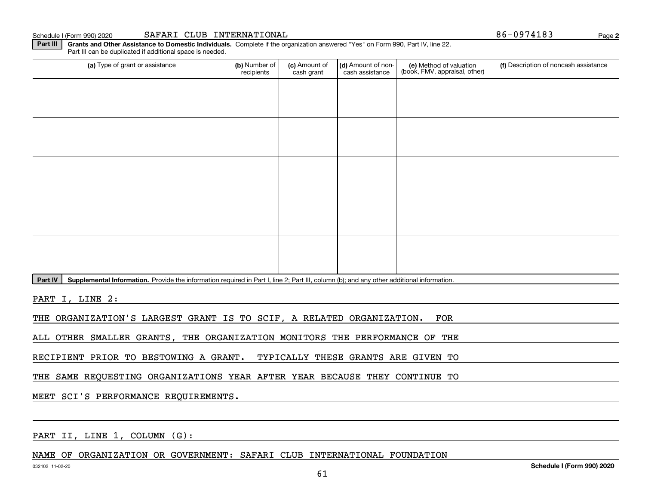Schedule I (Form 990) 2020

| SAFARI<br><b>CLUB</b> | INTERNATIONAL |
|-----------------------|---------------|
|-----------------------|---------------|

86-0974183

**2**

**Part III** | Grants and Other Assistance to Domestic Individuals. Complete if the organization answered "Yes" on Form 990, Part IV, line 22. Part III can be duplicated if additional space is needed.

| (a) Type of grant or assistance | (b) Number of<br>recipients | (c) Amount of<br>cash grant | (d) Amount of non-<br>cash assistance | (e) Method of valuation<br>(book, FMV, appraisal, other) | (f) Description of noncash assistance |
|---------------------------------|-----------------------------|-----------------------------|---------------------------------------|----------------------------------------------------------|---------------------------------------|
|                                 |                             |                             |                                       |                                                          |                                       |
|                                 |                             |                             |                                       |                                                          |                                       |
|                                 |                             |                             |                                       |                                                          |                                       |
|                                 |                             |                             |                                       |                                                          |                                       |
|                                 |                             |                             |                                       |                                                          |                                       |
|                                 |                             |                             |                                       |                                                          |                                       |
|                                 |                             |                             |                                       |                                                          |                                       |
|                                 |                             |                             |                                       |                                                          |                                       |
|                                 |                             |                             |                                       |                                                          |                                       |
|                                 |                             |                             |                                       |                                                          |                                       |

Part IV | Supplemental Information. Provide the information required in Part I, line 2; Part III, column (b); and any other additional information.

PART I, LINE 2:

THE ORGANIZATION'S LARGEST GRANT IS TO SCIF, A RELATED ORGANIZATION. FOR

ALL OTHER SMALLER GRANTS, THE ORGANIZATION MONITORS THE PERFORMANCE OF THE

RECIPIENT PRIOR TO BESTOWING A GRANT. TYPICALLY THESE GRANTS ARE GIVEN TO

THE SAME REQUESTING ORGANIZATIONS YEAR AFTER YEAR BECAUSE THEY CONTINUE TO

MEET SCI'S PERFORMANCE REQUIREMENTS.

PART II, LINE 1, COLUMN (G):

NAME OF ORGANIZATION OR GOVERNMENT: SAFARI CLUB INTERNATIONAL FOUNDATION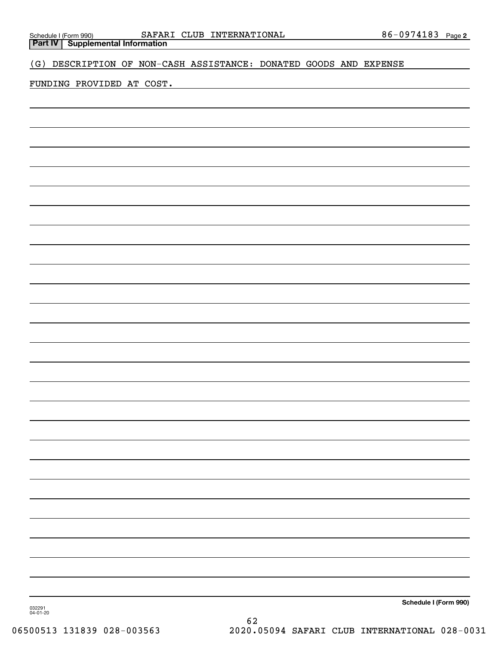**Part IV Supplemental Information**

### (G) DESCRIPTION OF NON-CASH ASSISTANCE: DONATED GOODS AND EXPENSE

### FUNDING PROVIDED AT COST.

**Schedule I (Form 990)**

032291 04-01-20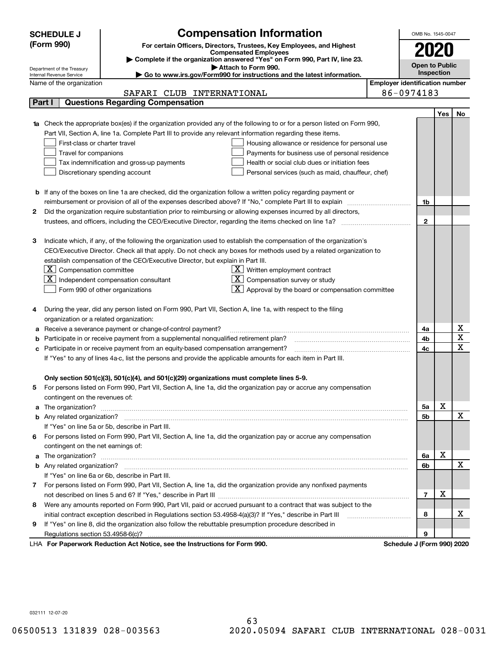|   | <b>Compensation Information</b><br><b>SCHEDULE J</b>                                                                             |                                       | OMB No. 1545-0047          |     |             |  |  |  |
|---|----------------------------------------------------------------------------------------------------------------------------------|---------------------------------------|----------------------------|-----|-------------|--|--|--|
|   | (Form 990)<br>For certain Officers, Directors, Trustees, Key Employees, and Highest                                              |                                       |                            |     |             |  |  |  |
|   | <b>Compensated Employees</b>                                                                                                     |                                       | 2020                       |     |             |  |  |  |
|   | Complete if the organization answered "Yes" on Form 990, Part IV, line 23.<br>Attach to Form 990.                                |                                       | <b>Open to Public</b>      |     |             |  |  |  |
|   | Department of the Treasury<br>Go to www.irs.gov/Form990 for instructions and the latest information.<br>Internal Revenue Service |                                       | Inspection                 |     |             |  |  |  |
|   | Name of the organization                                                                                                         | <b>Employer identification number</b> |                            |     |             |  |  |  |
|   | SAFARI CLUB INTERNATIONAL                                                                                                        |                                       | 86-0974183                 |     |             |  |  |  |
|   | <b>Questions Regarding Compensation</b><br>Part I                                                                                |                                       |                            |     |             |  |  |  |
|   |                                                                                                                                  |                                       |                            | Yes | No          |  |  |  |
|   | Check the appropriate box(es) if the organization provided any of the following to or for a person listed on Form 990,           |                                       |                            |     |             |  |  |  |
|   | Part VII, Section A, line 1a. Complete Part III to provide any relevant information regarding these items.                       |                                       |                            |     |             |  |  |  |
|   | First-class or charter travel<br>Housing allowance or residence for personal use                                                 |                                       |                            |     |             |  |  |  |
|   | Travel for companions<br>Payments for business use of personal residence                                                         |                                       |                            |     |             |  |  |  |
|   | Tax indemnification and gross-up payments<br>Health or social club dues or initiation fees                                       |                                       |                            |     |             |  |  |  |
|   | Discretionary spending account<br>Personal services (such as maid, chauffeur, chef)                                              |                                       |                            |     |             |  |  |  |
|   |                                                                                                                                  |                                       |                            |     |             |  |  |  |
|   | <b>b</b> If any of the boxes on line 1a are checked, did the organization follow a written policy regarding payment or           |                                       |                            |     |             |  |  |  |
|   | reimbursement or provision of all of the expenses described above? If "No," complete Part III to explain                         |                                       | 1b                         |     |             |  |  |  |
| 2 | Did the organization require substantiation prior to reimbursing or allowing expenses incurred by all directors,                 |                                       |                            |     |             |  |  |  |
|   |                                                                                                                                  |                                       | $\mathbf{2}$               |     |             |  |  |  |
|   |                                                                                                                                  |                                       |                            |     |             |  |  |  |
| 3 | Indicate which, if any, of the following the organization used to establish the compensation of the organization's               |                                       |                            |     |             |  |  |  |
|   | CEO/Executive Director. Check all that apply. Do not check any boxes for methods used by a related organization to               |                                       |                            |     |             |  |  |  |
|   | establish compensation of the CEO/Executive Director, but explain in Part III.                                                   |                                       |                            |     |             |  |  |  |
|   | $\lfloor \underline{X} \rfloor$ Compensation committee<br>$X$ Written employment contract                                        |                                       |                            |     |             |  |  |  |
|   | $\boxed{\textbf{X}}$ Independent compensation consultant<br>$X$ Compensation survey or study                                     |                                       |                            |     |             |  |  |  |
|   | $\overline{X}$ Approval by the board or compensation committee<br>Form 990 of other organizations                                |                                       |                            |     |             |  |  |  |
|   |                                                                                                                                  |                                       |                            |     |             |  |  |  |
| 4 | During the year, did any person listed on Form 990, Part VII, Section A, line 1a, with respect to the filing                     |                                       |                            |     |             |  |  |  |
|   | organization or a related organization:                                                                                          |                                       |                            |     |             |  |  |  |
| а | Receive a severance payment or change-of-control payment?                                                                        |                                       | 4a                         |     | х           |  |  |  |
| b | Participate in or receive payment from a supplemental nonqualified retirement plan?                                              |                                       | 4b                         |     | X           |  |  |  |
| с | Participate in or receive payment from an equity-based compensation arrangement?                                                 |                                       | 4c                         |     | $\mathbf x$ |  |  |  |
|   | If "Yes" to any of lines 4a-c, list the persons and provide the applicable amounts for each item in Part III.                    |                                       |                            |     |             |  |  |  |
|   |                                                                                                                                  |                                       |                            |     |             |  |  |  |
|   | Only section 501(c)(3), 501(c)(4), and 501(c)(29) organizations must complete lines 5-9.                                         |                                       |                            |     |             |  |  |  |
|   | For persons listed on Form 990, Part VII, Section A, line 1a, did the organization pay or accrue any compensation                |                                       |                            |     |             |  |  |  |
|   | contingent on the revenues of:                                                                                                   |                                       |                            |     |             |  |  |  |
| a |                                                                                                                                  |                                       | 5a                         | X   |             |  |  |  |
|   |                                                                                                                                  |                                       | 5b                         |     | х           |  |  |  |
|   | If "Yes" on line 5a or 5b, describe in Part III.                                                                                 |                                       |                            |     |             |  |  |  |
|   | 6 For persons listed on Form 990, Part VII, Section A, line 1a, did the organization pay or accrue any compensation              |                                       |                            |     |             |  |  |  |
|   | contingent on the net earnings of:                                                                                               |                                       |                            |     |             |  |  |  |
| a |                                                                                                                                  |                                       | 6a                         | х   |             |  |  |  |
|   |                                                                                                                                  |                                       | 6b                         |     | х           |  |  |  |
|   | If "Yes" on line 6a or 6b, describe in Part III.                                                                                 |                                       |                            |     |             |  |  |  |
|   | 7 For persons listed on Form 990, Part VII, Section A, line 1a, did the organization provide any nonfixed payments               |                                       |                            |     |             |  |  |  |
|   |                                                                                                                                  |                                       | $\overline{7}$             | х   |             |  |  |  |
|   | 8 Were any amounts reported on Form 990, Part VII, paid or accrued pursuant to a contract that was subject to the                |                                       |                            |     |             |  |  |  |
|   |                                                                                                                                  |                                       |                            |     | х           |  |  |  |
|   | initial contract exception described in Regulations section 53.4958-4(a)(3)? If "Yes," describe in Part III                      |                                       | 8                          |     |             |  |  |  |
| 9 | If "Yes" on line 8, did the organization also follow the rebuttable presumption procedure described in                           |                                       |                            |     |             |  |  |  |
|   | Regulations section 53.4958-6(c)?                                                                                                |                                       | 9                          |     |             |  |  |  |
|   | LHA For Paperwork Reduction Act Notice, see the Instructions for Form 990.                                                       |                                       | Schedule J (Form 990) 2020 |     |             |  |  |  |

032111 12-07-20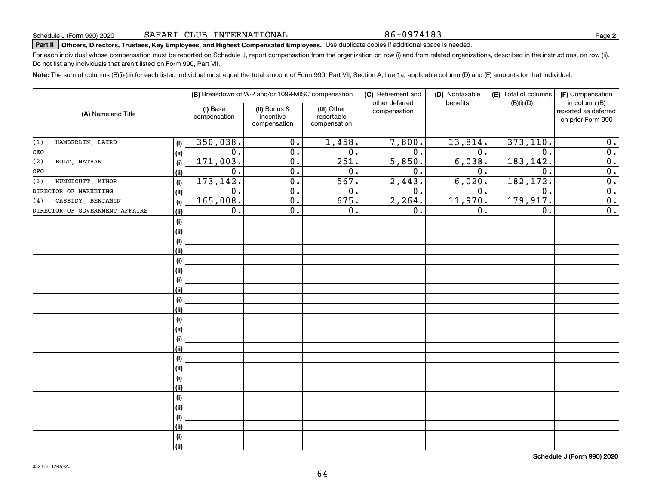86-0974183

# **Part II Officers, Directors, Trustees, Key Employees, and Highest Compensated Employees.**  Schedule J (Form 990) 2020 Page Use duplicate copies if additional space is needed.

For each individual whose compensation must be reported on Schedule J, report compensation from the organization on row (i) and from related organizations, described in the instructions, on row (ii). Do not list any individuals that aren't listed on Form 990, Part VII.

**Note:**  The sum of columns (B)(i)-(iii) for each listed individual must equal the total amount of Form 990, Part VII, Section A, line 1a, applicable column (D) and (E) amounts for that individual.

|                                |                              |                          | (B) Breakdown of W-2 and/or 1099-MISC compensation |                                           | (C) Retirement and<br>other deferred | (D) Nontaxable<br>benefits | (E) Total of columns<br>$(B)(i)-(D)$ | (F) Compensation<br>in column (B)         |  |
|--------------------------------|------------------------------|--------------------------|----------------------------------------------------|-------------------------------------------|--------------------------------------|----------------------------|--------------------------------------|-------------------------------------------|--|
| (A) Name and Title             |                              | (i) Base<br>compensation | (ii) Bonus &<br>incentive<br>compensation          | (iii) Other<br>reportable<br>compensation | compensation                         |                            |                                      | reported as deferred<br>on prior Form 990 |  |
| HAMBERLIN, LAIRD<br>(1)        | (i)                          | 350,038.                 | 0.                                                 | 1,458.                                    | 7,800.                               | 13,814.                    | 373, 110.                            | 0.                                        |  |
| CEO                            | (ii)                         | 0.                       | $\overline{0}$ .                                   | 0.                                        | $\overline{0}$ .                     | 0.                         | $\overline{0}$ .                     | 0.                                        |  |
| BOLT, NATHAN<br>(2)            | $\qquad \qquad \textbf{(i)}$ | 171,003.                 | $\overline{0}$ .                                   | 251.                                      | 5,850.                               | 6,038.                     | 183, 142.                            | 0.                                        |  |
| $_{\mbox{\tiny CFO}}$          | (ii)                         | 0.                       | 0.                                                 | 0.                                        | $\overline{0}$ .                     | $\mathbf 0$ .              | $\overline{0}$ .                     | $\overline{0}$ .                          |  |
| HUNNICUTT, MINOR<br>(3)        | (i)                          | 173, 142.                | $\overline{0}$ .                                   | $\overline{567}$ .                        | 2,443.                               | 6,020.                     | 182, 172.                            | $\overline{0}$ .                          |  |
| DIRECTOR OF MARKETING          | (ii)                         | $\overline{0}$ .         | $\overline{0}$ .                                   | $\overline{0}$ .                          | $\overline{0}$ .                     | $\overline{0}$ .           | $\overline{0}$ .                     | $\overline{0}$ .                          |  |
| CASSIDY, BENJAMIN<br>(4)       | (i)                          | 165,008.                 | $\overline{0}$ .                                   | 675.                                      | 2, 264.                              | 11,970.                    | 179, 917.                            | $\overline{0}$ .                          |  |
| DIRECTOR OF GOVERNMENT AFFAIRS | (ii)                         | $\overline{0}$ .         | $\overline{0}$ .                                   | $\overline{0}$ .                          | 0.                                   | 0.                         | $\overline{0}$ .                     | $\overline{0}$ .                          |  |
|                                | $(\sf{i})$                   |                          |                                                    |                                           |                                      |                            |                                      |                                           |  |
|                                | (ii)                         |                          |                                                    |                                           |                                      |                            |                                      |                                           |  |
|                                | $(\sf{i})$                   |                          |                                                    |                                           |                                      |                            |                                      |                                           |  |
|                                | (ii)                         |                          |                                                    |                                           |                                      |                            |                                      |                                           |  |
|                                | $(\sf{i})$                   |                          |                                                    |                                           |                                      |                            |                                      |                                           |  |
|                                | (ii)                         |                          |                                                    |                                           |                                      |                            |                                      |                                           |  |
|                                | $(\sf{i})$                   |                          |                                                    |                                           |                                      |                            |                                      |                                           |  |
|                                | (ii)                         |                          |                                                    |                                           |                                      |                            |                                      |                                           |  |
|                                | $(\sf{i})$                   |                          |                                                    |                                           |                                      |                            |                                      |                                           |  |
|                                | (ii)                         |                          |                                                    |                                           |                                      |                            |                                      |                                           |  |
|                                | $(\sf{i})$                   |                          |                                                    |                                           |                                      |                            |                                      |                                           |  |
|                                | (ii)                         |                          |                                                    |                                           |                                      |                            |                                      |                                           |  |
|                                | $(\sf{i})$                   |                          |                                                    |                                           |                                      |                            |                                      |                                           |  |
|                                | (ii)                         |                          |                                                    |                                           |                                      |                            |                                      |                                           |  |
|                                | (i)<br>(ii)                  |                          |                                                    |                                           |                                      |                            |                                      |                                           |  |
|                                | (i)                          |                          |                                                    |                                           |                                      |                            |                                      |                                           |  |
|                                | (ii)                         |                          |                                                    |                                           |                                      |                            |                                      |                                           |  |
|                                | (i)                          |                          |                                                    |                                           |                                      |                            |                                      |                                           |  |
|                                | (ii)                         |                          |                                                    |                                           |                                      |                            |                                      |                                           |  |
|                                | $(\sf{i})$                   |                          |                                                    |                                           |                                      |                            |                                      |                                           |  |
|                                | (ii)                         |                          |                                                    |                                           |                                      |                            |                                      |                                           |  |
|                                | $(\sf{i})$                   |                          |                                                    |                                           |                                      |                            |                                      |                                           |  |
|                                | (ii)                         |                          |                                                    |                                           |                                      |                            |                                      |                                           |  |
|                                |                              |                          |                                                    |                                           |                                      |                            |                                      |                                           |  |

**Schedule J (Form 990) 2020**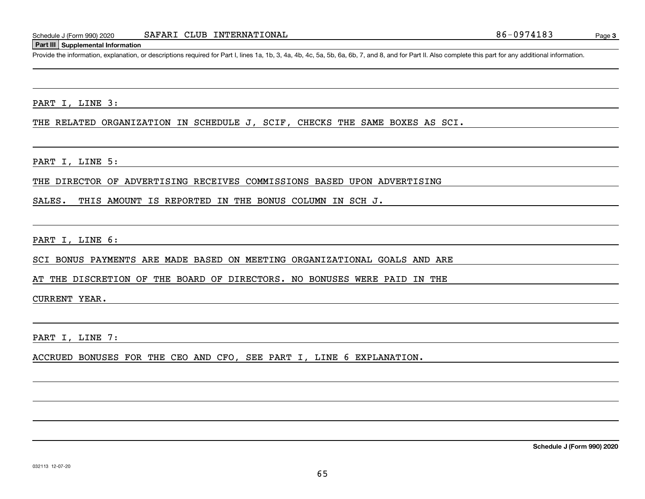#### **Part III Supplemental Information**

Schedule J (Form 990) 2020 SAFARI CLUB INTERNATIONAL 86-0974183<br>
Part III Supplemental Information<br>
Provide the information, explanation, or descriptions required for Part I, lines 1a, 1b, 3, 4a, 4b, 4c, 5a, 5b, 6a, 6b, 7,

PART I, LINE 3:

THE RELATED ORGANIZATION IN SCHEDULE J, SCIF, CHECKS THE SAME BOXES AS SCI.

PART I, LINE 5:

THE DIRECTOR OF ADVERTISING RECEIVES COMMISSIONS BASED UPON ADVERTISING

SALES. THIS AMOUNT IS REPORTED IN THE BONUS COLUMN IN SCH J.

PART I, LINE 6:

SCI BONUS PAYMENTS ARE MADE BASED ON MEETING ORGANIZATIONAL GOALS AND ARE

AT THE DISCRETION OF THE BOARD OF DIRECTORS. NO BONUSES WERE PAID IN THE

CURRENT YEAR.

PART I, LINE 7:

ACCRUED BONUSES FOR THE CEO AND CFO, SEE PART I, LINE 6 EXPLANATION.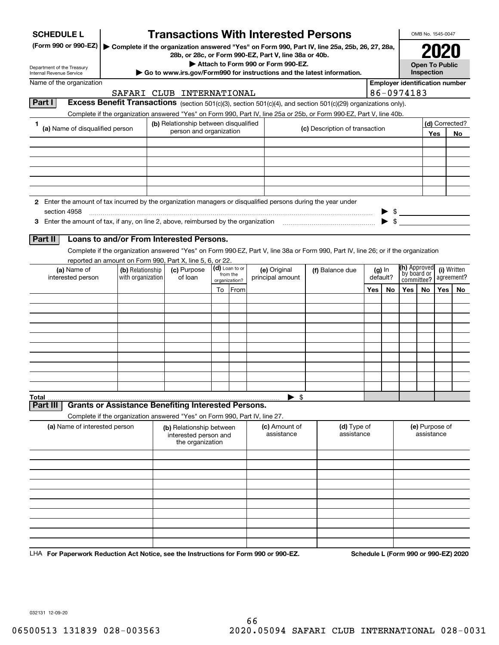| <b>SCHEDULE L</b>                                                                                                                  | <b>Transactions With Interested Persons</b>                                                   |                           |                |                                                       |                                |          |          |                                                     | OMB No. 1545-0047                                      |            |     |
|------------------------------------------------------------------------------------------------------------------------------------|-----------------------------------------------------------------------------------------------|---------------------------|----------------|-------------------------------------------------------|--------------------------------|----------|----------|-----------------------------------------------------|--------------------------------------------------------|------------|-----|
| (Form 990 or 990-EZ)                                                                                                               | Complete if the organization answered "Yes" on Form 990, Part IV, line 25a, 25b, 26, 27, 28a, |                           |                | 28b, or 28c, or Form 990-EZ, Part V, line 38a or 40b. |                                |          |          |                                                     |                                                        | 2021       |     |
| Department of the Treasury                                                                                                         |                                                                                               |                           |                | Attach to Form 990 or Form 990-EZ.                    |                                |          |          |                                                     | <b>Open To Public</b>                                  |            |     |
| Internal Revenue Service<br>Name of the organization                                                                               | Go to www.irs.gov/Form990 for instructions and the latest information.                        |                           |                |                                                       |                                |          |          | Inspection<br><b>Employer identification number</b> |                                                        |            |     |
|                                                                                                                                    | SAFARI CLUB INTERNATIONAL                                                                     |                           |                |                                                       |                                |          |          | 86-0974183                                          |                                                        |            |     |
| Part I<br><b>Excess Benefit Transactions</b> (section 501(c)(3), section 501(c)(4), and section 501(c)(29) organizations only).    |                                                                                               |                           |                |                                                       |                                |          |          |                                                     |                                                        |            |     |
| Complete if the organization answered "Yes" on Form 990, Part IV, line 25a or 25b, or Form 990-EZ, Part V, line 40b.               |                                                                                               |                           |                |                                                       |                                |          |          |                                                     |                                                        |            |     |
| 1<br>(a) Name of disqualified person                                                                                               | (b) Relationship between disqualified                                                         |                           |                |                                                       | (c) Description of transaction |          |          |                                                     | (d) Corrected?                                         |            |     |
|                                                                                                                                    | person and organization                                                                       |                           |                |                                                       |                                |          |          |                                                     |                                                        | Yes<br>No. |     |
|                                                                                                                                    |                                                                                               |                           |                |                                                       |                                |          |          |                                                     |                                                        |            |     |
|                                                                                                                                    |                                                                                               |                           |                |                                                       |                                |          |          |                                                     |                                                        |            |     |
|                                                                                                                                    |                                                                                               |                           |                |                                                       |                                |          |          |                                                     |                                                        |            |     |
|                                                                                                                                    |                                                                                               |                           |                |                                                       |                                |          |          |                                                     |                                                        |            |     |
|                                                                                                                                    |                                                                                               |                           |                |                                                       |                                |          |          |                                                     |                                                        |            |     |
| 2 Enter the amount of tax incurred by the organization managers or disqualified persons during the year under                      |                                                                                               |                           |                |                                                       |                                |          |          |                                                     |                                                        |            |     |
| section 4958<br>3 Enter the amount of tax, if any, on line 2, above, reimbursed by the organization                                |                                                                                               |                           |                |                                                       |                                |          |          | $\triangleright$ \$<br>$\blacktriangleright$ \$     |                                                        |            |     |
|                                                                                                                                    |                                                                                               |                           |                |                                                       |                                |          |          |                                                     |                                                        |            |     |
| Loans to and/or From Interested Persons.<br>Part II                                                                                |                                                                                               |                           |                |                                                       |                                |          |          |                                                     |                                                        |            |     |
| Complete if the organization answered "Yes" on Form 990-EZ, Part V, line 38a or Form 990, Part IV, line 26; or if the organization |                                                                                               |                           |                |                                                       |                                |          |          |                                                     |                                                        |            |     |
| reported an amount on Form 990, Part X, line 5, 6, or 22.                                                                          |                                                                                               |                           | (d) Loan to or |                                                       |                                |          |          | (h) Approved                                        |                                                        |            |     |
| (a) Name of<br>(b) Relationship<br>with organization<br>interested person                                                          | (c) Purpose<br>of loan                                                                        | from the<br>organization? |                | (e) Original<br>principal amount                      | (f) Balance due                | default? | $(g)$ In |                                                     | (i) Written<br>by board or<br>agreement?<br>committee? |            |     |
|                                                                                                                                    |                                                                                               |                           | To From        |                                                       |                                |          | No.      | Yes                                                 | No.                                                    | Yes        | No. |
|                                                                                                                                    |                                                                                               |                           |                |                                                       |                                | Yes      |          |                                                     |                                                        |            |     |
|                                                                                                                                    |                                                                                               |                           |                |                                                       |                                |          |          |                                                     |                                                        |            |     |
|                                                                                                                                    |                                                                                               |                           |                |                                                       |                                |          |          |                                                     |                                                        |            |     |
|                                                                                                                                    |                                                                                               |                           |                |                                                       |                                |          |          |                                                     |                                                        |            |     |
|                                                                                                                                    |                                                                                               |                           |                |                                                       |                                |          |          |                                                     |                                                        |            |     |
|                                                                                                                                    |                                                                                               |                           |                |                                                       |                                |          |          |                                                     |                                                        |            |     |
|                                                                                                                                    |                                                                                               |                           |                |                                                       |                                |          |          |                                                     |                                                        |            |     |
|                                                                                                                                    |                                                                                               |                           |                |                                                       |                                |          |          |                                                     |                                                        |            |     |
|                                                                                                                                    |                                                                                               |                           |                |                                                       |                                |          |          |                                                     |                                                        |            |     |
| Total<br><b>Grants or Assistance Benefiting Interested Persons.</b><br>Part III                                                    |                                                                                               |                           |                | - \$                                                  |                                |          |          |                                                     |                                                        |            |     |
| Complete if the organization answered "Yes" on Form 990, Part IV, line 27.                                                         |                                                                                               |                           |                |                                                       |                                |          |          |                                                     |                                                        |            |     |
| (a) Name of interested person                                                                                                      | (b) Relationship between                                                                      |                           |                | (c) Amount of                                         | (d) Type of                    |          |          |                                                     | (e) Purpose of                                         |            |     |
|                                                                                                                                    | interested person and<br>the organization                                                     |                           |                | assistance                                            | assistance                     |          |          |                                                     | assistance                                             |            |     |
|                                                                                                                                    |                                                                                               |                           |                |                                                       |                                |          |          |                                                     |                                                        |            |     |
|                                                                                                                                    |                                                                                               |                           |                |                                                       |                                |          |          |                                                     |                                                        |            |     |
|                                                                                                                                    |                                                                                               |                           |                |                                                       |                                |          |          |                                                     |                                                        |            |     |
|                                                                                                                                    |                                                                                               |                           |                |                                                       |                                |          |          |                                                     |                                                        |            |     |
|                                                                                                                                    |                                                                                               |                           |                |                                                       |                                |          |          |                                                     |                                                        |            |     |
|                                                                                                                                    |                                                                                               |                           |                |                                                       |                                |          |          |                                                     |                                                        |            |     |
|                                                                                                                                    |                                                                                               |                           |                |                                                       |                                |          |          |                                                     |                                                        |            |     |
|                                                                                                                                    |                                                                                               |                           |                |                                                       |                                |          |          |                                                     |                                                        |            |     |
|                                                                                                                                    |                                                                                               |                           |                |                                                       |                                |          |          |                                                     |                                                        |            |     |

LHA For Paperwork Reduction Act Notice, see the Instructions for Form 990 or 990-EZ. Schedule L (Form 990 or 990-EZ) 2020

032131 12-09-20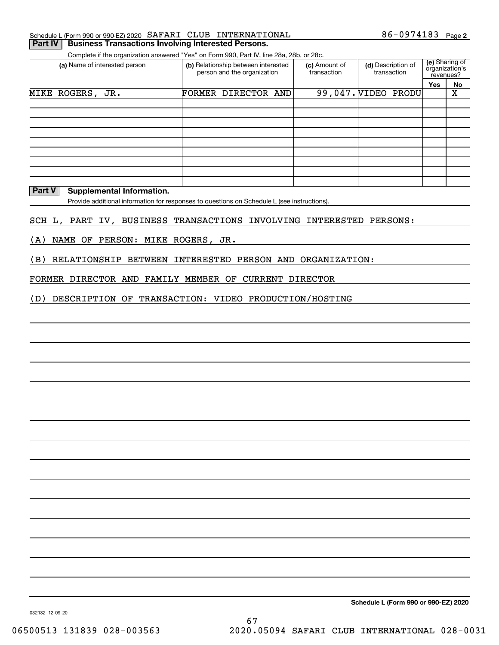|  |  | Schedule L (Form 990 or 990-EZ) 2020 $\,$ SAFARI $\,$ CLUB $\,$ INTERNATIONAL | $86 - 0974183$ Page 2 |  |
|--|--|-------------------------------------------------------------------------------|-----------------------|--|
|  |  |                                                                               |                       |  |

### **Part IV Business Transactions Involving Interested Persons.**

Complete if the organization answered "Yes" on Form 990, Part IV, line 28a, 28b, or 28c.

| (a) Name of interested person | (b) Relationship between interested<br>person and the organization |                     |  | (c) Amount of<br>transaction | (d) Description of<br>transaction | (e) Sharing of<br>organization's<br>revenues? |    |
|-------------------------------|--------------------------------------------------------------------|---------------------|--|------------------------------|-----------------------------------|-----------------------------------------------|----|
|                               |                                                                    |                     |  |                              |                                   | Yes                                           | No |
| MIKE ROGERS, JR.              |                                                                    | FORMER DIRECTOR AND |  |                              | 99,047. VIDEO PRODU               |                                               | х  |
|                               |                                                                    |                     |  |                              |                                   |                                               |    |
|                               |                                                                    |                     |  |                              |                                   |                                               |    |
|                               |                                                                    |                     |  |                              |                                   |                                               |    |
|                               |                                                                    |                     |  |                              |                                   |                                               |    |
|                               |                                                                    |                     |  |                              |                                   |                                               |    |
|                               |                                                                    |                     |  |                              |                                   |                                               |    |
|                               |                                                                    |                     |  |                              |                                   |                                               |    |
|                               |                                                                    |                     |  |                              |                                   |                                               |    |
|                               |                                                                    |                     |  |                              |                                   |                                               |    |

### **Part V** Supplemental Information.

Provide additional information for responses to questions on Schedule L (see instructions).

### SCH L, PART IV, BUSINESS TRANSACTIONS INVOLVING INTERESTED PERSONS:

(A) NAME OF PERSON: MIKE ROGERS, JR.

(B) RELATIONSHIP BETWEEN INTERESTED PERSON AND ORGANIZATION:

### FORMER DIRECTOR AND FAMILY MEMBER OF CURRENT DIRECTOR

(D) DESCRIPTION OF TRANSACTION: VIDEO PRODUCTION/HOSTING

**Schedule L (Form 990 or 990-EZ) 2020**

032132 12-09-20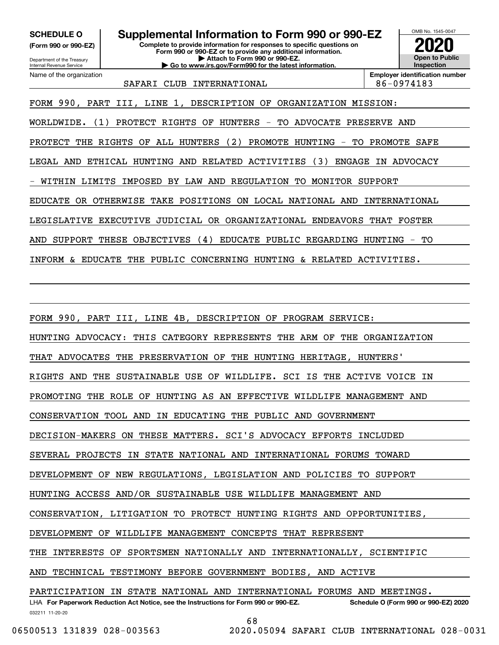**(Form 990 or 990-EZ)**

Department of the Treasury Internal Revenue Service Name of the organization

**Complete to provide information for responses to specific questions on Form 990 or 990-EZ or to provide any additional information. | Attach to Form 990 or 990-EZ. | Go to www.irs.gov/Form990 for the latest information. SCHEDULE O Supplemental Information to Form 990 or 990-EZ**



SAFARI CLUB INTERNATIONAL 86-0974183

FORM 990, PART III, LINE 1, DESCRIPTION OF ORGANIZATION MISSION:

WORLDWIDE. (1) PROTECT RIGHTS OF HUNTERS - TO ADVOCATE PRESERVE AND

PROTECT THE RIGHTS OF ALL HUNTERS (2) PROMOTE HUNTING - TO PROMOTE SAFE

LEGAL AND ETHICAL HUNTING AND RELATED ACTIVITIES (3) ENGAGE IN ADVOCACY

- WITHIN LIMITS IMPOSED BY LAW AND REGULATION TO MONITOR SUPPORT

EDUCATE OR OTHERWISE TAKE POSITIONS ON LOCAL NATIONAL AND INTERNATIONAL

LEGISLATIVE EXECUTIVE JUDICIAL OR ORGANIZATIONAL ENDEAVORS THAT FOSTER

AND SUPPORT THESE OBJECTIVES (4) EDUCATE PUBLIC REGARDING HUNTING - TO

INFORM & EDUCATE THE PUBLIC CONCERNING HUNTING & RELATED ACTIVITIES.

FORM 990, PART III, LINE 4B, DESCRIPTION OF PROGRAM SERVICE: HUNTING ADVOCACY: THIS CATEGORY REPRESENTS THE ARM OF THE ORGANIZATION THAT ADVOCATES THE PRESERVATION OF THE HUNTING HERITAGE, HUNTERS' RIGHTS AND THE SUSTAINABLE USE OF WILDLIFE. SCI IS THE ACTIVE VOICE IN PROMOTING THE ROLE OF HUNTING AS AN EFFECTIVE WILDLIFE MANAGEMENT AND CONSERVATION TOOL AND IN EDUCATING THE PUBLIC AND GOVERNMENT DECISION-MAKERS ON THESE MATTERS. SCI'S ADVOCACY EFFORTS INCLUDED SEVERAL PROJECTS IN STATE NATIONAL AND INTERNATIONAL FORUMS TOWARD DEVELOPMENT OF NEW REGULATIONS, LEGISLATION AND POLICIES TO SUPPORT HUNTING ACCESS AND/OR SUSTAINABLE USE WILDLIFE MANAGEMENT AND CONSERVATION, LITIGATION TO PROTECT HUNTING RIGHTS AND OPPORTUNITIES, DEVELOPMENT OF WILDLIFE MANAGEMENT CONCEPTS THAT REPRESENT THE INTERESTS OF SPORTSMEN NATIONALLY AND INTERNATIONALLY, SCIENTIFIC AND TECHNICAL TESTIMONY BEFORE GOVERNMENT BODIES, AND ACTIVE PARTICIPATION IN STATE NATIONAL AND INTERNATIONAL FORUMS AND MEETINGS.

032211 11-20-20 LHA For Paperwork Reduction Act Notice, see the Instructions for Form 990 or 990-EZ. Schedule O (Form 990 or 990-EZ) 2020

68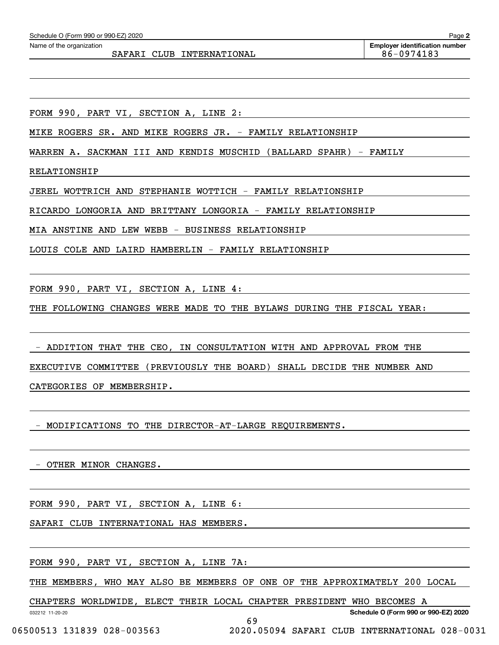| Schedule O (Form 990 or 990-EZ) 2020 |  |  |  |  |  |
|--------------------------------------|--|--|--|--|--|
|--------------------------------------|--|--|--|--|--|

SAFARI CLUB INTERNATIONAL 86-0974183

FORM 990, PART VI, SECTION A, LINE 2:

MIKE ROGERS SR. AND MIKE ROGERS JR. - FAMILY RELATIONSHIP

WARREN A. SACKMAN III AND KENDIS MUSCHID (BALLARD SPAHR) - FAMILY

RELATIONSHIP

JEREL WOTTRICH AND STEPHANIE WOTTICH - FAMILY RELATIONSHIP

RICARDO LONGORIA AND BRITTANY LONGORIA - FAMILY RELATIONSHIP

MIA ANSTINE AND LEW WEBB - BUSINESS RELATIONSHIP

LOUIS COLE AND LAIRD HAMBERLIN - FAMILY RELATIONSHIP

FORM 990, PART VI, SECTION A, LINE 4:

THE FOLLOWING CHANGES WERE MADE TO THE BYLAWS DURING THE FISCAL YEAR:

 - ADDITION THAT THE CEO, IN CONSULTATION WITH AND APPROVAL FROM THE EXECUTIVE COMMITTEE (PREVIOUSLY THE BOARD) SHALL DECIDE THE NUMBER AND

CATEGORIES OF MEMBERSHIP.

- MODIFICATIONS TO THE DIRECTOR-AT-LARGE REQUIREMENTS.

- OTHER MINOR CHANGES.

FORM 990, PART VI, SECTION A, LINE 6:

SAFARI CLUB INTERNATIONAL HAS MEMBERS.

FORM 990, PART VI, SECTION A, LINE 7A:

THE MEMBERS, WHO MAY ALSO BE MEMBERS OF ONE OF THE APPROXIMATELY 200 LOCAL

69

CHAPTERS WORLDWIDE, ELECT THEIR LOCAL CHAPTER PRESIDENT WHO BECOMES A

032212 11-20-20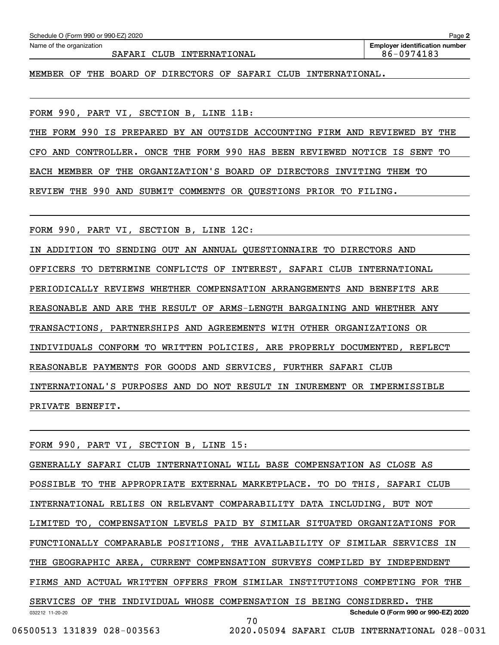| SAFARI CLUB INTERNATIONAL                                                  | 86-0974183 |  |  |  |
|----------------------------------------------------------------------------|------------|--|--|--|
| MEMBER OF THE BOARD OF DIRECTORS OF SAFARI CLUB INTERNATIONAL.             |            |  |  |  |
|                                                                            |            |  |  |  |
| FORM 990, PART VI, SECTION B, LINE 11B:                                    |            |  |  |  |
| THE FORM 990 IS PREPARED BY AN OUTSIDE ACCOUNTING FIRM AND REVIEWED BY THE |            |  |  |  |
| CFO AND CONTROLLER. ONCE THE FORM 990 HAS BEEN REVIEWED NOTICE IS SENT TO  |            |  |  |  |
| EACH MEMBER OF THE ORGANIZATION'S BOARD OF DIRECTORS INVITING THEM TO      |            |  |  |  |
| REVIEW THE 990 AND SUBMIT COMMENTS OR QUESTIONS PRIOR TO FILING.           |            |  |  |  |
|                                                                            |            |  |  |  |
| FORM 990, PART VI, SECTION B, LINE 12C:                                    |            |  |  |  |
| IN ADDITION TO SENDING OUT AN ANNUAL QUESTIONNAIRE TO DIRECTORS AND        |            |  |  |  |
| OFFICERS TO DETERMINE CONFLICTS OF INTEREST, SAFARI CLUB INTERNATIONAL     |            |  |  |  |
| PERIODICALLY REVIEWS WHETHER COMPENSATION ARRANGEMENTS AND BENEFITS ARE    |            |  |  |  |
| REASONABLE AND ARE THE RESULT OF ARMS-LENGTH BARGAINING AND WHETHER ANY    |            |  |  |  |
| TRANSACTIONS, PARTNERSHIPS AND AGREEMENTS WITH OTHER ORGANIZATIONS OR      |            |  |  |  |
| INDIVIDUALS CONFORM TO WRITTEN POLICIES, ARE PROPERLY DOCUMENTED, REFLECT  |            |  |  |  |
| REASONABLE PAYMENTS FOR GOODS AND SERVICES, FURTHER SAFARI CLUB            |            |  |  |  |
| INTERNATIONAL'S PURPOSES AND DO NOT RESULT IN INUREMENT OR IMPERMISSIBLE   |            |  |  |  |
| PRIVATE BENEFIT.                                                           |            |  |  |  |
|                                                                            |            |  |  |  |
| FORM 990, PART VI, SECTION B, LINE 15:                                     |            |  |  |  |
| GENERALLY SAFARI CLUB INTERNATIONAL WILL BASE COMPENSATION AS CLOSE AS     |            |  |  |  |
| POSSIBLE TO THE APPROPRIATE EXTERNAL MARKETPLACE. TO DO THIS, SAFARI CLUB  |            |  |  |  |
|                                                                            |            |  |  |  |

Echedule O (Form 990 or 990-EZ) 2020<br>Name of the organization **number** Name of the organization **number** 

INTERNATIONAL RELIES ON RELEVANT COMPARABILITY DATA INCLUDING, BUT NOT

LIMITED TO, COMPENSATION LEVELS PAID BY SIMILAR SITUATED ORGANIZATIONS FOR

FUNCTIONALLY COMPARABLE POSITIONS, THE AVAILABILITY OF SIMILAR SERVICES IN

THE GEOGRAPHIC AREA, CURRENT COMPENSATION SURVEYS COMPILED BY INDEPENDENT

FIRMS AND ACTUAL WRITTEN OFFERS FROM SIMILAR INSTITUTIONS COMPETING FOR THE

032212 11-20-20 **Schedule O (Form 990 or 990-EZ) 2020** SERVICES OF THE INDIVIDUAL WHOSE COMPENSATION IS BEING CONSIDERED. THE 70

06500513 131839 028-003563 2020.05094 SAFARI CLUB INTERNATIONAL 028-0031

**2**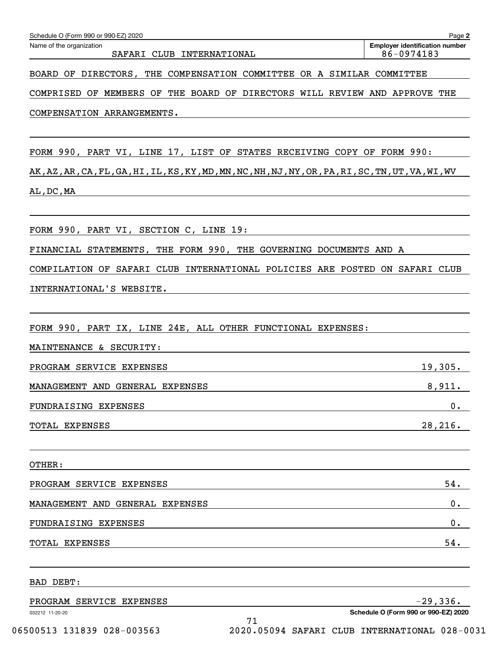| Schedule O (Form 990 or 990-EZ) 2020                                                                                       | Page 2                                              |
|----------------------------------------------------------------------------------------------------------------------------|-----------------------------------------------------|
| Name of the organization<br>SAFARI CLUB INTERNATIONAL                                                                      | <b>Employer identification number</b><br>86-0974183 |
| BOARD OF DIRECTORS, THE COMPENSATION COMMITTEE OR A SIMILAR COMMITTEE                                                      |                                                     |
| COMPRISED OF MEMBERS OF THE BOARD OF DIRECTORS WILL REVIEW AND APPROVE THE                                                 |                                                     |
| COMPENSATION ARRANGEMENTS.                                                                                                 |                                                     |
|                                                                                                                            |                                                     |
| FORM 990, PART VI, LINE 17, LIST OF STATES RECEIVING COPY OF FORM 990:                                                     |                                                     |
| AK , AZ , AR , CA , FL , GA , HI , IL , KS , KY , MD , MN , NC , NH , NJ , NY , OR , PA , RI , SC , TN , UT , VA , WI , WV |                                                     |
| AL, DC, MA                                                                                                                 |                                                     |
| FORM 990, PART VI, SECTION C, LINE 19:                                                                                     |                                                     |
| FINANCIAL STATEMENTS, THE FORM 990, THE GOVERNING DOCUMENTS AND A                                                          |                                                     |
| COMPILATION OF SAFARI CLUB INTERNATIONAL POLICIES ARE POSTED ON SAFARI CLUB                                                |                                                     |
| INTERNATIONAL'S WEBSITE.                                                                                                   |                                                     |
|                                                                                                                            |                                                     |
| FORM 990, PART IX, LINE 24E, ALL OTHER FUNCTIONAL EXPENSES:                                                                |                                                     |
| MAINTENANCE & SECURITY:                                                                                                    |                                                     |
| PROGRAM SERVICE EXPENSES                                                                                                   | 19,305.                                             |
| MANAGEMENT AND GENERAL EXPENSES                                                                                            | 8,911.                                              |
| FUNDRAISING EXPENSES                                                                                                       | 0.                                                  |
| <b>TOTAL EXPENSES</b>                                                                                                      | 28,216.                                             |
|                                                                                                                            |                                                     |
| OTHER:                                                                                                                     |                                                     |
| PROGRAM SERVICE EXPENSES                                                                                                   | 54.                                                 |
| MANAGEMENT AND GENERAL EXPENSES                                                                                            | 0.                                                  |
| FUNDRAISING EXPENSES                                                                                                       | 0.                                                  |
| TOTAL EXPENSES                                                                                                             | 54.                                                 |
| BAD DEBT:                                                                                                                  |                                                     |
| PROGRAM SERVICE EXPENSES                                                                                                   | $-29,336.$                                          |
| 032212 11-20-20<br>71                                                                                                      | Schedule O (Form 990 or 990-EZ) 2020                |

 <sup>06500513 131839 028-003563 2020.05094</sup> SAFARI CLUB INTERNATIONAL 028-0031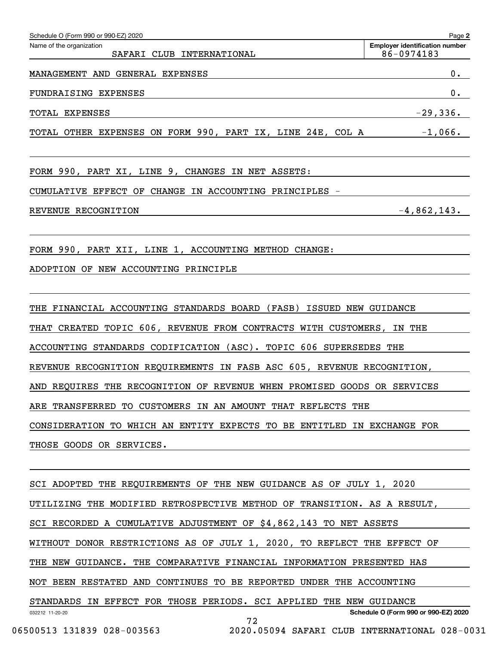| Schedule O (Form 990 or 990-EZ) 2020                                                          | Page 2                                              |
|-----------------------------------------------------------------------------------------------|-----------------------------------------------------|
| Name of the organization<br>SAFARI CLUB INTERNATIONAL                                         | <b>Employer identification number</b><br>86-0974183 |
| MANAGEMENT AND GENERAL EXPENSES                                                               | 0.                                                  |
| FUNDRAISING EXPENSES                                                                          | 0.                                                  |
| TOTAL EXPENSES                                                                                | $-29,336.$                                          |
| TOTAL OTHER EXPENSES ON FORM 990, PART IX, LINE 24E, COL A -1,066.                            |                                                     |
| FORM 990, PART XI, LINE 9, CHANGES IN NET ASSETS:                                             |                                                     |
| CUMULATIVE EFFECT OF CHANGE IN ACCOUNTING PRINCIPLES -                                        |                                                     |
| REVENUE RECOGNITION                                                                           | $-4,862,143.$                                       |
| FORM 990, PART XII, LINE 1, ACCOUNTING METHOD CHANGE:<br>ADOPTION OF NEW ACCOUNTING PRINCIPLE |                                                     |
| THE FINANCIAL ACCOUNTING STANDARDS BOARD (FASB) ISSUED NEW GUIDANCE                           |                                                     |
| THAT CREATED TOPIC 606, REVENUE FROM CONTRACTS WITH CUSTOMERS, IN THE                         |                                                     |
| ACCOUNTING STANDARDS CODIFICATION (ASC). TOPIC 606 SUPERSEDES THE                             |                                                     |
| REVENUE RECOGNITION REQUIREMENTS IN FASB ASC 605, REVENUE RECOGNITION,                        |                                                     |
| AND REQUIRES THE RECOGNITION OF REVENUE WHEN PROMISED GOODS OR SERVICES                       |                                                     |
| ARE TRANSFERRED TO CUSTOMERS IN AN AMOUNT THAT REFLECTS THE                                   |                                                     |
| CONSIDERATION TO WHICH AN ENTITY EXPECTS TO BE ENTITLED IN EXCHANGE FOR                       |                                                     |
| THOSE GOODS OR SERVICES.                                                                      |                                                     |
| SCI ADOPTED THE REQUIREMENTS OF THE NEW GUIDANCE AS OF JULY 1, 2020                           |                                                     |
| UTILIZING THE MODIFIED RETROSPECTIVE METHOD OF TRANSITION. AS A RESULT,                       |                                                     |
| SCI RECORDED A CUMULATIVE ADJUSTMENT OF \$4,862,143 TO NET ASSETS                             |                                                     |
| WITHOUT DONOR RESTRICTIONS AS OF JULY 1, 2020, TO REFLECT THE EFFECT OF                       |                                                     |
| THE NEW GUIDANCE. THE COMPARATIVE FINANCIAL INFORMATION PRESENTED HAS                         |                                                     |
| NOT BEEN RESTATED AND CONTINUES TO BE REPORTED UNDER THE ACCOUNTING                           |                                                     |

032212 11-20-20 **Schedule O (Form 990 or 990-EZ) 2020** STANDARDS IN EFFECT FOR THOSE PERIODS. SCI APPLIED THE NEW GUIDANCE 72

 <sup>06500513 131839 028-003563 2020.05094</sup> SAFARI CLUB INTERNATIONAL 028-0031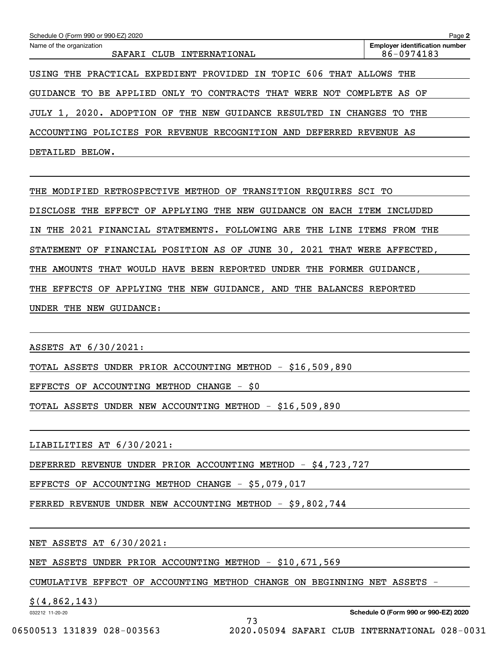| Schedule O (Form 990 or 990-EZ) 2020                                                                             | Page 2                                              |  |  |  |  |  |  |  |  |  |
|------------------------------------------------------------------------------------------------------------------|-----------------------------------------------------|--|--|--|--|--|--|--|--|--|
| Name of the organization<br>CLUB<br>SAFARI<br>INTERNATIONAL                                                      | <b>Employer identification number</b><br>86-0974183 |  |  |  |  |  |  |  |  |  |
| TOPIC 606<br>THE PRACTICAL EXPEDIENT PROVIDED IN<br>THAT ALLOWS<br>USING                                         | THE                                                 |  |  |  |  |  |  |  |  |  |
| APPLIED<br>ONLY<br><b>CONTRACTS</b><br>THAT<br>WERE<br>NOT<br>COMPLETE<br>GUIDANCE<br>TO<br>BE<br>TO<br>OF<br>AS |                                                     |  |  |  |  |  |  |  |  |  |
| 2020. ADOPTION OF<br>THE<br>NEW<br><b>GUIDANCE</b><br>RESULTED<br><b>CHANGES</b><br>THE<br>JULY 1,<br>IN<br>TO.  |                                                     |  |  |  |  |  |  |  |  |  |
| ACCOUNTING<br>POLICIES FOR REVENUE RECOGNITION AND DEFERRED                                                      | REVENUE AS                                          |  |  |  |  |  |  |  |  |  |
| DETAILED<br>BELOW.                                                                                               |                                                     |  |  |  |  |  |  |  |  |  |
|                                                                                                                  |                                                     |  |  |  |  |  |  |  |  |  |
| MODIFIED RETROSPECTIVE METHOD OF TRANSITION REQUIRES SCI TO<br>THE                                               |                                                     |  |  |  |  |  |  |  |  |  |
| <b>DISCLOSE</b><br>EFFECT OF<br>APPLYING THE<br><b>GUIDANCE</b><br>ON<br>EACH ITEM<br>THE<br>NEW                 | INCLUDED                                            |  |  |  |  |  |  |  |  |  |
| 2021<br>FINANCIAL<br>STATEMENTS.<br><b>FOLLOWING ARE</b><br>THE<br>LINE<br>THE<br>IN                             | <b>ITEMS</b><br>FROM<br>THE                         |  |  |  |  |  |  |  |  |  |
| FINANCIAL POSITION AS OF JUNE 30, 2021 THAT WERE AFFECTED,<br>STATEMENT OF                                       |                                                     |  |  |  |  |  |  |  |  |  |

THE AMOUNTS THAT WOULD HAVE BEEN REPORTED UNDER THE FORMER GUIDANCE,

THE EFFECTS OF APPLYING THE NEW GUIDANCE, AND THE BALANCES REPORTED

UNDER THE NEW GUIDANCE:

ASSETS AT 6/30/2021:

TOTAL ASSETS UNDER PRIOR ACCOUNTING METHOD - \$16,509,890

EFFECTS OF ACCOUNTING METHOD CHANGE - \$0

TOTAL ASSETS UNDER NEW ACCOUNTING METHOD - \$16,509,890

LIABILITIES AT 6/30/2021:

DEFERRED REVENUE UNDER PRIOR ACCOUNTING METHOD - \$4,723,727

EFFECTS OF ACCOUNTING METHOD CHANGE - \$5,079,017

FERRED REVENUE UNDER NEW ACCOUNTING METHOD - \$9,802,744

NET ASSETS AT 6/30/2021:

NET ASSETS UNDER PRIOR ACCOUNTING METHOD - \$10,671,569

CUMULATIVE EFFECT OF ACCOUNTING METHOD CHANGE ON BEGINNING NET ASSETS -

73

<u>\$(4,862,143)</u>

032212 11-20-20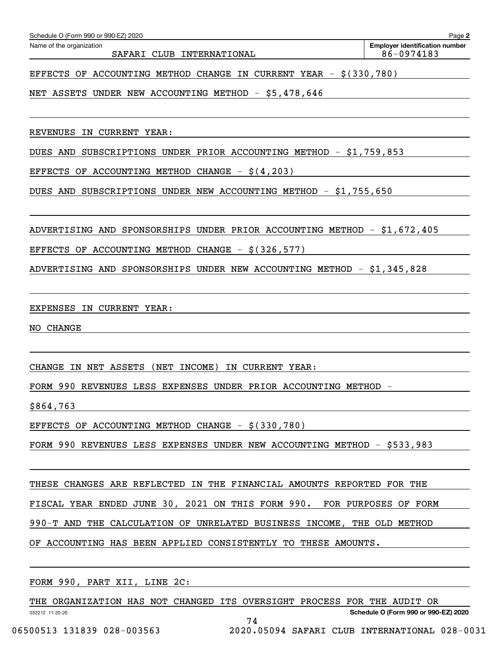SAFARI CLUB INTERNATIONAL 86-0974183

EFFECTS OF ACCOUNTING METHOD CHANGE IN CURRENT YEAR - \$(330,780)

NET ASSETS UNDER NEW ACCOUNTING METHOD - \$5,478,646

REVENUES IN CURRENT YEAR:

DUES AND SUBSCRIPTIONS UNDER PRIOR ACCOUNTING METHOD - \$1,759,853

EFFECTS OF ACCOUNTING METHOD CHANGE  $-$  \$ $(4, 203)$ 

DUES AND SUBSCRIPTIONS UNDER NEW ACCOUNTING METHOD - \$1,755,650

ADVERTISING AND SPONSORSHIPS UNDER PRIOR ACCOUNTING METHOD - \$1,672,405

EFFECTS OF ACCOUNTING METHOD CHANGE -  $$(326,577)$ 

ADVERTISING AND SPONSORSHIPS UNDER NEW ACCOUNTING METHOD - \$1,345,828

EXPENSES IN CURRENT YEAR:

NO CHANGE

CHANGE IN NET ASSETS (NET INCOME) IN CURRENT YEAR:

FORM 990 REVENUES LESS EXPENSES UNDER PRIOR ACCOUNTING METHOD -

\$864,763

EFFECTS OF ACCOUNTING METHOD CHANGE  $-$  \$(330,780)

FORM 990 REVENUES LESS EXPENSES UNDER NEW ACCOUNTING METHOD - \$533,983

THESE CHANGES ARE REFLECTED IN THE FINANCIAL AMOUNTS REPORTED FOR THE

FISCAL YEAR ENDED JUNE 30, 2021 ON THIS FORM 990. FOR PURPOSES OF FORM

990-T AND THE CALCULATION OF UNRELATED BUSINESS INCOME, THE OLD METHOD

OF ACCOUNTING HAS BEEN APPLIED CONSISTENTLY TO THESE AMOUNTS.

FORM 990, PART XII, LINE 2C:

THE ORGANIZATION HAS NOT CHANGED ITS OVERSIGHT PROCESS FOR THE AUDIT OR

74

032212 11-20-20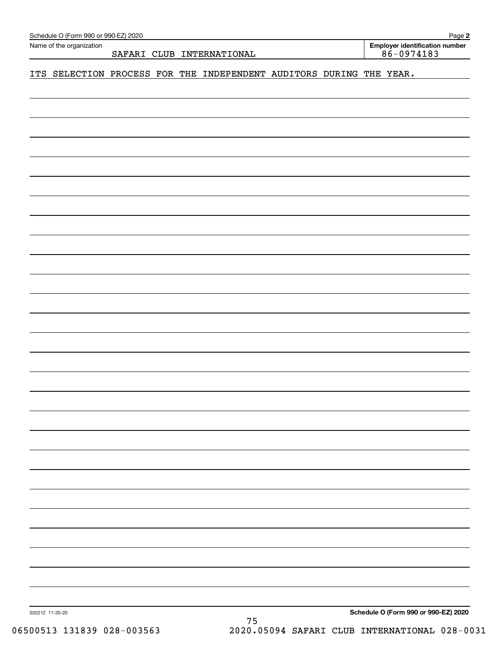| Name of the organization |  | SAFARI CLUB INTERNATIONAL                                           |  | <b>Employer identification number</b><br>$86 - 0974183$ |
|--------------------------|--|---------------------------------------------------------------------|--|---------------------------------------------------------|
|                          |  | ITS SELECTION PROCESS FOR THE INDEPENDENT AUDITORS DURING THE YEAR. |  |                                                         |
|                          |  |                                                                     |  |                                                         |
|                          |  |                                                                     |  |                                                         |
|                          |  |                                                                     |  |                                                         |
|                          |  |                                                                     |  |                                                         |
|                          |  |                                                                     |  |                                                         |
|                          |  |                                                                     |  |                                                         |
|                          |  |                                                                     |  |                                                         |
|                          |  |                                                                     |  |                                                         |
|                          |  |                                                                     |  |                                                         |
|                          |  |                                                                     |  |                                                         |
|                          |  |                                                                     |  |                                                         |
|                          |  |                                                                     |  |                                                         |
|                          |  |                                                                     |  |                                                         |
|                          |  |                                                                     |  |                                                         |
|                          |  |                                                                     |  |                                                         |
|                          |  |                                                                     |  |                                                         |
|                          |  |                                                                     |  |                                                         |
|                          |  |                                                                     |  |                                                         |
|                          |  |                                                                     |  |                                                         |
|                          |  |                                                                     |  |                                                         |
|                          |  |                                                                     |  |                                                         |
|                          |  |                                                                     |  |                                                         |
|                          |  |                                                                     |  |                                                         |
|                          |  |                                                                     |  |                                                         |
|                          |  |                                                                     |  |                                                         |
|                          |  |                                                                     |  |                                                         |

06500513 131839 028-003563 2020.05094 SAFARI CLUB INTERNATIONAL 028-0031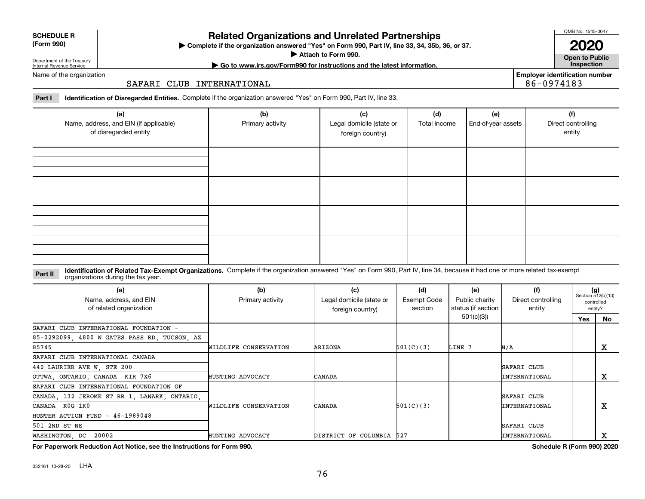**For Paperwork Reduction Act Notice, see the Instructions for Form 990. Schedule R (Form 990) 2020**

032161 10-28-20 LHA

# **Related Organizations and Unrelated Partnerships**

**Complete if the organization answered "Yes" on Form 990, Part IV, line 33, 34, 35b, 36, or 37.** |

**Attach to Form 990.**  |

86-0974183

Name of the organization

Department of the Treasury Internal Revenue Service

# SAFARI CLUB INTERNATIONAL

**Part I Identification of Disregarded Entities.**  Complete if the organization answered "Yes" on Form 990, Part IV, line 33.

| (a)<br>Name, address, and EIN (if applicable)<br>of disregarded entity | (b)<br>Primary activity | (c)<br>Legal domicile (state or<br>foreign country) | (d)<br>Total income | (e)<br>End-of-year assets | (f)<br>Direct controlling<br>entity |
|------------------------------------------------------------------------|-------------------------|-----------------------------------------------------|---------------------|---------------------------|-------------------------------------|
|                                                                        |                         |                                                     |                     |                           |                                     |
|                                                                        |                         |                                                     |                     |                           |                                     |
|                                                                        |                         |                                                     |                     |                           |                                     |
|                                                                        |                         |                                                     |                     |                           |                                     |

**Identification of Related Tax-Exempt Organizations.** Complete if the organization answered "Yes" on Form 990, Part IV, line 34, because it had one or more related tax-exempt **Part II** organizations during the tax year.

| (a)<br>Name, address, and EIN<br>of related organization | (b)<br>Primary activity | (c)<br>Legal domicile (state or<br>foreign country) | (d)<br>Exempt Code<br>section | (e)<br>Public charity<br>status (if section | (f)<br>Direct controlling<br>entity | $(g)$<br>Section 512(b)(13)<br>controlled<br>entity? |    |
|----------------------------------------------------------|-------------------------|-----------------------------------------------------|-------------------------------|---------------------------------------------|-------------------------------------|------------------------------------------------------|----|
|                                                          |                         |                                                     |                               | 501(c)(3)                                   |                                     | Yes                                                  | No |
| SAFARI CLUB INTERNATIONAL FOUNDATION -                   |                         |                                                     |                               |                                             |                                     |                                                      |    |
| 85-0292099, 4800 W GATES PASS RD, TUCSON, AZ             |                         |                                                     |                               |                                             |                                     |                                                      |    |
| 85745                                                    | WILDLIFE CONSERVATION   | ARIZONA                                             | 501(C)(3)                     | LINE 7                                      | N/A                                 |                                                      | х  |
| SAFARI CLUB INTERNATIONAL CANADA                         |                         |                                                     |                               |                                             |                                     |                                                      |    |
| 440 LAURIER AVE W, STE 200                               |                         |                                                     |                               |                                             | SAFARI CLUB                         |                                                      |    |
| OTTWA, ONTARIO, CANADA KIR 7X6                           | HUNTING ADVOCACY        | CANADA                                              |                               |                                             | <b>INTERNATIONAL</b>                |                                                      | х  |
| SAFARI CLUB INTERNATIONAL FOUNDATION OF                  |                         |                                                     |                               |                                             |                                     |                                                      |    |
| CANADA, 132 JEROME ST RR 1, LANARK, ONTARIO,             |                         |                                                     |                               |                                             | SAFARI CLUB                         |                                                      |    |
| CANADA K0G 1K0                                           | WILDLIFE CONSERVATION   | CANADA                                              | 501(C)(3)                     |                                             | <b>INTERNATIONAL</b>                |                                                      | x  |
| HUNTER ACTION FUND $-46-1989048$                         |                         |                                                     |                               |                                             |                                     |                                                      |    |
| 501 2ND ST NE                                            |                         |                                                     |                               |                                             | SAFARI CLUB                         |                                                      |    |
| WASHINGTON, DC<br>20002                                  | HUNTING ADVOCACY        | DISTRICT OF COLUMBIA 527                            |                               |                                             | INTERNATIONAL                       |                                                      | x  |

OMB No. 1545-0047

**Open to Public 2020**

| <b>SCHEDULE R</b> |
|-------------------|
| ----              |

**(Form 990)**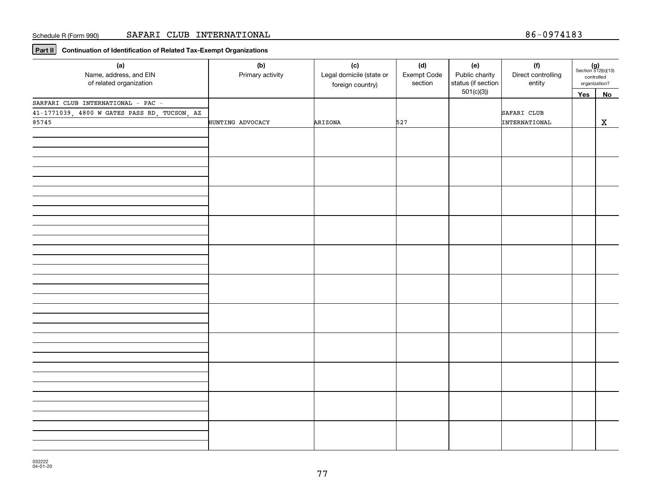**Part II Continuation of Identification of Related Tax-Exempt Organizations**

| (a)<br>Name, address, and EIN<br>of related organization | (b)<br>Primary activity | (c)<br>Legal domicile (state or<br>foreign country) | (d)<br>Exempt Code<br>section | (e)<br>Public charity<br>status (if section | (f)<br>Direct controlling<br>entity | controlled<br>organization? | $(g)$<br>Section 512(b)(13) |
|----------------------------------------------------------|-------------------------|-----------------------------------------------------|-------------------------------|---------------------------------------------|-------------------------------------|-----------------------------|-----------------------------|
|                                                          |                         |                                                     |                               | 501(c)(3)                                   |                                     | Yes                         | No                          |
| SARFARI CLUB INTERNATIONAL - PAC -                       |                         |                                                     |                               |                                             |                                     |                             |                             |
| 41-1771039, 4800 W GATES PASS RD, TUCSON, AZ             |                         |                                                     |                               |                                             | SAFARI CLUB                         |                             |                             |
| 85745                                                    | HUNTING ADVOCACY        | ARIZONA                                             | 527                           |                                             | INTERNATIONAL                       |                             | X                           |
|                                                          |                         |                                                     |                               |                                             |                                     |                             |                             |
|                                                          |                         |                                                     |                               |                                             |                                     |                             |                             |
|                                                          |                         |                                                     |                               |                                             |                                     |                             |                             |
|                                                          |                         |                                                     |                               |                                             |                                     |                             |                             |
|                                                          |                         |                                                     |                               |                                             |                                     |                             |                             |
|                                                          |                         |                                                     |                               |                                             |                                     |                             |                             |
|                                                          |                         |                                                     |                               |                                             |                                     |                             |                             |
|                                                          |                         |                                                     |                               |                                             |                                     |                             |                             |
|                                                          |                         |                                                     |                               |                                             |                                     |                             |                             |
|                                                          |                         |                                                     |                               |                                             |                                     |                             |                             |
|                                                          |                         |                                                     |                               |                                             |                                     |                             |                             |
|                                                          |                         |                                                     |                               |                                             |                                     |                             |                             |
|                                                          |                         |                                                     |                               |                                             |                                     |                             |                             |
|                                                          |                         |                                                     |                               |                                             |                                     |                             |                             |
|                                                          |                         |                                                     |                               |                                             |                                     |                             |                             |
|                                                          |                         |                                                     |                               |                                             |                                     |                             |                             |
|                                                          |                         |                                                     |                               |                                             |                                     |                             |                             |
|                                                          |                         |                                                     |                               |                                             |                                     |                             |                             |
|                                                          |                         |                                                     |                               |                                             |                                     |                             |                             |
|                                                          |                         |                                                     |                               |                                             |                                     |                             |                             |
|                                                          |                         |                                                     |                               |                                             |                                     |                             |                             |
|                                                          |                         |                                                     |                               |                                             |                                     |                             |                             |
|                                                          |                         |                                                     |                               |                                             |                                     |                             |                             |
|                                                          |                         |                                                     |                               |                                             |                                     |                             |                             |
|                                                          |                         |                                                     |                               |                                             |                                     |                             |                             |
|                                                          |                         |                                                     |                               |                                             |                                     |                             |                             |
|                                                          |                         |                                                     |                               |                                             |                                     |                             |                             |
|                                                          |                         |                                                     |                               |                                             |                                     |                             |                             |
|                                                          |                         |                                                     |                               |                                             |                                     |                             |                             |
|                                                          |                         |                                                     |                               |                                             |                                     |                             |                             |
|                                                          |                         |                                                     |                               |                                             |                                     |                             |                             |
|                                                          |                         |                                                     |                               |                                             |                                     |                             |                             |
|                                                          |                         |                                                     |                               |                                             |                                     |                             |                             |
|                                                          |                         |                                                     |                               |                                             |                                     |                             |                             |
|                                                          |                         |                                                     |                               |                                             |                                     |                             |                             |
|                                                          |                         |                                                     |                               |                                             |                                     |                             |                             |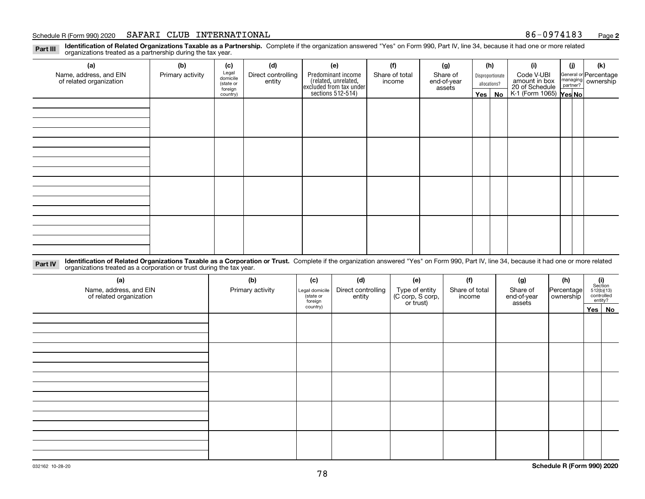## Schedule R (Form 990) 2020 **SAFARI CLUB INTERNATIONAL** 86-0974183 <sub>Page</sub>

**2**

**Identification of Related Organizations Taxable as a Partnership.** Complete if the organization answered "Yes" on Form 990, Part IV, line 34, because it had one or more related **Part III** organizations treated as a partnership during the tax year.

| (a)                                               | (b)              | (c)                  | (d)                          | (e)                                                                   | (f)                      | (g)                     |         | (h)              | (i)                                      | (i) | (k)                                                     |
|---------------------------------------------------|------------------|----------------------|------------------------------|-----------------------------------------------------------------------|--------------------------|-------------------------|---------|------------------|------------------------------------------|-----|---------------------------------------------------------|
| Name, address, and EIN<br>of related organization | Primary activity | Legal<br>domicile    | Direct controlling<br>entity | Predominant income                                                    | Share of total<br>income | Share of<br>end-of-year |         | Disproportionate | Code V-UBI<br>amount in box              |     | General or Percentage<br>managing ownership<br>partner? |
|                                                   |                  | (state or<br>foreign |                              |                                                                       |                          | assets                  |         | allocations?     |                                          |     |                                                         |
|                                                   |                  | country)             |                              | ricolated, unrelated,<br>excluded from tax under<br>sections 512-514) |                          |                         | Yes $ $ | No               | 20 of Schedule<br>K-1 (Form 1065) Yes No |     |                                                         |
|                                                   |                  |                      |                              |                                                                       |                          |                         |         |                  |                                          |     |                                                         |
|                                                   |                  |                      |                              |                                                                       |                          |                         |         |                  |                                          |     |                                                         |
|                                                   |                  |                      |                              |                                                                       |                          |                         |         |                  |                                          |     |                                                         |
|                                                   |                  |                      |                              |                                                                       |                          |                         |         |                  |                                          |     |                                                         |
|                                                   |                  |                      |                              |                                                                       |                          |                         |         |                  |                                          |     |                                                         |
|                                                   |                  |                      |                              |                                                                       |                          |                         |         |                  |                                          |     |                                                         |
|                                                   |                  |                      |                              |                                                                       |                          |                         |         |                  |                                          |     |                                                         |
|                                                   |                  |                      |                              |                                                                       |                          |                         |         |                  |                                          |     |                                                         |
|                                                   |                  |                      |                              |                                                                       |                          |                         |         |                  |                                          |     |                                                         |
|                                                   |                  |                      |                              |                                                                       |                          |                         |         |                  |                                          |     |                                                         |
|                                                   |                  |                      |                              |                                                                       |                          |                         |         |                  |                                          |     |                                                         |
|                                                   |                  |                      |                              |                                                                       |                          |                         |         |                  |                                          |     |                                                         |
|                                                   |                  |                      |                              |                                                                       |                          |                         |         |                  |                                          |     |                                                         |
|                                                   |                  |                      |                              |                                                                       |                          |                         |         |                  |                                          |     |                                                         |
|                                                   |                  |                      |                              |                                                                       |                          |                         |         |                  |                                          |     |                                                         |
|                                                   |                  |                      |                              |                                                                       |                          |                         |         |                  |                                          |     |                                                         |
|                                                   |                  |                      |                              |                                                                       |                          |                         |         |                  |                                          |     |                                                         |

**Identification of Related Organizations Taxable as a Corporation or Trust.** Complete if the organization answered "Yes" on Form 990, Part IV, line 34, because it had one or more related **Part IV** organizations treated as a corporation or trust during the tax year.

| (a)<br>Name, address, and EIN<br>of related organization | (b)<br>Primary activity | (c)<br>Legal domicile<br>(state or<br>foreign | (d)<br>Direct controlling<br>entity | (e)<br>Type of entity<br>(C corp, S corp,<br>or trust) | (f)<br>Share of total<br>income | (g)<br>Share of<br>end-of-year<br>assets | (h)<br>Percentage<br>ownership | (i)<br>Section<br>512(b)(13)<br>controlled | entity?  |
|----------------------------------------------------------|-------------------------|-----------------------------------------------|-------------------------------------|--------------------------------------------------------|---------------------------------|------------------------------------------|--------------------------------|--------------------------------------------|----------|
|                                                          |                         | country)                                      |                                     |                                                        |                                 |                                          |                                |                                            | Yes   No |
|                                                          |                         |                                               |                                     |                                                        |                                 |                                          |                                |                                            |          |
|                                                          |                         |                                               |                                     |                                                        |                                 |                                          |                                |                                            |          |
|                                                          |                         |                                               |                                     |                                                        |                                 |                                          |                                |                                            |          |
|                                                          |                         |                                               |                                     |                                                        |                                 |                                          |                                |                                            |          |
|                                                          |                         |                                               |                                     |                                                        |                                 |                                          |                                |                                            |          |
|                                                          |                         |                                               |                                     |                                                        |                                 |                                          |                                |                                            |          |
|                                                          |                         |                                               |                                     |                                                        |                                 |                                          |                                |                                            |          |
|                                                          |                         |                                               |                                     |                                                        |                                 |                                          |                                |                                            |          |
|                                                          |                         |                                               |                                     |                                                        |                                 |                                          |                                |                                            |          |
|                                                          |                         |                                               |                                     |                                                        |                                 |                                          |                                |                                            |          |
|                                                          |                         |                                               |                                     |                                                        |                                 |                                          |                                |                                            |          |
|                                                          |                         |                                               |                                     |                                                        |                                 |                                          |                                |                                            |          |
|                                                          |                         |                                               |                                     |                                                        |                                 |                                          |                                |                                            |          |
|                                                          |                         |                                               |                                     |                                                        |                                 |                                          |                                |                                            |          |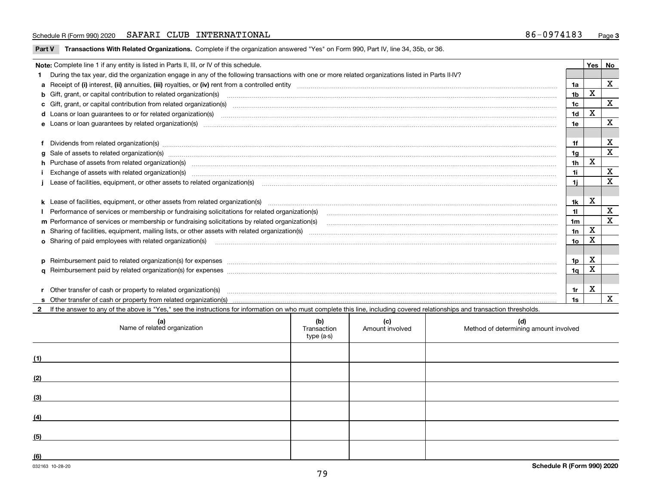# Schedule R (Form 990) 2020 **SAFARI CLUB INTERNATIONAL** 86-0974183 <sub>Page</sub>

**Part V** T**ransactions With Related Organizations.** Complete if the organization answered "Yes" on Form 990, Part IV, line 34, 35b, or 36.

| Note: Complete line 1 if any entity is listed in Parts II, III, or IV of this schedule.                                                                                                                                        |                | <b>Yes</b> | No           |
|--------------------------------------------------------------------------------------------------------------------------------------------------------------------------------------------------------------------------------|----------------|------------|--------------|
| During the tax year, did the organization engage in any of the following transactions with one or more related organizations listed in Parts II-IV?                                                                            |                |            |              |
|                                                                                                                                                                                                                                | 1a             |            | X            |
| b Gift, grant, or capital contribution to related organization(s) manufactured and contribution to related organization(s)                                                                                                     | 1 <sub>b</sub> | x          |              |
| c Gift, grant, or capital contribution from related organization(s) material content and contribution from related organization(s) material content and content and contribution from related organization(s) material content | 1 <sub>c</sub> |            | X            |
|                                                                                                                                                                                                                                | 1 <sub>d</sub> | х          |              |
|                                                                                                                                                                                                                                | 1e             |            | X            |
|                                                                                                                                                                                                                                |                |            |              |
| Dividends from related organization(s) manufactured and contract and contract or produced and contract and contract and contract and contract and contract and contract and contract and contract and contract and contract an | 1f             |            | X            |
| $g$ Sale of assets to related organization(s) with an example and construction of the state of assets to related organization(s) with an example and construction of the state of assets to related organization(s) with an e  | 1 <sub>q</sub> |            | X            |
| h Purchase of assets from related organization(s) manufactured and content to content the content of assets from related organization(s)                                                                                       | 1 <sub>h</sub> | X          |              |
|                                                                                                                                                                                                                                | 1i.            |            | X            |
| Lease of facilities, equipment, or other assets to related organization(s) contain and contained and contained and contained and contained and contained and contained and contained and contained and contained and contained | 1j             |            | X            |
|                                                                                                                                                                                                                                |                |            |              |
|                                                                                                                                                                                                                                | 1k             | X          |              |
| Performance of services or membership or fundraising solicitations for related organization(s) matchinary material content and content of the services or membership or fundraising solicitations for related organization(s)  | 11             |            | X            |
| m Performance of services or membership or fundraising solicitations by related organization(s)                                                                                                                                | 1 <sub>m</sub> |            | X            |
|                                                                                                                                                                                                                                | 1n             | X          |              |
| o Sharing of paid employees with related organization(s) manufactured and content to the content of the content of the content of the content of the content of the content of the content of the content of the content of th | 1o             | X          |              |
|                                                                                                                                                                                                                                |                |            |              |
|                                                                                                                                                                                                                                | 1p             | X          |              |
|                                                                                                                                                                                                                                | 1 <sub>q</sub> | x          |              |
|                                                                                                                                                                                                                                |                |            |              |
| Other transfer of cash or property to related organization(s)                                                                                                                                                                  | 1r             | x          |              |
|                                                                                                                                                                                                                                | 1s             |            | $\mathbf{x}$ |
| 2 If the answer to any of the above is "Yes," see the instructions for information on who must complete this line, including covered relationships and transaction thresholds.                                                 |                |            |              |

|     | (a)<br>Name of related organization | (b)<br>Transaction<br>type (a-s) | (c)<br>Amount involved | (d)<br>Method of determining amount involved |
|-----|-------------------------------------|----------------------------------|------------------------|----------------------------------------------|
| (1) |                                     |                                  |                        |                                              |
| (2) |                                     |                                  |                        |                                              |
| (3) |                                     |                                  |                        |                                              |
| (4) |                                     |                                  |                        |                                              |
| (5) |                                     |                                  |                        |                                              |
| (6) |                                     |                                  |                        |                                              |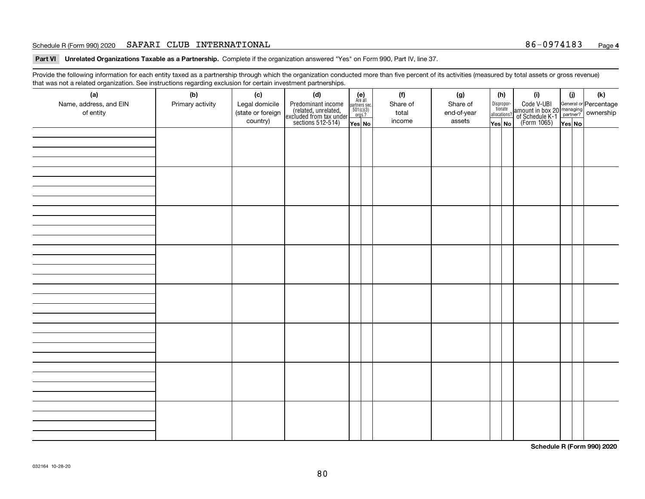## Schedule R (Form 990) 2020 **SAFARI CLUB INTERNATIONAL** 86-0974183 <sub>Page</sub>

**Part VI Unrelated Organizations Taxable as a Partnership. Complete if the organization answered "Yes" on Form 990, Part IV, line 37.** 

Provide the following information for each entity taxed as a partnership through which the organization conducted more than five percent of its activities (measured by total assets or gross revenue) that was not a related organization. See instructions regarding exclusion for certain investment partnerships.

| ັ                      | ັ<br>ັ           |                   |                                                                                            |                                                                                              |          |             |                                  |                                                                                                  |        |     |
|------------------------|------------------|-------------------|--------------------------------------------------------------------------------------------|----------------------------------------------------------------------------------------------|----------|-------------|----------------------------------|--------------------------------------------------------------------------------------------------|--------|-----|
| (a)                    | (b)              | (c)               | (d)                                                                                        | $(e)$<br>Are all                                                                             | (f)      | (g)         | (h)                              | (i)                                                                                              | (i)    | (k) |
| Name, address, and EIN | Primary activity | Legal domicile    | Predominant income<br>(related, unrelated,<br>excluded from tax under<br>sections 512-514) |                                                                                              | Share of | Share of    | Disproportionate<br>allocations? | Code V-UBI<br>amount in box 20 managing<br>of Schedule K-1<br>(Form 1065)<br>$\overline{Yes}$ No |        |     |
| of entity              |                  | (state or foreign |                                                                                            | $\begin{array}{c}\n\text{partners} & \text{sec.} \\ 501(c)(3) & \text{orgs.?} \n\end{array}$ | total    | end-of-year |                                  |                                                                                                  |        |     |
|                        |                  | country)          |                                                                                            |                                                                                              | income   | assets      |                                  |                                                                                                  |        |     |
|                        |                  |                   |                                                                                            | Yes No                                                                                       |          |             | Yes No                           |                                                                                                  | Yes No |     |
|                        |                  |                   |                                                                                            |                                                                                              |          |             |                                  |                                                                                                  |        |     |
|                        |                  |                   |                                                                                            |                                                                                              |          |             |                                  |                                                                                                  |        |     |
|                        |                  |                   |                                                                                            |                                                                                              |          |             |                                  |                                                                                                  |        |     |
|                        |                  |                   |                                                                                            |                                                                                              |          |             |                                  |                                                                                                  |        |     |
|                        |                  |                   |                                                                                            |                                                                                              |          |             |                                  |                                                                                                  |        |     |
|                        |                  |                   |                                                                                            |                                                                                              |          |             |                                  |                                                                                                  |        |     |
|                        |                  |                   |                                                                                            |                                                                                              |          |             |                                  |                                                                                                  |        |     |
|                        |                  |                   |                                                                                            |                                                                                              |          |             |                                  |                                                                                                  |        |     |
|                        |                  |                   |                                                                                            |                                                                                              |          |             |                                  |                                                                                                  |        |     |
|                        |                  |                   |                                                                                            |                                                                                              |          |             |                                  |                                                                                                  |        |     |
|                        |                  |                   |                                                                                            |                                                                                              |          |             |                                  |                                                                                                  |        |     |
|                        |                  |                   |                                                                                            |                                                                                              |          |             |                                  |                                                                                                  |        |     |
|                        |                  |                   |                                                                                            |                                                                                              |          |             |                                  |                                                                                                  |        |     |
|                        |                  |                   |                                                                                            |                                                                                              |          |             |                                  |                                                                                                  |        |     |
|                        |                  |                   |                                                                                            |                                                                                              |          |             |                                  |                                                                                                  |        |     |
|                        |                  |                   |                                                                                            |                                                                                              |          |             |                                  |                                                                                                  |        |     |
|                        |                  |                   |                                                                                            |                                                                                              |          |             |                                  |                                                                                                  |        |     |
|                        |                  |                   |                                                                                            |                                                                                              |          |             |                                  |                                                                                                  |        |     |
|                        |                  |                   |                                                                                            |                                                                                              |          |             |                                  |                                                                                                  |        |     |
|                        |                  |                   |                                                                                            |                                                                                              |          |             |                                  |                                                                                                  |        |     |
|                        |                  |                   |                                                                                            |                                                                                              |          |             |                                  |                                                                                                  |        |     |
|                        |                  |                   |                                                                                            |                                                                                              |          |             |                                  |                                                                                                  |        |     |
|                        |                  |                   |                                                                                            |                                                                                              |          |             |                                  |                                                                                                  |        |     |
|                        |                  |                   |                                                                                            |                                                                                              |          |             |                                  |                                                                                                  |        |     |
|                        |                  |                   |                                                                                            |                                                                                              |          |             |                                  |                                                                                                  |        |     |
|                        |                  |                   |                                                                                            |                                                                                              |          |             |                                  |                                                                                                  |        |     |
|                        |                  |                   |                                                                                            |                                                                                              |          |             |                                  |                                                                                                  |        |     |
|                        |                  |                   |                                                                                            |                                                                                              |          |             |                                  |                                                                                                  |        |     |
|                        |                  |                   |                                                                                            |                                                                                              |          |             |                                  |                                                                                                  |        |     |
|                        |                  |                   |                                                                                            |                                                                                              |          |             |                                  |                                                                                                  |        |     |
|                        |                  |                   |                                                                                            |                                                                                              |          |             |                                  |                                                                                                  |        |     |
|                        |                  |                   |                                                                                            |                                                                                              |          |             |                                  |                                                                                                  |        |     |
|                        |                  |                   |                                                                                            |                                                                                              |          |             |                                  |                                                                                                  |        |     |
|                        |                  |                   |                                                                                            |                                                                                              |          |             |                                  |                                                                                                  |        |     |
|                        |                  |                   |                                                                                            |                                                                                              |          |             |                                  |                                                                                                  |        |     |
|                        |                  |                   |                                                                                            |                                                                                              |          |             |                                  |                                                                                                  |        |     |
|                        |                  |                   |                                                                                            |                                                                                              |          |             |                                  |                                                                                                  |        |     |
|                        |                  |                   |                                                                                            |                                                                                              |          |             |                                  |                                                                                                  |        |     |
|                        |                  |                   |                                                                                            |                                                                                              |          |             |                                  |                                                                                                  |        |     |
|                        |                  |                   |                                                                                            |                                                                                              |          |             |                                  |                                                                                                  |        |     |
|                        |                  |                   |                                                                                            |                                                                                              |          |             |                                  |                                                                                                  |        |     |
|                        |                  |                   |                                                                                            |                                                                                              |          |             |                                  |                                                                                                  |        |     |
|                        |                  |                   |                                                                                            |                                                                                              |          |             |                                  |                                                                                                  |        |     |

**Schedule R (Form 990) 2020**